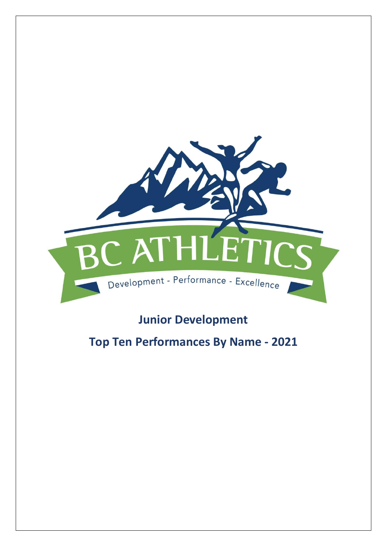

# **Junior Development**

# **Top Ten Performances By Name - 2021**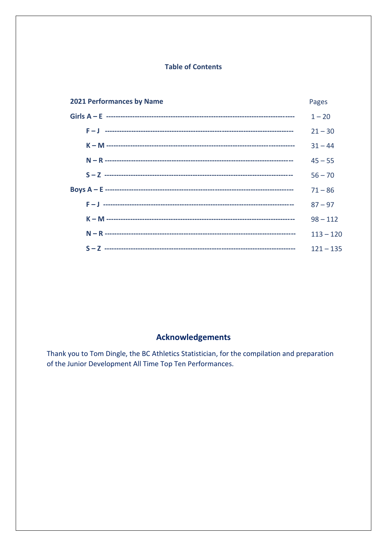### **Table of Contents**

| <b>2021 Performances by Name</b> | Pages       |
|----------------------------------|-------------|
|                                  | $1 - 20$    |
|                                  | $21 - 30$   |
|                                  | $31 - 44$   |
|                                  | $45 - 55$   |
|                                  | $56 - 70$   |
|                                  | $71 - 86$   |
|                                  | $87 - 97$   |
|                                  | $98 - 112$  |
|                                  | $113 - 120$ |
|                                  | $121 - 135$ |

## **Acknowledgements**

Thank you to Tom Dingle, the BC Athletics Statistician, for the compilation and preparation of the Junior Development All Time Top Ten Performances.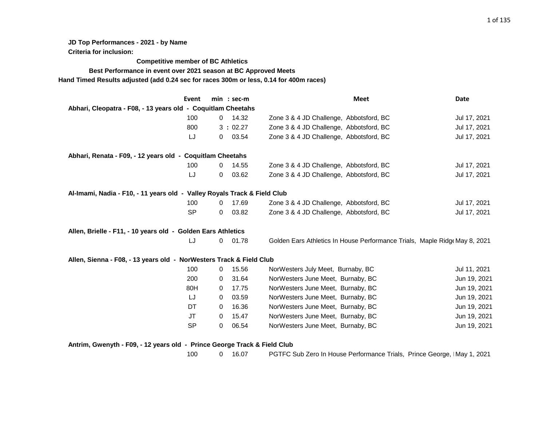**JD Top Performances - 2021 - by Name**

**Criteria for inclusion:**

**Competitive member of BC Athletics**

**Best Performance in event over 2021 season at BC Approved Meets**

**Hand Timed Results adjusted (add 0.24 sec for races 300m or less, 0.14 for 400m races)**

| Event                                                                    |              | $min : sec-m$ | <b>Meet</b>                                                                | Date         |
|--------------------------------------------------------------------------|--------------|---------------|----------------------------------------------------------------------------|--------------|
| Abhari, Cleopatra - F08, - 13 years old - Coquitlam Cheetahs             |              |               |                                                                            |              |
| 100                                                                      | $\mathbf{0}$ | 14.32         | Zone 3 & 4 JD Challenge, Abbotsford, BC                                    | Jul 17, 2021 |
| 800                                                                      |              | 3:02.27       | Zone 3 & 4 JD Challenge, Abbotsford, BC                                    | Jul 17, 2021 |
| LJ                                                                       | 0            | 03.54         | Zone 3 & 4 JD Challenge, Abbotsford, BC                                    | Jul 17, 2021 |
| Abhari, Renata - F09, - 12 years old - Coquitlam Cheetahs                |              |               |                                                                            |              |
| 100                                                                      | 0            | 14.55         | Zone 3 & 4 JD Challenge, Abbotsford, BC                                    | Jul 17, 2021 |
| LJ                                                                       | 0            | 03.62         | Zone 3 & 4 JD Challenge, Abbotsford, BC                                    | Jul 17, 2021 |
| Al-Imami, Nadia - F10, - 11 years old - Valley Royals Track & Field Club |              |               |                                                                            |              |
| 100                                                                      | 0            | 17.69         | Zone 3 & 4 JD Challenge, Abbotsford, BC                                    | Jul 17, 2021 |
| <b>SP</b>                                                                | 0            | 03.82         | Zone 3 & 4 JD Challenge, Abbotsford, BC                                    | Jul 17, 2021 |
| Allen, Brielle - F11, - 10 years old - Golden Ears Athletics             |              |               |                                                                            |              |
| IJ                                                                       | 0            | 01.78         | Golden Ears Athletics In House Performance Trials, Maple Ridge May 8, 2021 |              |
| Allen, Sienna - F08, - 13 years old - NorWesters Track & Field Club      |              |               |                                                                            |              |
| 100                                                                      | 0            | 15.56         | NorWesters July Meet, Burnaby, BC                                          | Jul 11, 2021 |
| 200                                                                      | 0            | 31.64         | NorWesters June Meet, Burnaby, BC                                          | Jun 19, 2021 |
| 80H                                                                      | $\mathbf{0}$ | 17.75         | NorWesters June Meet, Burnaby, BC                                          | Jun 19, 2021 |
| LJ                                                                       | 0            | 03.59         | NorWesters June Meet, Burnaby, BC                                          | Jun 19, 2021 |
| DT                                                                       | $\Omega$     | 16.36         | NorWesters June Meet, Burnaby, BC                                          | Jun 19, 2021 |
| JT                                                                       | 0            | 15.47         | NorWesters June Meet, Burnaby, BC                                          | Jun 19, 2021 |
| SP                                                                       | 0            | 06.54         | NorWesters June Meet, Burnaby, BC                                          | Jun 19, 2021 |
| Antrim, Gwenyth - F09, - 12 years old - Prince George Track & Field Club |              |               |                                                                            |              |

100 0 16.07 PGTFC Sub Zero In House Performance Trials, Prince George, IMay 1, 2021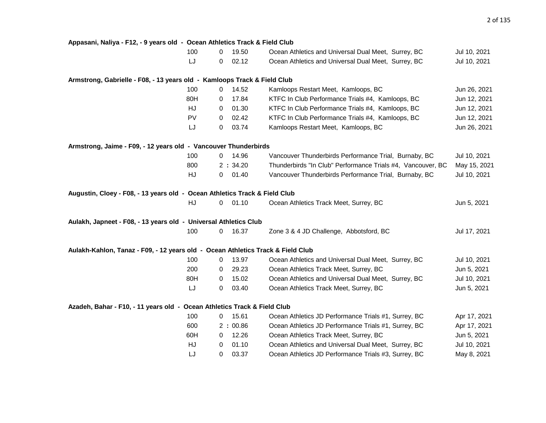| Appasani, Naliya - F12, - 9 years old - Ocean Athletics Track & Field Club      |     |              |         |                                                             |              |
|---------------------------------------------------------------------------------|-----|--------------|---------|-------------------------------------------------------------|--------------|
|                                                                                 | 100 | 0            | 19.50   | Ocean Athletics and Universal Dual Meet, Surrey, BC         | Jul 10, 2021 |
|                                                                                 | LJ  | 0            | 02.12   | Ocean Athletics and Universal Dual Meet, Surrey, BC         | Jul 10, 2021 |
| Armstrong, Gabrielle - F08, - 13 years old - Kamloops Track & Field Club        |     |              |         |                                                             |              |
|                                                                                 | 100 | 0            | 14.52   | Kamloops Restart Meet, Kamloops, BC                         | Jun 26, 2021 |
|                                                                                 | 80H | 0            | 17.84   | KTFC In Club Performance Trials #4, Kamloops, BC            | Jun 12, 2021 |
|                                                                                 | HJ  | 0            | 01.30   | KTFC In Club Performance Trials #4, Kamloops, BC            | Jun 12, 2021 |
|                                                                                 | PV  | 0            | 02.42   | KTFC In Club Performance Trials #4, Kamloops, BC            | Jun 12, 2021 |
|                                                                                 | LJ  | 0            | 03.74   | Kamloops Restart Meet, Kamloops, BC                         | Jun 26, 2021 |
| Armstrong, Jaime - F09, - 12 years old - Vancouver Thunderbirds                 |     |              |         |                                                             |              |
|                                                                                 | 100 | 0            | 14.96   | Vancouver Thunderbirds Performance Trial, Burnaby, BC       | Jul 10, 2021 |
|                                                                                 | 800 |              | 2:34.20 | Thunderbirds "In Club" Performance Trials #4, Vancouver, BC | May 15, 2021 |
|                                                                                 | HJ  | 0            | 01.40   | Vancouver Thunderbirds Performance Trial, Burnaby, BC       | Jul 10, 2021 |
| Augustin, Cloey - F08, - 13 years old - Ocean Athletics Track & Field Club      |     |              |         |                                                             |              |
|                                                                                 | HJ  | $\mathsf{O}$ | 01.10   | Ocean Athletics Track Meet, Surrey, BC                      | Jun 5, 2021  |
| Aulakh, Japneet - F08, - 13 years old - Universal Athletics Club                |     |              |         |                                                             |              |
|                                                                                 | 100 | 0            | 16.37   | Zone 3 & 4 JD Challenge, Abbotsford, BC                     | Jul 17, 2021 |
| Aulakh-Kahlon, Tanaz - F09, - 12 years old - Ocean Athletics Track & Field Club |     |              |         |                                                             |              |
|                                                                                 | 100 | $\mathbf 0$  | 13.97   | Ocean Athletics and Universal Dual Meet, Surrey, BC         | Jul 10, 2021 |
|                                                                                 | 200 | 0            | 29.23   | Ocean Athletics Track Meet, Surrey, BC                      | Jun 5, 2021  |
|                                                                                 | 80H | 0            | 15.02   | Ocean Athletics and Universal Dual Meet, Surrey, BC         | Jul 10, 2021 |
|                                                                                 | LJ  | 0            | 03.40   | Ocean Athletics Track Meet, Surrey, BC                      | Jun 5, 2021  |
| Azadeh, Bahar - F10, - 11 years old - Ocean Athletics Track & Field Club        |     |              |         |                                                             |              |
|                                                                                 | 100 | 0            | 15.61   | Ocean Athletics JD Performance Trials #1, Surrey, BC        | Apr 17, 2021 |
|                                                                                 | 600 |              | 2:00.86 | Ocean Athletics JD Performance Trials #1, Surrey, BC        | Apr 17, 2021 |
|                                                                                 | 60H | 0            | 12.26   | Ocean Athletics Track Meet, Surrey, BC                      | Jun 5, 2021  |
|                                                                                 | HJ  | 0            | 01.10   | Ocean Athletics and Universal Dual Meet, Surrey, BC         | Jul 10, 2021 |
|                                                                                 | IJ  | 0            | 03.37   | Ocean Athletics JD Performance Trials #3, Surrey, BC        | May 8, 2021  |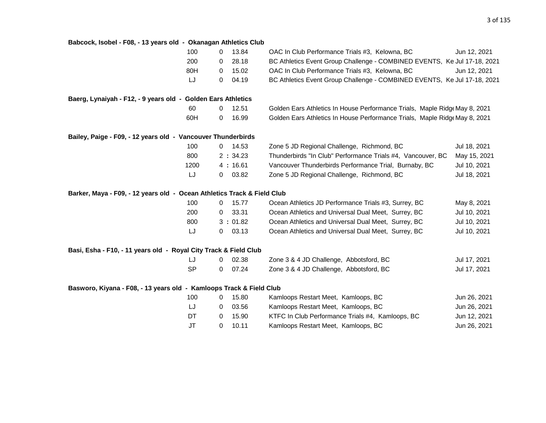| Babcock, Isobel - F08, - 13 years old - Okanagan Athletics Club         |                         |                                                                            |              |
|-------------------------------------------------------------------------|-------------------------|----------------------------------------------------------------------------|--------------|
| 100                                                                     | 13.84<br>$\mathbf 0$    | OAC In Club Performance Trials #3, Kelowna, BC                             | Jun 12, 2021 |
| 200                                                                     | 28.18<br>0              | BC Athletics Event Group Challenge - COMBINED EVENTS, Ke Jul 17-18, 2021   |              |
| 80H                                                                     | 15.02<br>0              | OAC In Club Performance Trials #3, Kelowna, BC                             | Jun 12, 2021 |
| LJ                                                                      | 04.19<br>$\mathbf 0$    | BC Athletics Event Group Challenge - COMBINED EVENTS, Ke Jul 17-18, 2021   |              |
| Baerg, Lynaiyah - F12, - 9 years old - Golden Ears Athletics            |                         |                                                                            |              |
| 60                                                                      | 12.51<br>$\mathbf 0$    | Golden Ears Athletics In House Performance Trials, Maple Ridge May 8, 2021 |              |
| 60H                                                                     | 0<br>16.99              | Golden Ears Athletics In House Performance Trials, Maple Ridge May 8, 2021 |              |
| Bailey, Paige - F09, - 12 years old - Vancouver Thunderbirds            |                         |                                                                            |              |
| 100                                                                     | 14.53<br>$\overline{0}$ | Zone 5 JD Regional Challenge, Richmond, BC                                 | Jul 18, 2021 |
| 800                                                                     | 2:34.23                 | Thunderbirds "In Club" Performance Trials #4, Vancouver, BC                | May 15, 2021 |
| 1200                                                                    | 4:16.61                 | Vancouver Thunderbirds Performance Trial, Burnaby, BC                      | Jul 10, 2021 |
| LJ                                                                      | 03.82<br>0              | Zone 5 JD Regional Challenge, Richmond, BC                                 | Jul 18, 2021 |
| Barker, Maya - F09, - 12 years old - Ocean Athletics Track & Field Club |                         |                                                                            |              |
| 100                                                                     | 15.77<br>0              | Ocean Athletics JD Performance Trials #3, Surrey, BC                       | May 8, 2021  |
| 200                                                                     | 33.31<br>0              | Ocean Athletics and Universal Dual Meet, Surrey, BC                        | Jul 10, 2021 |
| 800                                                                     | 3:01.82                 | Ocean Athletics and Universal Dual Meet, Surrey, BC                        | Jul 10, 2021 |
| LJ                                                                      | 03.13<br>$\mathbf{0}$   | Ocean Athletics and Universal Dual Meet, Surrey, BC                        | Jul 10, 2021 |
| Basi, Esha - F10, - 11 years old - Royal City Track & Field Club        |                         |                                                                            |              |
| LJ                                                                      | 02.38<br>0              | Zone 3 & 4 JD Challenge, Abbotsford, BC                                    | Jul 17, 2021 |
| <b>SP</b>                                                               | 07.24<br>0              | Zone 3 & 4 JD Challenge, Abbotsford, BC                                    | Jul 17, 2021 |
| Basworo, Kiyana - F08, - 13 years old - Kamloops Track & Field Club     |                         |                                                                            |              |
| 100                                                                     | 15.80<br>0              | Kamloops Restart Meet, Kamloops, BC                                        | Jun 26, 2021 |
| LJ                                                                      | 03.56<br>0              | Kamloops Restart Meet, Kamloops, BC                                        | Jun 26, 2021 |
| DT                                                                      | 15.90<br>0              | KTFC In Club Performance Trials #4, Kamloops, BC                           | Jun 12, 2021 |
| <b>JT</b>                                                               | 10.11<br>$\mathbf 0$    | Kamloops Restart Meet, Kamloops, BC                                        | Jun 26, 2021 |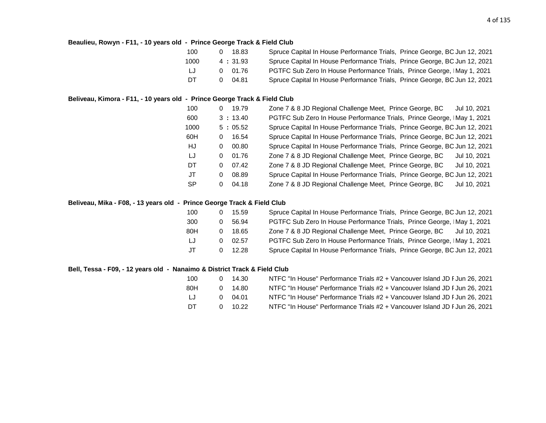#### **Beaulieu, Rowyn - F11, - 10 years old - Prince George Track & Field Club**

| 100    | 18.83<br><sup>n</sup> | Spruce Capital In House Performance Trials, Prince George, BC Jun 12, 2021 |
|--------|-----------------------|----------------------------------------------------------------------------|
| 1000   | 4:31.93               | Spruce Capital In House Performance Trials, Prince George, BC Jun 12, 2021 |
| - LJ - | 0 01.76               | PGTFC Sub Zero In House Performance Trials, Prince George, IMay 1, 2021    |
| DT     | 04.81<br>0            | Spruce Capital In House Performance Trials, Prince George, BC Jun 12, 2021 |

#### **Beliveau, Kimora - F11, - 10 years old - Prince George Track & Field Club**

| 100       | 0 | 19.79   | Zone 7 & 8 JD Regional Challenge Meet, Prince George, BC<br>Jul 10, 2021   |
|-----------|---|---------|----------------------------------------------------------------------------|
| 600       |   | 3:13.40 | PGTFC Sub Zero In House Performance Trials, Prince George, IMay 1, 2021    |
| 1000      |   | 5:05.52 | Spruce Capital In House Performance Trials, Prince George, BC Jun 12, 2021 |
| 60H       | 0 | 16.54   | Spruce Capital In House Performance Trials, Prince George, BC Jun 12, 2021 |
| HJ        | 0 | 00.80   | Spruce Capital In House Performance Trials, Prince George, BC Jun 12, 2021 |
| -LJ       | 0 | 01.76   | Zone 7 & 8 JD Regional Challenge Meet, Prince George, BC<br>Jul 10, 2021   |
| DT        | 0 | 07.42   | Zone 7 & 8 JD Regional Challenge Meet, Prince George, BC<br>Jul 10, 2021   |
| JT        | 0 | 08.89   | Spruce Capital In House Performance Trials, Prince George, BC Jun 12, 2021 |
| <b>SP</b> | 0 | 04.18   | Zone 7 & 8 JD Regional Challenge Meet, Prince George, BC<br>Jul 10, 2021   |

#### **Beliveau, Mika - F08, - 13 years old - Prince George Track & Field Club**

| 100 |              | 15.59 | Spruce Capital In House Performance Trials, Prince George, BC Jun 12, 2021 |
|-----|--------------|-------|----------------------------------------------------------------------------|
| 300 | O            | 56.94 | PGTFC Sub Zero In House Performance Trials, Prince George, IMay 1, 2021    |
| 80H |              | 18.65 | Zone 7 & 8 JD Regional Challenge Meet, Prince George, BC<br>Jul 10, 2021   |
| LJ  | <sup>n</sup> | 02.57 | PGTFC Sub Zero In House Performance Trials, Prince George, IMay 1, 2021    |
| JT  |              | 12.28 | Spruce Capital In House Performance Trials, Prince George, BC Jun 12, 2021 |

#### **Bell, Tessa - F09, - 12 years old - Nanaimo & District Track & Field Club**

| 100 |   | 14.30 | NTFC "In House" Performance Trials #2 + Vancouver Island JD F Jun 26, 2021 |
|-----|---|-------|----------------------------------------------------------------------------|
| 80H | 0 | 14.80 | NTFC "In House" Performance Trials #2 + Vancouver Island JD F Jun 26, 2021 |
| LJ  | 0 | 04.01 | NTFC "In House" Performance Trials #2 + Vancouver Island JD F Jun 26, 2021 |
| DT. |   | 10.22 | NTFC "In House" Performance Trials #2 + Vancouver Island JD F Jun 26, 2021 |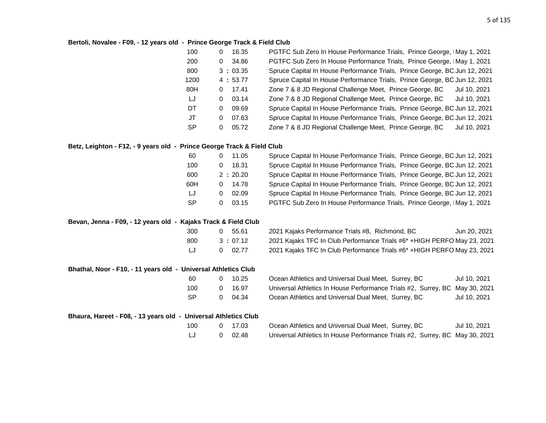#### **Bertoli, Novalee - F09, - 12 years old - Prince George Track & Field Club**

| 100  | 0 | 16.35   | PGTFC Sub Zero In House Performance Trials, Prince George, IMay 1, 2021    |
|------|---|---------|----------------------------------------------------------------------------|
| 200  | 0 | 34.86   | PGTFC Sub Zero In House Performance Trials, Prince George, IMay 1, 2021    |
| 800  |   | 3:03.35 | Spruce Capital In House Performance Trials, Prince George, BC Jun 12, 2021 |
| 1200 |   | 4:53.77 | Spruce Capital In House Performance Trials, Prince George, BC Jun 12, 2021 |
| 80H  | 0 | 17.41   | Zone 7 & 8 JD Regional Challenge Meet, Prince George, BC<br>Jul 10, 2021   |
| LJ   | 0 | 03.14   | Zone 7 & 8 JD Regional Challenge Meet, Prince George, BC<br>Jul 10, 2021   |
| DT   | 0 | 09.69   | Spruce Capital In House Performance Trials, Prince George, BC Jun 12, 2021 |
| JT   | 0 | 07.63   | Spruce Capital In House Performance Trials, Prince George, BC Jun 12, 2021 |
| -SP  | 0 | 05.72   | Zone 7 & 8 JD Regional Challenge Meet, Prince George, BC<br>Jul 10, 2021   |

#### **Betz, Leighton - F12, - 9 years old - Prince George Track & Field Club**

| 60        | 11.05      | Spruce Capital In House Performance Trials, Prince George, BC Jun 12, 2021 |
|-----------|------------|----------------------------------------------------------------------------|
| 100       | 18.31      | Spruce Capital In House Performance Trials, Prince George, BC Jun 12, 2021 |
| 600       | 2:20.20    | Spruce Capital In House Performance Trials, Prince George, BC Jun 12, 2021 |
| 60H       | 14.78<br>0 | Spruce Capital In House Performance Trials, Prince George, BC Jun 12, 2021 |
| IJ        | 02.09<br>0 | Spruce Capital In House Performance Trials, Prince George, BC Jun 12, 2021 |
| <b>SP</b> | 03.15      | PGTFC Sub Zero In House Performance Trials, Prince George, IMay 1, 2021    |

#### **Bevan, Jenna - F09, - 12 years old - Kajaks Track & Field Club**

| 300 |    | 0, 55.61 | 2021 |
|-----|----|----------|------|
| 800 |    | 3:07.12  | 2021 |
| IJ  | 0. | 02.77    | 2021 |

| 300 | 55.61   | 2021 Kajaks Performance Trials #8, Richmond, BC<br>Jun 20, 2021          |
|-----|---------|--------------------------------------------------------------------------|
| 800 | 3:07.12 | 2021 Kajaks TFC In Club Performance Trials #6* +HIGH PERFO May 23, 2021  |
| IJ  | 02.77   | 2021 Kajaks TFC In Club Performance Trials #6* + HIGH PERFO May 23, 2021 |

#### **Bhathal, Noor - F10, - 11 years old - Universal Athletics Club**

| O | 10.25 |
|---|-------|
| O | 16.97 |
| O | 04.34 |
|   |       |

| -60       | 10.25 | Ocean Athletics and Universal Dual Meet, Surrey, BC                         | Jul 10, 2021 |
|-----------|-------|-----------------------------------------------------------------------------|--------------|
| 100       | 16.97 | Universal Athletics In House Performance Trials #2, Surrey, BC May 30, 2021 |              |
| <b>SP</b> | 04.34 | Ocean Athletics and Universal Dual Meet, Surrey, BC                         | Jul 10, 2021 |

#### **Bhaura, Hareet - F08, - 13 years old - Universal Athletics Club**

| 100 | $0 \quad 17.03$ | Ocean Athletics and Universal Dual Meet, Surrey, BC                         | Jul 10, 2021 |
|-----|-----------------|-----------------------------------------------------------------------------|--------------|
| IJ  | $0\quad 02.48$  | Universal Athletics In House Performance Trials #2, Surrey, BC May 30, 2021 |              |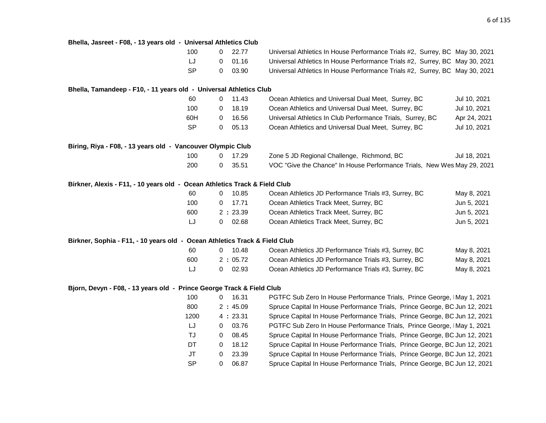| Bhella, Jasreet - F08, - 13 years old - Universal Athletics Club           |             |           |                                                                             |              |
|----------------------------------------------------------------------------|-------------|-----------|-----------------------------------------------------------------------------|--------------|
| 100                                                                        | 0           | 22.77     | Universal Athletics In House Performance Trials #2, Surrey, BC May 30, 2021 |              |
| LJ                                                                         | 0           | 01.16     | Universal Athletics In House Performance Trials #2, Surrey, BC May 30, 2021 |              |
| <b>SP</b>                                                                  | 0           | 03.90     | Universal Athletics In House Performance Trials #2, Surrey, BC May 30, 2021 |              |
| Bhella, Tamandeep - F10, - 11 years old - Universal Athletics Club         |             |           |                                                                             |              |
| 60                                                                         | $\mathbf 0$ | 11.43     | Ocean Athletics and Universal Dual Meet, Surrey, BC                         | Jul 10, 2021 |
| 100                                                                        | 0           | 18.19     | Ocean Athletics and Universal Dual Meet, Surrey, BC                         | Jul 10, 2021 |
| 60H                                                                        | 0           | 16.56     | Universal Athletics In Club Performance Trials, Surrey, BC                  | Apr 24, 2021 |
| <b>SP</b>                                                                  | $\mathbf 0$ | 05.13     | Ocean Athletics and Universal Dual Meet, Surrey, BC                         | Jul 10, 2021 |
| Biring, Riya - F08, - 13 years old - Vancouver Olympic Club                |             |           |                                                                             |              |
| 100                                                                        | 0           | 17.29     | Zone 5 JD Regional Challenge, Richmond, BC                                  | Jul 18, 2021 |
| 200                                                                        | $\mathbf 0$ | 35.51     | VOC "Give the Chance" In House Performance Trials, New Wes May 29, 2021     |              |
| Birkner, Alexis - F11, - 10 years old - Ocean Athletics Track & Field Club |             |           |                                                                             |              |
| 60                                                                         | $\mathbf 0$ | 10.85     | Ocean Athletics JD Performance Trials #3, Surrey, BC                        | May 8, 2021  |
| 100                                                                        | 0           | 17.71     | Ocean Athletics Track Meet, Surrey, BC                                      | Jun 5, 2021  |
| 600                                                                        |             | 2:23.39   | Ocean Athletics Track Meet, Surrey, BC                                      | Jun 5, 2021  |
| IJ                                                                         | 0           | 02.68     | Ocean Athletics Track Meet, Surrey, BC                                      | Jun 5, 2021  |
| Birkner, Sophia - F11, - 10 years old - Ocean Athletics Track & Field Club |             |           |                                                                             |              |
| 60                                                                         |             | $0$ 10.48 | Ocean Athletics JD Performance Trials #3, Surrey, BC                        | May 8, 2021  |
| 600                                                                        |             | 2:05.72   | Ocean Athletics JD Performance Trials #3, Surrey, BC                        | May 8, 2021  |
| LJ                                                                         | $\mathbf 0$ | 02.93     | Ocean Athletics JD Performance Trials #3, Surrey, BC                        | May 8, 2021  |
| Bjorn, Devyn - F08, - 13 years old - Prince George Track & Field Club      |             |           |                                                                             |              |
| 100                                                                        | 0           | 16.31     | PGTFC Sub Zero In House Performance Trials, Prince George, IMay 1, 2021     |              |
| 800                                                                        |             | 2:45.09   | Spruce Capital In House Performance Trials, Prince George, BC Jun 12, 2021  |              |
| 1200                                                                       |             | 4:23.31   | Spruce Capital In House Performance Trials, Prince George, BC Jun 12, 2021  |              |
| LJ                                                                         | 0           | 03.76     | PGTFC Sub Zero In House Performance Trials, Prince George, IMay 1, 2021     |              |
| TJ                                                                         | $\mathbf 0$ | 08.45     | Spruce Capital In House Performance Trials, Prince George, BC Jun 12, 2021  |              |
| DT                                                                         | $\Omega$    | 18.12     | Spruce Capital In House Performance Trials, Prince George, BC Jun 12, 2021  |              |

| טטו |         | 10.JT | <u>FUITO JUD ZEID III I IUUSE FEITUITIMIILE TIMIS, FIIILLE UEUIUE, IIVMAY T, ZUZ I</u> |
|-----|---------|-------|----------------------------------------------------------------------------------------|
| 300 | 2:45.09 |       | Spruce Capital In House Performance Trials, Prince George, BC Jun 12, 2021             |
| 200 | 4:23.31 |       | Spruce Capital In House Performance Trials, Prince George, BC Jun 12, 2021             |
| IJ  | 0       | 03.76 | PGTFC Sub Zero In House Performance Trials, Prince George, IMay 1, 2021                |
| TJ  | 0       | 08.45 | Spruce Capital In House Performance Trials, Prince George, BC Jun 12, 2021             |
| DT  | 0       | 18.12 | Spruce Capital In House Performance Trials, Prince George, BC Jun 12, 2021             |
| JT  | 0       | 23.39 | Spruce Capital In House Performance Trials, Prince George, BC Jun 12, 2021             |
| SP  | 0       | 06.87 | Spruce Capital In House Performance Trials, Prince George, BC Jun 12, 2021             |
|     |         |       |                                                                                        |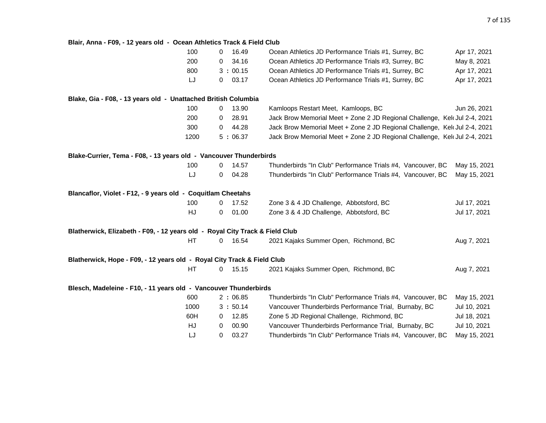#### **Blair, Anna - F09, - 12 years old - Ocean Athletics Track & Field Club**

| 100                                                                          | 16.49<br>0            | Ocean Athletics JD Performance Trials #1, Surrey, BC                       | Apr 17, 2021 |
|------------------------------------------------------------------------------|-----------------------|----------------------------------------------------------------------------|--------------|
| 200                                                                          | 34.16<br>$\mathbf 0$  | Ocean Athletics JD Performance Trials #3, Surrey, BC                       | May 8, 2021  |
| 800                                                                          | 3:00.15               | Ocean Athletics JD Performance Trials #1, Surrey, BC                       | Apr 17, 2021 |
| LJ                                                                           | 03.17<br>0            | Ocean Athletics JD Performance Trials #1, Surrey, BC                       | Apr 17, 2021 |
| Blake, Gia - F08, - 13 years old - Unattached British Columbia               |                       |                                                                            |              |
| 100                                                                          | 13.90<br>$\mathbf{0}$ | Kamloops Restart Meet, Kamloops, BC                                        | Jun 26, 2021 |
| 200                                                                          | 28.91<br>0            | Jack Brow Memorial Meet + Zone 2 JD Regional Challenge, Kel Jul 2-4, 2021  |              |
| 300                                                                          | 44.28<br>$\mathbf 0$  | Jack Brow Memorial Meet + Zone 2 JD Regional Challenge, Kelt Jul 2-4, 2021 |              |
| 1200                                                                         | 5:06.37               | Jack Brow Memorial Meet + Zone 2 JD Regional Challenge, Kelt Jul 2-4, 2021 |              |
| Blake-Currier, Tema - F08, - 13 years old - Vancouver Thunderbirds           |                       |                                                                            |              |
| 100                                                                          | 14.57<br>$\mathbf 0$  | Thunderbirds "In Club" Performance Trials #4, Vancouver, BC                | May 15, 2021 |
| LJ                                                                           | 04.28<br>0            | Thunderbirds "In Club" Performance Trials #4, Vancouver, BC                | May 15, 2021 |
| Blancaflor, Violet - F12, - 9 years old - Coquitlam Cheetahs                 |                       |                                                                            |              |
| 100                                                                          | 17.52<br>$\mathbf{0}$ | Zone 3 & 4 JD Challenge, Abbotsford, BC                                    | Jul 17, 2021 |
| HJ                                                                           | 01.00<br>0            | Zone 3 & 4 JD Challenge, Abbotsford, BC                                    | Jul 17, 2021 |
| Blatherwick, Elizabeth - F09, - 12 years old - Royal City Track & Field Club |                       |                                                                            |              |
| HT                                                                           | 16.54<br>$\mathbf{0}$ | 2021 Kajaks Summer Open, Richmond, BC                                      | Aug 7, 2021  |
| Blatherwick, Hope - F09, - 12 years old - Royal City Track & Field Club      |                       |                                                                            |              |
| HT                                                                           | 15.15<br>0            | 2021 Kajaks Summer Open, Richmond, BC                                      | Aug 7, 2021  |
| Blesch, Madeleine - F10, - 11 years old - Vancouver Thunderbirds             |                       |                                                                            |              |
| 600                                                                          | 2:06.85               | Thunderbirds "In Club" Performance Trials #4, Vancouver, BC                | May 15, 2021 |
| 1000                                                                         | 3:50.14               | Vancouver Thunderbirds Performance Trial, Burnaby, BC                      | Jul 10, 2021 |
| 60H                                                                          | 12.85<br>0            | Zone 5 JD Regional Challenge, Richmond, BC                                 | Jul 18, 2021 |
| HJ                                                                           | 00.90<br>$\mathbf{0}$ | Vancouver Thunderbirds Performance Trial, Burnaby, BC                      | Jul 10, 2021 |
| LJ                                                                           | 03.27<br>0            | Thunderbirds "In Club" Performance Trials #4, Vancouver, BC                | May 15, 2021 |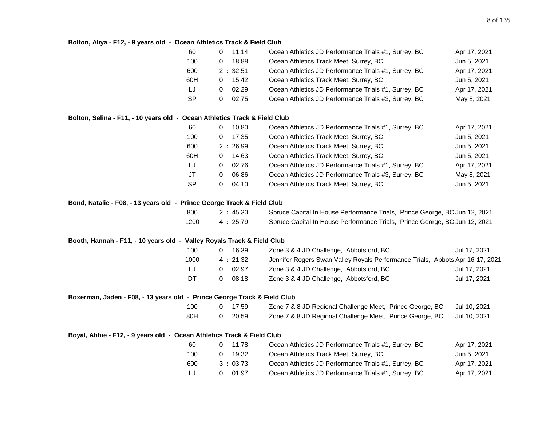#### **Bolton, Aliya - F12, - 9 years old - Ocean Athletics Track & Field Club**

| 60        | 11.14   | Ocean Athletics JD Performance Trials #1, Surrey, BC | Apr 17, 2021 |
|-----------|---------|------------------------------------------------------|--------------|
| 100       | 18.88   | Ocean Athletics Track Meet, Surrey, BC               | Jun 5, 2021  |
| 600       | 2:32.51 | Ocean Athletics JD Performance Trials #1, Surrey, BC | Apr 17, 2021 |
| 60H       | 15.42   | Ocean Athletics Track Meet, Surrey, BC               | Jun 5, 2021  |
| LJ        | 02.29   | Ocean Athletics JD Performance Trials #1, Surrey, BC | Apr 17, 2021 |
| <b>SP</b> | 02.75   | Ocean Athletics JD Performance Trials #3, Surrey, BC | May 8, 2021  |
|           |         |                                                      |              |

#### **Bolton, Selina - F11, - 10 years old - Ocean Athletics Track & Field Club**

| 60        | 10.80<br>0        | Ocean Athletics JD Performance Trials #1, Surrey, BC | Apr 17, 2021 |
|-----------|-------------------|------------------------------------------------------|--------------|
| 100       | 17.35<br>0        | Ocean Athletics Track Meet, Surrey, BC               | Jun 5, 2021  |
| 600       | 2:26.99           | Ocean Athletics Track Meet, Surrey, BC               | Jun 5, 2021  |
| 60H       | 14.63<br>0        | Ocean Athletics Track Meet, Surrey, BC               | Jun 5, 2021  |
| LJ        | 02.76<br>0        | Ocean Athletics JD Performance Trials #1, Surrey, BC | Apr 17, 2021 |
| JT        | 06.86<br>$\Omega$ | Ocean Athletics JD Performance Trials #3, Surrey, BC | May 8, 2021  |
| <b>SP</b> | 04.10<br>0        | Ocean Athletics Track Meet, Surrey, BC               | Jun 5, 2021  |

#### **Bond, Natalie - F08, - 13 years old - Prince George Track & Field Club**

| 800  | 2:45.30 | Spruce Capital In House Performance Trials, Prince George, BC Jun 12, 2021 |  |
|------|---------|----------------------------------------------------------------------------|--|
| 1200 | 4:25.79 | Spruce Capital In House Performance Trials, Prince George, BC Jun 12, 2021 |  |

#### **Booth, Hannah - F11, - 10 years old - Valley Royals Track & Field Club**

| 100  | 16.39      | Zone 3 & 4 JD Challenge, Abbotsford, BC                                       | Jul 17, 2021 |
|------|------------|-------------------------------------------------------------------------------|--------------|
| 1000 | 4:21.32    | Jennifer Rogers Swan Valley Royals Performance Trials, Abbots Apr 16-17, 2021 |              |
| IJ   | 02.97<br>0 | Zone 3 & 4 JD Challenge, Abbotsford, BC                                       | Jul 17, 2021 |
| DT   | 08.18      | Zone 3 & 4 JD Challenge, Abbotsford, BC                                       | Jul 17, 2021 |

#### **Boxerman, Jaden - F08, - 13 years old - Prince George Track & Field Club**

| 100 | 0 17.59 | Zone 7 & 8 JD Regional Challenge Meet, Prince George, BC |  | Jul 10, 2021 |
|-----|---------|----------------------------------------------------------|--|--------------|
| 80H | 0 20.59 | Zone 7 & 8 JD Regional Challenge Meet, Prince George, BC |  | Jul 10, 2021 |

#### **Boyal, Abbie - F12, - 9 years old - Ocean Athletics Track & Field Club**

| 60  | 11.78   | Ocean Athletics JD Performance Trials #1, Surrey, BC | Apr 17, 2021 |
|-----|---------|------------------------------------------------------|--------------|
| 100 | 19.32   | Ocean Athletics Track Meet, Surrey, BC               | Jun 5. 2021  |
| 600 | 3:03.73 | Ocean Athletics JD Performance Trials #1, Surrey, BC | Apr 17, 2021 |
| IJ  | 01.97   | Ocean Athletics JD Performance Trials #1, Surrey, BC | Apr 17, 2021 |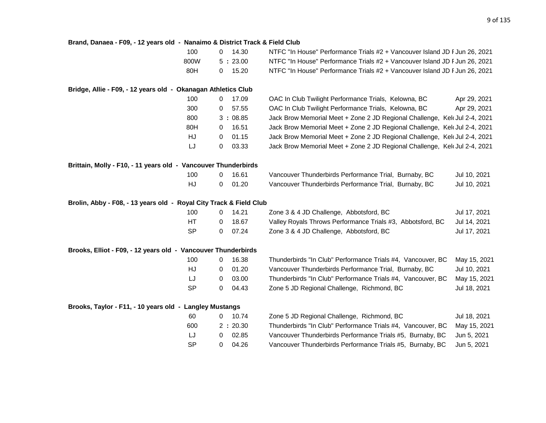| Brand, Danaea - F09, - 12 years old - Nanaimo & District Track & Field Club |           |                |           |                                                                            |              |
|-----------------------------------------------------------------------------|-----------|----------------|-----------|----------------------------------------------------------------------------|--------------|
|                                                                             | 100       |                | $0$ 14.30 | NTFC "In House" Performance Trials #2 + Vancouver Island JD F Jun 26, 2021 |              |
|                                                                             | 800W      |                | 5:23.00   | NTFC "In House" Performance Trials #2 + Vancouver Island JD F Jun 26, 2021 |              |
|                                                                             | 80H       | 0              | 15.20     | NTFC "In House" Performance Trials #2 + Vancouver Island JD F Jun 26, 2021 |              |
| Bridge, Allie - F09, - 12 years old - Okanagan Athletics Club               |           |                |           |                                                                            |              |
|                                                                             | 100       | $\mathbf 0$    | 17.09     | OAC In Club Twilight Performance Trials, Kelowna, BC                       | Apr 29, 2021 |
|                                                                             | 300       | 0              | 57.55     | OAC In Club Twilight Performance Trials, Kelowna, BC                       | Apr 29, 2021 |
|                                                                             | 800       |                | 3:08.85   | Jack Brow Memorial Meet + Zone 2 JD Regional Challenge, Kelt Jul 2-4, 2021 |              |
|                                                                             | 80H       | $\overline{0}$ | 16.51     | Jack Brow Memorial Meet + Zone 2 JD Regional Challenge, Kelt Jul 2-4, 2021 |              |
|                                                                             | HJ        | $\mathbf 0$    | 01.15     | Jack Brow Memorial Meet + Zone 2 JD Regional Challenge, Kelt Jul 2-4, 2021 |              |
|                                                                             | LJ        | 0              | 03.33     | Jack Brow Memorial Meet + Zone 2 JD Regional Challenge, Kel Jul 2-4, 2021  |              |
| Brittain, Molly - F10, - 11 years old - Vancouver Thunderbirds              |           |                |           |                                                                            |              |
|                                                                             | 100       | 0              | 16.61     | Vancouver Thunderbirds Performance Trial, Burnaby, BC                      | Jul 10, 2021 |
|                                                                             | HJ        | 0              | 01.20     | Vancouver Thunderbirds Performance Trial, Burnaby, BC                      | Jul 10, 2021 |
| Brolin, Abby - F08, - 13 years old - Royal City Track & Field Club          |           |                |           |                                                                            |              |
|                                                                             | 100       | $\mathbf{0}$   | 14.21     | Zone 3 & 4 JD Challenge, Abbotsford, BC                                    | Jul 17, 2021 |
|                                                                             | HT        | 0              | 18.67     | Valley Royals Throws Performance Trials #3, Abbotsford, BC                 | Jul 14, 2021 |
|                                                                             | <b>SP</b> | 0              | 07.24     | Zone 3 & 4 JD Challenge, Abbotsford, BC                                    | Jul 17, 2021 |
| Brooks, Elliot - F09, - 12 years old - Vancouver Thunderbirds               |           |                |           |                                                                            |              |
|                                                                             | 100       | $\overline{0}$ | 16.38     | Thunderbirds "In Club" Performance Trials #4, Vancouver, BC                | May 15, 2021 |
|                                                                             | HJ        | 0              | 01.20     | Vancouver Thunderbirds Performance Trial, Burnaby, BC                      | Jul 10, 2021 |
|                                                                             | LJ        | $\mathbf 0$    | 03.00     | Thunderbirds "In Club" Performance Trials #4, Vancouver, BC                | May 15, 2021 |
|                                                                             | <b>SP</b> | 0              | 04.43     | Zone 5 JD Regional Challenge, Richmond, BC                                 | Jul 18, 2021 |
| Brooks, Taylor - F11, - 10 years old - Langley Mustangs                     |           |                |           |                                                                            |              |
|                                                                             | 60        |                | $0$ 10.74 | Zone 5 JD Regional Challenge, Richmond, BC                                 | Jul 18, 2021 |
|                                                                             | 600       |                | 2:20.30   | Thunderbirds "In Club" Performance Trials #4, Vancouver, BC                | May 15, 2021 |
|                                                                             | LJ        | 0              | 02.85     | Vancouver Thunderbirds Performance Trials #5, Burnaby, BC                  | Jun 5, 2021  |
|                                                                             | <b>SP</b> | 0              | 04.26     | Vancouver Thunderbirds Performance Trials #5, Burnaby, BC                  | Jun 5, 2021  |
|                                                                             |           |                |           |                                                                            |              |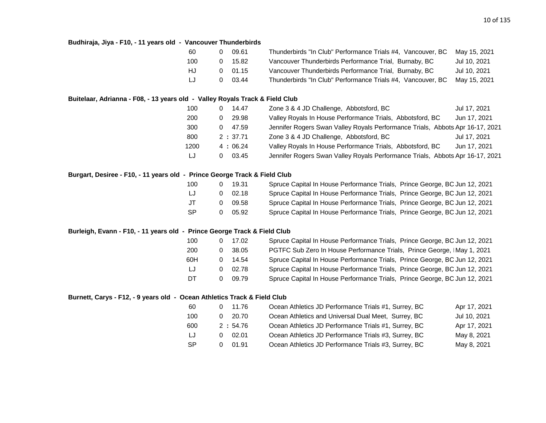#### **Budhiraja, Jiya - F10, - 11 years old - Vancouver Thunderbirds**

| 60  |   | 09.61 | Thunderbirds "In Club" Performance Trials #4, Vancouver, BC | Mav 15, 2021 |
|-----|---|-------|-------------------------------------------------------------|--------------|
| 100 | O | 15.82 | Vancouver Thunderbirds Performance Trial, Burnaby, BC       | Jul 10, 2021 |
| HJ. |   | 01.15 | Vancouver Thunderbirds Performance Trial, Burnaby, BC       | Jul 10, 2021 |
| IJ  |   | 03.44 | Thunderbirds "In Club" Performance Trials #4, Vancouver, BC | Mav 15, 2021 |

#### **Buitelaar, Adrianna - F08, - 13 years old - Valley Royals Track & Field Club**

| 100  | 14.47      | Zone 3 & 4 JD Challenge, Abbotsford, BC                                       | Jul 17, 2021 |
|------|------------|-------------------------------------------------------------------------------|--------------|
| 200  | 29.98      | Valley Royals In House Performance Trials, Abbotsford, BC                     | Jun 17, 2021 |
| 300  | 47.59<br>0 | Jennifer Rogers Swan Valley Royals Performance Trials, Abbots Apr 16-17, 2021 |              |
| 800  | 2:37.71    | Zone 3 & 4 JD Challenge, Abbotsford, BC                                       | Jul 17, 2021 |
| 1200 | 4:06.24    | Valley Royals In House Performance Trials, Abbotsford, BC                     | Jun 17, 2021 |
| LJ   | 03.45<br>0 | Jennifer Rogers Swan Valley Royals Performance Trials, Abbots Apr 16-17, 2021 |              |

#### **Burgart, Desiree - F10, - 11 years old - Prince George Track & Field Club**

| 100       |   | 19.31   | Spruce Capital In House Performance Trials, Prince George, BC Jun 12, 2021 |
|-----------|---|---------|----------------------------------------------------------------------------|
| IJ        |   | 02.18   | Spruce Capital In House Performance Trials, Prince George, BC Jun 12, 2021 |
| $J$ T     | n | - 09.58 | Spruce Capital In House Performance Trials, Prince George, BC Jun 12, 2021 |
| <b>SP</b> |   | 05.92   | Spruce Capital In House Performance Trials, Prince George, BC Jun 12, 2021 |

#### **Burleigh, Evann - F10, - 11 years old - Prince George Track & Field Club**

| 100 | 17.02 | Spruce Capital In House Performance Trials, Prince George, BC Jun 12, 2021 |
|-----|-------|----------------------------------------------------------------------------|
| 200 | 38.05 | PGTFC Sub Zero In House Performance Trials, Prince George, IMay 1, 2021    |
| 60H | 14.54 | Spruce Capital In House Performance Trials, Prince George, BC Jun 12, 2021 |
| LJ  | 02.78 | Spruce Capital In House Performance Trials, Prince George, BC Jun 12, 2021 |
| DT  | 09.79 | Spruce Capital In House Performance Trials, Prince George, BC Jun 12, 2021 |

#### **Burnett, Carys - F12, - 9 years old - Ocean Athletics Track & Field Club**

| -60       | 11.76   | Ocean Athletics JD Performance Trials #1, Surrey, BC | Apr 17, 2021 |
|-----------|---------|------------------------------------------------------|--------------|
| 100       | 20.70   | Ocean Athletics and Universal Dual Meet, Surrey, BC  | Jul 10, 2021 |
| 600       | 2:54.76 | Ocean Athletics JD Performance Trials #1, Surrey, BC | Apr 17, 2021 |
| LJ        | 02.01   | Ocean Athletics JD Performance Trials #3, Surrey, BC | May 8, 2021  |
| <b>SP</b> | 01.91   | Ocean Athletics JD Performance Trials #3, Surrey, BC | May 8, 2021  |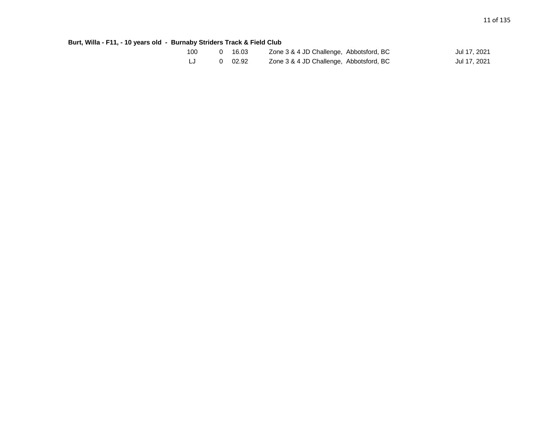**Burt, Willa - F11, - 10 years old - Burnaby Striders Track & Field Club**

| 100 | 0 16.03 | Zone 3 & 4 JD Challenge, Abbotsford, BC | Jul 17, 2021 |
|-----|---------|-----------------------------------------|--------------|
|     | 0 02.92 | Zone 3 & 4 JD Challenge, Abbotsford, BC | Jul 17, 2021 |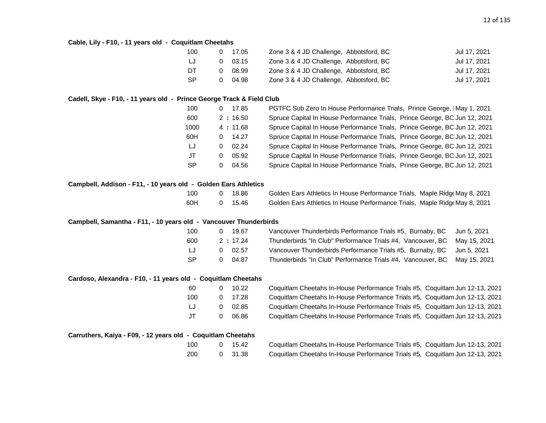#### **Cable, Lily - F10, - 11 years old - Coquitlam Cheetahs**

| 100 |   | 0 17.05 | Zone 3 & 4 JD Challenge, Abbotsford, BC | Jul 17, 2021 |
|-----|---|---------|-----------------------------------------|--------------|
| LJ  | 0 | 03.15   | Zone 3 & 4 JD Challenge, Abbotsford, BC | Jul 17, 2021 |
| DT  | O | 08.99   | Zone 3 & 4 JD Challenge, Abbotsford, BC | Jul 17, 2021 |
| -SP |   | 04.98   | Zone 3 & 4 JD Challenge, Abbotsford, BC | Jul 17, 2021 |

#### **Cadell, Skye - F10, - 11 years old - Prince George Track & Field Club**

| 100       | 0        | 17.85   | PGTFC Sub Zero In House Performance Trials, Prince George, IMay 1, 2021    |
|-----------|----------|---------|----------------------------------------------------------------------------|
| 600       |          | 2:16.50 | Spruce Capital In House Performance Trials, Prince George, BC Jun 12, 2021 |
| 1000      |          | 4:11.68 | Spruce Capital In House Performance Trials, Prince George, BC Jun 12, 2021 |
| 60H       | 0        | 14.27   | Spruce Capital In House Performance Trials, Prince George, BC Jun 12, 2021 |
| IJ        | 0        | 02.24   | Spruce Capital In House Performance Trials, Prince George, BC Jun 12, 2021 |
| JT        | $\Omega$ | 05.92   | Spruce Capital In House Performance Trials, Prince George, BC Jun 12, 2021 |
| <b>SP</b> | 0        | 04.56   | Spruce Capital In House Performance Trials, Prince George, BC Jun 12, 2021 |

#### **Campbell, Addison - F11, - 10 years old - Golden Ears Athletics**

| 100 | 0 18.86 | Golden Ears Athletics In House Performance Trials, Maple Ridge May 8, 2021 |  |
|-----|---------|----------------------------------------------------------------------------|--|
| 60H | 0 15.46 | Golden Ears Athletics In House Performance Trials, Maple Ridge May 8, 2021 |  |

#### **Campbell, Samantha - F11, - 10 years old - Vancouver Thunderbirds**

| 100    | 0 | 19.67           | Vancouver Thunderbirds Performance Trials #5, Burnaby, BC Jun 5, 2021    |  |
|--------|---|-----------------|--------------------------------------------------------------------------|--|
| 600    |   | 2:17.24         | Thunderbirds "In Club" Performance Trials #4, Vancouver, BC May 15, 2021 |  |
| $\Box$ |   | $0 \quad 02.57$ | Vancouver Thunderbirds Performance Trials #5, Burnaby, BC Jun 5, 2021    |  |
| -SP    |   | 04.87           | Thunderbirds "In Club" Performance Trials #4, Vancouver, BC May 15, 2021 |  |

#### **Cardoso, Alexandra - F10, - 11 years old - Coquitlam Cheetahs**

| 60 | 0 | 10.22 |
|----|---|-------|
| 00 | 0 | 17.28 |
| LJ | 0 | 02.85 |
| JT | O | 06.86 |

| 60  | 10.22          | Coquitlam Cheetahs In-House Performance Trials #5, Coquitlam Jun 12-13, 2021 |
|-----|----------------|------------------------------------------------------------------------------|
| 100 | 0 17.28        | Coquitlam Cheetahs In-House Performance Trials #5, Coquitlam Jun 12-13, 2021 |
| IJ  | $0\quad 02.85$ | Coquitlam Cheetahs In-House Performance Trials #5, Coquitlam Jun 12-13, 2021 |
| .JT | 06.86          | Coquitlam Cheetahs In-House Performance Trials #5, Coquitlam Jun 12-13, 2021 |

| Carruthers, Kaiya - F09, - 12 years old - Coquitlam Cheetahs |  |  |
|--------------------------------------------------------------|--|--|
|--------------------------------------------------------------|--|--|

| 100 | ი | 15.42 |  |
|-----|---|-------|--|
| 200 |   | 31.38 |  |

Coquitlam Cheetahs In-House Performance Trials #5, Coquitlam Jun 12-13, 2021 200 0 31.38 Coquitlam Cheetahs In-House Performance Trials #5, Coquitlam Jun 12-13, 2021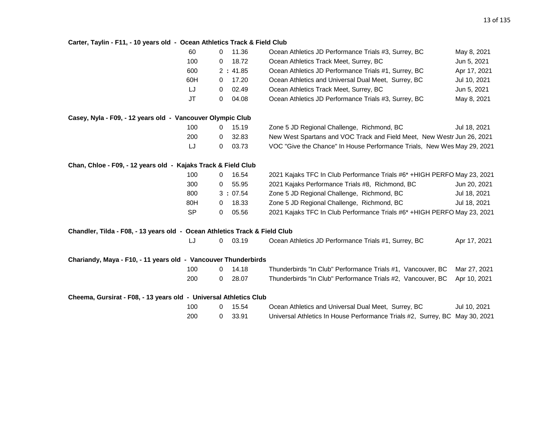#### **Carter, Taylin - F11, - 10 years old - Ocean Athletics Track & Field Club**

|                                                                            | 60        | $\Omega$       | 11.36   | Ocean Athletics JD Performance Trials #3, Surrey, BC                        | May 8, 2021  |
|----------------------------------------------------------------------------|-----------|----------------|---------|-----------------------------------------------------------------------------|--------------|
|                                                                            | 100       | 0              | 18.72   | Ocean Athletics Track Meet, Surrey, BC                                      | Jun 5, 2021  |
|                                                                            | 600       |                | 2:41.85 | Ocean Athletics JD Performance Trials #1, Surrey, BC                        | Apr 17, 2021 |
|                                                                            | 60H       | 0              | 17.20   | Ocean Athletics and Universal Dual Meet, Surrey, BC                         | Jul 10, 2021 |
|                                                                            | LJ        | 0              | 02.49   | Ocean Athletics Track Meet, Surrey, BC                                      | Jun 5, 2021  |
|                                                                            | <b>JT</b> | 0              | 04.08   | Ocean Athletics JD Performance Trials #3, Surrey, BC                        | May 8, 2021  |
| Casey, Nyla - F09, - 12 years old - Vancouver Olympic Club                 |           |                |         |                                                                             |              |
|                                                                            | 100       | $\mathbf{0}$   | 15.19   | Zone 5 JD Regional Challenge, Richmond, BC                                  | Jul 18, 2021 |
|                                                                            | 200       | $\mathbf{0}$   | 32.83   | New West Spartans and VOC Track and Field Meet, New Westr Jun 26, 2021      |              |
|                                                                            | LJ        | 0              | 03.73   | VOC "Give the Chance" In House Performance Trials, New Wes May 29, 2021     |              |
| Chan, Chloe - F09, - 12 years old - Kajaks Track & Field Club              |           |                |         |                                                                             |              |
|                                                                            | 100       | $\Omega$       | 16.54   | 2021 Kajaks TFC In Club Performance Trials #6* +HIGH PERFO May 23, 2021     |              |
|                                                                            | 300       | 0              | 55.95   | 2021 Kajaks Performance Trials #8, Richmond, BC                             | Jun 20, 2021 |
|                                                                            | 800       |                | 3:07.54 | Zone 5 JD Regional Challenge, Richmond, BC                                  | Jul 18, 2021 |
|                                                                            | 80H       | $\mathbf{0}$   | 18.33   | Zone 5 JD Regional Challenge, Richmond, BC                                  | Jul 18, 2021 |
|                                                                            | <b>SP</b> | 0              | 05.56   | 2021 Kajaks TFC In Club Performance Trials #6* +HIGH PERFO May 23, 2021     |              |
| Chandler, Tilda - F08, - 13 years old - Ocean Athletics Track & Field Club |           |                |         |                                                                             |              |
|                                                                            | IJ        | $\overline{0}$ | 03.19   | Ocean Athletics JD Performance Trials #1, Surrey, BC                        | Apr 17, 2021 |
| Chariandy, Maya - F10, - 11 years old - Vancouver Thunderbirds             |           |                |         |                                                                             |              |
|                                                                            | 100       | $\Omega$       | 14.18   | Thunderbirds "In Club" Performance Trials #1, Vancouver, BC                 | Mar 27, 2021 |
|                                                                            | 200       | 0              | 28.07   | Thunderbirds "In Club" Performance Trials #2, Vancouver, BC                 | Apr 10, 2021 |
| Cheema, Gursirat - F08, - 13 years old - Universal Athletics Club          |           |                |         |                                                                             |              |
|                                                                            | 100       | 0              | 15.54   | Ocean Athletics and Universal Dual Meet, Surrey, BC                         | Jul 10, 2021 |
|                                                                            | 200       | 0              | 33.91   | Universal Athletics In House Performance Trials #2, Surrey, BC May 30, 2021 |              |
|                                                                            |           |                |         |                                                                             |              |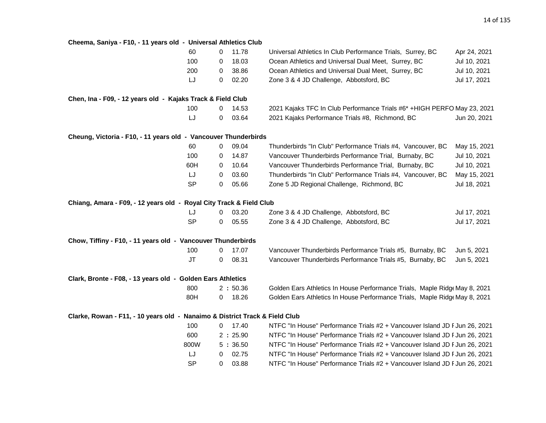#### **Cheema, Saniya - F10, - 11 years old - Universal Athletics Club**

|                                                                             | 60        | 0 | 11.78     | Universal Athletics In Club Performance Trials, Surrey, BC                 | Apr 24, 2021 |
|-----------------------------------------------------------------------------|-----------|---|-----------|----------------------------------------------------------------------------|--------------|
|                                                                             | 100       | 0 | 18.03     | Ocean Athletics and Universal Dual Meet, Surrey, BC                        | Jul 10, 2021 |
|                                                                             | 200       | 0 | 38.86     | Ocean Athletics and Universal Dual Meet, Surrey, BC                        | Jul 10, 2021 |
|                                                                             | LJ        | 0 | 02.20     | Zone 3 & 4 JD Challenge, Abbotsford, BC                                    | Jul 17, 2021 |
| Chen, Ina - F09, - 12 years old - Kajaks Track & Field Club                 |           |   |           |                                                                            |              |
|                                                                             | 100       | 0 | 14.53     | 2021 Kajaks TFC In Club Performance Trials #6* +HIGH PERFO May 23, 2021    |              |
|                                                                             | LJ        | 0 | 03.64     | 2021 Kajaks Performance Trials #8, Richmond, BC                            | Jun 20, 2021 |
| Cheung, Victoria - F10, - 11 years old - Vancouver Thunderbirds             |           |   |           |                                                                            |              |
|                                                                             | 60        | 0 | 09.04     | Thunderbirds "In Club" Performance Trials #4, Vancouver, BC                | May 15, 2021 |
|                                                                             | 100       | 0 | 14.87     | Vancouver Thunderbirds Performance Trial, Burnaby, BC                      | Jul 10, 2021 |
|                                                                             | 60H       | 0 | 10.64     | Vancouver Thunderbirds Performance Trial, Burnaby, BC                      | Jul 10, 2021 |
|                                                                             | LJ        | 0 | 03.60     | Thunderbirds "In Club" Performance Trials #4, Vancouver, BC                | May 15, 2021 |
|                                                                             | <b>SP</b> | 0 | 05.66     | Zone 5 JD Regional Challenge, Richmond, BC                                 | Jul 18, 2021 |
| Chiang, Amara - F09, - 12 years old - Royal City Track & Field Club         |           |   |           |                                                                            |              |
|                                                                             | LJ        | 0 | 03.20     | Zone 3 & 4 JD Challenge, Abbotsford, BC                                    | Jul 17, 2021 |
|                                                                             | <b>SP</b> | 0 | 05.55     | Zone 3 & 4 JD Challenge, Abbotsford, BC                                    | Jul 17, 2021 |
| Chow, Tiffiny - F10, - 11 years old - Vancouver Thunderbirds                |           |   |           |                                                                            |              |
|                                                                             | 100       | 0 | 17.07     | Vancouver Thunderbirds Performance Trials #5, Burnaby, BC                  | Jun 5, 2021  |
|                                                                             | <b>JT</b> | 0 | 08.31     | Vancouver Thunderbirds Performance Trials #5, Burnaby, BC                  | Jun 5, 2021  |
| Clark, Bronte - F08, - 13 years old - Golden Ears Athletics                 |           |   |           |                                                                            |              |
|                                                                             | 800       |   | 2:50.36   | Golden Ears Athletics In House Performance Trials, Maple Ridge May 8, 2021 |              |
|                                                                             | 80H       | 0 | 18.26     | Golden Ears Athletics In House Performance Trials, Maple Ridge May 8, 2021 |              |
| Clarke, Rowan - F11, - 10 years old - Nanaimo & District Track & Field Club |           |   |           |                                                                            |              |
|                                                                             | 100       |   | $0$ 17.40 | NTFC "In House" Performance Trials #2 + Vancouver Island JD F Jun 26, 2021 |              |
|                                                                             | 600       |   | 2:25.90   | NTFC "In House" Performance Trials #2 + Vancouver Island JD F Jun 26, 2021 |              |
|                                                                             | 800W      |   | 5:36.50   | NTFC "In House" Performance Trials #2 + Vancouver Island JD F Jun 26, 2021 |              |
|                                                                             | LJ        | 0 | 02.75     | NTFC "In House" Performance Trials #2 + Vancouver Island JD F Jun 26, 2021 |              |
|                                                                             | <b>SP</b> | 0 | 03.88     | NTFC "In House" Performance Trials #2 + Vancouver Island JD F Jun 26, 2021 |              |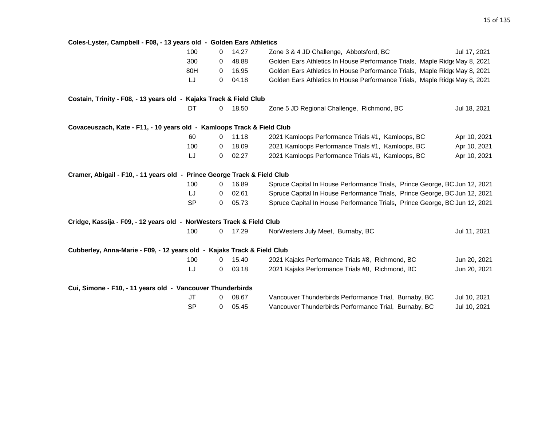**Coles-Lyster, Campbell - F08, - 13 years old - Golden Ears Athletics** 100 0 14.27 Zone 3 & 4 JD Challenge, Abbotsford, BC Jul 17, 2021 300 0 48.88 Golden Ears Athletics In House Performance Trials, Maple Ridge May 8, 2021 80H 0 16.95 Golden Ears Athletics In House Performance Trials, Maple Ridge May 8, 2021 LJ 0 04.18 Golden Ears Athletics In House Performance Trials, Maple Ridge May 8, 2021 **Costain, Trinity - F08, - 13 years old - Kajaks Track & Field Club** DT 0 18.50 Zone 5 JD Regional Challenge, Richmond, BC Jul 18, 2021 **Covaceuszach, Kate - F11, - 10 years old - Kamloops Track & Field Club** 60 0 11.18 2021 Kamloops Performance Trials #1, Kamloops, BC Apr 10, 2021 100 0 18.09 2021 Kamloops Performance Trials #1, Kamloops, BC Apr 10, 2021 LJ 0 02.27 2021 Kamloops Performance Trials #1, Kamloops, BC Apr 10, 2021 **Cramer, Abigail - F10, - 11 years old - Prince George Track & Field Club** 100 0 16.89 Spruce Capital In House Performance Trials, Prince George, BC Jun 12, 2021 LJ 0 02.61 Spruce Capital In House Performance Trials, Prince George, BC Jun 12, 2021 SP 0 05.73 Spruce Capital In House Performance Trials, Prince George, BC Jun 12, 2021 **Cridge, Kassija - F09, - 12 years old - NorWesters Track & Field Club** 100 0 17.29 NorWesters July Meet, Burnaby, BC Jul 11, 2021 **Cubberley, Anna-Marie - F09, - 12 years old - Kajaks Track & Field Club** 100 0 15.40 2021 Kajaks Performance Trials #8, Richmond, BC Jun 20, 2021 LJ 0 03.18 2021 Kajaks Performance Trials #8, Richmond, BC Jun 20, 2021 **Cui, Simone - F10, - 11 years old - Vancouver Thunderbirds** JT 0 08.67 Vancouver Thunderbirds Performance Trial, Burnaby, BC Jul 10, 2021 SP 0 05.45 Vancouver Thunderbirds Performance Trial, Burnaby, BC Jul 10, 2021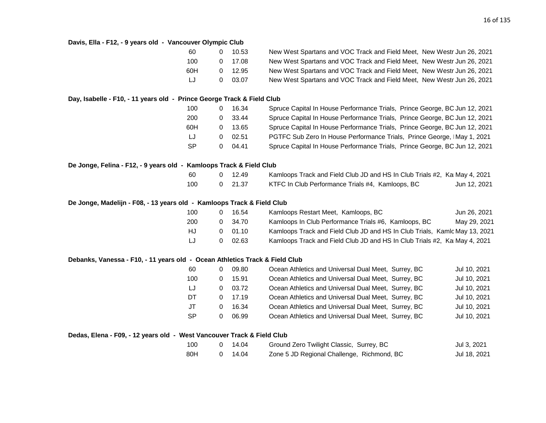| Davis, Ella - F12, - 9 years old - Vancouver Olympic Club                   |   |       |                                                                            |              |
|-----------------------------------------------------------------------------|---|-------|----------------------------------------------------------------------------|--------------|
| 60                                                                          | 0 | 10.53 | New West Spartans and VOC Track and Field Meet, New Westr Jun 26, 2021     |              |
| 100                                                                         | 0 | 17.08 | New West Spartans and VOC Track and Field Meet, New Westr Jun 26, 2021     |              |
| 60H                                                                         | 0 | 12.95 | New West Spartans and VOC Track and Field Meet, New Westr Jun 26, 2021     |              |
| LJ                                                                          | 0 | 03.07 | New West Spartans and VOC Track and Field Meet, New Westr Jun 26, 2021     |              |
| Day, Isabelle - F10, - 11 years old - Prince George Track & Field Club      |   |       |                                                                            |              |
| 100                                                                         | 0 | 16.34 | Spruce Capital In House Performance Trials, Prince George, BC Jun 12, 2021 |              |
| 200                                                                         | 0 | 33.44 | Spruce Capital In House Performance Trials, Prince George, BC Jun 12, 2021 |              |
| 60H                                                                         | 0 | 13.65 | Spruce Capital In House Performance Trials, Prince George, BC Jun 12, 2021 |              |
| LJ                                                                          | 0 | 02.51 | PGTFC Sub Zero In House Performance Trials, Prince George, IMay 1, 2021    |              |
| <b>SP</b>                                                                   | 0 | 04.41 | Spruce Capital In House Performance Trials, Prince George, BC Jun 12, 2021 |              |
| De Jonge, Felina - F12, - 9 years old - Kamloops Track & Field Club         |   |       |                                                                            |              |
| 60                                                                          | 0 | 12.49 | Kamloops Track and Field Club JD and HS In Club Trials #2, KamMay 4, 2021  |              |
| 100                                                                         | 0 | 21.37 | KTFC In Club Performance Trials #4, Kamloops, BC                           | Jun 12, 2021 |
| De Jonge, Madelijn - F08, - 13 years old - Kamloops Track & Field Club      |   |       |                                                                            |              |
| 100                                                                         | 0 | 16.54 | Kamloops Restart Meet, Kamloops, BC                                        | Jun 26, 2021 |
| 200                                                                         | 0 | 34.70 | Kamloops In Club Performance Trials #6, Kamloops, BC                       | May 29, 2021 |
| HJ                                                                          | 0 | 01.10 | Kamloops Track and Field Club JD and HS In Club Trials, Kamlc May 13, 2021 |              |
| LJ                                                                          | 0 | 02.63 | Kamloops Track and Field Club JD and HS In Club Trials #2, KaI May 4, 2021 |              |
| Debanks, Vanessa - F10, - 11 years old - Ocean Athletics Track & Field Club |   |       |                                                                            |              |
| 60                                                                          | 0 | 09.80 | Ocean Athletics and Universal Dual Meet, Surrey, BC                        | Jul 10, 2021 |
| 100                                                                         | 0 | 15.91 | Ocean Athletics and Universal Dual Meet, Surrey, BC                        | Jul 10, 2021 |
| LJ                                                                          | 0 | 03.72 | Ocean Athletics and Universal Dual Meet, Surrey, BC                        | Jul 10, 2021 |
| DT                                                                          | 0 | 17.19 | Ocean Athletics and Universal Dual Meet, Surrey, BC                        | Jul 10, 2021 |
| <b>JT</b>                                                                   | 0 | 16.34 | Ocean Athletics and Universal Dual Meet, Surrey, BC                        | Jul 10, 2021 |
| <b>SP</b>                                                                   | 0 | 06.99 | Ocean Athletics and Universal Dual Meet, Surrey, BC                        | Jul 10, 2021 |
| Dedas, Elena - F09, - 12 years old - West Vancouver Track & Field Club      |   |       |                                                                            |              |
| 100                                                                         | 0 | 14.04 | Ground Zero Twilight Classic, Surrey, BC                                   | Jul 3, 2021  |
| 80H                                                                         | 0 | 14.04 | Zone 5 JD Regional Challenge, Richmond, BC                                 | Jul 18, 2021 |
|                                                                             |   |       |                                                                            |              |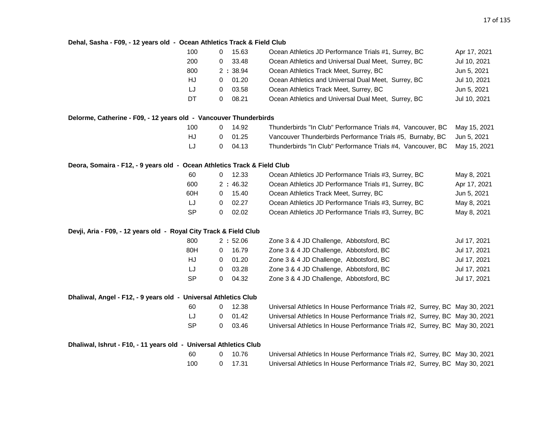#### **Dehal, Sasha - F09, - 12 years old - Ocean Athletics Track & Field Club**

|                                                                          | 100<br>0                 | 15.63   | Ocean Athletics JD Performance Trials #1, Surrey, BC                        | Apr 17, 2021 |
|--------------------------------------------------------------------------|--------------------------|---------|-----------------------------------------------------------------------------|--------------|
|                                                                          | 200<br>0                 | 33.48   | Ocean Athletics and Universal Dual Meet, Surrey, BC                         | Jul 10, 2021 |
|                                                                          | 800                      | 2:38.94 | Ocean Athletics Track Meet, Surrey, BC                                      | Jun 5, 2021  |
|                                                                          | HJ<br>0                  | 01.20   | Ocean Athletics and Universal Dual Meet, Surrey, BC                         | Jul 10, 2021 |
|                                                                          | LJ<br>0                  | 03.58   | Ocean Athletics Track Meet, Surrey, BC                                      | Jun 5, 2021  |
|                                                                          | DT<br>0                  | 08.21   | Ocean Athletics and Universal Dual Meet, Surrey, BC                         | Jul 10, 2021 |
| Delorme, Catherine - F09, - 12 years old - Vancouver Thunderbirds        |                          |         |                                                                             |              |
|                                                                          | 100<br>$\mathbf 0$       | 14.92   | Thunderbirds "In Club" Performance Trials #4, Vancouver, BC                 | May 15, 2021 |
|                                                                          | HJ<br>$\mathbf 0$        | 01.25   | Vancouver Thunderbirds Performance Trials #5, Burnaby, BC                   | Jun 5, 2021  |
|                                                                          | LJ<br>$\mathbf 0$        | 04.13   | Thunderbirds "In Club" Performance Trials #4, Vancouver, BC                 | May 15, 2021 |
| Deora, Somaira - F12, - 9 years old - Ocean Athletics Track & Field Club |                          |         |                                                                             |              |
|                                                                          | 60<br>0                  | 12.33   | Ocean Athletics JD Performance Trials #3, Surrey, BC                        | May 8, 2021  |
|                                                                          | 600                      | 2:46.32 | Ocean Athletics JD Performance Trials #1, Surrey, BC                        | Apr 17, 2021 |
|                                                                          | 60H<br>0                 | 15.40   | Ocean Athletics Track Meet, Surrey, BC                                      | Jun 5, 2021  |
|                                                                          | LJ<br>0                  | 02.27   | Ocean Athletics JD Performance Trials #3, Surrey, BC                        | May 8, 2021  |
|                                                                          | <b>SP</b><br>0           | 02.02   | Ocean Athletics JD Performance Trials #3, Surrey, BC                        | May 8, 2021  |
| Devji, Aria - F09, - 12 years old - Royal City Track & Field Club        |                          |         |                                                                             |              |
|                                                                          | 800                      | 2:52.06 | Zone 3 & 4 JD Challenge, Abbotsford, BC                                     | Jul 17, 2021 |
|                                                                          | 80H<br>0                 | 16.79   | Zone 3 & 4 JD Challenge, Abbotsford, BC                                     | Jul 17, 2021 |
|                                                                          | HJ<br>0                  | 01.20   | Zone 3 & 4 JD Challenge, Abbotsford, BC                                     | Jul 17, 2021 |
|                                                                          | LJ<br>0                  | 03.28   | Zone 3 & 4 JD Challenge, Abbotsford, BC                                     | Jul 17, 2021 |
|                                                                          | <b>SP</b><br>0           | 04.32   | Zone 3 & 4 JD Challenge, Abbotsford, BC                                     | Jul 17, 2021 |
| Dhaliwal, Angel - F12, - 9 years old - Universal Athletics Club          |                          |         |                                                                             |              |
|                                                                          | 60<br>0                  | 12.38   | Universal Athletics In House Performance Trials #2, Surrey, BC May 30, 2021 |              |
|                                                                          | LJ<br>0                  | 01.42   | Universal Athletics In House Performance Trials #2, Surrey, BC May 30, 2021 |              |
|                                                                          | <b>SP</b><br>$\mathbf 0$ | 03.46   | Universal Athletics In House Performance Trials #2, Surrey, BC May 30, 2021 |              |
| Dhaliwal, Ishrut - F10, - 11 years old - Universal Athletics Club        |                          |         |                                                                             |              |
|                                                                          | 60<br>0                  | 10.76   | Universal Athletics In House Performance Trials #2, Surrey, BC May 30, 2021 |              |
|                                                                          | 100<br>0                 | 17.31   | Universal Athletics In House Performance Trials #2, Surrey, BC May 30, 2021 |              |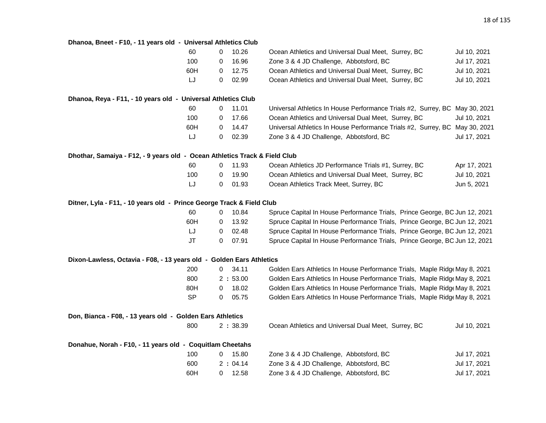| Dhanoa, Bneet - F10, - 11 years old - Universal Athletics Club             |              |         |                                                                             |              |
|----------------------------------------------------------------------------|--------------|---------|-----------------------------------------------------------------------------|--------------|
| 60                                                                         | $\mathbf 0$  | 10.26   | Ocean Athletics and Universal Dual Meet, Surrey, BC                         | Jul 10, 2021 |
| 100                                                                        | 0            | 16.96   | Zone 3 & 4 JD Challenge, Abbotsford, BC                                     | Jul 17, 2021 |
| 60H                                                                        | 0            | 12.75   | Ocean Athletics and Universal Dual Meet, Surrey, BC                         | Jul 10, 2021 |
| LJ                                                                         | 0            | 02.99   | Ocean Athletics and Universal Dual Meet, Surrey, BC                         | Jul 10, 2021 |
| Dhanoa, Reya - F11, - 10 years old - Universal Athletics Club              |              |         |                                                                             |              |
| 60                                                                         | 0            | 11.01   | Universal Athletics In House Performance Trials #2, Surrey, BC May 30, 2021 |              |
| 100                                                                        | 0            | 17.66   | Ocean Athletics and Universal Dual Meet, Surrey, BC                         | Jul 10, 2021 |
| 60H                                                                        | 0            | 14.47   | Universal Athletics In House Performance Trials #2, Surrey, BC May 30, 2021 |              |
| LJ                                                                         | 0            | 02.39   | Zone 3 & 4 JD Challenge, Abbotsford, BC                                     | Jul 17, 2021 |
| Dhothar, Samaiya - F12, - 9 years old - Ocean Athletics Track & Field Club |              |         |                                                                             |              |
| 60                                                                         | 0            | 11.93   | Ocean Athletics JD Performance Trials #1, Surrey, BC                        | Apr 17, 2021 |
| 100                                                                        | 0            | 19.90   | Ocean Athletics and Universal Dual Meet, Surrey, BC                         | Jul 10, 2021 |
| LJ                                                                         | 0            | 01.93   | Ocean Athletics Track Meet, Surrey, BC                                      | Jun 5, 2021  |
| Ditner, Lyla - F11, - 10 years old - Prince George Track & Field Club      |              |         |                                                                             |              |
| 60                                                                         | 0            | 10.84   | Spruce Capital In House Performance Trials, Prince George, BC Jun 12, 2021  |              |
| 60H                                                                        | 0            | 13.92   | Spruce Capital In House Performance Trials, Prince George, BC Jun 12, 2021  |              |
| IJ                                                                         | 0            | 02.48   | Spruce Capital In House Performance Trials, Prince George, BC Jun 12, 2021  |              |
| JT                                                                         | $\mathbf 0$  | 07.91   | Spruce Capital In House Performance Trials, Prince George, BC Jun 12, 2021  |              |
| Dixon-Lawless, Octavia - F08, - 13 years old - Golden Ears Athletics       |              |         |                                                                             |              |
| 200                                                                        | $\mathbf{0}$ | 34.11   | Golden Ears Athletics In House Performance Trials, Maple Ridg May 8, 2021   |              |
| 800                                                                        |              | 2:53.00 | Golden Ears Athletics In House Performance Trials, Maple Ridg May 8, 2021   |              |
| 80H                                                                        | 0            | 18.02   | Golden Ears Athletics In House Performance Trials, Maple Ridge May 8, 2021  |              |
| <b>SP</b>                                                                  | 0            | 05.75   | Golden Ears Athletics In House Performance Trials, Maple Ridge May 8, 2021  |              |
| Don, Bianca - F08, - 13 years old - Golden Ears Athletics                  |              |         |                                                                             |              |
| 800                                                                        |              | 2:38.39 | Ocean Athletics and Universal Dual Meet, Surrey, BC                         | Jul 10, 2021 |
| Donahue, Norah - F10, - 11 years old - Coquitlam Cheetahs                  |              |         |                                                                             |              |
| 100                                                                        | 0            | 15.80   | Zone 3 & 4 JD Challenge, Abbotsford, BC                                     | Jul 17, 2021 |
| 600                                                                        |              | 2:04.14 | Zone 3 & 4 JD Challenge, Abbotsford, BC                                     | Jul 17, 2021 |
| 60H                                                                        | 0            | 12.58   | Zone 3 & 4 JD Challenge, Abbotsford, BC                                     | Jul 17, 2021 |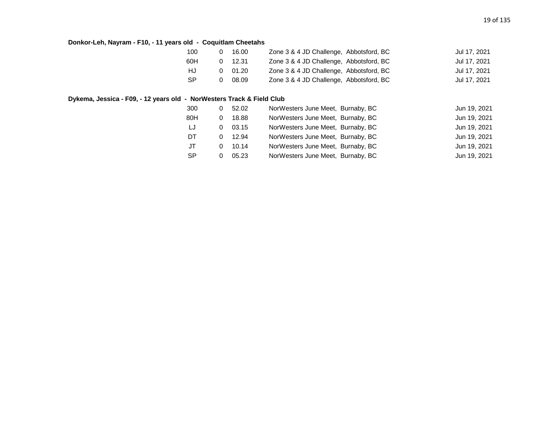#### **Donkor-Leh, Nayram - F10, - 11 years old - Coquitlam Cheetahs**

| 100 | 16.00          | Zone 3 & 4 JD Challenge, Abbotsford, BC | Jul 17, 2021 |
|-----|----------------|-----------------------------------------|--------------|
| 60H | $0$ 12.31      | Zone 3 & 4 JD Challenge, Abbotsford, BC | Jul 17, 2021 |
| HJ. | $0\quad 01.20$ | Zone 3 & 4 JD Challenge, Abbotsford, BC | Jul 17, 2021 |
| -SP | 08.09          | Zone 3 & 4 JD Challenge, Abbotsford, BC | Jul 17, 2021 |

#### **Dykema, Jessica - F09, - 12 years old - NorWesters Track & Field Club**

| 300       | 0 | 52.02 | NorWesters June Meet, Burnaby, BC | Jun 19, 2021 |
|-----------|---|-------|-----------------------------------|--------------|
| 80H       |   | 18.88 | NorWesters June Meet, Burnaby, BC | Jun 19, 2021 |
| IJ        |   | 03.15 | NorWesters June Meet, Burnaby, BC | Jun 19, 2021 |
| DT        |   | 12.94 | NorWesters June Meet, Burnaby, BC | Jun 19, 2021 |
| JT        |   | 10.14 | NorWesters June Meet, Burnaby, BC | Jun 19, 2021 |
| <b>SP</b> |   | 05.23 | NorWesters June Meet, Burnaby, BC | Jun 19, 2021 |
|           |   |       |                                   |              |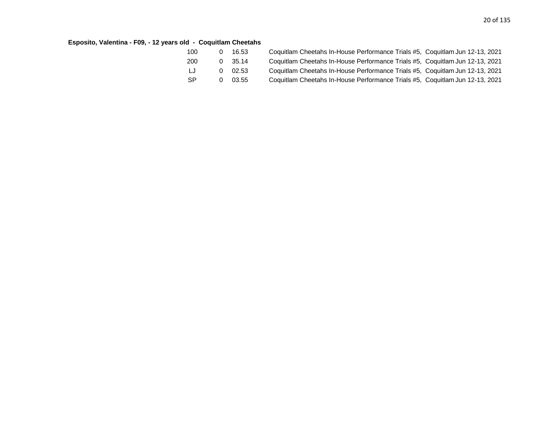### **Esposito, Valentina - F09, - 12 years old - Coquitlam Cheetahs**

| 100       |   | 16.53 | Coquitlam Cheetahs In-House Performance Trials #5, Coquitlam Jun 12-13, 2021 |  |
|-----------|---|-------|------------------------------------------------------------------------------|--|
| 200       | 0 | 35.14 | Coquitlam Cheetahs In-House Performance Trials #5, Coquitlam Jun 12-13, 2021 |  |
| LJ        | n | 02.53 | Coquitlam Cheetahs In-House Performance Trials #5, Coquitlam Jun 12-13, 2021 |  |
| <b>SP</b> |   | 03.55 | Coquitlam Cheetahs In-House Performance Trials #5, Coquitlam Jun 12-13, 2021 |  |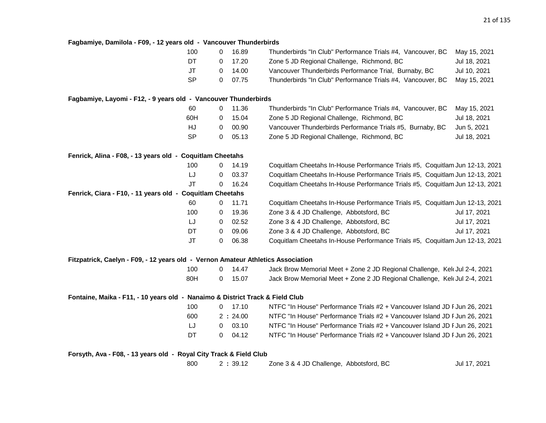| Fagbamiye, Damilola - F09, - 12 years old - Vancouver Thunderbirds               |           |              |         |                                                                              |              |
|----------------------------------------------------------------------------------|-----------|--------------|---------|------------------------------------------------------------------------------|--------------|
|                                                                                  | 100       | 0            | 16.89   | Thunderbirds "In Club" Performance Trials #4, Vancouver, BC                  | May 15, 2021 |
|                                                                                  | DT        | 0            | 17.20   | Zone 5 JD Regional Challenge, Richmond, BC                                   | Jul 18, 2021 |
|                                                                                  | JT        | 0            | 14.00   | Vancouver Thunderbirds Performance Trial, Burnaby, BC                        | Jul 10, 2021 |
|                                                                                  | <b>SP</b> | $\mathbf 0$  | 07.75   | Thunderbirds "In Club" Performance Trials #4, Vancouver, BC                  | May 15, 2021 |
| Fagbamiye, Layomi - F12, - 9 years old - Vancouver Thunderbirds                  |           |              |         |                                                                              |              |
|                                                                                  | 60        | 0            | 11.36   | Thunderbirds "In Club" Performance Trials #4, Vancouver, BC                  | May 15, 2021 |
|                                                                                  | 60H       | 0            | 15.04   | Zone 5 JD Regional Challenge, Richmond, BC                                   | Jul 18, 2021 |
|                                                                                  | <b>HJ</b> | 0            | 00.90   | Vancouver Thunderbirds Performance Trials #5, Burnaby, BC                    | Jun 5, 2021  |
|                                                                                  | <b>SP</b> | $\mathbf 0$  | 05.13   | Zone 5 JD Regional Challenge, Richmond, BC                                   | Jul 18, 2021 |
| Fenrick, Alina - F08, - 13 years old - Coquitlam Cheetahs                        |           |              |         |                                                                              |              |
|                                                                                  | 100       | $\Omega$     | 14.19   | Coquitlam Cheetahs In-House Performance Trials #5, Coquitlam Jun 12-13, 2021 |              |
|                                                                                  | LJ        | 0            | 03.37   | Coquitlam Cheetahs In-House Performance Trials #5, Coquitlam Jun 12-13, 2021 |              |
|                                                                                  | <b>JT</b> | $\Omega$     | 16.24   | Coquitlam Cheetahs In-House Performance Trials #5, Coquitlam Jun 12-13, 2021 |              |
| Fenrick, Ciara - F10, - 11 years old - Coquitlam Cheetahs                        |           |              |         |                                                                              |              |
|                                                                                  | 60        | 0            | 11.71   | Coquitlam Cheetahs In-House Performance Trials #5, Coquitlam Jun 12-13, 2021 |              |
|                                                                                  | 100       | 0            | 19.36   | Zone 3 & 4 JD Challenge, Abbotsford, BC                                      | Jul 17, 2021 |
|                                                                                  | LJ        | 0            | 02.52   | Zone 3 & 4 JD Challenge, Abbotsford, BC                                      | Jul 17, 2021 |
|                                                                                  | DT        | 0            | 09.06   | Zone 3 & 4 JD Challenge, Abbotsford, BC                                      | Jul 17, 2021 |
|                                                                                  | JT        | 0            | 06.38   | Coquitlam Cheetahs In-House Performance Trials #5, Coquitlam Jun 12-13, 2021 |              |
| Fitzpatrick, Caelyn - F09, - 12 years old - Vernon Amateur Athletics Association |           |              |         |                                                                              |              |
|                                                                                  | 100       | 0            | 14.47   | Jack Brow Memorial Meet + Zone 2 JD Regional Challenge, Kelt Jul 2-4, 2021   |              |
|                                                                                  | 80H       | $\mathbf 0$  | 15.07   | Jack Brow Memorial Meet + Zone 2 JD Regional Challenge, Keld Jul 2-4, 2021   |              |
| Fontaine, Maika - F11, - 10 years old - Nanaimo & District Track & Field Club    |           |              |         |                                                                              |              |
|                                                                                  | 100       | $\mathbf{0}$ | 17.10   | NTFC "In House" Performance Trials #2 + Vancouver Island JD F Jun 26, 2021   |              |
|                                                                                  | 600       |              | 2:24.00 | NTFC "In House" Performance Trials #2 + Vancouver Island JD F Jun 26, 2021   |              |
|                                                                                  |           |              |         |                                                                              |              |
|                                                                                  | LJ        | 0            | 03.10   | NTFC "In House" Performance Trials #2 + Vancouver Island JD F Jun 26, 2021   |              |

**Forsyth, Ava - F08, - 13 years old - Royal City Track & Field Club**

800 2 **:** 39.12 Zone 3 & 4 JD Challenge, Abbotsford, BC Jul 17, 2021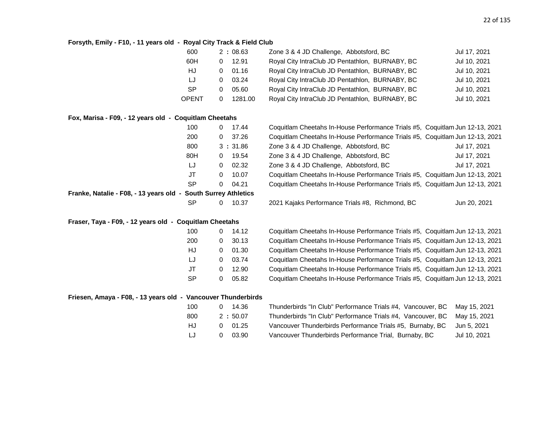#### **Forsyth, Emily - F10, - 11 years old - Royal City Track & Field Club**

| 600       | 2:08.63 | Zone 3 & 4 JD Challenge, Abbotsford, BC         | Jul 17, 2021 |
|-----------|---------|-------------------------------------------------|--------------|
| 60H       | 12.91   | Royal City IntraClub JD Pentathlon, BURNABY, BC | Jul 10, 2021 |
| HJ        | 01.16   | Royal City IntraClub JD Pentathlon, BURNABY, BC | Jul 10, 2021 |
| IJ        | 03.24   | Royal City IntraClub JD Pentathlon, BURNABY, BC | Jul 10, 2021 |
| <b>SP</b> | 05.60   | Royal City IntraClub JD Pentathlon, BURNABY, BC | Jul 10, 2021 |
| OPENT     | 1281.00 | Royal City IntraClub JD Pentathlon, BURNABY, BC | Jul 10, 2021 |

#### **Fox, Marisa - F09, - 12 years old - Coquitlam Cheetahs**

|                                                                | 100 | 0        | 17.44   | Coquitlam Cheetahs In-House Performance Trials #5, Coquitlam Jun 12-13, 2021 |              |
|----------------------------------------------------------------|-----|----------|---------|------------------------------------------------------------------------------|--------------|
|                                                                | 200 | 0        | 37.26   | Coquitlam Cheetahs In-House Performance Trials #5, Coquitlam Jun 12-13, 2021 |              |
|                                                                | 800 |          | 3:31.86 | Zone 3 & 4 JD Challenge, Abbotsford, BC                                      | Jul 17, 2021 |
|                                                                | 80H | $\Omega$ | 19.54   | Zone 3 & 4 JD Challenge, Abbotsford, BC                                      | Jul 17, 2021 |
|                                                                | LJ  | 0        | 02.32   | Zone 3 & 4 JD Challenge, Abbotsford, BC                                      | Jul 17, 2021 |
|                                                                | JT  | 0        | 10.07   | Coquitlam Cheetahs In-House Performance Trials #5, Coquitlam Jun 12-13, 2021 |              |
|                                                                | SP  | 0        | 04.21   | Coquitlam Cheetahs In-House Performance Trials #5, Coquitlam Jun 12-13, 2021 |              |
| Franke, Natalie - F08, - 13 years old - South Surrey Athletics |     |          |         |                                                                              |              |
|                                                                | SP  | 0        | 10.37   | 2021 Kajaks Performance Trials #8, Richmond, BC                              | Jun 20, 2021 |
|                                                                |     |          |         |                                                                              |              |

#### **Fraser, Taya - F09, - 12 years old - Coquitlam Cheetahs**

| 100       |      | 14.12 | Coquitlam Cheetahs In-House Performance Trials #5, Coquitlam Jun 12-13, 2021 |
|-----------|------|-------|------------------------------------------------------------------------------|
| 200       |      | 30.13 | Coquitlam Cheetahs In-House Performance Trials #5, Coquitlam Jun 12-13, 2021 |
| HJ        | 0. O | 01.30 | Coquitlam Cheetahs In-House Performance Trials #5, Coquitlam Jun 12-13, 2021 |
| IJ        | 0.   | 03.74 | Coquitlam Cheetahs In-House Performance Trials #5, Coquitlam Jun 12-13, 2021 |
| JT        | 0.   | 12.90 | Coquitlam Cheetahs In-House Performance Trials #5, Coquitlam Jun 12-13, 2021 |
| <b>SP</b> | 0    | 05.82 | Coquitlam Cheetahs In-House Performance Trials #5, Coquitlam Jun 12-13, 2021 |

#### **Friesen, Amaya - F08, - 13 years old - Vancouver Thunderbirds**

| 100 | 14.36<br>0     | Thunderbirds "In Club" Performance Trials #4, Vancouver, BC May 15, 2021 |              |
|-----|----------------|--------------------------------------------------------------------------|--------------|
| 800 | 2:50.07        | Thunderbirds "In Club" Performance Trials #4, Vancouver, BC May 15, 2021 |              |
| HJ  | $0\quad 01.25$ | Vancouver Thunderbirds Performance Trials #5, Burnaby, BC                | Jun 5. 2021  |
| LJ. | 03.90<br>0.    | Vancouver Thunderbirds Performance Trial, Burnaby, BC                    | Jul 10. 2021 |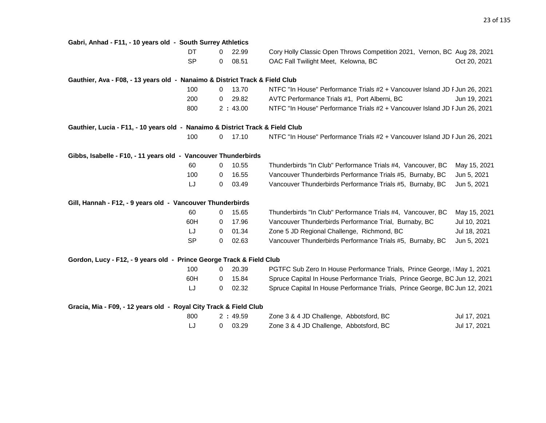| Gabri, Anhad - F11, - 10 years old - South Surrey Athletics                   |           |                |           |                                                                            |              |
|-------------------------------------------------------------------------------|-----------|----------------|-----------|----------------------------------------------------------------------------|--------------|
|                                                                               | DT.       |                | $0$ 22.99 | Cory Holly Classic Open Throws Competition 2021, Vernon, BC Aug 28, 2021   |              |
|                                                                               | <b>SP</b> | 0              | 08.51     | OAC Fall Twilight Meet, Kelowna, BC                                        | Oct 20, 2021 |
| Gauthier, Ava - F08, - 13 years old - Nanaimo & District Track & Field Club   |           |                |           |                                                                            |              |
|                                                                               | 100       |                | $0$ 13.70 | NTFC "In House" Performance Trials #2 + Vancouver Island JD F Jun 26, 2021 |              |
|                                                                               | 200       | 0              | 29.82     | AVTC Performance Trials #1, Port Alberni, BC                               | Jun 19, 2021 |
|                                                                               | 800       |                | 2:43.00   | NTFC "In House" Performance Trials #2 + Vancouver Island JD FJun 26, 2021  |              |
| Gauthier, Lucia - F11, - 10 years old - Nanaimo & District Track & Field Club |           |                |           |                                                                            |              |
|                                                                               | 100       |                | $0$ 17.10 | NTFC "In House" Performance Trials #2 + Vancouver Island JD F Jun 26, 2021 |              |
| Gibbs, Isabelle - F10, - 11 years old - Vancouver Thunderbirds                |           |                |           |                                                                            |              |
|                                                                               | 60        |                | $0$ 10.55 | Thunderbirds "In Club" Performance Trials #4, Vancouver, BC                | May 15, 2021 |
|                                                                               | 100       | 0              | 16.55     | Vancouver Thunderbirds Performance Trials #5, Burnaby, BC                  | Jun 5, 2021  |
|                                                                               | LJ        | 0              | 03.49     | Vancouver Thunderbirds Performance Trials #5, Burnaby, BC                  | Jun 5, 2021  |
| Gill, Hannah - F12, - 9 years old - Vancouver Thunderbirds                    |           |                |           |                                                                            |              |
|                                                                               | 60        |                | $0$ 15.65 | Thunderbirds "In Club" Performance Trials #4, Vancouver, BC                | May 15, 2021 |
|                                                                               | 60H       | $\mathbf{0}$   | 17.96     | Vancouver Thunderbirds Performance Trial, Burnaby, BC                      | Jul 10, 2021 |
|                                                                               | LJ        | 0              | 01.34     | Zone 5 JD Regional Challenge, Richmond, BC                                 | Jul 18, 2021 |
|                                                                               | <b>SP</b> | 0              | 02.63     | Vancouver Thunderbirds Performance Trials #5, Burnaby, BC                  | Jun 5, 2021  |
| Gordon, Lucy - F12, - 9 years old - Prince George Track & Field Club          |           |                |           |                                                                            |              |
|                                                                               | 100       | $\mathbf{0}$   | 20.39     | PGTFC Sub Zero In House Performance Trials, Prince George, IMay 1, 2021    |              |
|                                                                               | 60H       | $\overline{0}$ | 15.84     | Spruce Capital In House Performance Trials, Prince George, BC Jun 12, 2021 |              |
|                                                                               | LJ        | 0              | 02.32     | Spruce Capital In House Performance Trials, Prince George, BC Jun 12, 2021 |              |
| Gracia, Mia - F09, - 12 years old - Royal City Track & Field Club             |           |                |           |                                                                            |              |
|                                                                               | 800       |                | 2:49.59   | Zone 3 & 4 JD Challenge, Abbotsford, BC                                    | Jul 17, 2021 |
|                                                                               | LJ        | $\mathbf{0}$   | 03.29     | Zone 3 & 4 JD Challenge, Abbotsford, BC                                    | Jul 17, 2021 |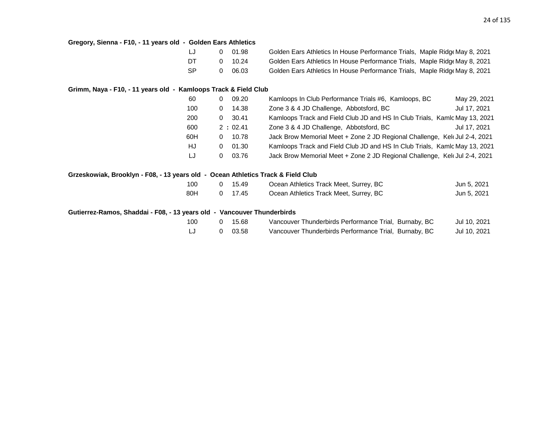| Gregory, Sienna - F10, - 11 years old - Golden Ears Athletics                    |                       |         |                                                                            |              |
|----------------------------------------------------------------------------------|-----------------------|---------|----------------------------------------------------------------------------|--------------|
|                                                                                  | IJ<br>0               | 01.98   | Golden Ears Athletics In House Performance Trials, Maple Ridge May 8, 2021 |              |
|                                                                                  | DT<br>0               | 10.24   | Golden Ears Athletics In House Performance Trials, Maple Ridge May 8, 2021 |              |
|                                                                                  | <b>SP</b><br>0        | 06.03   | Golden Ears Athletics In House Performance Trials, Maple Ridge May 8, 2021 |              |
| Grimm, Naya - F10, - 11 years old - Kamloops Track & Field Club                  |                       |         |                                                                            |              |
|                                                                                  | $\overline{0}$<br>60  | 09.20   | Kamloops In Club Performance Trials #6, Kamloops, BC                       | May 29, 2021 |
|                                                                                  | 100<br>$\Omega$       | 14.38   | Zone 3 & 4 JD Challenge, Abbotsford, BC                                    | Jul 17, 2021 |
|                                                                                  | 200<br>$\overline{0}$ | 30.41   | Kamloops Track and Field Club JD and HS In Club Trials, Kamlc May 13, 2021 |              |
|                                                                                  | 600                   | 2:02.41 | Zone 3 & 4 JD Challenge, Abbotsford, BC                                    | Jul 17, 2021 |
|                                                                                  | 60H<br>0              | 10.78   | Jack Brow Memorial Meet + Zone 2 JD Regional Challenge, Keld Jul 2-4, 2021 |              |
|                                                                                  | HJ<br>$\mathbf{0}$    | 01.30   | Kamloops Track and Field Club JD and HS In Club Trials, Kamlc May 13, 2021 |              |
|                                                                                  | LJ<br>0               | 03.76   | Jack Brow Memorial Meet + Zone 2 JD Regional Challenge, Kelt Jul 2-4, 2021 |              |
| Grzeskowiak, Brooklyn - F08, - 13 years old - Ocean Athletics Track & Field Club |                       |         |                                                                            |              |
|                                                                                  | 100<br>0              | 15.49   | Ocean Athletics Track Meet, Surrey, BC                                     | Jun 5, 2021  |
|                                                                                  | 80H<br>0              | 17.45   | Ocean Athletics Track Meet, Surrey, BC                                     | Jun 5, 2021  |
| Gutierrez-Ramos, Shaddai - F08, - 13 years old - Vancouver Thunderbirds          |                       |         |                                                                            |              |
|                                                                                  | 100<br>0              | 15.68   | Vancouver Thunderbirds Performance Trial, Burnaby, BC                      | Jul 10, 2021 |
|                                                                                  | IJ<br>0               | 03.58   | Vancouver Thunderbirds Performance Trial, Burnaby, BC                      | Jul 10, 2021 |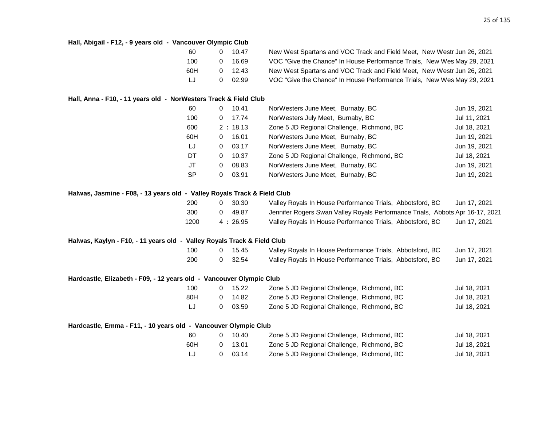| Hall, Abigail - F12, - 9 years old - Vancouver Olympic Club              |           |   |         |                                                                               |              |
|--------------------------------------------------------------------------|-----------|---|---------|-------------------------------------------------------------------------------|--------------|
|                                                                          | 60        | 0 | 10.47   | New West Spartans and VOC Track and Field Meet, New Westr Jun 26, 2021        |              |
|                                                                          | 100       | 0 | 16.69   | VOC "Give the Chance" In House Performance Trials, New Wes May 29, 2021       |              |
|                                                                          | 60H       | 0 | 12.43   | New West Spartans and VOC Track and Field Meet, New Westr Jun 26, 2021        |              |
|                                                                          | IJ        | 0 | 02.99   | VOC "Give the Chance" In House Performance Trials, New Wes May 29, 2021       |              |
| Hall, Anna - F10, - 11 years old - NorWesters Track & Field Club         |           |   |         |                                                                               |              |
|                                                                          | 60        | 0 | 10.41   | NorWesters June Meet, Burnaby, BC                                             | Jun 19, 2021 |
|                                                                          | 100       | 0 | 17.74   | NorWesters July Meet, Burnaby, BC                                             | Jul 11, 2021 |
|                                                                          | 600       |   | 2:18.13 | Zone 5 JD Regional Challenge, Richmond, BC                                    | Jul 18, 2021 |
|                                                                          | 60H       | 0 | 16.01   | NorWesters June Meet, Burnaby, BC                                             | Jun 19, 2021 |
|                                                                          | LJ        | 0 | 03.17   | NorWesters June Meet, Burnaby, BC                                             | Jun 19, 2021 |
|                                                                          | DT        | 0 | 10.37   | Zone 5 JD Regional Challenge, Richmond, BC                                    | Jul 18, 2021 |
|                                                                          | <b>JT</b> | 0 | 08.83   | NorWesters June Meet, Burnaby, BC                                             | Jun 19, 2021 |
|                                                                          | <b>SP</b> | 0 | 03.91   | NorWesters June Meet, Burnaby, BC                                             | Jun 19, 2021 |
| Halwas, Jasmine - F08, - 13 years old - Valley Royals Track & Field Club |           |   |         |                                                                               |              |
|                                                                          | 200       | 0 | 30.30   | Valley Royals In House Performance Trials, Abbotsford, BC                     | Jun 17, 2021 |
|                                                                          | 300       | 0 | 49.87   | Jennifer Rogers Swan Valley Royals Performance Trials, Abbots Apr 16-17, 2021 |              |
|                                                                          | 1200      |   | 4:26.95 | Valley Royals In House Performance Trials, Abbotsford, BC                     | Jun 17, 2021 |
| Halwas, Kaylyn - F10, - 11 years old - Valley Royals Track & Field Club  |           |   |         |                                                                               |              |
|                                                                          | 100       | 0 | 15.45   | Valley Royals In House Performance Trials, Abbotsford, BC                     | Jun 17, 2021 |
|                                                                          | 200       | 0 | 32.54   | Valley Royals In House Performance Trials, Abbotsford, BC                     | Jun 17, 2021 |
| Hardcastle, Elizabeth - F09, - 12 years old - Vancouver Olympic Club     |           |   |         |                                                                               |              |
|                                                                          | 100       | 0 | 15.22   | Zone 5 JD Regional Challenge, Richmond, BC                                    | Jul 18, 2021 |
|                                                                          | 80H       | 0 | 14.82   | Zone 5 JD Regional Challenge, Richmond, BC                                    | Jul 18, 2021 |
|                                                                          | LJ        | 0 | 03.59   | Zone 5 JD Regional Challenge, Richmond, BC                                    | Jul 18, 2021 |
| Hardcastle, Emma - F11, - 10 years old - Vancouver Olympic Club          |           |   |         |                                                                               |              |
|                                                                          | 60        | 0 | 10.40   | Zone 5 JD Regional Challenge, Richmond, BC                                    | Jul 18, 2021 |
|                                                                          | 60H       | 0 | 13.01   | Zone 5 JD Regional Challenge, Richmond, BC                                    | Jul 18, 2021 |
|                                                                          | LJ        | 0 | 03.14   | Zone 5 JD Regional Challenge, Richmond, BC                                    | Jul 18, 2021 |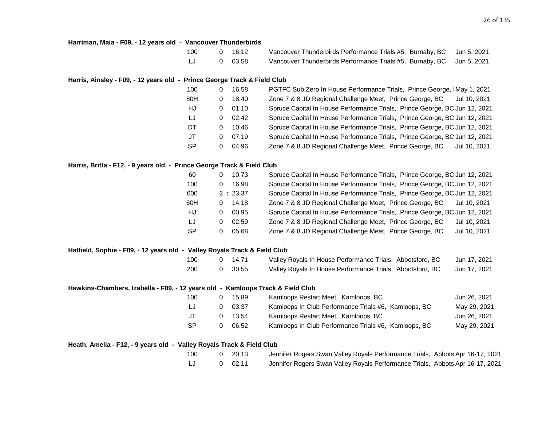#### **Harriman, Maia - F09, - 12 years old - Vancouver Thunderbirds**

| 100 | 0 16.12 | Vancouver Thunderbirds Performance Trials #5, Burnaby, BC Jun 5, 2021 |  |
|-----|---------|-----------------------------------------------------------------------|--|
|     | 0 03.58 | Vancouver Thunderbirds Performance Trials #5, Burnaby, BC Jun 5, 2021 |  |

#### **Harris, Ainsley - F09, - 12 years old - Prince George Track & Field Club**

| 100 |   | 16.58 | PGTFC Sub Zero In House Performance Trials, Prince George, IMay 1, 2021    |
|-----|---|-------|----------------------------------------------------------------------------|
| 80H | 0 | 18.40 | Zone 7 & 8 JD Regional Challenge Meet, Prince George, BC<br>Jul 10, 2021   |
| HJ  | 0 | 01.10 | Spruce Capital In House Performance Trials, Prince George, BC Jun 12, 2021 |
| LJ  | 0 | 02.42 | Spruce Capital In House Performance Trials, Prince George, BC Jun 12, 2021 |
| DT. | 0 | 10.46 | Spruce Capital In House Performance Trials, Prince George, BC Jun 12, 2021 |
| JT  | 0 | 07.19 | Spruce Capital In House Performance Trials, Prince George, BC Jun 12, 2021 |
| SP  | 0 | 04.96 | Zone 7 & 8 JD Regional Challenge Meet, Prince George, BC<br>Jul 10, 2021   |

#### **Harris, Britta - F12, - 9 years old - Prince George Track & Field Club**

| 60  | 10.73      | Spruce Capital In House Performance Trials, Prince George, BC Jun 12, 2021 |              |
|-----|------------|----------------------------------------------------------------------------|--------------|
| 100 | 16.98      | Spruce Capital In House Performance Trials, Prince George, BC Jun 12, 2021 |              |
| 600 | 2:23.37    | Spruce Capital In House Performance Trials, Prince George, BC Jun 12, 2021 |              |
| 60H | 14.18<br>0 | Zone 7 & 8 JD Regional Challenge Meet, Prince George, BC                   | Jul 10, 2021 |
| HJ  | 00.95<br>0 | Spruce Capital In House Performance Trials, Prince George, BC Jun 12, 2021 |              |
| IJ  | 02.59<br>0 | Zone 7 & 8 JD Regional Challenge Meet, Prince George, BC                   | Jul 10, 2021 |
| SР  | 05.68      | Zone 7 & 8 JD Regional Challenge Meet, Prince George, BC                   | Jul 10, 2021 |

#### **Hatfield, Sophie - F09, - 12 years old - Valley Royals Track & Field Club**

| 100 | 14.71   | Valley Royals In House Performance Trials, Abbotsford, BC | Jun 17, 2021 |
|-----|---------|-----------------------------------------------------------|--------------|
| 200 | 0 30.55 | Valley Royals In House Performance Trials, Abbotsford, BC | Jun 17, 2021 |

#### **Hawkins-Chambers, Izabella - F09, - 12 years old - Kamloops Track & Field Club**

| 100 | 15.89 | Kamloops Restart Meet, Kamloops, BC                  | Jun 26, 2021 |
|-----|-------|------------------------------------------------------|--------------|
| LJ  | 03.37 | Kamloops In Club Performance Trials #6, Kamloops, BC | May 29, 2021 |
| .JT | 13.54 | Kamloops Restart Meet, Kamloops, BC                  | Jun 26, 2021 |
| -SP | 06.52 | Kamloops In Club Performance Trials #6, Kamloops, BC | May 29, 2021 |

#### **Heath, Amelia - F12, - 9 years old - Valley Royals Track & Field Club**

| 100 | $0\quad 20.13$ |  |
|-----|----------------|--|
|     |                |  |

Jennifer Rogers Swan Valley Royals Performance Trials, Abbots Apr 16-17, 2021 LJ 0 02.11 Jennifer Rogers Swan Valley Royals Performance Trials, Abbots Apr 16-17, 2021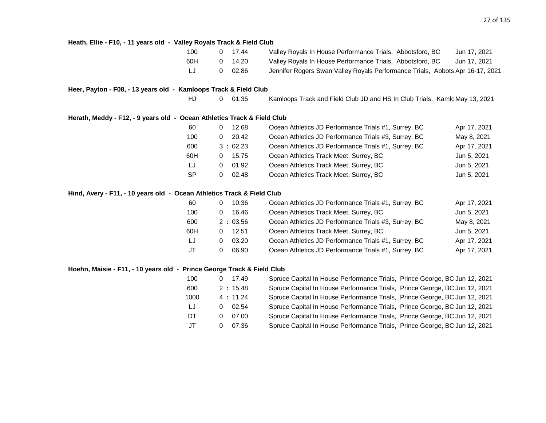**Heath, Ellie - F10, - 11 years old - Valley Royals Track & Field Club** 100 0 17.44 Valley Royals In House Performance Trials, Abbotsford, BC Jun 17, 2021 60H 0 14.20 Valley Royals In House Performance Trials, Abbotsford, BC Jun 17, 2021 LJ 0 02.86 Jennifer Rogers Swan Valley Royals Performance Trials, Abbots Apr 16-17, 2021 **Heer, Payton - F08, - 13 years old - Kamloops Track & Field Club** HJ 0 01.35 Kamloops Track and Field Club JD and HS In Club Trials, Kamlc May 13, 2021 **Herath, Meddy - F12, - 9 years old - Ocean Athletics Track & Field Club** 60 0 12.68 Ocean Athletics JD Performance Trials #1, Surrey, BC Apr 17, 2021 100 0 20.42 Ocean Athletics JD Performance Trials #3, Surrey, BC May 8, 2021 600 3 **:** 02.23 Ocean Athletics JD Performance Trials #1, Surrey, BC Apr 17, 2021 60H 0 15.75 Ocean Athletics Track Meet, Surrey, BC Jun 5, 2021 LJ 0 01.92 Ocean Athletics Track Meet, Surrey, BC Jun 5, 2021 SP 0 02.48 Ocean Athletics Track Meet, Surrey, BC 3 Jun 5, 2021 **Hind, Avery - F11, - 10 years old - Ocean Athletics Track & Field Club** 60 0 10.36 Ocean Athletics JD Performance Trials #1, Surrey, BC Apr 17, 2021 100 0 16.46 Ocean Athletics Track Meet, Surrey, BC Jun 5, 2021 600 2 **:** 03.56 Ocean Athletics JD Performance Trials #3, Surrey, BC May 8, 2021 60H 0 12.51 Ocean Athletics Track Meet, Surrey, BC Jun 5, 2021 LJ 0 03.20 Ocean Athletics JD Performance Trials #1, Surrey, BC Apr 17, 2021 JT 0 06.90 Ocean Athletics JD Performance Trials #1, Surrey, BC Apr 17, 2021 **Hoehn, Maisie - F11, - 10 years old - Prince George Track & Field Club** 100 0 17.49 Spruce Capital In House Performance Trials, Prince George, BC Jun 12, 2021 600 2 **:** 15.48 Spruce Capital In House Performance Trials, Prince George, BC Jun 12, 2021 1000 4 **:** 11.24 Spruce Capital In House Performance Trials, Prince George, BC Jun 12, 2021 LJ 0 02.54 Spruce Capital In House Performance Trials, Prince George, BC Jun 12, 2021 DT 0 07.00 Spruce Capital In House Performance Trials, Prince George, BC Jun 12, 2021 JT 0 07.36 Spruce Capital In House Performance Trials, Prince George, BC Jun 12, 2021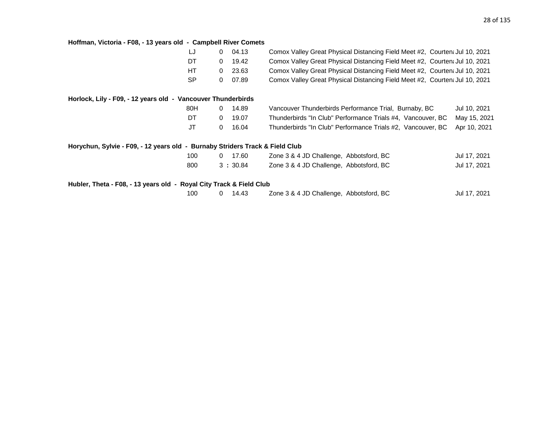#### **Hoffman, Victoria - F08, - 13 years old - Campbell River Comets**

|                                                                              | LJ        | $\mathbf{0}$   | 04.13   | Comox Valley Great Physical Distancing Field Meet #2, Courten: Jul 10, 2021 |              |
|------------------------------------------------------------------------------|-----------|----------------|---------|-----------------------------------------------------------------------------|--------------|
|                                                                              | DT        | $\Omega$       | 19.42   | Comox Valley Great Physical Distancing Field Meet #2, Courten: Jul 10, 2021 |              |
|                                                                              | HT        | $\overline{0}$ | 23.63   | Comox Valley Great Physical Distancing Field Meet #2, Courten: Jul 10, 2021 |              |
|                                                                              | <b>SP</b> | 0              | 07.89   | Comox Valley Great Physical Distancing Field Meet #2, Courten: Jul 10, 2021 |              |
| Horlock, Lily - F09, - 12 years old - Vancouver Thunderbirds                 |           |                |         |                                                                             |              |
|                                                                              | 80H       | $\Omega$       | 14.89   | Vancouver Thunderbirds Performance Trial, Burnaby, BC                       | Jul 10, 2021 |
|                                                                              | DT        | $\Omega$       | 19.07   | Thunderbirds "In Club" Performance Trials #4, Vancouver, BC                 | May 15, 2021 |
|                                                                              | JT        | $\Omega$       | 16.04   | Thunderbirds "In Club" Performance Trials #2, Vancouver, BC                 | Apr 10, 2021 |
| Horychun, Sylvie - F09, - 12 years old - Burnaby Striders Track & Field Club |           |                |         |                                                                             |              |
|                                                                              | 100       | $\Omega$       | 17.60   | Zone 3 & 4 JD Challenge, Abbotsford, BC                                     | Jul 17, 2021 |
|                                                                              | 800       |                | 3:30.84 | Zone 3 & 4 JD Challenge, Abbotsford, BC                                     | Jul 17, 2021 |
| Hubler, Theta - F08, - 13 years old - Royal City Track & Field Club          |           |                |         |                                                                             |              |
|                                                                              | 100       | $\mathbf 0$    | 14.43   | Zone 3 & 4 JD Challenge, Abbotsford, BC                                     | Jul 17, 2021 |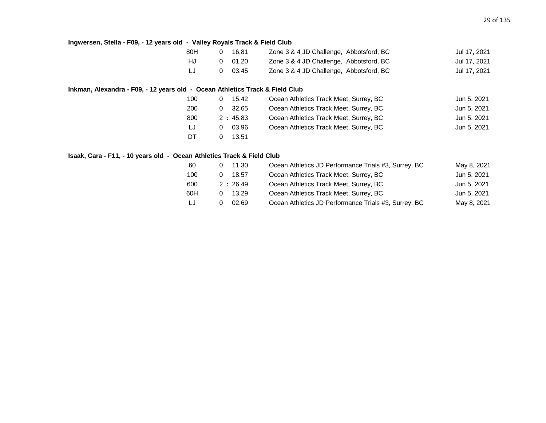#### **Ingwersen, Stella - F09, - 12 years old - Valley Royals Track & Field Club**

| 80H | 16.81          | Zone 3 & 4 JD Challenge, Abbotsford, BC | Jul 17, 2021 |
|-----|----------------|-----------------------------------------|--------------|
| HJ. | $0\quad 01.20$ | Zone 3 & 4 JD Challenge, Abbotsford, BC | Jul 17, 2021 |
| IJ  | $0\quad 03.45$ | Zone 3 & 4 JD Challenge, Abbotsford, BC | Jul 17, 2021 |

#### **Inkman, Alexandra - F09, - 12 years old - Ocean Athletics Track & Field Club**

| 100 | 15.42<br>0 | Ocean Athletics Track Meet, Surrey, BC | Jun 5, 2021 |
|-----|------------|----------------------------------------|-------------|
| 200 | 32.65<br>0 | Ocean Athletics Track Meet, Surrey, BC | Jun 5, 2021 |
| 800 | 2:45.83    | Ocean Athletics Track Meet, Surrey, BC | Jun 5, 2021 |
| LJ  | 03.96<br>0 | Ocean Athletics Track Meet, Surrey, BC | Jun 5, 2021 |
| DT  | 13.51      |                                        |             |

#### **Isaak, Cara - F11, - 10 years old - Ocean Athletics Track & Field Club**

| 60  | 11.30   | Ocean Athletics JD Performance Trials #3, Surrey, BC | May 8, 2021 |
|-----|---------|------------------------------------------------------|-------------|
| 100 | 18.57   | Ocean Athletics Track Meet, Surrey, BC               | Jun 5, 2021 |
| 600 | 2:26.49 | Ocean Athletics Track Meet, Surrey, BC               | Jun 5, 2021 |
| 60H | 13.29   | Ocean Athletics Track Meet, Surrey, BC               | Jun 5, 2021 |
| LJ  | 02.69   | Ocean Athletics JD Performance Trials #3, Surrey, BC | May 8, 2021 |
|     |         |                                                      |             |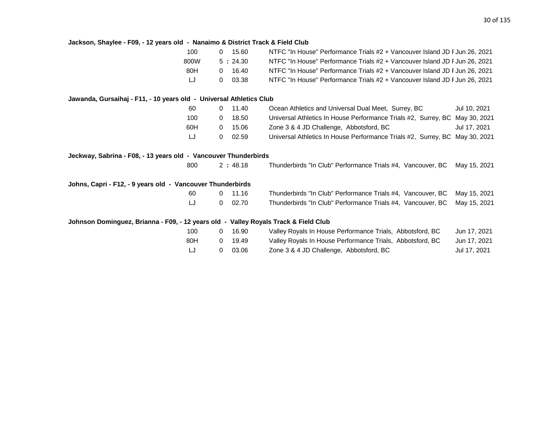| Jackson, Shaylee - F09, - 12 years old - Nanaimo & District Track & Field Club      |                       |                       |                                                                             |              |
|-------------------------------------------------------------------------------------|-----------------------|-----------------------|-----------------------------------------------------------------------------|--------------|
|                                                                                     | 100                   | 0 15.60               | NTFC "In House" Performance Trials #2 + Vancouver Island JD F Jun 26, 2021  |              |
|                                                                                     | 800W                  | 5:24.30               | NTFC "In House" Performance Trials #2 + Vancouver Island JD F Jun 26, 2021  |              |
|                                                                                     | 80H                   | 16.40<br>$\Omega$     | NTFC "In House" Performance Trials #2 + Vancouver Island JD F Jun 26, 2021  |              |
|                                                                                     | LJ<br>$\mathbf{0}$    | 03.38                 | NTFC "In House" Performance Trials #2 + Vancouver Island JD F Jun 26, 2021  |              |
| Jawanda, Gursaihaj - F11, - 10 years old - Universal Athletics Club                 |                       |                       |                                                                             |              |
|                                                                                     | 60                    | 11.40<br>$\mathbf{0}$ | Ocean Athletics and Universal Dual Meet, Surrey, BC                         | Jul 10, 2021 |
|                                                                                     | 100<br>$\mathbf{0}$   | 18.50                 | Universal Athletics In House Performance Trials #2, Surrey, BC May 30, 2021 |              |
|                                                                                     | 60H<br>$\overline{0}$ | 15.06                 | Zone 3 & 4 JD Challenge, Abbotsford, BC                                     | Jul 17, 2021 |
|                                                                                     | LJ<br>$\overline{0}$  | 02.59                 | Universal Athletics In House Performance Trials #2, Surrey, BC May 30, 2021 |              |
| Jeckway, Sabrina - F08, - 13 years old - Vancouver Thunderbirds                     |                       |                       |                                                                             |              |
|                                                                                     | 800                   | 2:48.18               | Thunderbirds "In Club" Performance Trials #4, Vancouver, BC May 15, 2021    |              |
| Johns, Capri - F12, - 9 years old - Vancouver Thunderbirds                          |                       |                       |                                                                             |              |
|                                                                                     | 60                    | 11.16<br>$\Omega$     | Thunderbirds "In Club" Performance Trials #4, Vancouver, BC                 | May 15, 2021 |
|                                                                                     | LJ<br>$\overline{0}$  | 02.70                 | Thunderbirds "In Club" Performance Trials #4, Vancouver, BC                 | May 15, 2021 |
| Johnson Dominguez, Brianna - F09, - 12 years old - Valley Royals Track & Field Club |                       |                       |                                                                             |              |
|                                                                                     | 100<br>$\Omega$       | 16.90                 | Valley Royals In House Performance Trials, Abbotsford, BC                   | Jun 17, 2021 |
|                                                                                     | 80H<br>$\mathbf{0}$   | 19.49                 | Valley Royals In House Performance Trials, Abbotsford, BC                   | Jun 17, 2021 |
|                                                                                     | LJ<br>0               | 03.06                 | Zone 3 & 4 JD Challenge, Abbotsford, BC                                     | Jul 17, 2021 |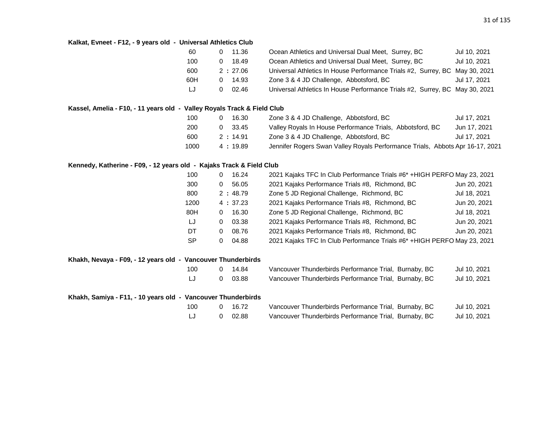#### **Kalkat, Evneet - F12, - 9 years old - Universal Athletics Club**

| 60  |   | $0$ 11.36 | Ocean Athletics and Universal Dual Meet, Surrey, BC                         | Jul 10, 2021 |
|-----|---|-----------|-----------------------------------------------------------------------------|--------------|
| 100 | 0 | 18.49     | Ocean Athletics and Universal Dual Meet, Surrey, BC                         | Jul 10, 2021 |
| 600 |   | 2:27.06   | Universal Athletics In House Performance Trials #2, Surrey, BC May 30, 2021 |              |
| 60H |   | 14.93     | Zone 3 & 4 JD Challenge, Abbotsford, BC                                     | Jul 17, 2021 |
| LJ  |   | 02.46     | Universal Athletics In House Performance Trials #2, Surrey, BC May 30, 2021 |              |

#### **Kassel, Amelia - F10, - 11 years old - Valley Royals Track & Field Club**

| 100  | 16.30          | Zone 3 & 4 JD Challenge, Abbotsford, BC                                       | Jul 17, 2021 |
|------|----------------|-------------------------------------------------------------------------------|--------------|
| 200  | $0\quad 33.45$ | Valley Royals In House Performance Trials, Abbotsford, BC                     | Jun 17, 2021 |
| 600  | 2:14.91        | Zone 3 & 4 JD Challenge, Abbotsford, BC                                       | Jul 17, 2021 |
| 1000 | 4:19.89        | Jennifer Rogers Swan Valley Royals Performance Trials, Abbots Apr 16-17, 2021 |              |

#### **Kennedy, Katherine - F09, - 12 years old - Kajaks Track & Field Club**

| 100       | 16.24<br>0 | 2021 Kajaks TFC In Club Performance Trials #6* +HIGH PERFO May 23, 2021  |              |
|-----------|------------|--------------------------------------------------------------------------|--------------|
| 300       | 56.05<br>0 | 2021 Kajaks Performance Trials #8, Richmond, BC                          | Jun 20, 2021 |
| 800       | 2:48.79    | Zone 5 JD Regional Challenge, Richmond, BC                               | Jul 18, 2021 |
| 1200      | 4:37.23    | 2021 Kajaks Performance Trials #8, Richmond, BC                          | Jun 20, 2021 |
| 80H       | 16.30<br>0 | Zone 5 JD Regional Challenge, Richmond, BC                               | Jul 18, 2021 |
| LJ        | 03.38<br>0 | 2021 Kajaks Performance Trials #8, Richmond, BC                          | Jun 20, 2021 |
| DT        | 08.76<br>0 | 2021 Kajaks Performance Trials #8, Richmond, BC                          | Jun 20, 2021 |
| <b>SP</b> | 04.88<br>0 | 2021 Kajaks TFC In Club Performance Trials #6* + HIGH PERFO May 23, 2021 |              |

#### **Khakh, Nevaya - F09, - 12 years old - Vancouver Thunderbirds**

| 100 | 0 14.84 | Vancouver Thunderbirds Performance Trial, Burnaby, BC | Jul 10, 2021 |
|-----|---------|-------------------------------------------------------|--------------|
|     | 0 03.88 | Vancouver Thunderbirds Performance Trial, Burnaby, BC | Jul 10, 2021 |

#### **Khakh, Samiya - F11, - 10 years old - Vancouver Thunderbirds**

| 100 | 0 16.72 | Vancouver Thunderbirds Performance Trial, Burnaby, BC | Jul 10, 2021 |
|-----|---------|-------------------------------------------------------|--------------|
|     | 0 02.88 | Vancouver Thunderbirds Performance Trial, Burnaby, BC | Jul 10, 2021 |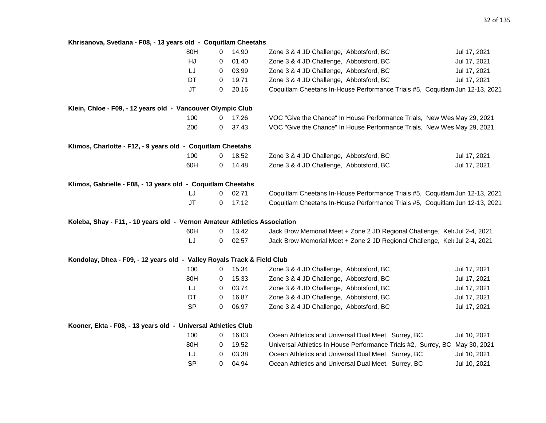### **Khrisanova, Svetlana - F08, - 13 years old - Coquitlam Cheetahs**

|                                                                           | 80H       | 0           | 14.90 | Zone 3 & 4 JD Challenge, Abbotsford, BC                                      | Jul 17, 2021 |
|---------------------------------------------------------------------------|-----------|-------------|-------|------------------------------------------------------------------------------|--------------|
|                                                                           | HJ        | 0           | 01.40 | Zone 3 & 4 JD Challenge, Abbotsford, BC                                      | Jul 17, 2021 |
|                                                                           | LJ        | 0           | 03.99 | Zone 3 & 4 JD Challenge, Abbotsford, BC                                      | Jul 17, 2021 |
|                                                                           | DT        | 0           | 19.71 | Zone 3 & 4 JD Challenge, Abbotsford, BC                                      | Jul 17, 2021 |
|                                                                           | <b>JT</b> | 0           | 20.16 | Coquitlam Cheetahs In-House Performance Trials #5, Coquitlam Jun 12-13, 2021 |              |
| Klein, Chloe - F09, - 12 years old - Vancouver Olympic Club               |           |             |       |                                                                              |              |
|                                                                           | 100       | 0           | 17.26 | VOC "Give the Chance" In House Performance Trials, New Wes May 29, 2021      |              |
|                                                                           | 200       | 0           | 37.43 | VOC "Give the Chance" In House Performance Trials, New Wes May 29, 2021      |              |
| Klimos, Charlotte - F12, - 9 years old - Coquitlam Cheetahs               |           |             |       |                                                                              |              |
|                                                                           | 100       | 0           | 18.52 | Zone 3 & 4 JD Challenge, Abbotsford, BC                                      | Jul 17, 2021 |
|                                                                           | 60H       | 0           | 14.48 | Zone 3 & 4 JD Challenge, Abbotsford, BC                                      | Jul 17, 2021 |
| Klimos, Gabrielle - F08, - 13 years old - Coquitlam Cheetahs              |           |             |       |                                                                              |              |
|                                                                           | IJ        | 0           | 02.71 | Coquitlam Cheetahs In-House Performance Trials #5, Coquitlam Jun 12-13, 2021 |              |
|                                                                           | $\sf{JT}$ | 0           | 17.12 | Coquitlam Cheetahs In-House Performance Trials #5, Coquitlam Jun 12-13, 2021 |              |
| Koleba, Shay - F11, - 10 years old - Vernon Amateur Athletics Association |           |             |       |                                                                              |              |
|                                                                           | 60H       | 0           | 13.42 | Jack Brow Memorial Meet + Zone 2 JD Regional Challenge, Kelt Jul 2-4, 2021   |              |
|                                                                           | LJ        | 0           | 02.57 | Jack Brow Memorial Meet + Zone 2 JD Regional Challenge, Kel Jul 2-4, 2021    |              |
| Kondolay, Dhea - F09, - 12 years old - Valley Royals Track & Field Club   |           |             |       |                                                                              |              |
|                                                                           | 100       | 0           | 15.34 | Zone 3 & 4 JD Challenge, Abbotsford, BC                                      | Jul 17, 2021 |
|                                                                           | 80H       | 0           | 15.33 | Zone 3 & 4 JD Challenge, Abbotsford, BC                                      | Jul 17, 2021 |
|                                                                           | LJ        | $\mathbf 0$ | 03.74 | Zone 3 & 4 JD Challenge, Abbotsford, BC                                      | Jul 17, 2021 |
|                                                                           | DT        | $\mathbf 0$ | 16.87 | Zone 3 & 4 JD Challenge, Abbotsford, BC                                      | Jul 17, 2021 |
|                                                                           | <b>SP</b> | 0           | 06.97 | Zone 3 & 4 JD Challenge, Abbotsford, BC                                      | Jul 17, 2021 |
| Kooner, Ekta - F08, - 13 years old - Universal Athletics Club             |           |             |       |                                                                              |              |
|                                                                           | 100       | 0           | 16.03 | Ocean Athletics and Universal Dual Meet, Surrey, BC                          | Jul 10, 2021 |
|                                                                           | 80H       | 0           | 19.52 | Universal Athletics In House Performance Trials #2, Surrey, BC May 30, 2021  |              |
|                                                                           | LJ        | $\mathbf 0$ | 03.38 | Ocean Athletics and Universal Dual Meet, Surrey, BC                          | Jul 10, 2021 |
|                                                                           | <b>SP</b> | 0           | 04.94 | Ocean Athletics and Universal Dual Meet, Surrey, BC                          | Jul 10, 2021 |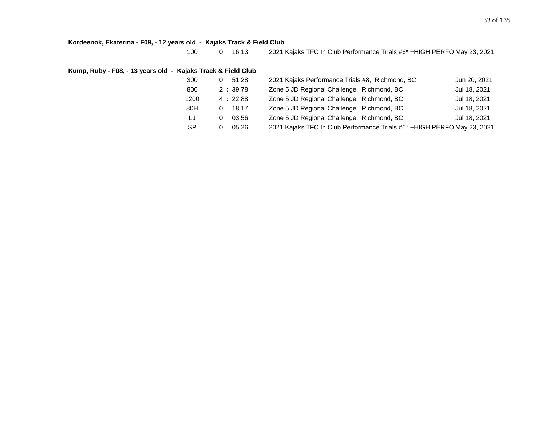#### **Kordeenok, Ekaterina - F09, - 12 years old - Kajaks Track & Field Club**

100 0 16.13 2021 Kajaks TFC In Club Performance Trials #6\* +HIGH PERFO May 23, 2021

#### **Kump, Ruby - F08, - 13 years old - Kajaks Track & Field Club**

| 300  | 51.28<br>0. | 2021 Kajaks Performance Trials #8, Richmond, BC                          | Jun 20, 2021 |
|------|-------------|--------------------------------------------------------------------------|--------------|
| 800  | 2:39.78     | Zone 5 JD Regional Challenge, Richmond, BC                               | Jul 18, 2021 |
| 1200 | 4:22.88     | Zone 5 JD Regional Challenge, Richmond, BC                               | Jul 18, 2021 |
| 80H  | 18.17       | Zone 5 JD Regional Challenge, Richmond, BC                               | Jul 18, 2021 |
| LJ   | 03.56       | Zone 5 JD Regional Challenge, Richmond, BC                               | Jul 18, 2021 |
| -SP  | 05.26       | 2021 Kajaks TFC In Club Performance Trials #6* + HIGH PERFO May 23, 2021 |              |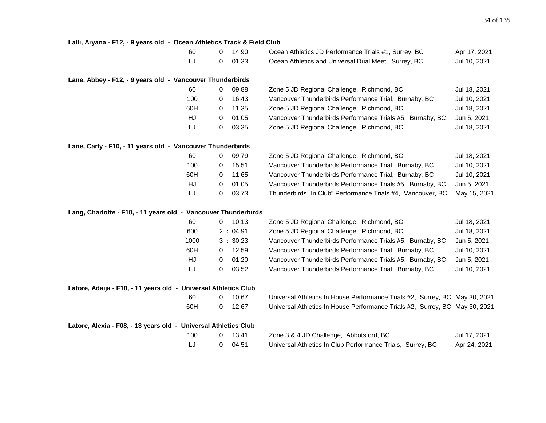| Lalli, Aryana - F12, - 9 years old - Ocean Athletics Track & Field Club |   |         |                                                                             |              |
|-------------------------------------------------------------------------|---|---------|-----------------------------------------------------------------------------|--------------|
| 60                                                                      | 0 | 14.90   | Ocean Athletics JD Performance Trials #1, Surrey, BC                        | Apr 17, 2021 |
| LJ                                                                      | 0 | 01.33   | Ocean Athletics and Universal Dual Meet, Surrey, BC                         | Jul 10, 2021 |
| Lane, Abbey - F12, - 9 years old - Vancouver Thunderbirds               |   |         |                                                                             |              |
| 60                                                                      | 0 | 09.88   | Zone 5 JD Regional Challenge, Richmond, BC                                  | Jul 18, 2021 |
| 100                                                                     | 0 | 16.43   | Vancouver Thunderbirds Performance Trial, Burnaby, BC                       | Jul 10, 2021 |
| 60H                                                                     | 0 | 11.35   | Zone 5 JD Regional Challenge, Richmond, BC                                  | Jul 18, 2021 |
| HJ                                                                      | 0 | 01.05   | Vancouver Thunderbirds Performance Trials #5, Burnaby, BC                   | Jun 5, 2021  |
| LJ                                                                      | 0 | 03.35   | Zone 5 JD Regional Challenge, Richmond, BC                                  | Jul 18, 2021 |
| Lane, Carly - F10, - 11 years old - Vancouver Thunderbirds              |   |         |                                                                             |              |
| 60                                                                      | 0 | 09.79   | Zone 5 JD Regional Challenge, Richmond, BC                                  | Jul 18, 2021 |
| 100                                                                     | 0 | 15.51   | Vancouver Thunderbirds Performance Trial, Burnaby, BC                       | Jul 10, 2021 |
| 60H                                                                     | 0 | 11.65   | Vancouver Thunderbirds Performance Trial, Burnaby, BC                       | Jul 10, 2021 |
| HJ                                                                      | 0 | 01.05   | Vancouver Thunderbirds Performance Trials #5, Burnaby, BC                   | Jun 5, 2021  |
| LJ                                                                      | 0 | 03.73   | Thunderbirds "In Club" Performance Trials #4, Vancouver, BC                 | May 15, 2021 |
| Lang, Charlotte - F10, - 11 years old - Vancouver Thunderbirds          |   |         |                                                                             |              |
| 60                                                                      | 0 | 10.13   | Zone 5 JD Regional Challenge, Richmond, BC                                  | Jul 18, 2021 |
| 600                                                                     |   | 2:04.91 | Zone 5 JD Regional Challenge, Richmond, BC                                  | Jul 18, 2021 |
| 1000                                                                    |   | 3:30.23 | Vancouver Thunderbirds Performance Trials #5, Burnaby, BC                   | Jun 5, 2021  |
| 60H                                                                     | 0 | 12.59   | Vancouver Thunderbirds Performance Trial, Burnaby, BC                       | Jul 10, 2021 |
| HJ                                                                      | 0 | 01.20   | Vancouver Thunderbirds Performance Trials #5, Burnaby, BC                   | Jun 5, 2021  |
| LJ                                                                      | 0 | 03.52   | Vancouver Thunderbirds Performance Trial, Burnaby, BC                       | Jul 10, 2021 |
| Latore, Adaija - F10, - 11 years old - Universal Athletics Club         |   |         |                                                                             |              |
| 60                                                                      | 0 | 10.67   | Universal Athletics In House Performance Trials #2, Surrey, BC May 30, 2021 |              |
| 60H                                                                     | 0 | 12.67   | Universal Athletics In House Performance Trials #2, Surrey, BC May 30, 2021 |              |
| Latore, Alexia - F08, - 13 years old - Universal Athletics Club         |   |         |                                                                             |              |
| 100                                                                     | 0 | 13.41   | Zone 3 & 4 JD Challenge, Abbotsford, BC                                     | Jul 17, 2021 |
| LJ                                                                      | 0 | 04.51   | Universal Athletics In Club Performance Trials, Surrey, BC                  | Apr 24, 2021 |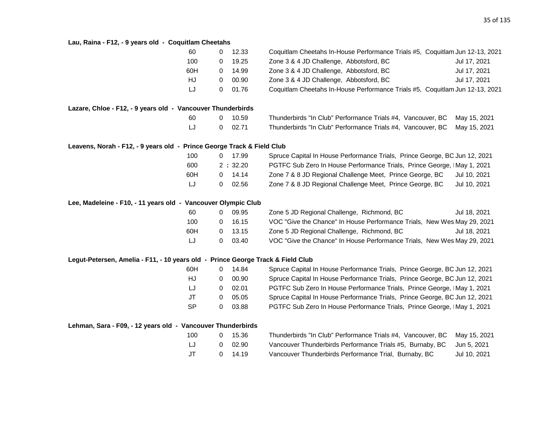### **Lau, Raina - F12, - 9 years old - Coquitlam Cheetahs**

| au, Kania III yyearo ola                                                        | <b>OUYU</b> |   |         |                                                                              |              |
|---------------------------------------------------------------------------------|-------------|---|---------|------------------------------------------------------------------------------|--------------|
|                                                                                 | 60          | 0 | 12.33   | Coquitlam Cheetahs In-House Performance Trials #5, Coquitlam Jun 12-13, 2021 |              |
|                                                                                 | 100         | 0 | 19.25   | Zone 3 & 4 JD Challenge, Abbotsford, BC                                      | Jul 17, 2021 |
|                                                                                 | 60H         | 0 | 14.99   | Zone 3 & 4 JD Challenge, Abbotsford, BC                                      | Jul 17, 2021 |
|                                                                                 | HJ          | 0 | 00.90   | Zone 3 & 4 JD Challenge, Abbotsford, BC                                      | Jul 17, 2021 |
|                                                                                 | LJ          | 0 | 01.76   | Coquitlam Cheetahs In-House Performance Trials #5, Coquitlam Jun 12-13, 2021 |              |
| Lazare, Chloe - F12, - 9 years old - Vancouver Thunderbirds                     |             |   |         |                                                                              |              |
|                                                                                 | 60          | 0 | 10.59   | Thunderbirds "In Club" Performance Trials #4, Vancouver, BC                  | May 15, 2021 |
|                                                                                 | LJ          | 0 | 02.71   | Thunderbirds "In Club" Performance Trials #4, Vancouver, BC                  | May 15, 2021 |
| Leavens, Norah - F12, - 9 years old - Prince George Track & Field Club          |             |   |         |                                                                              |              |
|                                                                                 | 100         | 0 | 17.99   | Spruce Capital In House Performance Trials, Prince George, BC Jun 12, 2021   |              |
|                                                                                 | 600         |   | 2:32.20 | PGTFC Sub Zero In House Performance Trials, Prince George, IMay 1, 2021      |              |
|                                                                                 | 60H         | 0 | 14.14   | Zone 7 & 8 JD Regional Challenge Meet, Prince George, BC                     | Jul 10, 2021 |
|                                                                                 | LJ          | 0 | 02.56   | Zone 7 & 8 JD Regional Challenge Meet, Prince George, BC                     | Jul 10, 2021 |
| Lee, Madeleine - F10, - 11 years old - Vancouver Olympic Club                   |             |   |         |                                                                              |              |
|                                                                                 | 60          | 0 | 09.95   | Zone 5 JD Regional Challenge, Richmond, BC                                   | Jul 18, 2021 |
|                                                                                 | 100         | 0 | 16.15   | VOC "Give the Chance" In House Performance Trials, New Wes May 29, 2021      |              |
|                                                                                 | 60H         | 0 | 13.15   | Zone 5 JD Regional Challenge, Richmond, BC                                   | Jul 18, 2021 |
|                                                                                 | LJ          | 0 | 03.40   | VOC "Give the Chance" In House Performance Trials, New Wes May 29, 2021      |              |
| Legut-Petersen, Amelia - F11, - 10 years old - Prince George Track & Field Club |             |   |         |                                                                              |              |
|                                                                                 | 60H         | 0 | 14.84   | Spruce Capital In House Performance Trials, Prince George, BC Jun 12, 2021   |              |
|                                                                                 | HJ          | 0 | 00.90   | Spruce Capital In House Performance Trials, Prince George, BC Jun 12, 2021   |              |
|                                                                                 | LJ          | 0 | 02.01   | PGTFC Sub Zero In House Performance Trials, Prince George, IMay 1, 2021      |              |
|                                                                                 | <b>JT</b>   | 0 | 05.05   | Spruce Capital In House Performance Trials, Prince George, BC Jun 12, 2021   |              |
|                                                                                 | <b>SP</b>   | 0 | 03.88   | PGTFC Sub Zero In House Performance Trials, Prince George, IMay 1, 2021      |              |
| Lehman, Sara - F09, - 12 years old - Vancouver Thunderbirds                     |             |   |         |                                                                              |              |
|                                                                                 | 100         | 0 | 15.36   | Thunderbirds "In Club" Performance Trials #4, Vancouver, BC                  | May 15, 2021 |
|                                                                                 | LJ          | 0 | 02.90   | Vancouver Thunderbirds Performance Trials #5, Burnaby, BC                    | Jun 5, 2021  |
|                                                                                 | JT          | 0 | 14.19   | Vancouver Thunderbirds Performance Trial, Burnaby, BC                        | Jul 10, 2021 |
|                                                                                 |             |   |         |                                                                              |              |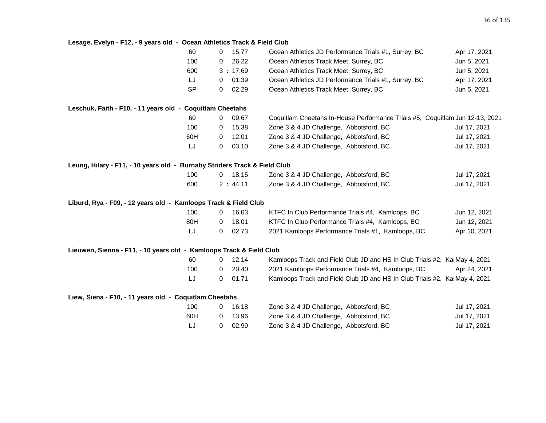# **Lesage, Evelyn - F12, - 9 years old - Ocean Athletics Track & Field Club**

|                                                                           | 60        | 0              | 15.77   | Ocean Athletics JD Performance Trials #1, Surrey, BC                         | Apr 17, 2021 |
|---------------------------------------------------------------------------|-----------|----------------|---------|------------------------------------------------------------------------------|--------------|
|                                                                           | 100       | 0              | 26.22   | Ocean Athletics Track Meet, Surrey, BC                                       | Jun 5, 2021  |
|                                                                           | 600       |                | 3:17.69 | Ocean Athletics Track Meet, Surrey, BC                                       | Jun 5, 2021  |
|                                                                           | LJ        | 0              | 01.39   | Ocean Athletics JD Performance Trials #1, Surrey, BC                         | Apr 17, 2021 |
|                                                                           | <b>SP</b> | 0              | 02.29   | Ocean Athletics Track Meet, Surrey, BC                                       | Jun 5, 2021  |
| Leschuk, Faith - F10, - 11 years old - Coquitlam Cheetahs                 |           |                |         |                                                                              |              |
|                                                                           | 60        | 0              | 09.67   | Coquitlam Cheetahs In-House Performance Trials #5, Coquitlam Jun 12-13, 2021 |              |
|                                                                           | 100       | 0              | 15.38   | Zone 3 & 4 JD Challenge, Abbotsford, BC                                      | Jul 17, 2021 |
|                                                                           | 60H       | 0              | 12.01   | Zone 3 & 4 JD Challenge, Abbotsford, BC                                      | Jul 17, 2021 |
|                                                                           | LJ        | 0              | 03.10   | Zone 3 & 4 JD Challenge, Abbotsford, BC                                      | Jul 17, 2021 |
| Leung, Hilary - F11, - 10 years old - Burnaby Striders Track & Field Club |           |                |         |                                                                              |              |
|                                                                           | 100       | $\overline{0}$ | 18.15   | Zone 3 & 4 JD Challenge, Abbotsford, BC                                      | Jul 17, 2021 |
|                                                                           | 600       |                | 2:44.11 | Zone 3 & 4 JD Challenge, Abbotsford, BC                                      | Jul 17, 2021 |
| Liburd, Rya - F09, - 12 years old - Kamloops Track & Field Club           |           |                |         |                                                                              |              |
|                                                                           | 100       | 0              | 16.03   | KTFC In Club Performance Trials #4, Kamloops, BC                             | Jun 12, 2021 |
|                                                                           | 80H       | 0              | 18.01   | KTFC In Club Performance Trials #4, Kamloops, BC                             | Jun 12, 2021 |
|                                                                           | LJ        | 0              | 02.73   | 2021 Kamloops Performance Trials #1, Kamloops, BC                            | Apr 10, 2021 |
| Lieuwen, Sienna - F11, - 10 years old - Kamloops Track & Field Club       |           |                |         |                                                                              |              |
|                                                                           | 60        | 0              | 12.14   | Kamloops Track and Field Club JD and HS In Club Trials #2, Kai May 4, 2021   |              |
|                                                                           | 100       | 0              | 20.40   | 2021 Kamloops Performance Trials #4, Kamloops, BC                            | Apr 24, 2021 |
|                                                                           | LJ        | 0              | 01.71   | Kamloops Track and Field Club JD and HS In Club Trials #2, KarMay 4, 2021    |              |
| Liew, Siena - F10, - 11 years old - Coquitlam Cheetahs                    |           |                |         |                                                                              |              |
|                                                                           | 100       | $\overline{0}$ | 16.18   | Zone 3 & 4 JD Challenge, Abbotsford, BC                                      | Jul 17, 2021 |
|                                                                           | 60H       | 0              | 13.96   | Zone 3 & 4 JD Challenge, Abbotsford, BC                                      | Jul 17, 2021 |
|                                                                           | LJ        | 0              | 02.99   | Zone 3 & 4 JD Challenge, Abbotsford, BC                                      | Jul 17, 2021 |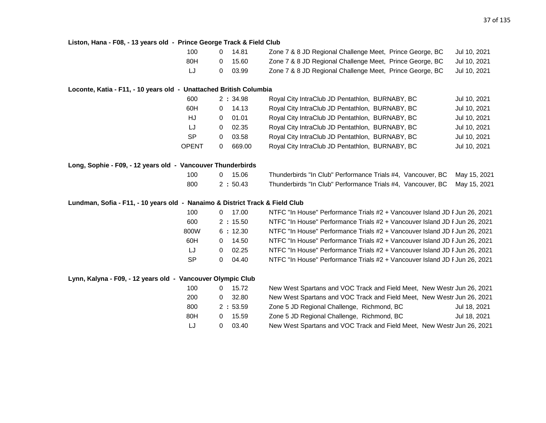| Liston, Hana - F08, - 13 years old - Prince George Track & Field Club        |                                |                         |                                                                                          |              |
|------------------------------------------------------------------------------|--------------------------------|-------------------------|------------------------------------------------------------------------------------------|--------------|
|                                                                              | 100                            | $0$ 14.81               | Zone 7 & 8 JD Regional Challenge Meet, Prince George, BC                                 | Jul 10, 2021 |
|                                                                              | 80H<br>$\overline{0}$          | 15.60                   | Zone 7 & 8 JD Regional Challenge Meet, Prince George, BC                                 | Jul 10, 2021 |
|                                                                              | LJ<br>$\overline{0}$           | 03.99                   | Zone 7 & 8 JD Regional Challenge Meet, Prince George, BC                                 | Jul 10, 2021 |
|                                                                              |                                |                         |                                                                                          |              |
| Loconte, Katia - F11, - 10 years old - Unattached British Columbia           |                                |                         |                                                                                          |              |
|                                                                              | 600                            | 2:34.98                 | Royal City IntraClub JD Pentathlon, BURNABY, BC                                          | Jul 10, 2021 |
|                                                                              | 60H<br>$\mathbf{0}$            | 14.13                   | Royal City IntraClub JD Pentathlon, BURNABY, BC                                          | Jul 10, 2021 |
|                                                                              | HJ<br>$\mathbf{0}$             | 01.01                   | Royal City IntraClub JD Pentathlon, BURNABY, BC                                          | Jul 10, 2021 |
|                                                                              | LJ<br>$\overline{0}$           | 02.35                   | Royal City IntraClub JD Pentathlon, BURNABY, BC                                          | Jul 10, 2021 |
|                                                                              | <b>SP</b><br>$\mathbf{0}$      | 03.58                   | Royal City IntraClub JD Pentathlon, BURNABY, BC                                          | Jul 10, 2021 |
|                                                                              | <b>OPENT</b><br>$\overline{0}$ | 669.00                  | Royal City IntraClub JD Pentathlon, BURNABY, BC                                          | Jul 10, 2021 |
| Long, Sophie - F09, - 12 years old - Vancouver Thunderbirds                  |                                |                         |                                                                                          |              |
|                                                                              | 100                            | 0 15.06                 | Thunderbirds "In Club" Performance Trials #4, Vancouver, BC                              | May 15, 2021 |
|                                                                              | 800                            | 2:50.43                 | Thunderbirds "In Club" Performance Trials #4, Vancouver, BC                              | May 15, 2021 |
|                                                                              |                                |                         |                                                                                          |              |
| Lundman, Sofia - F11, - 10 years old - Nanaimo & District Track & Field Club |                                |                         |                                                                                          |              |
|                                                                              | 100                            | $0$ 17.00               | NTFC "In House" Performance Trials #2 + Vancouver Island JD F Jun 26, 2021               |              |
|                                                                              | 600                            | 2:15.50                 | NTFC "In House" Performance Trials #2 + Vancouver Island JD F Jun 26, 2021               |              |
|                                                                              | 800W                           | 6:12.30                 | NTFC "In House" Performance Trials #2 + Vancouver Island JD F Jun 26, 2021               |              |
|                                                                              | 60H                            | 14.50<br>$\overline{0}$ | NTFC "In House" Performance Trials #2 + Vancouver Island JD F Jun 26, 2021               |              |
|                                                                              | LJ<br>$\mathbf{0}$             | 02.25                   | NTFC "In House" Performance Trials #2 + Vancouver Island JD F Jun 26, 2021               |              |
|                                                                              | <b>SP</b><br>$\Omega$          | 04.40                   | NTFC "In House" Performance Trials #2 + Vancouver Island JD F Jun 26, 2021               |              |
| Lynn, Kalyna - F09, - 12 years old - Vancouver Olympic Club                  |                                |                         |                                                                                          |              |
|                                                                              | 100<br>$\mathbf{0}$            | 15.72                   | New West Spartans and VOC Track and Field Meet, New Westr Jun 26, 2021                   |              |
|                                                                              | 200<br>$\mathbf{0}$            | 32.80                   | New West Spartans and VOC Track and Field Meet, New Westr Jun 26, 2021                   |              |
|                                                                              |                                |                         |                                                                                          | Jul 18, 2021 |
|                                                                              |                                |                         |                                                                                          |              |
|                                                                              | 800<br>80H<br>$\overline{0}$   | 2:53.59<br>15.59        | Zone 5 JD Regional Challenge, Richmond, BC<br>Zone 5 JD Regional Challenge, Richmond, BC | Jul 18, 2021 |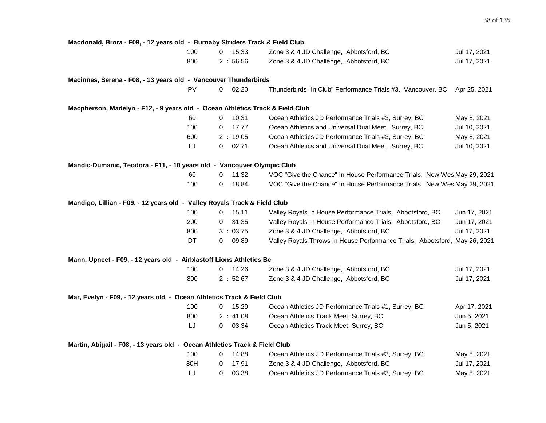| Macdonald, Brora - F09, - 12 years old - Burnaby Striders Track & Field Club  |     |   |         |                                                                            |              |
|-------------------------------------------------------------------------------|-----|---|---------|----------------------------------------------------------------------------|--------------|
|                                                                               | 100 | 0 | 15.33   | Zone 3 & 4 JD Challenge, Abbotsford, BC                                    | Jul 17, 2021 |
|                                                                               | 800 |   | 2:56.56 | Zone 3 & 4 JD Challenge, Abbotsford, BC                                    | Jul 17, 2021 |
| Macinnes, Serena - F08, - 13 years old - Vancouver Thunderbirds               |     |   |         |                                                                            |              |
|                                                                               | PV  | 0 | 02.20   | Thunderbirds "In Club" Performance Trials #3, Vancouver, BC                | Apr 25, 2021 |
| Macpherson, Madelyn - F12, - 9 years old - Ocean Athletics Track & Field Club |     |   |         |                                                                            |              |
|                                                                               | 60  | 0 | 10.31   | Ocean Athletics JD Performance Trials #3, Surrey, BC                       | May 8, 2021  |
|                                                                               | 100 | 0 | 17.77   | Ocean Athletics and Universal Dual Meet, Surrey, BC                        | Jul 10, 2021 |
|                                                                               | 600 |   | 2:19.05 | Ocean Athletics JD Performance Trials #3, Surrey, BC                       | May 8, 2021  |
|                                                                               | LJ  | 0 | 02.71   | Ocean Athletics and Universal Dual Meet, Surrey, BC                        | Jul 10, 2021 |
| Mandic-Dumanic, Teodora - F11, - 10 years old - Vancouver Olympic Club        |     |   |         |                                                                            |              |
|                                                                               | 60  | 0 | 11.32   | VOC "Give the Chance" In House Performance Trials, New Wes May 29, 2021    |              |
|                                                                               | 100 | 0 | 18.84   | VOC "Give the Chance" In House Performance Trials, New Wes May 29, 2021    |              |
| Mandigo, Lillian - F09, - 12 years old - Valley Royals Track & Field Club     |     |   |         |                                                                            |              |
|                                                                               | 100 | 0 | 15.11   | Valley Royals In House Performance Trials, Abbotsford, BC                  | Jun 17, 2021 |
|                                                                               | 200 | 0 | 31.35   | Valley Royals In House Performance Trials, Abbotsford, BC                  | Jun 17, 2021 |
|                                                                               | 800 |   | 3:03.75 | Zone 3 & 4 JD Challenge, Abbotsford, BC                                    | Jul 17, 2021 |
|                                                                               | DT  | 0 | 09.89   | Valley Royals Throws In House Performance Trials, Abbotsford, May 26, 2021 |              |
| Mann, Upneet - F09, - 12 years old - Airblastoff Lions Athletics Bc           |     |   |         |                                                                            |              |
|                                                                               | 100 | 0 | 14.26   | Zone 3 & 4 JD Challenge, Abbotsford, BC                                    | Jul 17, 2021 |
|                                                                               | 800 |   | 2:52.67 | Zone 3 & 4 JD Challenge, Abbotsford, BC                                    | Jul 17, 2021 |
| Mar, Evelyn - F09, - 12 years old - Ocean Athletics Track & Field Club        |     |   |         |                                                                            |              |
|                                                                               | 100 | 0 | 15.29   | Ocean Athletics JD Performance Trials #1, Surrey, BC                       | Apr 17, 2021 |
|                                                                               | 800 |   | 2:41.08 | Ocean Athletics Track Meet, Surrey, BC                                     | Jun 5, 2021  |
|                                                                               | LJ  | 0 | 03.34   | Ocean Athletics Track Meet, Surrey, BC                                     | Jun 5, 2021  |
| Martin, Abigail - F08, - 13 years old - Ocean Athletics Track & Field Club    |     |   |         |                                                                            |              |
|                                                                               | 100 | 0 | 14.88   | Ocean Athletics JD Performance Trials #3, Surrey, BC                       | May 8, 2021  |
|                                                                               | 80H | 0 | 17.91   | Zone 3 & 4 JD Challenge, Abbotsford, BC                                    | Jul 17, 2021 |
|                                                                               | LJ  | 0 | 03.38   | Ocean Athletics JD Performance Trials #3, Surrey, BC                       | May 8, 2021  |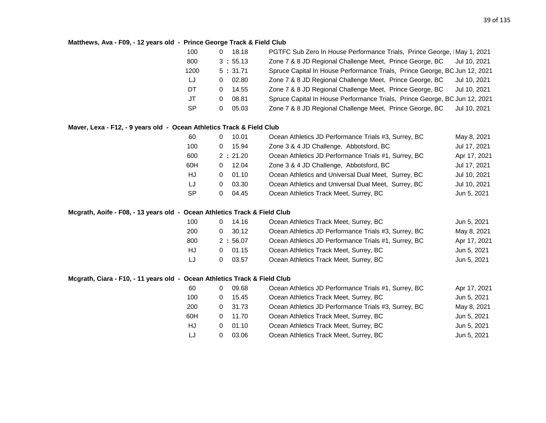# **Matthews, Ava - F09, - 12 years old - Prince George Track & Field Club**

| 100       | 0 | 18.18   | PGTFC Sub Zero In House Performance Trials, Prince George, IMay 1, 2021    |
|-----------|---|---------|----------------------------------------------------------------------------|
| 800       |   | 3:55.13 | Zone 7 & 8 JD Regional Challenge Meet, Prince George, BC<br>Jul 10, 2021   |
| 1200      |   | 5:31.71 | Spruce Capital In House Performance Trials, Prince George, BC Jun 12, 2021 |
| LJ        | 0 | 02.80   | Zone 7 & 8 JD Regional Challenge Meet, Prince George, BC<br>Jul 10, 2021   |
| DT        | 0 | 14.55   | Zone 7 & 8 JD Regional Challenge Meet, Prince George, BC<br>Jul 10, 2021   |
| JT        | 0 | 08.81   | Spruce Capital In House Performance Trials, Prince George, BC Jun 12, 2021 |
| <b>SP</b> | 0 | 05.03   | Zone 7 & 8 JD Regional Challenge Meet, Prince George, BC<br>Jul 10, 2021   |

### **Maver, Lexa - F12, - 9 years old - Ocean Athletics Track & Field Club**

| 60  | 10.01             | Ocean Athletics JD Performance Trials #3, Surrey, BC | May 8, 2021  |
|-----|-------------------|------------------------------------------------------|--------------|
| 100 | 15.94<br>0        | Zone 3 & 4 JD Challenge, Abbotsford, BC              | Jul 17, 2021 |
| 600 | 2:21.20           | Ocean Athletics JD Performance Trials #1, Surrey, BC | Apr 17, 2021 |
| 60H | 12.04<br>$\Omega$ | Zone 3 & 4 JD Challenge, Abbotsford, BC              | Jul 17, 2021 |
| HJ  | 01.10<br>0        | Ocean Athletics and Universal Dual Meet, Surrey, BC  | Jul 10, 2021 |
| LJ  | 03.30<br>$\Omega$ | Ocean Athletics and Universal Dual Meet, Surrey, BC  | Jul 10, 2021 |
| -SP | 04.45<br>0        | Ocean Athletics Track Meet, Surrey, BC               | Jun 5, 2021  |
|     |                   |                                                      |              |

#### **Mcgrath, Aoife - F08, - 13 years old - Ocean Athletics Track & Field Club**

| 100 | 14.16   | Ocean Athletics Track Meet, Surrey, BC               | Jun 5, 2021  |
|-----|---------|------------------------------------------------------|--------------|
| 200 | 30.12   | Ocean Athletics JD Performance Trials #3, Surrey, BC | May 8, 2021  |
| 800 | 2:56.07 | Ocean Athletics JD Performance Trials #1, Surrey, BC | Apr 17, 2021 |
| HJ  | 01.15   | Ocean Athletics Track Meet, Surrey, BC               | Jun 5, 2021  |
| IJ  | 03.57   | Ocean Athletics Track Meet, Surrey, BC               | Jun 5, 2021  |

### **Mcgrath, Ciara - F10, - 11 years old - Ocean Athletics Track & Field Club**

| 60  |   | 09.68 | Ocean Athletics JD Performance Trials #1, Surrey, BC | Apr 17, 2021 |
|-----|---|-------|------------------------------------------------------|--------------|
| 100 |   | 15.45 | Ocean Athletics Track Meet, Surrey, BC               | Jun 5, 2021  |
| 200 | 0 | 31.73 | Ocean Athletics JD Performance Trials #3, Surrey, BC | May 8, 2021  |
| 60H | 0 | 11.70 | Ocean Athletics Track Meet, Surrey, BC               | Jun 5, 2021  |
| HJ  |   | 01.10 | Ocean Athletics Track Meet, Surrey, BC               | Jun 5, 2021  |
| LJ  | 0 | 03.06 | Ocean Athletics Track Meet, Surrey, BC               | Jun 5, 2021  |
|     |   |       |                                                      |              |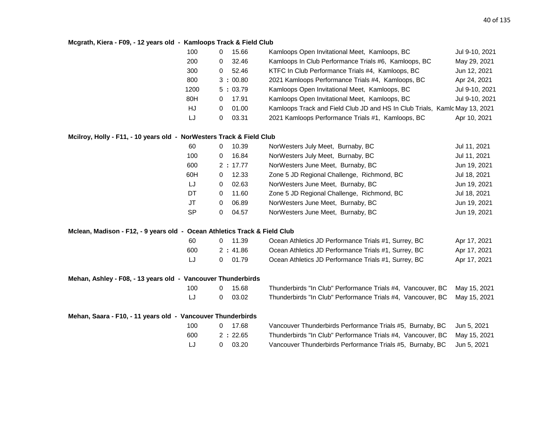#### **Mcgrath, Kiera - F09, - 12 years old - Kamloops Track & Field Club**

| 100  | 0  | 15.66   | Kamloops Open Invitational Meet, Kamloops, BC                              | Jul 9-10, 2021 |
|------|----|---------|----------------------------------------------------------------------------|----------------|
| 200  | 0  | 32.46   | Kamloops In Club Performance Trials #6, Kamloops, BC                       | May 29, 2021   |
| 300  | 0. | 52.46   | KTFC In Club Performance Trials #4, Kamloops, BC                           | Jun 12, 2021   |
| 800  |    | 3:00.80 | 2021 Kamloops Performance Trials #4, Kamloops, BC                          | Apr 24, 2021   |
| 1200 |    | 5:03.79 | Kamloops Open Invitational Meet, Kamloops, BC                              | Jul 9-10, 2021 |
| 80H  | 0. | 17.91   | Kamloops Open Invitational Meet, Kamloops, BC                              | Jul 9-10, 2021 |
| HJ   | 0  | 01.00   | Kamloops Track and Field Club JD and HS In Club Trials, Kamlc May 13, 2021 |                |
| LJ   | 0  | 03.31   | 2021 Kamloops Performance Trials #1, Kamloops, BC                          | Apr 10, 2021   |

#### **Mcilroy, Holly - F11, - 10 years old - NorWesters Track & Field Club**

| 60        | 10.39<br>0 | NorWesters July Meet, Burnaby, BC          | Jul 11, 2021 |
|-----------|------------|--------------------------------------------|--------------|
| 100       | 16.84<br>0 | NorWesters July Meet, Burnaby, BC          | Jul 11, 2021 |
| 600       | 2:17.77    | NorWesters June Meet, Burnaby, BC          | Jun 19, 2021 |
| 60H       | 12.33<br>0 | Zone 5 JD Regional Challenge, Richmond, BC | Jul 18, 2021 |
| LJ        | 02.63<br>0 | NorWesters June Meet, Burnaby, BC          | Jun 19, 2021 |
| DT.       | 11.60<br>0 | Zone 5 JD Regional Challenge, Richmond, BC | Jul 18, 2021 |
| JT        | 06.89<br>0 | NorWesters June Meet, Burnaby, BC          | Jun 19, 2021 |
| <b>SP</b> | 04.57<br>0 | NorWesters June Meet, Burnaby, BC          | Jun 19, 2021 |

#### **Mclean, Madison - F12, - 9 years old - Ocean Athletics Track & Field Club**

| 60  | 0 11.39 | Ocean Athletics JD Performance Trials #1, Surrey, BC | Apr 17, 2021 |
|-----|---------|------------------------------------------------------|--------------|
| 600 | 2:41.86 | Ocean Athletics JD Performance Trials #1, Surrey, BC | Apr 17, 2021 |
| IJ  | 0 01.79 | Ocean Athletics JD Performance Trials #1, Surrey, BC | Apr 17, 2021 |

#### **Mehan, Ashley - F08, - 13 years old - Vancouver Thunderbirds**

| 100 | 0 15.68 | Thunderbirds "In Club" Performance Trials #4, Vancouver, BC May 15, 2021 |  |
|-----|---------|--------------------------------------------------------------------------|--|
| LJ  | 0 03.02 | Thunderbirds "In Club" Performance Trials #4, Vancouver, BC May 15, 2021 |  |

| Mehan, Saara - F10, - 11 years old - Vancouver Thunderbirds |      |         |                                                                          |  |
|-------------------------------------------------------------|------|---------|--------------------------------------------------------------------------|--|
|                                                             | 100. | 0 17.68 | Vancouver Thunderbirds Performance Trials #5, Burnaby, BC Jun 5, 2021    |  |
|                                                             | 600  | 2:22.65 | Thunderbirds "In Club" Performance Trials #4, Vancouver, BC May 15, 2021 |  |
|                                                             | LJ   | 0 03.20 | Vancouver Thunderbirds Performance Trials #5, Burnaby, BC Jun 5, 2021    |  |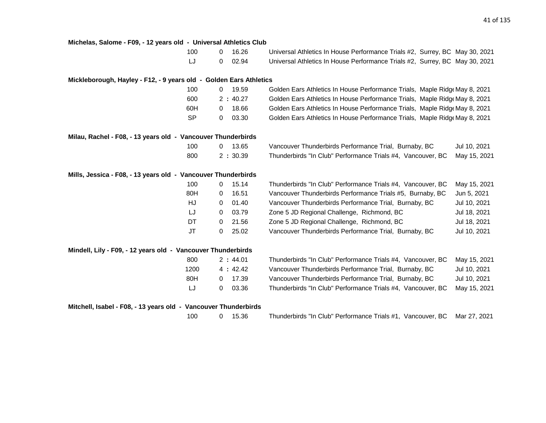| Michelas, Salome - F09, - 12 years old - Universal Athletics Club  |                         |                                                                             |              |
|--------------------------------------------------------------------|-------------------------|-----------------------------------------------------------------------------|--------------|
| 100                                                                | 16.26<br>$\Omega$       | Universal Athletics In House Performance Trials #2, Surrey, BC May 30, 2021 |              |
| LJ                                                                 | 0<br>02.94              | Universal Athletics In House Performance Trials #2, Surrey, BC May 30, 2021 |              |
| Mickleborough, Hayley - F12, - 9 years old - Golden Ears Athletics |                         |                                                                             |              |
| 100                                                                | 19.59<br>0              | Golden Ears Athletics In House Performance Trials, Maple Ridg May 8, 2021   |              |
| 600                                                                | 2:40.27                 | Golden Ears Athletics In House Performance Trials, Maple Ridge May 8, 2021  |              |
| 60H                                                                | 18.66<br>$\mathbf 0$    | Golden Ears Athletics In House Performance Trials, Maple Ridge May 8, 2021  |              |
| <b>SP</b>                                                          | 03.30<br>0              | Golden Ears Athletics In House Performance Trials, Maple Ridge May 8, 2021  |              |
| Milau, Rachel - F08, - 13 years old - Vancouver Thunderbirds       |                         |                                                                             |              |
| 100                                                                | 13.65<br>$\overline{0}$ | Vancouver Thunderbirds Performance Trial, Burnaby, BC                       | Jul 10, 2021 |
| 800                                                                | 2:30.39                 | Thunderbirds "In Club" Performance Trials #4, Vancouver, BC                 | May 15, 2021 |
| Mills, Jessica - F08, - 13 years old - Vancouver Thunderbirds      |                         |                                                                             |              |
| 100                                                                | 15.14<br>$\mathbf{0}$   | Thunderbirds "In Club" Performance Trials #4, Vancouver, BC                 | May 15, 2021 |
| 80H                                                                | 16.51<br>$\mathbf 0$    | Vancouver Thunderbirds Performance Trials #5, Burnaby, BC                   | Jun 5, 2021  |
| HJ                                                                 | 01.40<br>$\mathbf 0$    | Vancouver Thunderbirds Performance Trial, Burnaby, BC                       | Jul 10, 2021 |
| IJ                                                                 | 03.79<br>0              | Zone 5 JD Regional Challenge, Richmond, BC                                  | Jul 18, 2021 |
| DT                                                                 | 21.56<br>$\mathbf{0}$   | Zone 5 JD Regional Challenge, Richmond, BC                                  | Jul 18, 2021 |
| JT                                                                 | 25.02<br>0              | Vancouver Thunderbirds Performance Trial, Burnaby, BC                       | Jul 10, 2021 |
| Mindell, Lily - F09, - 12 years old - Vancouver Thunderbirds       |                         |                                                                             |              |
| 800                                                                | 2:44.01                 | Thunderbirds "In Club" Performance Trials #4, Vancouver, BC                 | May 15, 2021 |
| 1200                                                               | 4:42.42                 | Vancouver Thunderbirds Performance Trial, Burnaby, BC                       | Jul 10, 2021 |
| 80H                                                                | 17.39<br>$\mathbf{0}$   | Vancouver Thunderbirds Performance Trial, Burnaby, BC                       | Jul 10, 2021 |
| LJ                                                                 | 03.36<br>$\mathbf{0}$   | Thunderbirds "In Club" Performance Trials #4, Vancouver, BC                 | May 15, 2021 |
| Mitchell, Isabel - F08, - 13 years old - Vancouver Thunderbirds    |                         |                                                                             |              |
| 100                                                                | 15.36<br>$\mathbf 0$    | Thunderbirds "In Club" Performance Trials #1, Vancouver, BC                 | Mar 27, 2021 |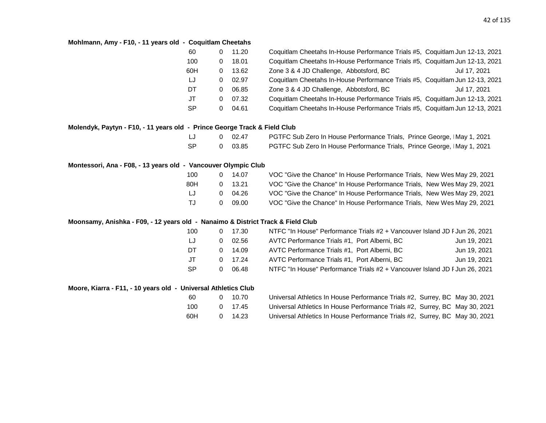#### **Mohlmann, Amy - F10, - 11 years old - Coquitlam Cheetahs**

| 60        |          | 11.20 | Coquitlam Cheetahs In-House Performance Trials #5, Coquitlam Jun 12-13, 2021 |              |
|-----------|----------|-------|------------------------------------------------------------------------------|--------------|
| 100       | 0        | 18.01 | Coquitlam Cheetahs In-House Performance Trials #5, Coquitlam Jun 12-13, 2021 |              |
| 60H       | 0        | 13.62 | Zone 3 & 4 JD Challenge, Abbotsford, BC                                      | Jul 17, 2021 |
| LJ        | 0        | 02.97 | Coquitlam Cheetahs In-House Performance Trials #5, Coquitlam Jun 12-13, 2021 |              |
| DT.       | 0        | 06.85 | Zone 3 & 4 JD Challenge, Abbotsford, BC                                      | Jul 17, 2021 |
| JT        | $\Omega$ | 07.32 | Coquitlam Cheetahs In-House Performance Trials #5, Coquitlam Jun 12-13, 2021 |              |
| <b>SP</b> | 0        | 04.61 | Coquitlam Cheetahs In-House Performance Trials #5, Coquitlam Jun 12-13, 2021 |              |

### **Molendyk, Paytyn - F10, - 11 years old - Prince George Track & Field Club**

| LJ  | 0 02.47 | PGTFC Sub Zero In House Performance Trials, Prince George, IMay 1, 2021        |
|-----|---------|--------------------------------------------------------------------------------|
| -SP | 0 03.85 | <b>PGTFC Sub Zero In House Performance Trials, Prince George, IMay 1, 2021</b> |

#### **Montessori, Ana - F08, - 13 years old - Vancouver Olympic Club**

| 100   |    | $0 \quad 14.07$ | VOC "Give the Chance" In House Performance Trials, New Wes May 29, 2021 |
|-------|----|-----------------|-------------------------------------------------------------------------|
| 80H   |    | $0$ 13.21       | VOC "Give the Chance" In House Performance Trials, New Wes May 29, 2021 |
| -LJ - | O. | 04.26           | VOC "Give the Chance" In House Performance Trials, New Wes May 29, 2021 |
| TJ.   | 0  | 09.00           | VOC "Give the Chance" In House Performance Trials, New Wes May 29, 2021 |

#### **Moonsamy, Anishka - F09, - 12 years old - Nanaimo & District Track & Field Club**

| 100 | 17.30 | NTFC "In House" Performance Trials #2 + Vancouver Island JD F Jun 26, 2021 |              |  |
|-----|-------|----------------------------------------------------------------------------|--------------|--|
| LJ  | 02.56 | AVTC Performance Trials #1, Port Alberni, BC                               | Jun 19, 2021 |  |
| DT  | 14.09 | AVTC Performance Trials #1, Port Alberni, BC                               | Jun 19, 2021 |  |
| JT. | 17.24 | AVTC Performance Trials #1, Port Alberni, BC                               | Jun 19, 2021 |  |
| -SP | 06.48 | NTFC "In House" Performance Trials #2 + Vancouver Island JD F Jun 26, 2021 |              |  |

#### **Moore, Kiarra - F11, - 10 years old - Universal Athletics Club**

| -60 | $\mathbf{O}$ | 10.70           | Universal Athletics In House Performance Trials #2, Surrey, BC May 30, 2021 |  |
|-----|--------------|-----------------|-----------------------------------------------------------------------------|--|
| 100 |              | $0 \quad 17.45$ | Universal Athletics In House Performance Trials #2, Surrey, BC May 30, 2021 |  |
| 60H |              | 14.23           | Universal Athletics In House Performance Trials #2, Surrey, BC May 30, 2021 |  |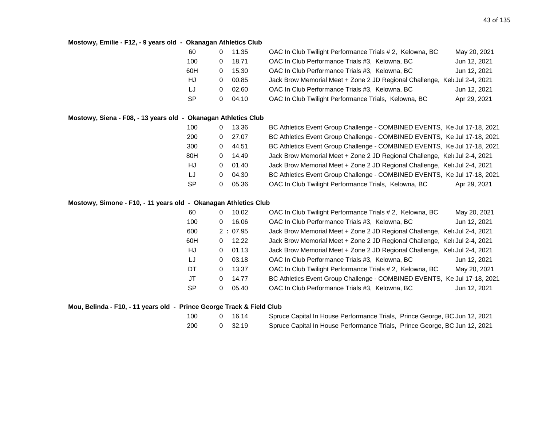# **Mostowy, Emilie - F12, - 9 years old - Okanagan Athletics Club**

| 60        |   | 11.35 | OAC In Club Twilight Performance Trials # 2, Kelowna, BC                   | May 20, 2021 |
|-----------|---|-------|----------------------------------------------------------------------------|--------------|
| 100       |   | 18.71 | OAC In Club Performance Trials #3, Kelowna, BC                             | Jun 12, 2021 |
| 60H       |   | 15.30 | OAC In Club Performance Trials #3, Kelowna, BC                             | Jun 12, 2021 |
| HJ        | O | 00.85 | Jack Brow Memorial Meet + Zone 2 JD Regional Challenge, Kelt Jul 2-4, 2021 |              |
| LJ        | O | 02.60 | OAC In Club Performance Trials #3, Kelowna, BC                             | Jun 12, 2021 |
| <b>SP</b> | 0 | 04.10 | OAC In Club Twilight Performance Trials, Kelowna, BC                       | Apr 29, 2021 |

# **Mostowy, Siena - F08, - 13 years old - Okanagan Athletics Club**

|   | 13.36 | BC Athletics Event Group Challenge - COMBINED EVENTS, Ke Jul 17-18, 2021   |
|---|-------|----------------------------------------------------------------------------|
| 0 | 27.07 | BC Athletics Event Group Challenge - COMBINED EVENTS, Ke Jul 17-18, 2021   |
| 0 | 44.51 | BC Athletics Event Group Challenge - COMBINED EVENTS, Ke Jul 17-18, 2021   |
| 0 | 14.49 | Jack Brow Memorial Meet + Zone 2 JD Regional Challenge, Kelt Jul 2-4, 2021 |
| 0 | 01.40 | Jack Brow Memorial Meet + Zone 2 JD Regional Challenge, Kelt Jul 2-4, 2021 |
| 0 | 04.30 | BC Athletics Event Group Challenge - COMBINED EVENTS, Ke Jul 17-18, 2021   |
|   | 05.36 | OAC In Club Twilight Performance Trials, Kelowna, BC<br>Apr 29, 2021       |
|   |       |                                                                            |

# **Mostowy, Simone - F10, - 11 years old - Okanagan Athletics Club**

| 60        | 0 | 10.02   | OAC In Club Twilight Performance Trials #2, Kelowna, BC                   | May 20, 2021 |
|-----------|---|---------|---------------------------------------------------------------------------|--------------|
| 100       | 0 | 16.06   | OAC In Club Performance Trials #3, Kelowna, BC                            | Jun 12, 2021 |
| 600       |   | 2:07.95 | Jack Brow Memorial Meet + Zone 2 JD Regional Challenge, Kel Jul 2-4, 2021 |              |
| 60H       | 0 | 12.22   | Jack Brow Memorial Meet + Zone 2 JD Regional Challenge, Kel Jul 2-4, 2021 |              |
| HJ        | 0 | 01.13   | Jack Brow Memorial Meet + Zone 2 JD Regional Challenge, Kel Jul 2-4, 2021 |              |
| LJ        | 0 | 03.18   | OAC In Club Performance Trials #3, Kelowna, BC                            | Jun 12, 2021 |
| DT        | 0 | 13.37   | OAC In Club Twilight Performance Trials # 2, Kelowna, BC                  | May 20, 2021 |
| JT        | 0 | 14.77   | BC Athletics Event Group Challenge - COMBINED EVENTS, Ke Jul 17-18, 2021  |              |
| <b>SP</b> | 0 | 05.40   | OAC In Club Performance Trials #3, Kelowna, BC                            | Jun 12, 2021 |

# **Mou, Belinda - F10, - 11 years old - Prince George Track & Field Club**

| 100  | 0 16.14 | Spruce Capital In House Performance Trials, Prince George, BC Jun 12, 2021 |  |
|------|---------|----------------------------------------------------------------------------|--|
| -200 | 0 32.19 | Spruce Capital In House Performance Trials, Prince George, BC Jun 12, 2021 |  |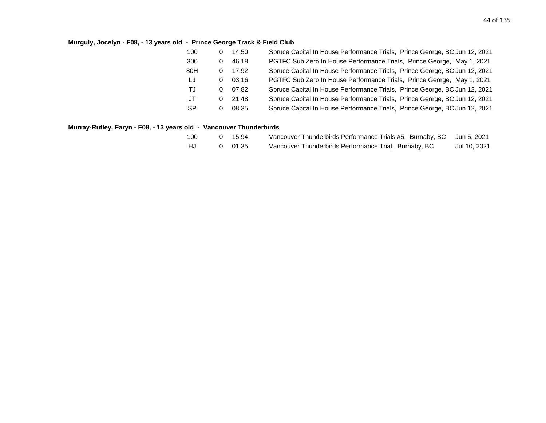# **Murguly, Jocelyn - F08, - 13 years old - Prince George Track & Field Club**

| 100       | 0 | 14.50 | Spruce Capital In House Performance Trials, Prince George, BC Jun 12, 2021 |
|-----------|---|-------|----------------------------------------------------------------------------|
| 300       | 0 | 46.18 | PGTFC Sub Zero In House Performance Trials, Prince George, IMay 1, 2021    |
| 80H       | 0 | 17.92 | Spruce Capital In House Performance Trials, Prince George, BC Jun 12, 2021 |
| LJ        | 0 | 03.16 | PGTFC Sub Zero In House Performance Trials, Prince George, IMay 1, 2021    |
| TJ        | 0 | 07.82 | Spruce Capital In House Performance Trials, Prince George, BC Jun 12, 2021 |
| JT        | 0 | 21.48 | Spruce Capital In House Performance Trials, Prince George, BC Jun 12, 2021 |
| <b>SP</b> | 0 | 08.35 | Spruce Capital In House Performance Trials, Prince George, BC Jun 12, 2021 |

# **Murray-Rutley, Faryn - F08, - 13 years old - Vancouver Thunderbirds**

| 100 | 0 15.94 | Vancouver Thunderbirds Performance Trials #5, Burnaby, BC Jun 5, 2021 |              |
|-----|---------|-----------------------------------------------------------------------|--------------|
| HJ. | 0 01.35 | Vancouver Thunderbirds Performance Trial, Burnaby, BC                 | Jul 10, 2021 |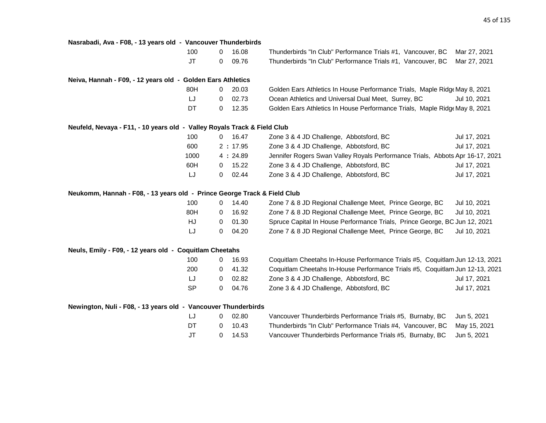| Nasrabadi, Ava - F08, - 13 years old - Vancouver Thunderbirds            |                |         |                                                                               |              |
|--------------------------------------------------------------------------|----------------|---------|-------------------------------------------------------------------------------|--------------|
| 100                                                                      | $\mathbf{0}$   | 16.08   | Thunderbirds "In Club" Performance Trials #1, Vancouver, BC                   | Mar 27, 2021 |
| <b>JT</b>                                                                | 0              | 09.76   | Thunderbirds "In Club" Performance Trials #1, Vancouver, BC                   | Mar 27, 2021 |
| Neiva, Hannah - F09, - 12 years old - Golden Ears Athletics              |                |         |                                                                               |              |
| 80H                                                                      | 0              | 20.03   | Golden Ears Athletics In House Performance Trials, Maple Ridge May 8, 2021    |              |
| LJ                                                                       | 0              | 02.73   | Ocean Athletics and Universal Dual Meet, Surrey, BC                           | Jul 10, 2021 |
| DT                                                                       | 0              | 12.35   | Golden Ears Athletics In House Performance Trials, Maple Ridge May 8, 2021    |              |
| Neufeld, Nevaya - F11, - 10 years old - Valley Royals Track & Field Club |                |         |                                                                               |              |
| 100                                                                      | $\overline{0}$ | 16.47   | Zone 3 & 4 JD Challenge, Abbotsford, BC                                       | Jul 17, 2021 |
| 600                                                                      |                | 2:17.95 | Zone 3 & 4 JD Challenge, Abbotsford, BC                                       | Jul 17, 2021 |
| 1000                                                                     |                | 4:24.89 | Jennifer Rogers Swan Valley Royals Performance Trials, Abbots Apr 16-17, 2021 |              |
| 60H                                                                      | 0              | 15.22   | Zone 3 & 4 JD Challenge, Abbotsford, BC                                       | Jul 17, 2021 |
| LJ                                                                       | 0              | 02.44   | Zone 3 & 4 JD Challenge, Abbotsford, BC                                       | Jul 17, 2021 |
| Neukomm, Hannah - F08, - 13 years old - Prince George Track & Field Club |                |         |                                                                               |              |
| 100                                                                      | 0              | 14.40   | Zone 7 & 8 JD Regional Challenge Meet, Prince George, BC                      | Jul 10, 2021 |
| 80H                                                                      | 0              | 16.92   | Zone 7 & 8 JD Regional Challenge Meet, Prince George, BC                      | Jul 10, 2021 |
| HJ                                                                       | 0              | 01.30   | Spruce Capital In House Performance Trials, Prince George, BC Jun 12, 2021    |              |
| LJ                                                                       | 0              | 04.20   | Zone 7 & 8 JD Regional Challenge Meet, Prince George, BC                      | Jul 10, 2021 |
| Neuls, Emily - F09, - 12 years old - Coquitlam Cheetahs                  |                |         |                                                                               |              |
| 100                                                                      | 0              | 16.93   | Coquitlam Cheetahs In-House Performance Trials #5, Coquitlam Jun 12-13, 2021  |              |
| 200                                                                      | 0              | 41.32   | Coquitlam Cheetahs In-House Performance Trials #5, Coquitlam Jun 12-13, 2021  |              |
| LJ                                                                       | 0              | 02.82   | Zone 3 & 4 JD Challenge, Abbotsford, BC                                       | Jul 17, 2021 |
| <b>SP</b>                                                                | 0              | 04.76   | Zone 3 & 4 JD Challenge, Abbotsford, BC                                       | Jul 17, 2021 |
| Newington, Nuli - F08, - 13 years old - Vancouver Thunderbirds           |                |         |                                                                               |              |
| LJ                                                                       | 0              | 02.80   | Vancouver Thunderbirds Performance Trials #5, Burnaby, BC                     | Jun 5, 2021  |
| DT                                                                       | 0              | 10.43   | Thunderbirds "In Club" Performance Trials #4, Vancouver, BC                   | May 15, 2021 |
| <b>JT</b>                                                                | 0              | 14.53   | Vancouver Thunderbirds Performance Trials #5, Burnaby, BC                     | Jun 5, 2021  |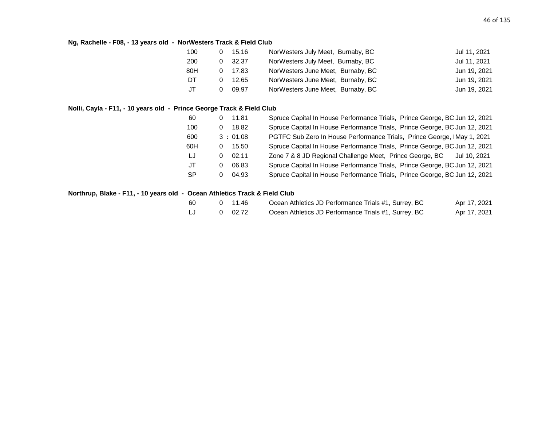# **Ng, Rachelle - F08, - 13 years old - NorWesters Track & Field Club**

| 100 |   | 15.16 | NorWesters July Meet, Burnaby, BC | Jul 11, 2021 |
|-----|---|-------|-----------------------------------|--------------|
| 200 | 0 | 32.37 | NorWesters July Meet, Burnaby, BC | Jul 11, 2021 |
| 80H |   | 17.83 | NorWesters June Meet, Burnaby, BC | Jun 19, 2021 |
| DT  |   | 12.65 | NorWesters June Meet, Burnaby, BC | Jun 19, 2021 |
| JT. |   | 09.97 | NorWesters June Meet, Burnaby, BC | Jun 19, 2021 |

# **Nolli, Cayla - F11, - 10 years old - Prince George Track & Field Club**

| 60        | 11.81<br>$\overline{0}$ | Spruce Capital In House Performance Trials, Prince George, BC Jun 12, 2021 |
|-----------|-------------------------|----------------------------------------------------------------------------|
| 100       | $0$ 18.82               | Spruce Capital In House Performance Trials, Prince George, BC Jun 12, 2021 |
| 600       | 3:01.08                 | PGTFC Sub Zero In House Performance Trials, Prince George, IMay 1, 2021    |
| 60H       | $0$ 15.50               | Spruce Capital In House Performance Trials, Prince George, BC Jun 12, 2021 |
| LJ        | 02.11<br>0              | Zone 7 & 8 JD Regional Challenge Meet, Prince George, BC Jul 10, 2021      |
| JT        | 06.83<br>0              | Spruce Capital In House Performance Trials, Prince George, BC Jun 12, 2021 |
| <b>SP</b> | 04.93<br>0              | Spruce Capital In House Performance Trials, Prince George, BC Jun 12, 2021 |

# **Northrup, Blake - F11, - 10 years old - Ocean Athletics Track & Field Club**

| 60 | 0 11.46 | Ocean Athletics JD Performance Trials #1, Surrey, BC | Apr 17, 2021 |
|----|---------|------------------------------------------------------|--------------|
| IJ | 0 02.72 | Ocean Athletics JD Performance Trials #1, Surrey, BC | Apr 17, 2021 |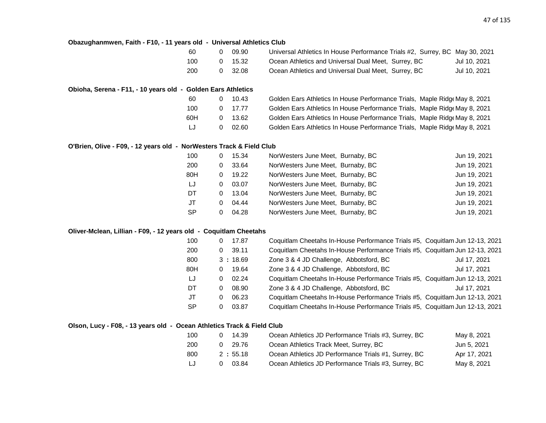#### **Obazughanmwen, Faith - F10, - 11 years old - Universal Athletics Club**

| 60  | 09.90   | Universal Athletics In House Performance Trials #2, Surrey, BC May 30, 2021 |              |
|-----|---------|-----------------------------------------------------------------------------|--------------|
| 100 | 15.32   | Ocean Athletics and Universal Dual Meet, Surrey, BC                         | Jul 10, 2021 |
| 200 | 0 32.08 | Ocean Athletics and Universal Dual Meet, Surrey, BC                         | Jul 10, 2021 |

# **Obioha, Serena - F11, - 10 years old - Golden Ears Athletics**

| 60  |   | 10.43           | Golden Ears Athletics In House Performance Trials, Maple Ridge May 8, 2021 |  |
|-----|---|-----------------|----------------------------------------------------------------------------|--|
| 100 |   | $0 \quad 17.77$ | Golden Ears Athletics In House Performance Trials, Maple Ridge May 8, 2021 |  |
| 60H |   | 0 13.62         | Golden Ears Athletics In House Performance Trials, Maple Ridge May 8, 2021 |  |
| IJ  | 0 | - 02.60         | Golden Ears Athletics In House Performance Trials, Maple Ridge May 8, 2021 |  |

#### **O'Brien, Olive - F09, - 12 years old - NorWesters Track & Field Club**

| 100       | 0 | 15.34 | NorWesters June Meet, Burnaby, BC | Jun 19, 2021 |
|-----------|---|-------|-----------------------------------|--------------|
| 200       | 0 | 33.64 | NorWesters June Meet, Burnaby, BC | Jun 19, 2021 |
| 80H       | 0 | 19.22 | NorWesters June Meet, Burnaby, BC | Jun 19, 2021 |
| LJ        | 0 | 03.07 | NorWesters June Meet, Burnaby, BC | Jun 19, 2021 |
| DT        | 0 | 13.04 | NorWesters June Meet, Burnaby, BC | Jun 19, 2021 |
| JT        | 0 | 04.44 | NorWesters June Meet, Burnaby, BC | Jun 19, 2021 |
| <b>SP</b> | 0 | 04.28 | NorWesters June Meet, Burnaby, BC | Jun 19, 2021 |

#### **Oliver-Mclean, Lillian - F09, - 12 years old - Coquitlam Cheetahs**

| 100       | 0 | 17.87   | Coquitlam Cheetahs In-House Performance Trials #5, Coquitlam Jun 12-13, 2021 |              |
|-----------|---|---------|------------------------------------------------------------------------------|--------------|
| 200       | 0 | 39.11   | Coquitlam Cheetahs In-House Performance Trials #5, Coquitlam Jun 12-13, 2021 |              |
| 800       |   | 3:18.69 | Zone 3 & 4 JD Challenge, Abbotsford, BC                                      | Jul 17, 2021 |
| 80H       | 0 | 19.64   | Zone 3 & 4 JD Challenge, Abbotsford, BC                                      | Jul 17, 2021 |
| LJ        | 0 | 02.24   | Coquitlam Cheetahs In-House Performance Trials #5, Coquitlam Jun 12-13, 2021 |              |
| DT        | 0 | 08.90   | Zone 3 & 4 JD Challenge, Abbotsford, BC                                      | Jul 17, 2021 |
| JT        | 0 | 06.23   | Coquitlam Cheetahs In-House Performance Trials #5, Coquitlam Jun 12-13, 2021 |              |
| <b>SP</b> | 0 | 03.87   | Coquitlam Cheetahs In-House Performance Trials #5, Coquitlam Jun 12-13, 2021 |              |

#### **Olson, Lucy - F08, - 13 years old - Ocean Athletics Track & Field Club**

| 100 | 14.39   | Ocean Athletics JD Performance Trials #3, Surrey, BC | May 8, 2021  |
|-----|---------|------------------------------------------------------|--------------|
| 200 | 29.76   | Ocean Athletics Track Meet, Surrey, BC               | Jun 5, 2021  |
| 800 | 2:55.18 | Ocean Athletics JD Performance Trials #1, Surrey, BC | Apr 17, 2021 |
| IJ  | 03.84   | Ocean Athletics JD Performance Trials #3, Surrey, BC | May 8, 2021  |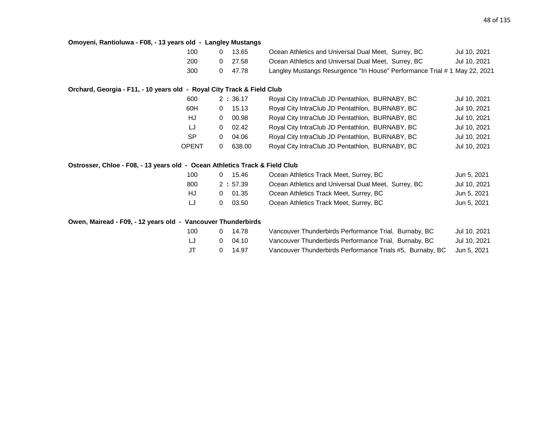# **Omoyeni, Rantioluwa - F08, - 13 years old - Langley Mustangs**

| 100 | 13.65   | Ocean Athletics and Universal Dual Meet, Surrey, BC                        | Jul 10, 2021 |
|-----|---------|----------------------------------------------------------------------------|--------------|
| 200 | 27.58   | Ocean Athletics and Universal Dual Meet, Surrey, BC                        | Jul 10, 2021 |
| 300 | 0 47.78 | Langley Mustangs Resurgence "In House" Performance Trial # 1, May 22, 2021 |              |

# **Orchard, Georgia - F11, - 10 years old - Royal City Track & Field Club**

| 600       |   | 2:36.17 | Royal City IntraClub JD Pentathlon, BURNABY, BC | Jul 10, 2021 |
|-----------|---|---------|-------------------------------------------------|--------------|
| 60H       | 0 | 15.13   | Royal City IntraClub JD Pentathlon, BURNABY, BC | Jul 10, 2021 |
| HJ        | 0 | 00.98   | Royal City IntraClub JD Pentathlon, BURNABY, BC | Jul 10, 2021 |
| IJ        | 0 | 02.42   | Royal City IntraClub JD Pentathlon, BURNABY, BC | Jul 10, 2021 |
| <b>SP</b> | 0 | 04.06   | Royal City IntraClub JD Pentathlon, BURNABY, BC | Jul 10, 2021 |
| OPENT     |   | 638.00  | Royal City IntraClub JD Pentathlon, BURNABY, BC | Jul 10, 2021 |
|           |   |         |                                                 |              |

#### **Ostrosser, Chloe - F08, - 13 years old - Ocean Athletics Track & Field Club**

| 100 | 15.46      | Ocean Athletics Track Meet, Surrey, BC              | Jun 5, 2021  |
|-----|------------|-----------------------------------------------------|--------------|
| 800 | 2:57.39    | Ocean Athletics and Universal Dual Meet, Surrey, BC | Jul 10, 2021 |
| HJ. | 01.35<br>0 | Ocean Athletics Track Meet, Surrey, BC              | Jun 5, 2021  |
| IJ  | 03.50      | Ocean Athletics Track Meet, Surrey, BC              | Jun 5, 2021  |

#### **Owen, Mairead - F09, - 12 years old - Vancouver Thunderbirds**

| 100 | 0 14.78 | Vancouver Thunderbirds Performance Trial, Burnaby, BC                 | Jul 10, 2021 |
|-----|---------|-----------------------------------------------------------------------|--------------|
| LJ  | 04.10   | Vancouver Thunderbirds Performance Trial, Burnaby, BC                 | Jul 10, 2021 |
| J   | 14.97   | Vancouver Thunderbirds Performance Trials #5, Burnaby, BC Jun 5, 2021 |              |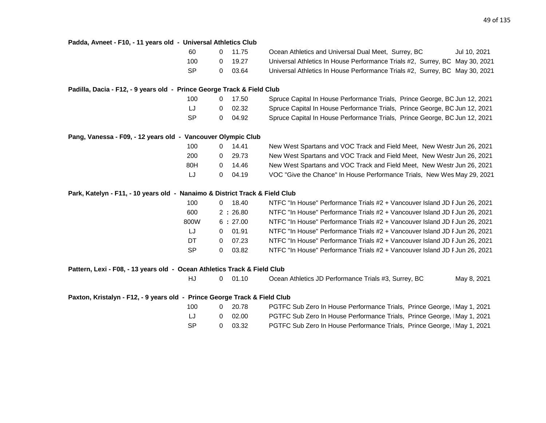| Padda, Avneet - F10, - 11 years old - Universal Athletics Club              |           |                |         |                                                                             |
|-----------------------------------------------------------------------------|-----------|----------------|---------|-----------------------------------------------------------------------------|
|                                                                             | 60        | $\mathbf{0}$   | 11.75   | Ocean Athletics and Universal Dual Meet, Surrey, BC<br>Jul 10, 2021         |
|                                                                             | 100       | 0              | 19.27   | Universal Athletics In House Performance Trials #2, Surrey, BC May 30, 2021 |
|                                                                             | <b>SP</b> | 0              | 03.64   | Universal Athletics In House Performance Trials #2, Surrey, BC May 30, 2021 |
| Padilla, Dacia - F12, - 9 years old - Prince George Track & Field Club      |           |                |         |                                                                             |
|                                                                             | 100       | 0              | 17.50   | Spruce Capital In House Performance Trials, Prince George, BC Jun 12, 2021  |
|                                                                             | LJ        | 0              | 02.32   | Spruce Capital In House Performance Trials, Prince George, BC Jun 12, 2021  |
|                                                                             | <b>SP</b> | 0              | 04.92   | Spruce Capital In House Performance Trials, Prince George, BC Jun 12, 2021  |
| Pang, Vanessa - F09, - 12 years old - Vancouver Olympic Club                |           |                |         |                                                                             |
|                                                                             | 100       | $\mathbf{0}$   | 14.41   | New West Spartans and VOC Track and Field Meet, New Westr Jun 26, 2021      |
|                                                                             | 200       | 0              | 29.73   | New West Spartans and VOC Track and Field Meet, New Westr Jun 26, 2021      |
|                                                                             | 80H       | 0              | 14.46   | New West Spartans and VOC Track and Field Meet, New Westr Jun 26, 2021      |
|                                                                             | IJ        | 0              | 04.19   | VOC "Give the Chance" In House Performance Trials, New Wes May 29, 2021     |
| Park, Katelyn - F11, - 10 years old - Nanaimo & District Track & Field Club |           |                |         |                                                                             |
|                                                                             | 100       | $\overline{0}$ | 18.40   | NTFC "In House" Performance Trials #2 + Vancouver Island JD F Jun 26, 2021  |
|                                                                             | 600       |                | 2:26.80 | NTFC "In House" Performance Trials #2 + Vancouver Island JD F Jun 26, 2021  |
|                                                                             | 800W      |                | 6:27.00 | NTFC "In House" Performance Trials #2 + Vancouver Island JD F Jun 26, 2021  |
|                                                                             | LJ.       | 0              | 01.91   | NTFC "In House" Performance Trials #2 + Vancouver Island JD F Jun 26, 2021  |
|                                                                             | DT        | 0              | 07.23   | NTFC "In House" Performance Trials #2 + Vancouver Island JD F Jun 26, 2021  |
|                                                                             | <b>SP</b> | 0              | 03.82   | NTFC "In House" Performance Trials #2 + Vancouver Island JD F Jun 26, 2021  |
| Pattern, Lexi - F08, - 13 years old - Ocean Athletics Track & Field Club    |           |                |         |                                                                             |
|                                                                             | HJ        | 0              | 01.10   | Ocean Athletics JD Performance Trials #3, Surrey, BC<br>May 8, 2021         |
| Paxton, Kristalyn - F12, - 9 years old - Prince George Track & Field Club   |           |                |         |                                                                             |
|                                                                             | 100       | 0              | 20.78   | PGTFC Sub Zero In House Performance Trials, Prince George, IMay 1, 2021     |
|                                                                             | IJ        | 0              | 02.00   | PGTFC Sub Zero In House Performance Trials, Prince George, IMay 1, 2021     |
|                                                                             | <b>SP</b> | 0              | 03.32   | PGTFC Sub Zero In House Performance Trials, Prince George, IMay 1, 2021     |
|                                                                             |           |                |         |                                                                             |
|                                                                             |           |                |         |                                                                             |
|                                                                             |           |                |         |                                                                             |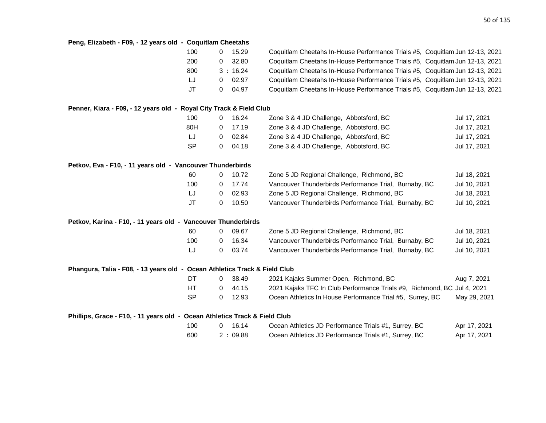| Peng, Elizabeth - F09, - 12 years old - Coquitlam Cheetahs                 |           |             |         |                                                                              |              |
|----------------------------------------------------------------------------|-----------|-------------|---------|------------------------------------------------------------------------------|--------------|
|                                                                            | 100       | $\mathbf 0$ | 15.29   | Coquitlam Cheetahs In-House Performance Trials #5, Coquitlam Jun 12-13, 2021 |              |
|                                                                            | 200       | 0           | 32.80   | Coquitlam Cheetahs In-House Performance Trials #5, Coquitlam Jun 12-13, 2021 |              |
|                                                                            | 800       |             | 3:16.24 | Coquitlam Cheetahs In-House Performance Trials #5, Coquitlam Jun 12-13, 2021 |              |
|                                                                            | LJ        | 0           | 02.97   | Coquitlam Cheetahs In-House Performance Trials #5, Coquitlam Jun 12-13, 2021 |              |
|                                                                            | <b>JT</b> | 0           | 04.97   | Coquitlam Cheetahs In-House Performance Trials #5, Coquitlam Jun 12-13, 2021 |              |
| Penner, Kiara - F09, - 12 years old - Royal City Track & Field Club        |           |             |         |                                                                              |              |
|                                                                            | 100       | 0           | 16.24   | Zone 3 & 4 JD Challenge, Abbotsford, BC                                      | Jul 17, 2021 |
|                                                                            | 80H       | 0           | 17.19   | Zone 3 & 4 JD Challenge, Abbotsford, BC                                      | Jul 17, 2021 |
|                                                                            | LJ        | 0           | 02.84   | Zone 3 & 4 JD Challenge, Abbotsford, BC                                      | Jul 17, 2021 |
|                                                                            | <b>SP</b> | 0           | 04.18   | Zone 3 & 4 JD Challenge, Abbotsford, BC                                      | Jul 17, 2021 |
| Petkov, Eva - F10, - 11 years old - Vancouver Thunderbirds                 |           |             |         |                                                                              |              |
|                                                                            | 60        | 0           | 10.72   | Zone 5 JD Regional Challenge, Richmond, BC                                   | Jul 18, 2021 |
|                                                                            | 100       | 0           | 17.74   | Vancouver Thunderbirds Performance Trial, Burnaby, BC                        | Jul 10, 2021 |
|                                                                            | IJ        | 0           | 02.93   | Zone 5 JD Regional Challenge, Richmond, BC                                   | Jul 18, 2021 |
|                                                                            | <b>JT</b> | 0           | 10.50   | Vancouver Thunderbirds Performance Trial, Burnaby, BC                        | Jul 10, 2021 |
| Petkov, Karina - F10, - 11 years old - Vancouver Thunderbirds              |           |             |         |                                                                              |              |
|                                                                            | 60        | 0           | 09.67   | Zone 5 JD Regional Challenge, Richmond, BC                                   | Jul 18, 2021 |
|                                                                            | 100       | 0           | 16.34   | Vancouver Thunderbirds Performance Trial, Burnaby, BC                        | Jul 10, 2021 |
|                                                                            | LJ        | 0           | 03.74   | Vancouver Thunderbirds Performance Trial, Burnaby, BC                        | Jul 10, 2021 |
| Phangura, Talia - F08, - 13 years old - Ocean Athletics Track & Field Club |           |             |         |                                                                              |              |
|                                                                            | DT        | 0           | 38.49   | 2021 Kajaks Summer Open, Richmond, BC                                        | Aug 7, 2021  |
|                                                                            | HT        | $\mathbf 0$ | 44.15   | 2021 Kajaks TFC In Club Performance Trials #9, Richmond, BC Jul 4, 2021      |              |
|                                                                            | <b>SP</b> | 0           | 12.93   | Ocean Athletics In House Performance Trial #5, Surrey, BC                    | May 29, 2021 |
| Phillips, Grace - F10, - 11 years old - Ocean Athletics Track & Field Club |           |             |         |                                                                              |              |
|                                                                            | 100       | 0           | 16.14   | Ocean Athletics JD Performance Trials #1, Surrey, BC                         | Apr 17, 2021 |
|                                                                            | 600       |             | 2:09.88 | Ocean Athletics JD Performance Trials #1, Surrey, BC                         | Apr 17, 2021 |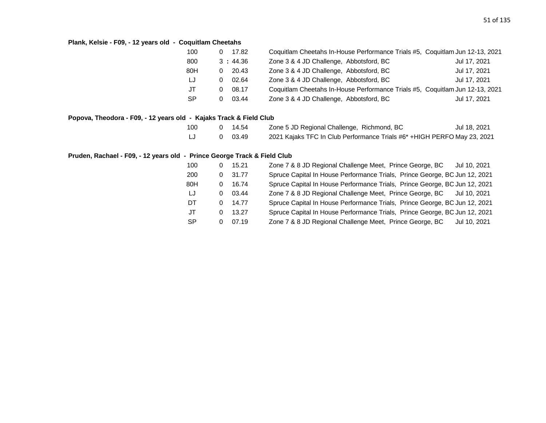# **Plank, Kelsie - F09, - 12 years old - Coquitlam Cheetahs**

| 100       |   | 17.82   | Coquitlam Cheetahs In-House Performance Trials #5, Coquitlam Jun 12-13, 2021 |              |
|-----------|---|---------|------------------------------------------------------------------------------|--------------|
| 800       |   | 3:44.36 | Zone 3 & 4 JD Challenge, Abbotsford, BC                                      | Jul 17, 2021 |
| 80H       | 0 | 20.43   | Zone 3 & 4 JD Challenge, Abbotsford, BC                                      | Jul 17, 2021 |
| LJ        | 0 | 02.64   | Zone 3 & 4 JD Challenge, Abbotsford, BC                                      | Jul 17, 2021 |
| JT        |   | 08.17   | Coquitlam Cheetahs In-House Performance Trials #5, Coquitlam Jun 12-13, 2021 |              |
| <b>SP</b> |   | 03.44   | Zone 3 & 4 JD Challenge, Abbotsford, BC                                      | Jul 17, 2021 |

# **Popova, Theodora - F09, - 12 years old - Kajaks Track & Field Club**

| 100 | 0 14.54 | Zone 5 JD Regional Challenge, Richmond, BC                               | Jul 18, 2021 |
|-----|---------|--------------------------------------------------------------------------|--------------|
|     | 0 03.49 | 2021 Kajaks TFC In Club Performance Trials #6* + HIGH PERFO May 23, 2021 |              |

# **Pruden, Rachael - F09, - 12 years old - Prince George Track & Field Club**

| 100       | 0        | 15.21 | Zone 7 & 8 JD Regional Challenge Meet, Prince George, BC<br>Jul 10, 2021   |
|-----------|----------|-------|----------------------------------------------------------------------------|
| 200       | 0        | 31.77 | Spruce Capital In House Performance Trials, Prince George, BC Jun 12, 2021 |
| 80H       | 0        | 16.74 | Spruce Capital In House Performance Trials, Prince George, BC Jun 12, 2021 |
| LJ        | 0        | 03.44 | Zone 7 & 8 JD Regional Challenge Meet, Prince George, BC Jul 10, 2021      |
| DT        | 0        | 14.77 | Spruce Capital In House Performance Trials, Prince George, BC Jun 12, 2021 |
| JT        | 0        | 13.27 | Spruce Capital In House Performance Trials, Prince George, BC Jun 12, 2021 |
| <b>SP</b> | $\Omega$ | 07.19 | Zone 7 & 8 JD Regional Challenge Meet, Prince George, BC<br>Jul 10, 2021   |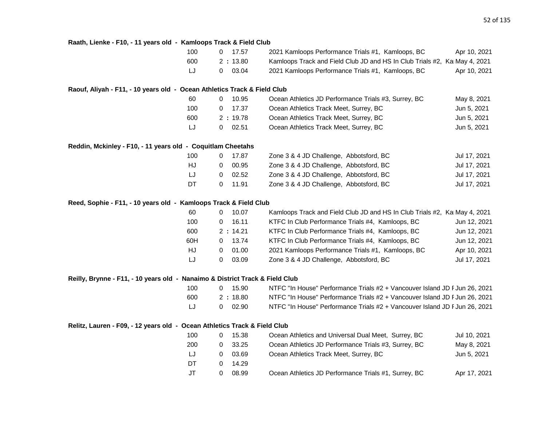| 100                                                                          | 0            | 17.57   | 2021 Kamloops Performance Trials #1, Kamloops, BC                          | Apr 10, 2021 |
|------------------------------------------------------------------------------|--------------|---------|----------------------------------------------------------------------------|--------------|
| 600                                                                          |              | 2:13.80 | Kamloops Track and Field Club JD and HS In Club Trials #2, KaI May 4, 2021 |              |
| LJ                                                                           | 0            | 03.04   | 2021 Kamloops Performance Trials #1, Kamloops, BC                          | Apr 10, 2021 |
| Raouf, Aliyah - F11, - 10 years old - Ocean Athletics Track & Field Club     |              |         |                                                                            |              |
| 60                                                                           | 0            | 10.95   | Ocean Athletics JD Performance Trials #3, Surrey, BC                       | May 8, 2021  |
| 100                                                                          | 0            | 17.37   | Ocean Athletics Track Meet, Surrey, BC                                     | Jun 5, 2021  |
| 600                                                                          |              | 2:19.78 | Ocean Athletics Track Meet, Surrey, BC                                     | Jun 5, 2021  |
| LJ                                                                           | 0            | 02.51   | Ocean Athletics Track Meet, Surrey, BC                                     | Jun 5, 2021  |
| Reddin, Mckinley - F10, - 11 years old - Coquitlam Cheetahs                  |              |         |                                                                            |              |
| 100                                                                          | 0            | 17.87   | Zone 3 & 4 JD Challenge, Abbotsford, BC                                    | Jul 17, 2021 |
| <b>HJ</b>                                                                    | 0            | 00.95   | Zone 3 & 4 JD Challenge, Abbotsford, BC                                    | Jul 17, 2021 |
| LJ                                                                           | 0            | 02.52   | Zone 3 & 4 JD Challenge, Abbotsford, BC                                    | Jul 17, 2021 |
| DT                                                                           | 0            | 11.91   | Zone 3 & 4 JD Challenge, Abbotsford, BC                                    | Jul 17, 2021 |
| Reed, Sophie - F11, - 10 years old - Kamloops Track & Field Club             |              |         |                                                                            |              |
| 60                                                                           | 0            | 10.07   | Kamloops Track and Field Club JD and HS In Club Trials #2, Ka May 4, 2021  |              |
| 100                                                                          | 0            | 16.11   | KTFC In Club Performance Trials #4, Kamloops, BC                           | Jun 12, 2021 |
| 600                                                                          |              | 2:14.21 | KTFC In Club Performance Trials #4, Kamloops, BC                           | Jun 12, 2021 |
| 60H                                                                          | 0            | 13.74   | KTFC In Club Performance Trials #4, Kamloops, BC                           | Jun 12, 2021 |
| HJ                                                                           | $\Omega$     | 01.00   | 2021 Kamloops Performance Trials #1, Kamloops, BC                          | Apr 10, 2021 |
| LJ                                                                           | 0            | 03.09   | Zone 3 & 4 JD Challenge, Abbotsford, BC                                    | Jul 17, 2021 |
| Reilly, Brynne - F11, - 10 years old - Nanaimo & District Track & Field Club |              |         |                                                                            |              |
| 100                                                                          | $\mathbf{0}$ | 15.90   | NTFC "In House" Performance Trials #2 + Vancouver Island JD F Jun 26, 2021 |              |
| 600                                                                          |              | 2:18.80 | NTFC "In House" Performance Trials #2 + Vancouver Island JD F Jun 26, 2021 |              |
| LJ                                                                           | 0            | 02.90   | NTFC "In House" Performance Trials #2 + Vancouver Island JD F Jun 26, 2021 |              |
| Relitz, Lauren - F09, - 12 years old - Ocean Athletics Track & Field Club    |              |         |                                                                            |              |
| 100                                                                          | 0            | 15.38   | Ocean Athletics and Universal Dual Meet, Surrey, BC                        | Jul 10, 2021 |
| 200                                                                          | 0            | 33.25   | Ocean Athletics JD Performance Trials #3, Surrey, BC                       | May 8, 2021  |
| LJ                                                                           | 0            | 03.69   | Ocean Athletics Track Meet, Surrey, BC                                     | Jun 5, 2021  |
| DT                                                                           | 0            | 14.29   |                                                                            |              |

JT 0 08.99 Ocean Athletics JD Performance Trials #1, Surrey, BC Apr 17, 2021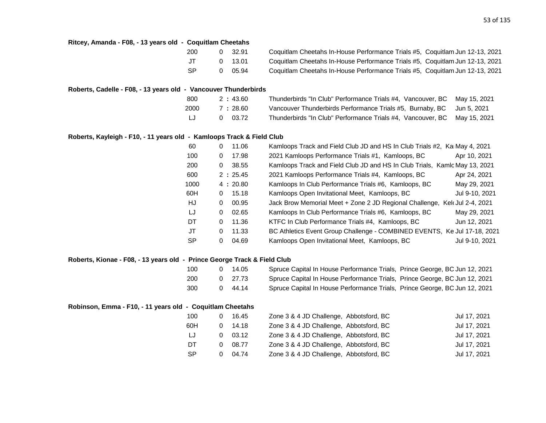| Ritcey, Amanda - F08, - 13 years old - Coquitlam Cheetahs                |           |              |         |                                                                              |                |
|--------------------------------------------------------------------------|-----------|--------------|---------|------------------------------------------------------------------------------|----------------|
|                                                                          | 200       | 0            | 32.91   | Coquitlam Cheetahs In-House Performance Trials #5, Coquitlam Jun 12-13, 2021 |                |
|                                                                          | <b>JT</b> | 0            | 13.01   | Coquitlam Cheetahs In-House Performance Trials #5, Coquitlam Jun 12-13, 2021 |                |
|                                                                          | <b>SP</b> | 0            | 05.94   | Coquitlam Cheetahs In-House Performance Trials #5, Coquitlam Jun 12-13, 2021 |                |
| Roberts, Cadelle - F08, - 13 years old - Vancouver Thunderbirds          |           |              |         |                                                                              |                |
|                                                                          | 800       |              | 2:43.60 | Thunderbirds "In Club" Performance Trials #4, Vancouver, BC                  | May 15, 2021   |
|                                                                          | 2000      |              | 7:28.60 | Vancouver Thunderbirds Performance Trials #5, Burnaby, BC                    | Jun 5, 2021    |
|                                                                          | LJ        | $\mathbf{0}$ | 03.72   | Thunderbirds "In Club" Performance Trials #4, Vancouver, BC                  | May 15, 2021   |
| Roberts, Kayleigh - F10, - 11 years old - Kamloops Track & Field Club    |           |              |         |                                                                              |                |
|                                                                          | 60        | 0            | 11.06   | Kamloops Track and Field Club JD and HS In Club Trials #2, Ka May 4, 2021    |                |
|                                                                          | 100       | 0            | 17.98   | 2021 Kamloops Performance Trials #1, Kamloops, BC                            | Apr 10, 2021   |
|                                                                          | 200       | 0            | 38.55   | Kamloops Track and Field Club JD and HS In Club Trials, Kamlc May 13, 2021   |                |
|                                                                          | 600       |              | 2:25.45 | 2021 Kamloops Performance Trials #4, Kamloops, BC                            | Apr 24, 2021   |
|                                                                          | 1000      |              | 4:20.80 | Kamloops In Club Performance Trials #6, Kamloops, BC                         | May 29, 2021   |
|                                                                          | 60H       | 0            | 15.18   | Kamloops Open Invitational Meet, Kamloops, BC                                | Jul 9-10, 2021 |
|                                                                          | HJ        | 0            | 00.95   | Jack Brow Memorial Meet + Zone 2 JD Regional Challenge, Kelt Jul 2-4, 2021   |                |
|                                                                          | LJ        | 0            | 02.65   | Kamloops In Club Performance Trials #6, Kamloops, BC                         | May 29, 2021   |
|                                                                          | DT        | 0            | 11.36   | KTFC In Club Performance Trials #4, Kamloops, BC                             | Jun 12, 2021   |
|                                                                          | JT        | 0            | 11.33   | BC Athletics Event Group Challenge - COMBINED EVENTS, Ke Jul 17-18, 2021     |                |
|                                                                          | <b>SP</b> | $\mathbf 0$  | 04.69   | Kamloops Open Invitational Meet, Kamloops, BC                                | Jul 9-10, 2021 |
| Roberts, Kionae - F08, - 13 years old - Prince George Track & Field Club |           |              |         |                                                                              |                |
|                                                                          | 100       | 0            | 14.05   | Spruce Capital In House Performance Trials, Prince George, BC Jun 12, 2021   |                |
|                                                                          | 200       | 0            | 27.73   | Spruce Capital In House Performance Trials, Prince George, BC Jun 12, 2021   |                |
|                                                                          | 300       | 0            | 44.14   | Spruce Capital In House Performance Trials, Prince George, BC Jun 12, 2021   |                |
| Robinson, Emma - F10, - 11 years old - Coquitlam Cheetahs                |           |              |         |                                                                              |                |
|                                                                          | 100       | 0            | 16.45   | Zone 3 & 4 JD Challenge, Abbotsford, BC                                      | Jul 17, 2021   |
|                                                                          | 60H       | 0            | 14.18   | Zone 3 & 4 JD Challenge, Abbotsford, BC                                      | Jul 17, 2021   |
|                                                                          | LJ        | 0            | 03.12   | Zone 3 & 4 JD Challenge, Abbotsford, BC                                      | Jul 17, 2021   |
|                                                                          | DT        | 0            | 08.77   | Zone 3 & 4 JD Challenge, Abbotsford, BC                                      | Jul 17, 2021   |
|                                                                          | <b>SP</b> | 0            | 04.74   | Zone 3 & 4 JD Challenge, Abbotsford, BC                                      | Jul 17, 2021   |
|                                                                          |           |              |         |                                                                              |                |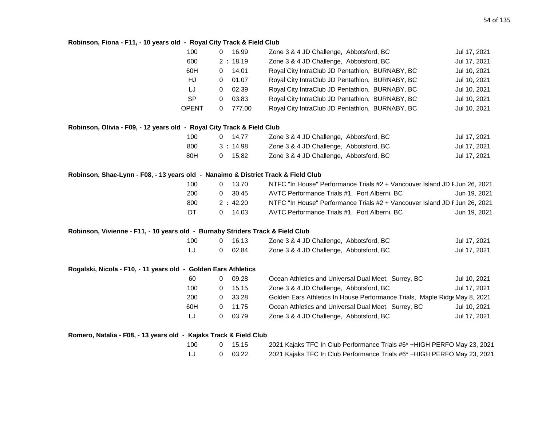#### **Robinson, Fiona - F11, - 10 years old - Royal City Track & Field Club**

|                                                                                    | 100          | 0            | 16.99     | Zone 3 & 4 JD Challenge, Abbotsford, BC                                    | Jul 17, 2021 |
|------------------------------------------------------------------------------------|--------------|--------------|-----------|----------------------------------------------------------------------------|--------------|
|                                                                                    | 600          |              | 2:18.19   | Zone 3 & 4 JD Challenge, Abbotsford, BC                                    | Jul 17, 2021 |
|                                                                                    | 60H          | 0            | 14.01     | Royal City IntraClub JD Pentathlon, BURNABY, BC                            | Jul 10, 2021 |
|                                                                                    | HJ           | 0            | 01.07     | Royal City IntraClub JD Pentathlon, BURNABY, BC                            | Jul 10, 2021 |
|                                                                                    | LJ           | $\mathbf{0}$ | 02.39     | Royal City IntraClub JD Pentathlon, BURNABY, BC                            | Jul 10, 2021 |
|                                                                                    | <b>SP</b>    | 0            | 03.83     | Royal City IntraClub JD Pentathlon, BURNABY, BC                            | Jul 10, 2021 |
|                                                                                    | <b>OPENT</b> | $\Omega$     | 777.00    | Royal City IntraClub JD Pentathlon, BURNABY, BC                            | Jul 10, 2021 |
| Robinson, Olivia - F09, - 12 years old - Royal City Track & Field Club             |              |              |           |                                                                            |              |
|                                                                                    | 100          |              | $0$ 14.77 | Zone 3 & 4 JD Challenge, Abbotsford, BC                                    | Jul 17, 2021 |
|                                                                                    | 800          |              | 3:14.98   | Zone 3 & 4 JD Challenge, Abbotsford, BC                                    | Jul 17, 2021 |
|                                                                                    | 80H          |              | $0$ 15.82 | Zone 3 & 4 JD Challenge, Abbotsford, BC                                    | Jul 17, 2021 |
| Robinson, Shae-Lynn - F08, - 13 years old  - Nanaimo & District Track & Field Club |              |              |           |                                                                            |              |
|                                                                                    | 100          |              | $0$ 13.70 | NTFC "In House" Performance Trials #2 + Vancouver Island JD F Jun 26, 2021 |              |
|                                                                                    | 200          | 0            | 30.45     | AVTC Performance Trials #1, Port Alberni, BC                               | Jun 19, 2021 |
|                                                                                    | 800          |              | 2:42.20   | NTFC "In House" Performance Trials #2 + Vancouver Island JD F Jun 26, 2021 |              |
|                                                                                    | DT           | 0            | 14.03     | AVTC Performance Trials #1, Port Alberni, BC                               | Jun 19, 2021 |
| Robinson, Vivienne - F11, - 10 years old - Burnaby Striders Track & Field Club     |              |              |           |                                                                            |              |
|                                                                                    | 100          | 0            | 16.13     | Zone 3 & 4 JD Challenge, Abbotsford, BC                                    | Jul 17, 2021 |
|                                                                                    | LJ           | $\mathbf{0}$ | 02.84     | Zone 3 & 4 JD Challenge, Abbotsford, BC                                    | Jul 17, 2021 |
| Rogalski, Nicola - F10, - 11 years old - Golden Ears Athletics                     |              |              |           |                                                                            |              |
|                                                                                    | 60           | 0            | 09.28     | Ocean Athletics and Universal Dual Meet, Surrey, BC                        | Jul 10, 2021 |
|                                                                                    | 100          | 0            | 15.15     | Zone 3 & 4 JD Challenge, Abbotsford, BC                                    | Jul 17, 2021 |
|                                                                                    | 200          | 0            | 33.28     | Golden Ears Athletics In House Performance Trials, Maple Ridge May 8, 2021 |              |
|                                                                                    | 60H          | $\mathbf 0$  | 11.75     | Ocean Athletics and Universal Dual Meet, Surrey, BC                        | Jul 10, 2021 |
|                                                                                    | LJ           | 0            | 03.79     | Zone 3 & 4 JD Challenge, Abbotsford, BC                                    | Jul 17, 2021 |
| Romero, Natalia - F08, - 13 years old - Kajaks Track & Field Club                  |              |              |           |                                                                            |              |
|                                                                                    | 100          | 0            | 15.15     | 2021 Kajaks TFC In Club Performance Trials #6* +HIGH PERFO May 23, 2021    |              |
|                                                                                    | LJ           | 0            | 03.22     | 2021 Kajaks TFC In Club Performance Trials #6* +HIGH PERFO May 23, 2021    |              |
|                                                                                    |              |              |           |                                                                            |              |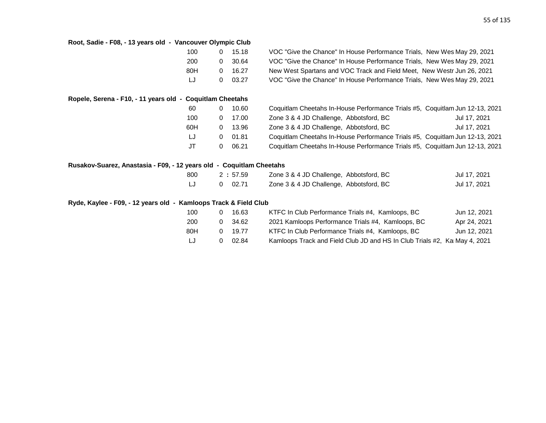| Root, Sadie - F08, - 13 years old - Vancouver Olympic Club       |              |         |                                                                              |  |
|------------------------------------------------------------------|--------------|---------|------------------------------------------------------------------------------|--|
| 100                                                              | $\mathbf 0$  | 15.18   | VOC "Give the Chance" In House Performance Trials, New Wes May 29, 2021      |  |
| 200                                                              | 0            | 30.64   | VOC "Give the Chance" In House Performance Trials, New Wes May 29, 2021      |  |
| 80H                                                              | $\mathbf{0}$ | 16.27   | New West Spartans and VOC Track and Field Meet, New Westr Jun 26, 2021       |  |
| LJ                                                               | 0            | 03.27   | VOC "Give the Chance" In House Performance Trials, New Wes May 29, 2021      |  |
| Ropele, Serena - F10, - 11 years old - Coquitlam Cheetahs        |              |         |                                                                              |  |
| 60                                                               | 0            | 10.60   | Coquitlam Cheetahs In-House Performance Trials #5, Coquitlam Jun 12-13, 2021 |  |
| 100                                                              | 0            | 17.00   | Zone 3 & 4 JD Challenge, Abbotsford, BC<br>Jul 17, 2021                      |  |
| 60H                                                              | 0            | 13.96   | Zone 3 & 4 JD Challenge, Abbotsford, BC<br>Jul 17, 2021                      |  |
| LJ                                                               | 0            | 01.81   | Coquitlam Cheetahs In-House Performance Trials #5, Coquitlam Jun 12-13, 2021 |  |
| JT                                                               | 0            | 06.21   | Coquitlam Cheetahs In-House Performance Trials #5, Coquitlam Jun 12-13, 2021 |  |
| Rusakov-Suarez, Anastasia - F09, - 12 years old                  |              |         | - Coquitlam Cheetahs                                                         |  |
| 800                                                              |              | 2:57.59 | Zone 3 & 4 JD Challenge, Abbotsford, BC<br>Jul 17, 2021                      |  |
| LJ                                                               | 0            | 02.71   | Zone 3 & 4 JD Challenge, Abbotsford, BC<br>Jul 17, 2021                      |  |
| Ryde, Kaylee - F09, - 12 years old - Kamloops Track & Field Club |              |         |                                                                              |  |
| 100                                                              | 0            | 16.63   | KTFC In Club Performance Trials #4, Kamloops, BC<br>Jun 12, 2021             |  |
| 200                                                              | 0            | 34.62   | 2021 Kamloops Performance Trials #4, Kamloops, BC<br>Apr 24, 2021            |  |
| 80H                                                              | 0            | 19.77   | KTFC In Club Performance Trials #4, Kamloops, BC<br>Jun 12, 2021             |  |
| LJ                                                               | 0            | 02.84   | Kamloops Track and Field Club JD and HS In Club Trials #2, Kai May 4, 2021   |  |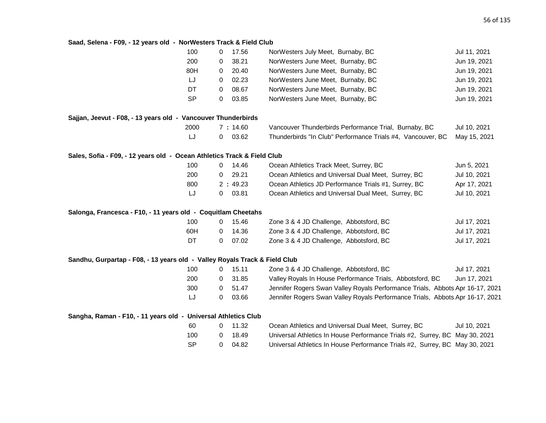# **Saad, Selena - F09, - 12 years old - NorWesters Track & Field Club**

| 100                                                                        | 0           | 17.56   | NorWesters July Meet, Burnaby, BC                                             | Jul 11, 2021 |
|----------------------------------------------------------------------------|-------------|---------|-------------------------------------------------------------------------------|--------------|
| 200                                                                        | 0           | 38.21   | NorWesters June Meet, Burnaby, BC                                             | Jun 19, 2021 |
| 80H                                                                        | 0           | 20.40   | NorWesters June Meet, Burnaby, BC                                             | Jun 19, 2021 |
| LJ                                                                         | 0           | 02.23   | NorWesters June Meet, Burnaby, BC                                             | Jun 19, 2021 |
| DT                                                                         | 0           | 08.67   | NorWesters June Meet, Burnaby, BC                                             | Jun 19, 2021 |
| <b>SP</b>                                                                  | $\mathbf 0$ | 03.85   | NorWesters June Meet, Burnaby, BC                                             | Jun 19, 2021 |
| Sajjan, Jeevut - F08, - 13 years old - Vancouver Thunderbirds              |             |         |                                                                               |              |
| 2000                                                                       |             | 7:14.60 | Vancouver Thunderbirds Performance Trial, Burnaby, BC                         | Jul 10, 2021 |
| IJ                                                                         | 0           | 03.62   | Thunderbirds "In Club" Performance Trials #4, Vancouver, BC                   | May 15, 2021 |
| Sales, Sofia - F09, - 12 years old - Ocean Athletics Track & Field Club    |             |         |                                                                               |              |
| 100                                                                        | 0           | 14.46   | Ocean Athletics Track Meet, Surrey, BC                                        | Jun 5, 2021  |
| 200                                                                        | 0           | 29.21   | Ocean Athletics and Universal Dual Meet, Surrey, BC                           | Jul 10, 2021 |
| 800                                                                        |             | 2:49.23 | Ocean Athletics JD Performance Trials #1, Surrey, BC                          | Apr 17, 2021 |
| LJ                                                                         | 0           | 03.81   | Ocean Athletics and Universal Dual Meet, Surrey, BC                           | Jul 10, 2021 |
| Salonga, Francesca - F10, - 11 years old - Coquitlam Cheetahs              |             |         |                                                                               |              |
| 100                                                                        | 0           | 15.46   | Zone 3 & 4 JD Challenge, Abbotsford, BC                                       | Jul 17, 2021 |
| 60H                                                                        | 0           | 14.36   | Zone 3 & 4 JD Challenge, Abbotsford, BC                                       | Jul 17, 2021 |
| DT                                                                         | 0           | 07.02   | Zone 3 & 4 JD Challenge, Abbotsford, BC                                       | Jul 17, 2021 |
| Sandhu, Gurpartap - F08, - 13 years old - Valley Royals Track & Field Club |             |         |                                                                               |              |
| 100                                                                        | 0           | 15.11   | Zone 3 & 4 JD Challenge, Abbotsford, BC                                       | Jul 17, 2021 |
| 200                                                                        | 0           | 31.85   | Valley Royals In House Performance Trials, Abbotsford, BC                     | Jun 17, 2021 |
| 300                                                                        | 0           | 51.47   | Jennifer Rogers Swan Valley Royals Performance Trials, Abbots Apr 16-17, 2021 |              |
| LJ                                                                         | 0           | 03.66   | Jennifer Rogers Swan Valley Royals Performance Trials, Abbots Apr 16-17, 2021 |              |
| Sangha, Raman - F10, - 11 years old - Universal Athletics Club             |             |         |                                                                               |              |
| 60                                                                         | $\mathbf 0$ | 11.32   | Ocean Athletics and Universal Dual Meet, Surrey, BC                           | Jul 10, 2021 |
| 100                                                                        | 0           | 18.49   | Universal Athletics In House Performance Trials #2, Surrey, BC May 30, 2021   |              |
| <b>SP</b>                                                                  | 0           | 04.82   | Universal Athletics In House Performance Trials #2, Surrey, BC May 30, 2021   |              |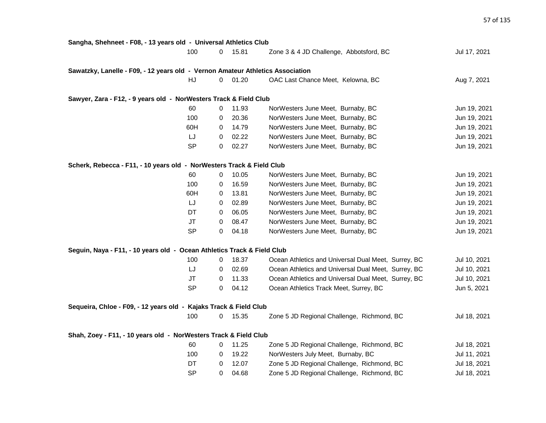| Sangha, Shehneet - F08, - 13 years old - Universal Athletics Club              |           |   |       |                                                     |              |
|--------------------------------------------------------------------------------|-----------|---|-------|-----------------------------------------------------|--------------|
|                                                                                | 100       | 0 | 15.81 | Zone 3 & 4 JD Challenge, Abbotsford, BC             | Jul 17, 2021 |
| Sawatzky, Lanelle - F09, - 12 years old - Vernon Amateur Athletics Association |           |   |       |                                                     |              |
|                                                                                | HJ        | 0 | 01.20 | OAC Last Chance Meet, Kelowna, BC                   | Aug 7, 2021  |
| Sawyer, Zara - F12, - 9 years old - NorWesters Track & Field Club              |           |   |       |                                                     |              |
|                                                                                | 60        | 0 | 11.93 | NorWesters June Meet, Burnaby, BC                   | Jun 19, 2021 |
|                                                                                | 100       | 0 | 20.36 | NorWesters June Meet, Burnaby, BC                   | Jun 19, 2021 |
|                                                                                | 60H       | 0 | 14.79 | NorWesters June Meet, Burnaby, BC                   | Jun 19, 2021 |
|                                                                                | LJ        | 0 | 02.22 | NorWesters June Meet, Burnaby, BC                   | Jun 19, 2021 |
|                                                                                | <b>SP</b> | 0 | 02.27 | NorWesters June Meet, Burnaby, BC                   | Jun 19, 2021 |
| Scherk, Rebecca - F11, - 10 years old - NorWesters Track & Field Club          |           |   |       |                                                     |              |
|                                                                                | 60        | 0 | 10.05 | NorWesters June Meet, Burnaby, BC                   | Jun 19, 2021 |
|                                                                                | 100       | 0 | 16.59 | NorWesters June Meet, Burnaby, BC                   | Jun 19, 2021 |
|                                                                                | 60H       | 0 | 13.81 | NorWesters June Meet, Burnaby, BC                   | Jun 19, 2021 |
|                                                                                | LJ        | 0 | 02.89 | NorWesters June Meet, Burnaby, BC                   | Jun 19, 2021 |
|                                                                                | DT        | 0 | 06.05 | NorWesters June Meet, Burnaby, BC                   | Jun 19, 2021 |
|                                                                                | JT        | 0 | 08.47 | NorWesters June Meet, Burnaby, BC                   | Jun 19, 2021 |
|                                                                                | <b>SP</b> | 0 | 04.18 | NorWesters June Meet, Burnaby, BC                   | Jun 19, 2021 |
| Seguin, Naya - F11, - 10 years old - Ocean Athletics Track & Field Club        |           |   |       |                                                     |              |
|                                                                                | 100       | 0 | 18.37 | Ocean Athletics and Universal Dual Meet, Surrey, BC | Jul 10, 2021 |
|                                                                                | LJ        | 0 | 02.69 | Ocean Athletics and Universal Dual Meet, Surrey, BC | Jul 10, 2021 |
|                                                                                | <b>JT</b> | 0 | 11.33 | Ocean Athletics and Universal Dual Meet, Surrey, BC | Jul 10, 2021 |
|                                                                                | <b>SP</b> | 0 | 04.12 | Ocean Athletics Track Meet, Surrey, BC              | Jun 5, 2021  |
| Sequeira, Chloe - F09, - 12 years old - Kajaks Track & Field Club              |           |   |       |                                                     |              |
|                                                                                | 100       | 0 | 15.35 | Zone 5 JD Regional Challenge, Richmond, BC          | Jul 18, 2021 |
| Shah, Zoey - F11, - 10 years old - NorWesters Track & Field Club               |           |   |       |                                                     |              |
|                                                                                | 60        | 0 | 11.25 | Zone 5 JD Regional Challenge, Richmond, BC          | Jul 18, 2021 |
|                                                                                | 100       | 0 | 19.22 | NorWesters July Meet, Burnaby, BC                   | Jul 11, 2021 |
|                                                                                | DT        | 0 | 12.07 | Zone 5 JD Regional Challenge, Richmond, BC          | Jul 18, 2021 |
|                                                                                | <b>SP</b> | 0 | 04.68 | Zone 5 JD Regional Challenge, Richmond, BC          | Jul 18, 2021 |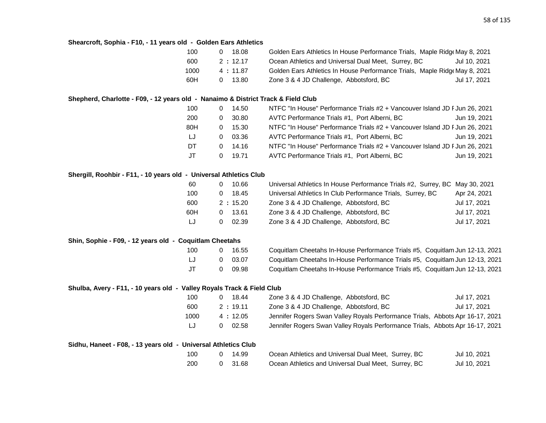#### **Shearcroft, Sophia - F10, - 11 years old - Golden Ears Athletics**

| 100  | 18.08   | Golden Ears Athletics In House Performance Trials, Maple Ridge May 8, 2021 |              |
|------|---------|----------------------------------------------------------------------------|--------------|
| 600  | 2:12.17 | Ocean Athletics and Universal Dual Meet, Surrey, BC                        | Jul 10, 2021 |
| 1000 | 4:11.87 | Golden Ears Athletics In House Performance Trials, Maple Ridge May 8, 2021 |              |
| 60H  | 13.80   | Zone 3 & 4 JD Challenge, Abbotsford, BC                                    | Jul 17, 2021 |

#### **Shepherd, Charlotte - F09, - 12 years old - Nanaimo & District Track & Field Club**

| 100 |   | 14.50 | NTFC "In House" Performance Trials #2 + Vancouver Island JD F Jun 26, 2021 |  |
|-----|---|-------|----------------------------------------------------------------------------|--|
| 200 | 0 | 30.80 | AVTC Performance Trials #1, Port Alberni, BC<br>Jun 19, 2021               |  |
| 80H | 0 | 15.30 | NTFC "In House" Performance Trials #2 + Vancouver Island JD F Jun 26, 2021 |  |
| LJ  | 0 | 03.36 | AVTC Performance Trials #1, Port Alberni, BC<br>Jun 19, 2021               |  |
| DT  | 0 | 14.16 | NTFC "In House" Performance Trials #2 + Vancouver Island JD F Jun 26, 2021 |  |
| JT  |   | 19.71 | AVTC Performance Trials #1, Port Alberni, BC<br>Jun 19, 2021               |  |

#### **Shergill, Roohbir - F11, - 10 years old - Universal Athletics Club**

| 60  | 10.66   | Universal Athletics In House Performance Trials #2, Surrey, BC May 30, 2021 |              |
|-----|---------|-----------------------------------------------------------------------------|--------------|
| 100 | 18.45   | Universal Athletics In Club Performance Trials, Surrey, BC                  | Apr 24, 2021 |
| 600 | 2:15.20 | Zone 3 & 4 JD Challenge, Abbotsford, BC                                     | Jul 17, 2021 |
| 60H | 13.61   | Zone 3 & 4 JD Challenge, Abbotsford, BC                                     | Jul 17, 2021 |
| LJ. | 02.39   | Zone 3 & 4 JD Challenge, Abbotsford, BC                                     | Jul 17, 2021 |

#### **Shin, Sophie - F09, - 12 years old - Coquitlam Cheetahs**

| 100 | O        | 16.55 |  |
|-----|----------|-------|--|
| IJ  | $\Omega$ | 03.07 |  |
| JT  | 0        | 09.98 |  |

Coquitlam Cheetahs In-House Performance Trials #5, Coquitlam Jun 12-13, 2021 Coquitlam Cheetahs In-House Performance Trials #5, Coquitlam Jun 12-13, 2021 Coquitlam Cheetahs In-House Performance Trials #5, Coquitlam Jun 12-13, 2021

#### **Shulba, Avery - F11, - 10 years old - Valley Royals Track & Field Club**

| 100  | 18.44   | Zone 3 & 4 JD Challenge, Abbotsford, BC                                       | Jul 17, 2021 |
|------|---------|-------------------------------------------------------------------------------|--------------|
| 600  | 2:19.11 | Zone 3 & 4 JD Challenge, Abbotsford, BC                                       | Jul 17, 2021 |
| 1000 | 4:12.05 | Jennifer Rogers Swan Valley Royals Performance Trials, Abbots Apr 16-17, 2021 |              |
| LJ   | 02.58   | Jennifer Rogers Swan Valley Royals Performance Trials, Abbots Apr 16-17, 2021 |              |

| Sidhu, Haneet - F08, - 13 years old - Universal Athletics Club |     |       |                                                     |              |
|----------------------------------------------------------------|-----|-------|-----------------------------------------------------|--------------|
|                                                                |     | 14.99 | Ocean Athletics and Universal Dual Meet, Surrey, BC | Jul 10, 2021 |
|                                                                | 200 | 31.68 | Ocean Athletics and Universal Dual Meet, Surrey, BC | Jul 10, 2021 |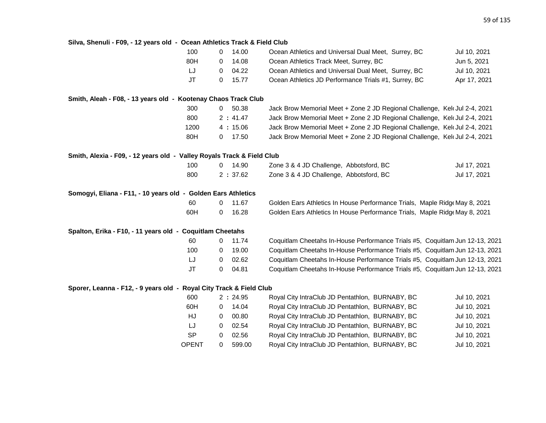| Silva, Shenuli - F09, - 12 years old - Ocean Athletics Track & Field Club |              |                |         |                                                                              |              |
|---------------------------------------------------------------------------|--------------|----------------|---------|------------------------------------------------------------------------------|--------------|
|                                                                           | 100          | 0              | 14.00   | Ocean Athletics and Universal Dual Meet, Surrey, BC                          | Jul 10, 2021 |
|                                                                           | 80H          | 0              | 14.08   | Ocean Athletics Track Meet, Surrey, BC                                       | Jun 5, 2021  |
|                                                                           | IJ           | 0              | 04.22   | Ocean Athletics and Universal Dual Meet, Surrey, BC                          | Jul 10, 2021 |
|                                                                           | <b>JT</b>    | 0              | 15.77   | Ocean Athletics JD Performance Trials #1, Surrey, BC                         | Apr 17, 2021 |
| Smith, Aleah - F08, - 13 years old - Kootenay Chaos Track Club            |              |                |         |                                                                              |              |
|                                                                           | 300          | $\mathbf{0}$   | 50.38   | Jack Brow Memorial Meet + Zone 2 JD Regional Challenge, Kel Jul 2-4, 2021    |              |
|                                                                           | 800          |                | 2:41.47 | Jack Brow Memorial Meet + Zone 2 JD Regional Challenge, Kelc Jul 2-4, 2021   |              |
|                                                                           | 1200         |                | 4:15.06 | Jack Brow Memorial Meet + Zone 2 JD Regional Challenge, Kelt Jul 2-4, 2021   |              |
|                                                                           | 80H          | 0              | 17.50   | Jack Brow Memorial Meet + Zone 2 JD Regional Challenge, Kelt Jul 2-4, 2021   |              |
| Smith, Alexia - F09, - 12 years old - Valley Royals Track & Field Club    |              |                |         |                                                                              |              |
|                                                                           | 100          | $\overline{0}$ | 14.90   | Zone 3 & 4 JD Challenge, Abbotsford, BC                                      | Jul 17, 2021 |
|                                                                           | 800          |                | 2:37.62 | Zone 3 & 4 JD Challenge, Abbotsford, BC                                      | Jul 17, 2021 |
| Somogyi, Eliana - F11, - 10 years old - Golden Ears Athletics             |              |                |         |                                                                              |              |
|                                                                           | 60           | 0              | 11.67   | Golden Ears Athletics In House Performance Trials, Maple Ridge May 8, 2021   |              |
|                                                                           | 60H          | 0              | 16.28   | Golden Ears Athletics In House Performance Trials, Maple Ridge May 8, 2021   |              |
| Spalton, Erika - F10, - 11 years old - Coquitlam Cheetahs                 |              |                |         |                                                                              |              |
|                                                                           | 60           | 0              | 11.74   | Coquitlam Cheetahs In-House Performance Trials #5, Coquitlam Jun 12-13, 2021 |              |
|                                                                           | 100          | 0              | 19.00   | Coquitlam Cheetahs In-House Performance Trials #5, Coquitlam Jun 12-13, 2021 |              |
|                                                                           | IJ           | 0              | 02.62   | Coquitlam Cheetahs In-House Performance Trials #5, Coquitlam Jun 12-13, 2021 |              |
|                                                                           | JT           | 0              | 04.81   | Coquitlam Cheetahs In-House Performance Trials #5, Coquitlam Jun 12-13, 2021 |              |
| Sporer, Leanna - F12, - 9 years old - Royal City Track & Field Club       |              |                |         |                                                                              |              |
|                                                                           | 600          |                | 2:24.95 | Royal City IntraClub JD Pentathlon, BURNABY, BC                              | Jul 10, 2021 |
|                                                                           | 60H          | 0              | 14.04   | Royal City IntraClub JD Pentathlon, BURNABY, BC                              | Jul 10, 2021 |
|                                                                           | HJ           | 0              | 00.80   | Royal City IntraClub JD Pentathlon, BURNABY, BC                              | Jul 10, 2021 |
|                                                                           | LJ           | 0              | 02.54   | Royal City IntraClub JD Pentathlon, BURNABY, BC                              | Jul 10, 2021 |
|                                                                           | <b>SP</b>    | 0              | 02.56   | Royal City IntraClub JD Pentathlon, BURNABY, BC                              | Jul 10, 2021 |
|                                                                           | <b>OPENT</b> | 0              | 599.00  | Royal City IntraClub JD Pentathlon, BURNABY, BC                              | Jul 10, 2021 |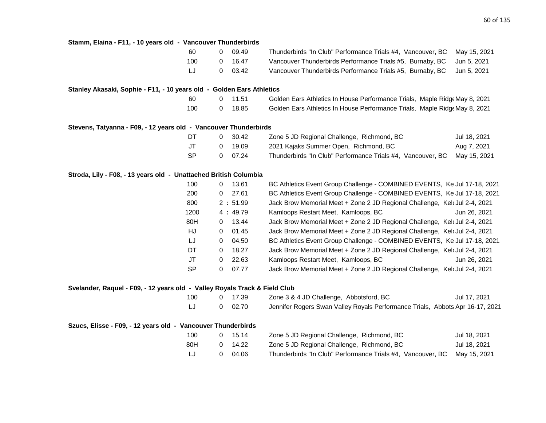| Stamm, Elaina - F11, - 10 years old - Vancouver Thunderbirds               |           |   |         |                                                                               |              |
|----------------------------------------------------------------------------|-----------|---|---------|-------------------------------------------------------------------------------|--------------|
|                                                                            | 60        | 0 | 09.49   | Thunderbirds "In Club" Performance Trials #4, Vancouver, BC                   | May 15, 2021 |
|                                                                            | 100       | 0 | 16.47   | Vancouver Thunderbirds Performance Trials #5, Burnaby, BC                     | Jun 5, 2021  |
|                                                                            | LJ        | 0 | 03.42   | Vancouver Thunderbirds Performance Trials #5, Burnaby, BC                     | Jun 5, 2021  |
| Stanley Akasaki, Sophie - F11, - 10 years old - Golden Ears Athletics      |           |   |         |                                                                               |              |
|                                                                            | 60        | 0 | 11.51   | Golden Ears Athletics In House Performance Trials, Maple Ridg May 8, 2021     |              |
|                                                                            | 100       | 0 | 18.85   | Golden Ears Athletics In House Performance Trials, Maple Ridg May 8, 2021     |              |
| Stevens, Tatyanna - F09, - 12 years old - Vancouver Thunderbirds           |           |   |         |                                                                               |              |
|                                                                            | DT        | 0 | 30.42   | Zone 5 JD Regional Challenge, Richmond, BC                                    | Jul 18, 2021 |
|                                                                            | <b>JT</b> | 0 | 19.09   | 2021 Kajaks Summer Open, Richmond, BC                                         | Aug 7, 2021  |
|                                                                            | <b>SP</b> | 0 | 07.24   | Thunderbirds "In Club" Performance Trials #4, Vancouver, BC                   | May 15, 2021 |
| Stroda, Lily - F08, - 13 years old - Unattached British Columbia           |           |   |         |                                                                               |              |
|                                                                            | 100       | 0 | 13.61   | BC Athletics Event Group Challenge - COMBINED EVENTS, Ke Jul 17-18, 2021      |              |
|                                                                            | 200       | 0 | 27.61   | BC Athletics Event Group Challenge - COMBINED EVENTS, Ke Jul 17-18, 2021      |              |
|                                                                            | 800       |   | 2:51.99 | Jack Brow Memorial Meet + Zone 2 JD Regional Challenge, Kelt Jul 2-4, 2021    |              |
|                                                                            | 1200      |   | 4:49.79 | Kamloops Restart Meet, Kamloops, BC                                           | Jun 26, 2021 |
|                                                                            | 80H       | 0 | 13.44   | Jack Brow Memorial Meet + Zone 2 JD Regional Challenge, Kelt Jul 2-4, 2021    |              |
|                                                                            | HJ        | 0 | 01.45   | Jack Brow Memorial Meet + Zone 2 JD Regional Challenge, Kelt Jul 2-4, 2021    |              |
|                                                                            | IJ        | 0 | 04.50   | BC Athletics Event Group Challenge - COMBINED EVENTS, Ke Jul 17-18, 2021      |              |
|                                                                            | DT        | 0 | 18.27   | Jack Brow Memorial Meet + Zone 2 JD Regional Challenge, Kelt Jul 2-4, 2021    |              |
|                                                                            | JT        | 0 | 22.63   | Kamloops Restart Meet, Kamloops, BC                                           | Jun 26, 2021 |
|                                                                            | <b>SP</b> | 0 | 07.77   | Jack Brow Memorial Meet + Zone 2 JD Regional Challenge, Kelt Jul 2-4, 2021    |              |
| Svelander, Raquel - F09, - 12 years old - Valley Royals Track & Field Club |           |   |         |                                                                               |              |
|                                                                            | 100       | 0 | 17.39   | Zone 3 & 4 JD Challenge, Abbotsford, BC                                       | Jul 17, 2021 |
|                                                                            | LJ        | 0 | 02.70   | Jennifer Rogers Swan Valley Royals Performance Trials, Abbots Apr 16-17, 2021 |              |
| Szucs, Elisse - F09, - 12 years old - Vancouver Thunderbirds               |           |   |         |                                                                               |              |
|                                                                            | 100       | 0 | 15.14   | Zone 5 JD Regional Challenge, Richmond, BC                                    | Jul 18, 2021 |
|                                                                            | 80H       | 0 | 14.22   | Zone 5 JD Regional Challenge, Richmond, BC                                    | Jul 18, 2021 |
|                                                                            | IJ        | 0 | 04.06   | Thunderbirds "In Club" Performance Trials #4, Vancouver, BC                   | May 15, 2021 |
|                                                                            |           |   |         |                                                                               |              |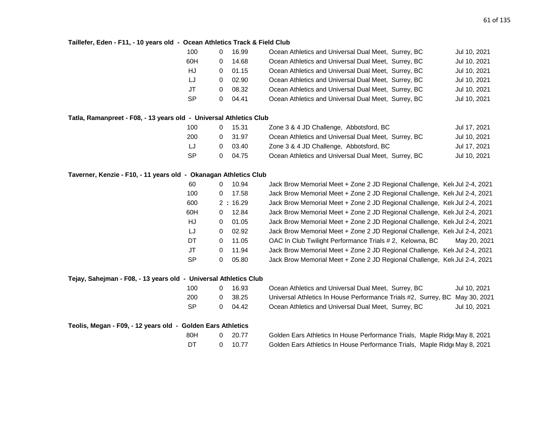# **Taillefer, Eden - F11, - 10 years old - Ocean Athletics Track & Field Club**

| 100 |                             |                                                    | Jul 10, 2021                                                                                                                                                                                                                                                                                                                           |
|-----|-----------------------------|----------------------------------------------------|----------------------------------------------------------------------------------------------------------------------------------------------------------------------------------------------------------------------------------------------------------------------------------------------------------------------------------------|
| 60H |                             |                                                    | Jul 10, 2021                                                                                                                                                                                                                                                                                                                           |
|     |                             |                                                    | Jul 10, 2021                                                                                                                                                                                                                                                                                                                           |
|     |                             |                                                    | Jul 10, 2021                                                                                                                                                                                                                                                                                                                           |
|     |                             |                                                    | Jul 10, 2021                                                                                                                                                                                                                                                                                                                           |
|     |                             |                                                    | Jul 10, 2021                                                                                                                                                                                                                                                                                                                           |
|     | 0<br>0<br>O<br>$\mathbf{U}$ | 16.99<br>14.68<br>01.15<br>02.90<br>08.32<br>04.41 | Ocean Athletics and Universal Dual Meet, Surrey, BC<br>Ocean Athletics and Universal Dual Meet, Surrey, BC<br>Ocean Athletics and Universal Dual Meet, Surrey, BC<br>Ocean Athletics and Universal Dual Meet, Surrey, BC<br>Ocean Athletics and Universal Dual Meet, Surrey, BC<br>Ocean Athletics and Universal Dual Meet, Surrey, BC |

#### **Tatla, Ramanpreet - F08, - 13 years old - Universal Athletics Club**

| 100       | 15.31 | Zone 3 & 4 JD Challenge, Abbotsford, BC             | Jul 17, 2021 |
|-----------|-------|-----------------------------------------------------|--------------|
| 200       | 31.97 | Ocean Athletics and Universal Dual Meet, Surrey, BC | Jul 10, 2021 |
| IJ        | 03.40 | Zone 3 & 4 JD Challenge, Abbotsford, BC             | Jul 17, 2021 |
| <b>SP</b> | 04.75 | Ocean Athletics and Universal Dual Meet, Surrey, BC | Jul 10, 2021 |

### **Taverner, Kenzie - F10, - 11 years old - Okanagan Athletics Club**

| 60        | 0 | 10.94   | Jack Brow Memorial Meet + Zone 2 JD Regional Challenge, Kelt Jul 2-4, 2021 |              |
|-----------|---|---------|----------------------------------------------------------------------------|--------------|
| 100       | 0 | 17.58   | Jack Brow Memorial Meet + Zone 2 JD Regional Challenge, Kel Jul 2-4, 2021  |              |
| 600       |   | 2:16.29 | Jack Brow Memorial Meet + Zone 2 JD Regional Challenge, Kelt Jul 2-4, 2021 |              |
| 60H       | 0 | 12.84   | Jack Brow Memorial Meet + Zone 2 JD Regional Challenge, Kelt Jul 2-4, 2021 |              |
| HJ        | 0 | 01.05   | Jack Brow Memorial Meet + Zone 2 JD Regional Challenge, Kelt Jul 2-4, 2021 |              |
| LJ        | 0 | 02.92   | Jack Brow Memorial Meet + Zone 2 JD Regional Challenge, Kelt Jul 2-4, 2021 |              |
| DT        | 0 | 11.05   | OAC In Club Twilight Performance Trials # 2, Kelowna, BC                   | May 20, 2021 |
| JT        | 0 | 11.94   | Jack Brow Memorial Meet + Zone 2 JD Regional Challenge, Kelt Jul 2-4, 2021 |              |
| <b>SP</b> | 0 | 05.80   | Jack Brow Memorial Meet + Zone 2 JD Regional Challenge, Kelt Jul 2-4, 2021 |              |

| Tejay, Sahejman - F08, - 13 years old - Universal Athletics Club |     |    |       |                                                                             |              |
|------------------------------------------------------------------|-----|----|-------|-----------------------------------------------------------------------------|--------------|
|                                                                  | 100 |    | 16.93 | Ocean Athletics and Universal Dual Meet, Surrey, BC                         | Jul 10, 2021 |
|                                                                  | 200 | 0. | 38.25 | Universal Athletics In House Performance Trials #2, Surrey, BC May 30, 2021 |              |
|                                                                  | SP  | 0. | 04.42 | Ocean Athletics and Universal Dual Meet, Surrey, BC                         | Jul 10, 2021 |
| Teolis, Megan - F09, - 12 years old - Golden Ears Athletics      |     |    |       |                                                                             |              |
|                                                                  | 80H | 0. | 20.77 | Golden Ears Athletics In House Performance Trials, Maple Ridge May 8, 2021  |              |
|                                                                  | DT  |    | 10.77 | Golden Ears Athletics In House Performance Trials, Maple Ridge May 8, 2021  |              |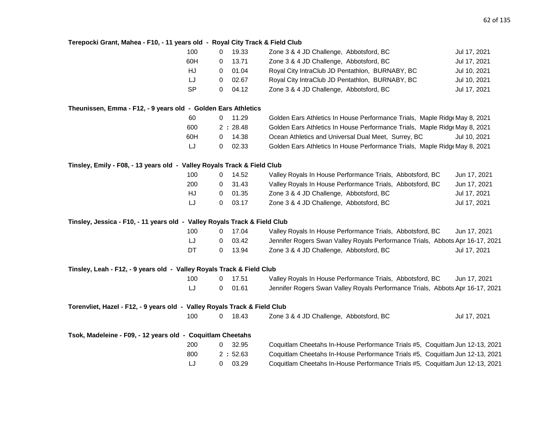# **Terepocki Grant, Mahea - F10, - 11 years old - Royal City Track & Field Club**

|                                                                            | 100       | 0            | 19.33   | Zone 3 & 4 JD Challenge, Abbotsford, BC                                       | Jul 17, 2021 |
|----------------------------------------------------------------------------|-----------|--------------|---------|-------------------------------------------------------------------------------|--------------|
|                                                                            | 60H       | 0            | 13.71   | Zone 3 & 4 JD Challenge, Abbotsford, BC                                       | Jul 17, 2021 |
|                                                                            | HJ        | 0            | 01.04   | Royal City IntraClub JD Pentathlon, BURNABY, BC                               | Jul 10, 2021 |
|                                                                            | LJ        | 0            | 02.67   | Royal City IntraClub JD Pentathlon, BURNABY, BC                               | Jul 10, 2021 |
|                                                                            | <b>SP</b> | 0            | 04.12   | Zone 3 & 4 JD Challenge, Abbotsford, BC                                       | Jul 17, 2021 |
| Theunissen, Emma - F12, - 9 years old - Golden Ears Athletics              |           |              |         |                                                                               |              |
|                                                                            | 60        | $\mathbf{0}$ | 11.29   | Golden Ears Athletics In House Performance Trials, Maple Ridge May 8, 2021    |              |
|                                                                            | 600       |              | 2:28.48 | Golden Ears Athletics In House Performance Trials, Maple Ridge May 8, 2021    |              |
|                                                                            | 60H       | 0            | 14.38   | Ocean Athletics and Universal Dual Meet, Surrey, BC                           | Jul 10, 2021 |
|                                                                            | LJ        | 0            | 02.33   | Golden Ears Athletics In House Performance Trials, Maple Ridg May 8, 2021     |              |
| Tinsley, Emily - F08, - 13 years old - Valley Royals Track & Field Club    |           |              |         |                                                                               |              |
|                                                                            | 100       | 0            | 14.52   | Valley Royals In House Performance Trials, Abbotsford, BC                     | Jun 17, 2021 |
|                                                                            | 200       | 0            | 31.43   | Valley Royals In House Performance Trials, Abbotsford, BC                     | Jun 17, 2021 |
|                                                                            | HJ        | 0            | 01.35   | Zone 3 & 4 JD Challenge, Abbotsford, BC                                       | Jul 17, 2021 |
|                                                                            | LJ        | 0            | 03.17   | Zone 3 & 4 JD Challenge, Abbotsford, BC                                       | Jul 17, 2021 |
| Tinsley, Jessica - F10, - 11 years old - Valley Royals Track & Field Club  |           |              |         |                                                                               |              |
|                                                                            | 100       | 0            | 17.04   | Valley Royals In House Performance Trials, Abbotsford, BC                     | Jun 17, 2021 |
|                                                                            | LJ        | 0            | 03.42   | Jennifer Rogers Swan Valley Royals Performance Trials, Abbots Apr 16-17, 2021 |              |
|                                                                            | DT        | 0            | 13.94   | Zone 3 & 4 JD Challenge, Abbotsford, BC                                       | Jul 17, 2021 |
| Tinsley, Leah - F12, - 9 years old - Valley Royals Track & Field Club      |           |              |         |                                                                               |              |
|                                                                            | 100       | 0            | 17.51   | Valley Royals In House Performance Trials, Abbotsford, BC                     | Jun 17, 2021 |
|                                                                            | LJ        | 0            | 01.61   | Jennifer Rogers Swan Valley Royals Performance Trials, Abbots Apr 16-17, 2021 |              |
| Torenvliet, Hazel - F12, - 9 years old  - Valley Royals Track & Field Club |           |              |         |                                                                               |              |
|                                                                            | 100       | $\mathbf 0$  | 18.43   | Zone 3 & 4 JD Challenge, Abbotsford, BC                                       | Jul 17, 2021 |
| Tsok, Madeleine - F09, - 12 years old - Coquitlam Cheetahs                 |           |              |         |                                                                               |              |
|                                                                            | 200       | 0            | 32.95   | Coquitlam Cheetahs In-House Performance Trials #5, Coquitlam Jun 12-13, 2021  |              |
|                                                                            | 800       |              | 2:52.63 | Coquitlam Cheetahs In-House Performance Trials #5, Coquitlam Jun 12-13, 2021  |              |
|                                                                            | LJ        | 0            | 03.29   | Coquitlam Cheetahs In-House Performance Trials #5, Coquitlam Jun 12-13, 2021  |              |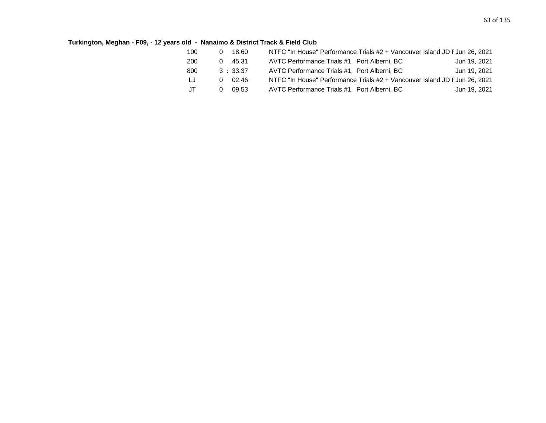# **Turkington, Meghan - F09, - 12 years old - Nanaimo & District Track & Field Club**

| 100 | 18.60   | NTFC "In House" Performance Trials #2 + Vancouver Island JD F Jun 26, 2021 |              |
|-----|---------|----------------------------------------------------------------------------|--------------|
| 200 | 45.31   | AVTC Performance Trials #1, Port Alberni, BC                               | Jun 19, 2021 |
| 800 | 3:33.37 | AVTC Performance Trials #1, Port Alberni, BC                               | Jun 19, 2021 |
| LJ  | 02.46   | NTFC "In House" Performance Trials #2 + Vancouver Island JD F Jun 26, 2021 |              |
| JT  | 09.53   | AVTC Performance Trials #1, Port Alberni, BC                               | Jun 19, 2021 |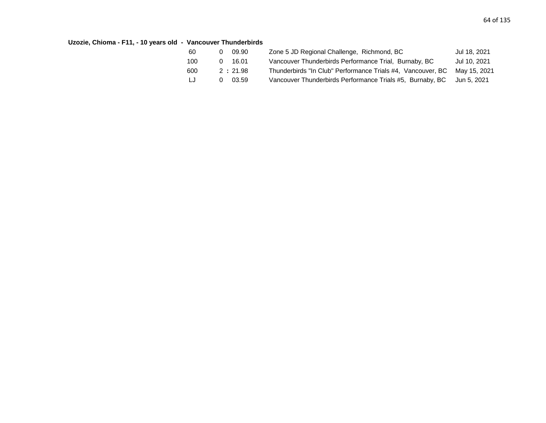# **Uzozie, Chioma - F11, - 10 years old - Vancouver Thunderbirds**

| 60  | 09.90<br>0 | Zone 5 JD Regional Challenge, Richmond, BC                  | Jul 18, 2021 |
|-----|------------|-------------------------------------------------------------|--------------|
| 100 | 16.01<br>0 | Vancouver Thunderbirds Performance Trial, Burnaby, BC       | Jul 10, 2021 |
| 600 | 2:21.98    | Thunderbirds "In Club" Performance Trials #4, Vancouver, BC | Mav 15. 2021 |
| LJ  | 03.59<br>0 | Vancouver Thunderbirds Performance Trials #5, Burnaby, BC   | Jun 5. 2021  |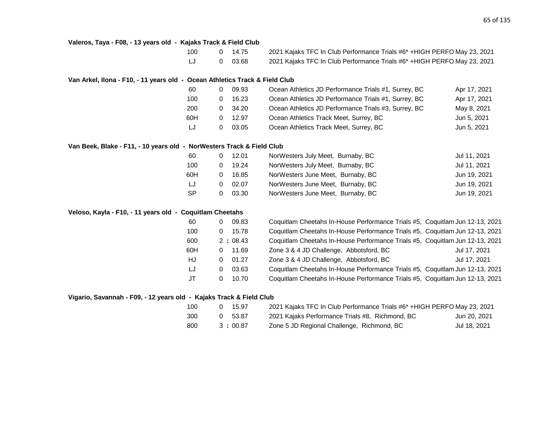#### **Valeros, Taya - F08, - 13 years old - Kajaks Track & Field Club**

| 100 | 0 14.75 | 2021 Kajaks TFC In Club Performance Trials #6* +HIGH PERFO May 23, 2021 |
|-----|---------|-------------------------------------------------------------------------|
| LJ  | 0 03.68 | 2021 Kajaks TFC In Club Performance Trials #6* +HIGH PERFO May 23, 2021 |

#### **Van Arkel, Ilona - F10, - 11 years old - Ocean Athletics Track & Field Club**

| 60  |              | 09.93 | Ocean Athletics JD Performance Trials #1, Surrey, BC | Apr 17, 2021 |
|-----|--------------|-------|------------------------------------------------------|--------------|
| 100 |              | 16.23 | Ocean Athletics JD Performance Trials #1, Surrey, BC | Apr 17, 2021 |
| 200 |              | 34.20 | Ocean Athletics JD Performance Trials #3, Surrey, BC | May 8, 2021  |
| 60H | <sup>n</sup> | 12.97 | Ocean Athletics Track Meet, Surrey, BC               | Jun 5, 2021  |
| IJ  |              | 03.05 | Ocean Athletics Track Meet, Surrey, BC               | Jun 5, 2021  |

#### **Van Beek, Blake - F11, - 10 years old - NorWesters Track & Field Club**

| 60        | 12.01 | NorWesters July Meet, Burnaby, BC | Jul 11, 2021 |
|-----------|-------|-----------------------------------|--------------|
| 100       | 19.24 | NorWesters July Meet, Burnaby, BC | Jul 11, 2021 |
| 60H       | 16.85 | NorWesters June Meet, Burnaby, BC | Jun 19, 2021 |
| LJ        | 02.07 | NorWesters June Meet, Burnaby, BC | Jun 19, 2021 |
| <b>SP</b> | 03.30 | NorWesters June Meet, Burnaby, BC | Jun 19, 2021 |

### **Veloso, Kayla - F10, - 11 years old - Coquitlam Cheetahs**

| 60  | 0 | 09.83   | Coquitlam Cheetahs In-House Performance Trials #5, Coquitlam Jun 12-13, 2021 |              |
|-----|---|---------|------------------------------------------------------------------------------|--------------|
| 100 | 0 | 15.78   | Coquitlam Cheetahs In-House Performance Trials #5, Coquitlam Jun 12-13, 2021 |              |
| 600 |   | 2:08.43 | Coquitlam Cheetahs In-House Performance Trials #5, Coquitlam Jun 12-13, 2021 |              |
| 60H | 0 | 11.69   | Zone 3 & 4 JD Challenge, Abbotsford, BC                                      | Jul 17, 2021 |
| HJ  | 0 | 01.27   | Zone 3 & 4 JD Challenge, Abbotsford, BC                                      | Jul 17, 2021 |
| LJ  | 0 | 03.63   | Coquitlam Cheetahs In-House Performance Trials #5, Coquitlam Jun 12-13, 2021 |              |
| JT  | 0 | 10.70   | Coquitlam Cheetahs In-House Performance Trials #5, Coquitlam Jun 12-13, 2021 |              |

# **Vigario, Savannah - F09, - 12 years old - Kajaks Track & Field Club**

| 100 | 15.97   | 2021 Kajaks TFC In Club Performance Trials #6* +HIGH PERFO May 23, 2021 |              |
|-----|---------|-------------------------------------------------------------------------|--------------|
| 300 | 53.87   | 2021 Kajaks Performance Trials #8, Richmond, BC                         | Jun 20, 2021 |
| 800 | 3:00.87 | Zone 5 JD Regional Challenge, Richmond, BC                              | Jul 18, 2021 |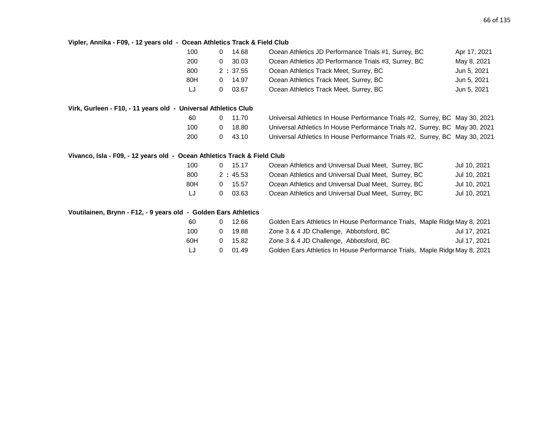#### **Vipler, Annika - F09, - 12 years old - Ocean Athletics Track & Field Club**

| 100 | 14.68   | Ocean Athletics JD Performance Trials #1, Surrey, BC | Apr 17, 2021 |
|-----|---------|------------------------------------------------------|--------------|
| 200 | 30.03   | Ocean Athletics JD Performance Trials #3, Surrey, BC | May 8, 2021  |
| 800 | 2:37.55 | Ocean Athletics Track Meet, Surrey, BC               | Jun 5, 2021  |
| 80H | 14.97   | Ocean Athletics Track Meet, Surrey, BC               | Jun 5, 2021  |
| LJ  | 03.67   | Ocean Athletics Track Meet, Surrey, BC               | Jun 5, 2021  |

# **Virk, Gurleen - F10, - 11 years old - Universal Athletics Club**

| 60  | $0$ 11.70      | Universal Athletics In House Performance Trials #2, Surrey, BC May 30, 2021 |  |
|-----|----------------|-----------------------------------------------------------------------------|--|
| 100 | 0 18.80        | Universal Athletics In House Performance Trials #2, Surrey, BC May 30, 2021 |  |
| 200 | $0\quad 43.10$ | Universal Athletics In House Performance Trials #2, Surrey, BC May 30, 2021 |  |

# **Vivanco, Isla - F09, - 12 years old - Ocean Athletics Track & Field Club**

| 100 | 15.17   | Ocean Athletics and Universal Dual Meet, Surrey, BC | Jul 10, 2021 |
|-----|---------|-----------------------------------------------------|--------------|
| 800 | 2:45.53 | Ocean Athletics and Universal Dual Meet, Surrey, BC | Jul 10, 2021 |
| 80H | . 15.57 | Ocean Athletics and Universal Dual Meet, Surrey, BC | Jul 10, 2021 |
| IJ  | 03.63   | Ocean Athletics and Universal Dual Meet, Surrey, BC | Jul 10, 2021 |

#### **Voutilainen, Brynn - F12, - 9 years old - Golden Ears Athletics**

| -60   |              | 12.66 | Golden Ears Athletics In House Performance Trials, Maple Ridge May 8, 2021 |              |
|-------|--------------|-------|----------------------------------------------------------------------------|--------------|
| 100   | $\Omega$     | 19.88 | Zone 3 & 4 JD Challenge, Abbotsford, BC                                    | Jul 17, 2021 |
| 60H   | <sup>o</sup> | 15.82 | Zone 3 & 4 JD Challenge, Abbotsford, BC                                    | Jul 17, 2021 |
| -LJ - | $\Omega$     | 01.49 | Golden Ears Athletics In House Performance Trials, Maple Ridge May 8, 2021 |              |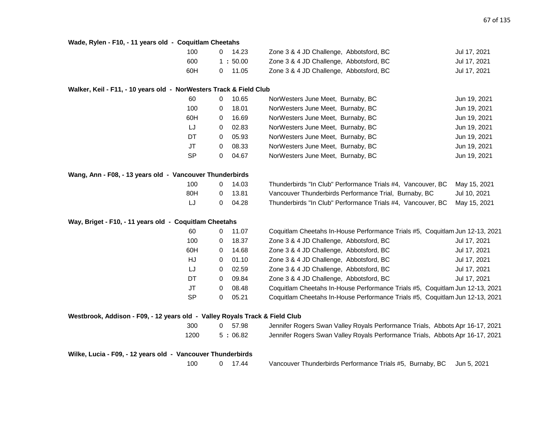| Wade, Rylen - F10, - 11 years old - Coquitlam Cheetahs |  |  |  |
|--------------------------------------------------------|--|--|--|
|--------------------------------------------------------|--|--|--|

| 100 | 14.23   | Zone 3 & 4 JD Challenge, Abbotsford, BC | Jul 17, 2021 |
|-----|---------|-----------------------------------------|--------------|
| 600 | 1:50.00 | Zone 3 & 4 JD Challenge, Abbotsford, BC | Jul 17, 2021 |
| 60H | 0 11.05 | Zone 3 & 4 JD Challenge, Abbotsford, BC | Jul 17, 2021 |

#### **Walker, Keil - F11, - 10 years old - NorWesters Track & Field Club**

| 60        | 0 | 10.65 | NorWesters June Meet, Burnaby, BC | Jun 19, 2021 |
|-----------|---|-------|-----------------------------------|--------------|
| 100       | 0 | 18.01 | NorWesters June Meet, Burnaby, BC | Jun 19, 2021 |
| 60H       | 0 | 16.69 | NorWesters June Meet, Burnaby, BC | Jun 19, 2021 |
| LJ        | 0 | 02.83 | NorWesters June Meet, Burnaby, BC | Jun 19, 2021 |
| DT.       | 0 | 05.93 | NorWesters June Meet, Burnaby, BC | Jun 19, 2021 |
| JT        | 0 | 08.33 | NorWesters June Meet, Burnaby, BC | Jun 19, 2021 |
| <b>SP</b> | 0 | 04.67 | NorWesters June Meet, Burnaby, BC | Jun 19, 2021 |

| Wang, Ann - F08, - 13 years old - Vancouver Thunderbirds |     |         |
|----------------------------------------------------------|-----|---------|
|                                                          | 100 | 0 14.03 |

| 100 |              | 14.03   | Thunderbirds "In Club" Performance Trials #4, Vancouver, BC May 15, 2021 |              |
|-----|--------------|---------|--------------------------------------------------------------------------|--------------|
| 80H | $\mathbf{O}$ | - 13.81 | Vancouver Thunderbirds Performance Trial, Burnaby, BC                    | Jul 10, 2021 |
| -LJ |              | 04.28   | Thunderbirds "In Club" Performance Trials #4, Vancouver, BC May 15, 2021 |              |

# **Way, Briget - F10, - 11 years old - Coquitlam Cheetahs**

| 60        | 0 | 11.07 | Coquitlam Cheetahs In-House Performance Trials #5, Coquitlam Jun 12-13, 2021 |              |
|-----------|---|-------|------------------------------------------------------------------------------|--------------|
| 100       | 0 | 18.37 | Zone 3 & 4 JD Challenge, Abbotsford, BC                                      | Jul 17, 2021 |
| 60H       | 0 | 14.68 | Zone 3 & 4 JD Challenge, Abbotsford, BC                                      | Jul 17, 2021 |
| HJ        | 0 | 01.10 | Zone 3 & 4 JD Challenge, Abbotsford, BC                                      | Jul 17, 2021 |
| LJ        | 0 | 02.59 | Zone 3 & 4 JD Challenge, Abbotsford, BC                                      | Jul 17, 2021 |
| DT        | 0 | 09.84 | Zone 3 & 4 JD Challenge, Abbotsford, BC                                      | Jul 17, 2021 |
| JT        | 0 | 08.48 | Coquitlam Cheetahs In-House Performance Trials #5, Coquitlam Jun 12-13, 2021 |              |
| <b>SP</b> | 0 | 05.21 | Coquitlam Cheetahs In-House Performance Trials #5, Coquitlam Jun 12-13, 2021 |              |
|           |   |       |                                                                              |              |

# **Westbrook, Addison - F09, - 12 years old - Valley Royals Track & Field Club**

300 0 57.98 Jennifer Rogers Swan Valley Royals Performance Trials, Abbots Apr 16-17, 2021 1200 5 : 06.82 Jennifer Rogers Swan Valley Royals Performance Trials, Abbots Apr 16-17, 2021

**Wilke, Lucia - F09, - 12 years old - Vancouver Thunderbirds**

100 0 17.44 Vancouver Thunderbirds Performance Trials #5, Burnaby, BC Jun 5, 2021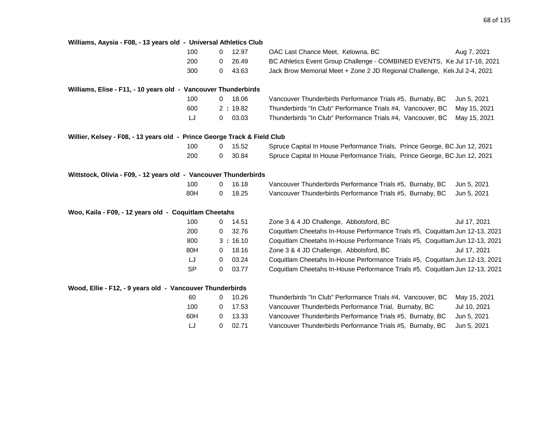| Williams, Aaysia - F08, - 13 years old - Universal Athletics Club        |           |              |         |                                                                              |              |
|--------------------------------------------------------------------------|-----------|--------------|---------|------------------------------------------------------------------------------|--------------|
|                                                                          | 100       | $\mathbf 0$  | 12.97   | OAC Last Chance Meet, Kelowna, BC                                            | Aug 7, 2021  |
|                                                                          | 200       | 0            | 26.49   | BC Athletics Event Group Challenge - COMBINED EVENTS, Ke Jul 17-18, 2021     |              |
|                                                                          | 300       | 0            | 43.63   | Jack Brow Memorial Meet + Zone 2 JD Regional Challenge, Kel Jul 2-4, 2021    |              |
| Williams, Elise - F11, - 10 years old - Vancouver Thunderbirds           |           |              |         |                                                                              |              |
|                                                                          | 100       | $\mathbf{0}$ | 18.06   | Vancouver Thunderbirds Performance Trials #5, Burnaby, BC                    | Jun 5, 2021  |
|                                                                          | 600       |              | 2:19.82 | Thunderbirds "In Club" Performance Trials #4, Vancouver, BC                  | May 15, 2021 |
|                                                                          | LJ        | 0            | 03.03   | Thunderbirds "In Club" Performance Trials #4, Vancouver, BC                  | May 15, 2021 |
| Willier, Kelsey - F08, - 13 years old - Prince George Track & Field Club |           |              |         |                                                                              |              |
|                                                                          | 100       | 0            | 15.52   | Spruce Capital In House Performance Trials, Prince George, BC Jun 12, 2021   |              |
|                                                                          | 200       | 0            | 30.84   | Spruce Capital In House Performance Trials, Prince George, BC Jun 12, 2021   |              |
| Wittstock, Olivia - F09, - 12 years old - Vancouver Thunderbirds         |           |              |         |                                                                              |              |
|                                                                          | 100       | 0            | 16.18   | Vancouver Thunderbirds Performance Trials #5, Burnaby, BC                    | Jun 5, 2021  |
|                                                                          | 80H       | 0            | 18.25   | Vancouver Thunderbirds Performance Trials #5, Burnaby, BC                    | Jun 5, 2021  |
| Woo, Kaila - F09, - 12 years old - Coquitlam Cheetahs                    |           |              |         |                                                                              |              |
|                                                                          | 100       | 0            | 14.51   | Zone 3 & 4 JD Challenge, Abbotsford, BC                                      | Jul 17, 2021 |
|                                                                          | 200       | 0            | 32.76   | Coquitlam Cheetahs In-House Performance Trials #5, Coquitlam Jun 12-13, 2021 |              |
|                                                                          | 800       |              | 3:16.10 | Coquitlam Cheetahs In-House Performance Trials #5, Coquitlam Jun 12-13, 2021 |              |
|                                                                          | 80H       | 0            | 18.16   | Zone 3 & 4 JD Challenge, Abbotsford, BC                                      | Jul 17, 2021 |
|                                                                          | LJ        | 0            | 03.24   | Coquitlam Cheetahs In-House Performance Trials #5, Coquitlam Jun 12-13, 2021 |              |
|                                                                          | <b>SP</b> | 0            | 03.77   | Coquitlam Cheetahs In-House Performance Trials #5, Coquitlam Jun 12-13, 2021 |              |
| Wood, Ellie - F12, - 9 years old - Vancouver Thunderbirds                |           |              |         |                                                                              |              |
|                                                                          | 60        | 0            | 10.26   | Thunderbirds "In Club" Performance Trials #4, Vancouver, BC                  | May 15, 2021 |
|                                                                          | 100       | 0            | 17.53   | Vancouver Thunderbirds Performance Trial, Burnaby, BC                        | Jul 10, 2021 |
|                                                                          | 60H       | 0            | 13.33   | Vancouver Thunderbirds Performance Trials #5, Burnaby, BC                    | Jun 5, 2021  |
|                                                                          | LJ        | 0            | 02.71   | Vancouver Thunderbirds Performance Trials #5, Burnaby, BC                    | Jun 5, 2021  |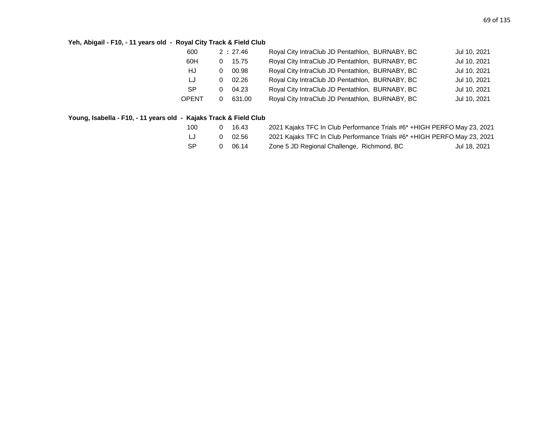# **Yeh, Abigail - F10, - 11 years old - Royal City Track & Field Club**

| Royal City IntraClub JD Pentathlon, BURNABY, BC<br>60H<br>15.75<br>Royal City IntraClub JD Pentathlon, BURNABY, BC<br>HJ<br>00.98<br>0<br>Royal City IntraClub JD Pentathlon, BURNABY, BC<br>IJ<br>02.26<br>0<br>Royal City IntraClub JD Pentathlon, BURNABY, BC<br><b>SP</b><br>04.23<br>0<br>Royal City IntraClub JD Pentathlon, BURNABY, BC<br>631.00<br>OPENT | 600 | 2:27.46 | Royal City IntraClub JD Pentathlon, BURNABY, BC | Jul 10, 2021 |
|-------------------------------------------------------------------------------------------------------------------------------------------------------------------------------------------------------------------------------------------------------------------------------------------------------------------------------------------------------------------|-----|---------|-------------------------------------------------|--------------|
|                                                                                                                                                                                                                                                                                                                                                                   |     |         |                                                 | Jul 10, 2021 |
|                                                                                                                                                                                                                                                                                                                                                                   |     |         |                                                 | Jul 10, 2021 |
|                                                                                                                                                                                                                                                                                                                                                                   |     |         |                                                 | Jul 10, 2021 |
|                                                                                                                                                                                                                                                                                                                                                                   |     |         |                                                 | Jul 10, 2021 |
|                                                                                                                                                                                                                                                                                                                                                                   |     |         |                                                 | Jul 10, 2021 |

# **Young, Isabella - F10, - 11 years old - Kajaks Track & Field Club**

| 100 | 16.43 | 2021 Kajaks TFC In Club Performance Trials #6* + HIGH PERFO May 23, 2021 |              |
|-----|-------|--------------------------------------------------------------------------|--------------|
| LJ  | 02.56 | 2021 Kajaks TFC In Club Performance Trials #6* + HIGH PERFO May 23, 2021 |              |
| -SP | 06.14 | Zone 5 JD Regional Challenge, Richmond, BC                               | Jul 18, 2021 |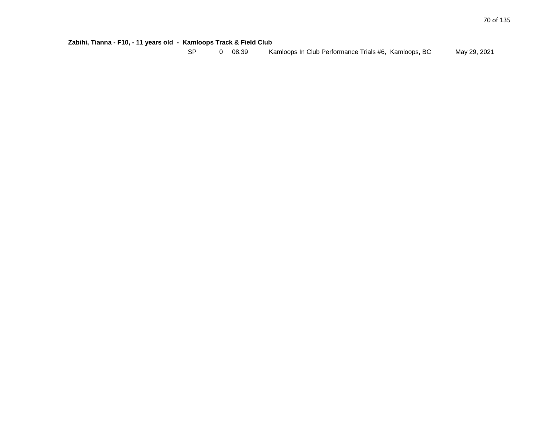| Zabihi, Tianna - F10, - 11 years old - Kamloops Track & Field Club |  |
|--------------------------------------------------------------------|--|
|--------------------------------------------------------------------|--|

| -SP |  | 0 08.39 | Kamloops In Club Performance Trials #6, Kamloops, BC |  | May 29, 2021 |
|-----|--|---------|------------------------------------------------------|--|--------------|
|-----|--|---------|------------------------------------------------------|--|--------------|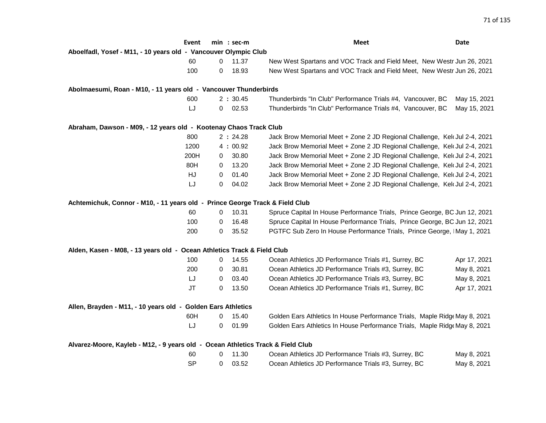|                                                                                 | Event     |          | $min : sec-m$ | Meet                                                                       | Date         |
|---------------------------------------------------------------------------------|-----------|----------|---------------|----------------------------------------------------------------------------|--------------|
| Aboelfadl, Yosef - M11, - 10 years old - Vancouver Olympic Club                 |           |          |               |                                                                            |              |
|                                                                                 | 60        | $\Omega$ | 11.37         | New West Spartans and VOC Track and Field Meet, New Westr Jun 26, 2021     |              |
|                                                                                 | 100       | 0        | 18.93         | New West Spartans and VOC Track and Field Meet, New Westr Jun 26, 2021     |              |
| Abolmaesumi, Roan - M10, - 11 years old - Vancouver Thunderbirds                |           |          |               |                                                                            |              |
|                                                                                 | 600       |          | 2:30.45       | Thunderbirds "In Club" Performance Trials #4, Vancouver, BC                | May 15, 2021 |
|                                                                                 | LJ        | 0        | 02.53         | Thunderbirds "In Club" Performance Trials #4, Vancouver, BC                | May 15, 2021 |
| Abraham, Dawson - M09, - 12 years old - Kootenay Chaos Track Club               |           |          |               |                                                                            |              |
|                                                                                 | 800       |          | 2:24.28       | Jack Brow Memorial Meet + Zone 2 JD Regional Challenge, Kelt Jul 2-4, 2021 |              |
|                                                                                 | 1200      |          | 4:00.92       | Jack Brow Memorial Meet + Zone 2 JD Regional Challenge, Kelt Jul 2-4, 2021 |              |
|                                                                                 | 200H      | 0        | 30.80         | Jack Brow Memorial Meet + Zone 2 JD Regional Challenge, Kel Jul 2-4, 2021  |              |
|                                                                                 | 80H       | 0        | 13.20         | Jack Brow Memorial Meet + Zone 2 JD Regional Challenge, Kelt Jul 2-4, 2021 |              |
|                                                                                 | HJ        | 0        | 01.40         | Jack Brow Memorial Meet + Zone 2 JD Regional Challenge, Kelt Jul 2-4, 2021 |              |
|                                                                                 | LJ        | 0        | 04.02         | Jack Brow Memorial Meet + Zone 2 JD Regional Challenge, Kelt Jul 2-4, 2021 |              |
| Achtemichuk, Connor - M10, - 11 years old - Prince George Track & Field Club    |           |          |               |                                                                            |              |
|                                                                                 | 60        | 0        | 10.31         | Spruce Capital In House Performance Trials, Prince George, BC Jun 12, 2021 |              |
|                                                                                 | 100       | 0        | 16.48         | Spruce Capital In House Performance Trials, Prince George, BC Jun 12, 2021 |              |
|                                                                                 | 200       | 0        | 35.52         | PGTFC Sub Zero In House Performance Trials, Prince George, IMay 1, 2021    |              |
| Alden, Kasen - M08, - 13 years old - Ocean Athletics Track & Field Club         |           |          |               |                                                                            |              |
|                                                                                 | 100       | 0        | 14.55         | Ocean Athletics JD Performance Trials #1, Surrey, BC                       | Apr 17, 2021 |
|                                                                                 | 200       | 0        | 30.81         | Ocean Athletics JD Performance Trials #3, Surrey, BC                       | May 8, 2021  |
|                                                                                 | LJ        | 0        | 03.40         | Ocean Athletics JD Performance Trials #3, Surrey, BC                       | May 8, 2021  |
|                                                                                 | <b>JT</b> | 0        | 13.50         | Ocean Athletics JD Performance Trials #1, Surrey, BC                       | Apr 17, 2021 |
| Allen, Brayden - M11, - 10 years old - Golden Ears Athletics                    |           |          |               |                                                                            |              |
|                                                                                 | 60H       | 0        | 15.40         | Golden Ears Athletics In House Performance Trials, Maple Ridge May 8, 2021 |              |
|                                                                                 | LJ        | 0        | 01.99         | Golden Ears Athletics In House Performance Trials, Maple Ridge May 8, 2021 |              |
| Alvarez-Moore, Kayleb - M12, - 9 years old - Ocean Athletics Track & Field Club |           |          |               |                                                                            |              |
|                                                                                 | 60        | 0        | 11.30         | Ocean Athletics JD Performance Trials #3, Surrey, BC                       | May 8, 2021  |
|                                                                                 | <b>SP</b> | 0        | 03.52         | Ocean Athletics JD Performance Trials #3, Surrey, BC                       | May 8, 2021  |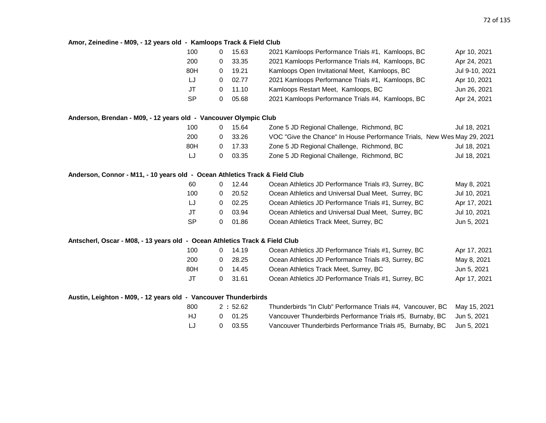# **Amor, Zeinedine - M09, - 12 years old - Kamloops Track & Field Club**

| 100 |   | 15.63 | 2021 Kamloops Performance Trials #1, Kamloops, BC | Apr 10, 2021   |
|-----|---|-------|---------------------------------------------------|----------------|
| 200 | 0 | 33.35 | 2021 Kamloops Performance Trials #4, Kamloops, BC | Apr 24, 2021   |
| 80H |   | 19.21 | Kamloops Open Invitational Meet, Kamloops, BC     | Jul 9-10, 2021 |
| LJ  | 0 | 02.77 | 2021 Kamloops Performance Trials #1, Kamloops, BC | Apr 10, 2021   |
| JT  |   | 11.10 | Kamloops Restart Meet, Kamloops, BC               | Jun 26, 2021   |
| SP  |   | 05.68 | 2021 Kamloops Performance Trials #4, Kamloops, BC | Apr 24, 2021   |
|     |   |       |                                                   |                |

## **Anderson, Brendan - M09, - 12 years old - Vancouver Olympic Club**

| 100 | 15.64           | Zone 5 JD Regional Challenge, Richmond, BC                              | Jul 18. 2021 |
|-----|-----------------|-------------------------------------------------------------------------|--------------|
| 200 | 0 33.26         | VOC "Give the Chance" In House Performance Trials, New Wes May 29, 2021 |              |
| 80H | $0 \quad 17.33$ | Zone 5 JD Regional Challenge, Richmond, BC                              | Jul 18, 2021 |
| LJ  | 03.35           | Zone 5 JD Regional Challenge, Richmond, BC                              | Jul 18, 2021 |

#### **Anderson, Connor - M11, - 10 years old - Ocean Athletics Track & Field Club**

| -60 |   | 12.44 | Ocean Athletics JD Performance Trials #3, Surrey, BC | May 8, 2021  |
|-----|---|-------|------------------------------------------------------|--------------|
| 100 |   | 20.52 | Ocean Athletics and Universal Dual Meet, Surrey, BC  | Jul 10, 2021 |
| LJ  |   | 02.25 | Ocean Athletics JD Performance Trials #1, Surrey, BC | Apr 17, 2021 |
| JT  | 0 | 03.94 | Ocean Athletics and Universal Dual Meet, Surrey, BC  | Jul 10, 2021 |
| -SP |   | 01.86 | Ocean Athletics Track Meet, Surrey, BC               | Jun 5, 2021  |

## **Antscherl, Oscar - M08, - 13 years old - Ocean Athletics Track & Field Club**

| 100   |              | 14.19   | Ocean Athletics JD Performance Trials #1, Surrey, BC | Apr 17, 2021 |
|-------|--------------|---------|------------------------------------------------------|--------------|
| 200   | n            | 28.25   | Ocean Athletics JD Performance Trials #3, Surrey, BC | May 8, 2021  |
| 80H   |              | 14.45   | Ocean Athletics Track Meet, Surrey, BC               | Jun 5, 2021  |
| $J$ T | $\mathbf{U}$ | - 31.61 | Ocean Athletics JD Performance Trials #1, Surrey, BC | Apr 17, 2021 |

# **Austin, Leighton - M09, - 12 years old - Vancouver Thunderbirds**

| 800 | 2:52.62        | Thunderbirds "In Club" Performance Trials #4, Vancouver, BC May 15, 2021 |  |
|-----|----------------|--------------------------------------------------------------------------|--|
| HJ. | 0 01.25        | Vancouver Thunderbirds Performance Trials #5, Burnaby, BC Jun 5, 2021    |  |
| LJ  | $0\quad 03.55$ | Vancouver Thunderbirds Performance Trials #5, Burnaby, BC Jun 5, 2021    |  |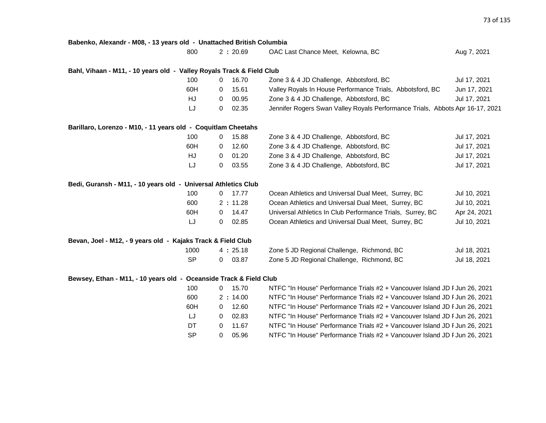| Babenko, Alexandr - M08, - 13 years old - Unattached British Columbia |                       |           |                                                                               |              |
|-----------------------------------------------------------------------|-----------------------|-----------|-------------------------------------------------------------------------------|--------------|
|                                                                       | 800                   | 2:20.69   | OAC Last Chance Meet, Kelowna, BC                                             | Aug 7, 2021  |
|                                                                       |                       |           |                                                                               |              |
| Bahl, Vihaan - M11, - 10 years old - Valley Royals Track & Field Club |                       |           |                                                                               |              |
|                                                                       | 100<br>$\mathbf 0$    | 16.70     | Zone 3 & 4 JD Challenge, Abbotsford, BC                                       | Jul 17, 2021 |
|                                                                       | 60H<br>0              | 15.61     | Valley Royals In House Performance Trials, Abbotsford, BC                     | Jun 17, 2021 |
|                                                                       | HJ<br>$\mathbf{0}$    | 00.95     | Zone 3 & 4 JD Challenge, Abbotsford, BC                                       | Jul 17, 2021 |
|                                                                       | LJ<br>$\overline{0}$  | 02.35     | Jennifer Rogers Swan Valley Royals Performance Trials, Abbots Apr 16-17, 2021 |              |
| Barillaro, Lorenzo - M10, - 11 years old - Coquitlam Cheetahs         |                       |           |                                                                               |              |
|                                                                       | 100<br>$\mathbf{0}$   | 15.88     | Zone 3 & 4 JD Challenge, Abbotsford, BC                                       | Jul 17, 2021 |
|                                                                       | 60H<br>$\mathbf{0}$   | 12.60     | Zone 3 & 4 JD Challenge, Abbotsford, BC                                       | Jul 17, 2021 |
|                                                                       | HJ<br>$\mathbf{0}$    | 01.20     | Zone 3 & 4 JD Challenge, Abbotsford, BC                                       | Jul 17, 2021 |
|                                                                       | LJ<br>$\overline{0}$  | 03.55     | Zone 3 & 4 JD Challenge, Abbotsford, BC                                       | Jul 17, 2021 |
| Bedi, Guransh - M11, - 10 years old - Universal Athletics Club        |                       |           |                                                                               |              |
|                                                                       | 100                   | $0$ 17.77 | Ocean Athletics and Universal Dual Meet, Surrey, BC                           | Jul 10, 2021 |
|                                                                       | 600                   | 2:11.28   | Ocean Athletics and Universal Dual Meet, Surrey, BC                           | Jul 10, 2021 |
|                                                                       | 60H<br>$\overline{0}$ | 14.47     | Universal Athletics In Club Performance Trials, Surrey, BC                    | Apr 24, 2021 |
|                                                                       | LJ<br>$\overline{0}$  | 02.85     | Ocean Athletics and Universal Dual Meet, Surrey, BC                           | Jul 10, 2021 |
| Bevan, Joel - M12, - 9 years old - Kajaks Track & Field Club          |                       |           |                                                                               |              |
|                                                                       | 1000                  | 4:25.18   | Zone 5 JD Regional Challenge, Richmond, BC                                    | Jul 18, 2021 |
|                                                                       | <b>SP</b>             | $0$ 03.87 | Zone 5 JD Regional Challenge, Richmond, BC                                    | Jul 18, 2021 |
| Bewsey, Ethan - M11, - 10 years old - Oceanside Track & Field Club    |                       |           |                                                                               |              |
|                                                                       | 100                   | $0$ 15.70 | NTFC "In House" Performance Trials #2 + Vancouver Island JD F Jun 26, 2021    |              |
|                                                                       | 600                   | 2:14.00   | NTFC "In House" Performance Trials #2 + Vancouver Island JD F Jun 26, 2021    |              |
|                                                                       | 60H<br>$\overline{0}$ | 12.60     | NTFC "In House" Performance Trials #2 + Vancouver Island JD F Jun 26, 2021    |              |
|                                                                       | IJ<br>$\overline{0}$  | 02.83     | NTFC "In House" Performance Trials #2 + Vancouver Island JD F Jun 26, 2021    |              |
|                                                                       | DT<br>0               | 11.67     | NTFC "In House" Performance Trials #2 + Vancouver Island JD F Jun 26, 2021    |              |
|                                                                       | <b>SP</b><br>0        | 05.96     | NTFC "In House" Performance Trials #2 + Vancouver Island JD F Jun 26, 2021    |              |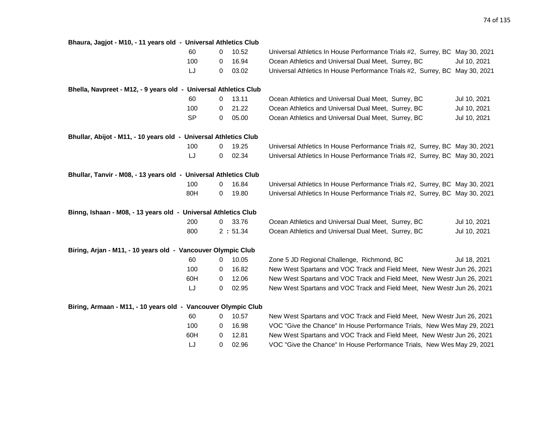|                                                                  | Bhaura, Jagjot - M10, - 11 years old - Universal Athletics Club |         |                                                                             |              |  |  |  |
|------------------------------------------------------------------|-----------------------------------------------------------------|---------|-----------------------------------------------------------------------------|--------------|--|--|--|
| 60                                                               | 0                                                               | 10.52   | Universal Athletics In House Performance Trials #2, Surrey, BC May 30, 2021 |              |  |  |  |
| 100                                                              | 0                                                               | 16.94   | Ocean Athletics and Universal Dual Meet, Surrey, BC                         | Jul 10, 2021 |  |  |  |
| LJ                                                               | 0                                                               | 03.02   | Universal Athletics In House Performance Trials #2, Surrey, BC May 30, 2021 |              |  |  |  |
| Bhella, Navpreet - M12, - 9 years old - Universal Athletics Club |                                                                 |         |                                                                             |              |  |  |  |
| 60                                                               | 0                                                               | 13.11   | Ocean Athletics and Universal Dual Meet, Surrey, BC                         | Jul 10, 2021 |  |  |  |
| 100                                                              | 0                                                               | 21.22   | Ocean Athletics and Universal Dual Meet, Surrey, BC                         | Jul 10, 2021 |  |  |  |
| <b>SP</b>                                                        | 0                                                               | 05.00   | Ocean Athletics and Universal Dual Meet, Surrey, BC                         | Jul 10, 2021 |  |  |  |
| Bhullar, Abijot - M11, - 10 years old - Universal Athletics Club |                                                                 |         |                                                                             |              |  |  |  |
| 100                                                              | 0                                                               | 19.25   | Universal Athletics In House Performance Trials #2, Surrey, BC May 30, 2021 |              |  |  |  |
| LJ                                                               | 0                                                               | 02.34   | Universal Athletics In House Performance Trials #2, Surrey, BC May 30, 2021 |              |  |  |  |
| Bhullar, Tanvir - M08, - 13 years old - Universal Athletics Club |                                                                 |         |                                                                             |              |  |  |  |
| 100                                                              | 0                                                               | 16.84   | Universal Athletics In House Performance Trials #2, Surrey, BC May 30, 2021 |              |  |  |  |
| 80H                                                              | 0                                                               | 19.80   | Universal Athletics In House Performance Trials #2, Surrey, BC May 30, 2021 |              |  |  |  |
| Binng, Ishaan - M08, - 13 years old - Universal Athletics Club   |                                                                 |         |                                                                             |              |  |  |  |
| 200                                                              | 0                                                               | 33.76   | Ocean Athletics and Universal Dual Meet, Surrey, BC                         | Jul 10, 2021 |  |  |  |
| 800                                                              |                                                                 | 2:51.34 | Ocean Athletics and Universal Dual Meet, Surrey, BC                         | Jul 10, 2021 |  |  |  |
| Biring, Arjan - M11, - 10 years old - Vancouver Olympic Club     |                                                                 |         |                                                                             |              |  |  |  |
| 60                                                               | 0                                                               | 10.05   | Zone 5 JD Regional Challenge, Richmond, BC                                  | Jul 18, 2021 |  |  |  |
| 100                                                              | 0                                                               | 16.82   | New West Spartans and VOC Track and Field Meet, New Westr Jun 26, 2021      |              |  |  |  |
| 60H                                                              | 0                                                               | 12.06   | New West Spartans and VOC Track and Field Meet, New Westr Jun 26, 2021      |              |  |  |  |
| LJ                                                               | 0                                                               | 02.95   | New West Spartans and VOC Track and Field Meet, New Westr Jun 26, 2021      |              |  |  |  |
| Biring, Armaan - M11, - 10 years old - Vancouver Olympic Club    |                                                                 |         |                                                                             |              |  |  |  |
| 60                                                               | 0                                                               | 10.57   | New West Spartans and VOC Track and Field Meet, New Westr Jun 26, 2021      |              |  |  |  |
| 100                                                              | 0                                                               | 16.98   | VOC "Give the Chance" In House Performance Trials, New Wes May 29, 2021     |              |  |  |  |
| 60H                                                              | 0                                                               | 12.81   | New West Spartans and VOC Track and Field Meet, New Westr Jun 26, 2021      |              |  |  |  |
| LJ                                                               | 0                                                               | 02.96   | VOC "Give the Chance" In House Performance Trials, New Wes May 29, 2021     |              |  |  |  |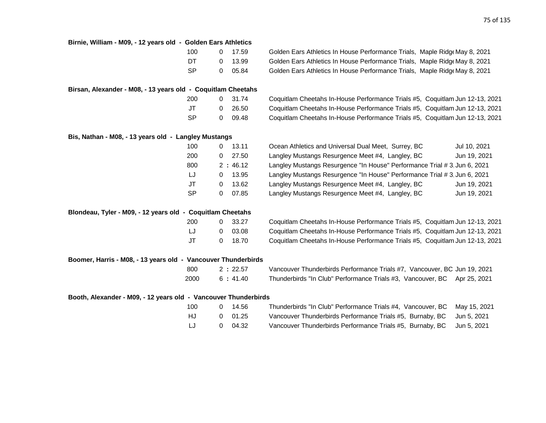| Birnie, William - M09, - 12 years old - Golden Ears Athletics   |           |              |         |                                                                              |
|-----------------------------------------------------------------|-----------|--------------|---------|------------------------------------------------------------------------------|
|                                                                 | 100       | $\mathbf{0}$ | 17.59   | Golden Ears Athletics In House Performance Trials, Maple Ridge May 8, 2021   |
|                                                                 | DT        | 0            | 13.99   | Golden Ears Athletics In House Performance Trials, Maple Ridg May 8, 2021    |
|                                                                 | <b>SP</b> | 0            | 05.84   | Golden Ears Athletics In House Performance Trials, Maple Ridge May 8, 2021   |
| Birsan, Alexander - M08, - 13 years old - Coquitlam Cheetahs    |           |              |         |                                                                              |
|                                                                 | 200       | 0            | 31.74   | Coquitlam Cheetahs In-House Performance Trials #5, Coquitlam Jun 12-13, 2021 |
|                                                                 | JT        | 0            | 26.50   | Coquitlam Cheetahs In-House Performance Trials #5, Coquitlam Jun 12-13, 2021 |
|                                                                 | SP        | 0            | 09.48   | Coquitlam Cheetahs In-House Performance Trials #5, Coquitlam Jun 12-13, 2021 |
| Bis, Nathan - M08, - 13 years old - Langley Mustangs            |           |              |         |                                                                              |
|                                                                 | 100       | 0            | 13.11   | Ocean Athletics and Universal Dual Meet, Surrey, BC<br>Jul 10, 2021          |
|                                                                 | 200       | 0            | 27.50   | Langley Mustangs Resurgence Meet #4, Langley, BC<br>Jun 19, 2021             |
|                                                                 | 800       |              | 2:46.12 | Langley Mustangs Resurgence "In House" Performance Trial # 3, Jun 6, 2021    |
|                                                                 | IJ        | 0            | 13.95   | Langley Mustangs Resurgence "In House" Performance Trial # 3, Jun 6, 2021    |
|                                                                 | JT        | 0            | 13.62   | Langley Mustangs Resurgence Meet #4, Langley, BC<br>Jun 19, 2021             |
|                                                                 | <b>SP</b> | 0            | 07.85   | Langley Mustangs Resurgence Meet #4, Langley, BC<br>Jun 19, 2021             |
| Blondeau, Tyler - M09, - 12 years old - Coquitlam Cheetahs      |           |              |         |                                                                              |
|                                                                 | 200       | 0            | 33.27   | Coquitlam Cheetahs In-House Performance Trials #5, Coquitlam Jun 12-13, 2021 |
|                                                                 | LJ        | 0            | 03.08   | Coquitlam Cheetahs In-House Performance Trials #5, Coquitlam Jun 12-13, 2021 |
|                                                                 | <b>JT</b> | 0            | 18.70   | Coquitlam Cheetahs In-House Performance Trials #5, Coquitlam Jun 12-13, 2021 |
| Boomer, Harris - M08, - 13 years old - Vancouver Thunderbirds   |           |              |         |                                                                              |
|                                                                 | 800       |              | 2:22.57 | Vancouver Thunderbirds Performance Trials #7, Vancouver, BC Jun 19, 2021     |
|                                                                 | 2000      |              | 6:41.40 | Thunderbirds "In Club" Performance Trials #3, Vancouver, BC Apr 25, 2021     |
| Booth, Alexander - M09, - 12 years old - Vancouver Thunderbirds |           |              |         |                                                                              |
|                                                                 | 100       | 0            | 14.56   | Thunderbirds "In Club" Performance Trials #4, Vancouver, BC<br>May 15, 2021  |
|                                                                 | HJ        | 0            | 01.25   | Vancouver Thunderbirds Performance Trials #5, Burnaby, BC<br>Jun 5, 2021     |
|                                                                 | LJ        | 0            | 04.32   | Vancouver Thunderbirds Performance Trials #5, Burnaby, BC<br>Jun 5, 2021     |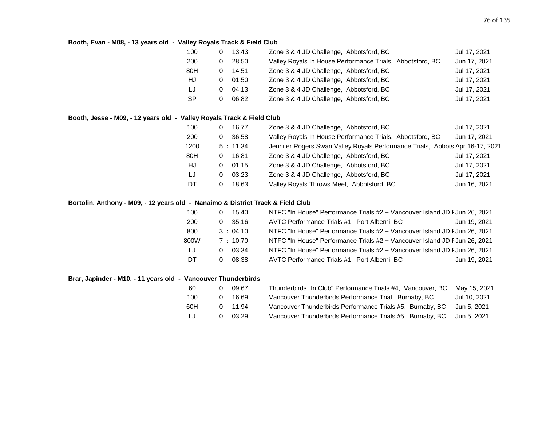### **Booth, Evan - M08, - 13 years old - Valley Royals Track & Field Club**

| 100       |   | 13.43 | Zone 3 & 4 JD Challenge, Abbotsford, BC                   | Jul 17, 2021 |
|-----------|---|-------|-----------------------------------------------------------|--------------|
| 200       |   | 28.50 | Valley Royals In House Performance Trials, Abbotsford, BC | Jun 17, 2021 |
| 80H       | 0 | 14.51 | Zone 3 & 4 JD Challenge, Abbotsford, BC                   | Jul 17, 2021 |
| HJ        | 0 | 01.50 | Zone 3 & 4 JD Challenge, Abbotsford, BC                   | Jul 17, 2021 |
| LJ        | 0 | 04.13 | Zone 3 & 4 JD Challenge, Abbotsford, BC                   | Jul 17, 2021 |
| <b>SP</b> |   | 06.82 | Zone 3 & 4 JD Challenge, Abbotsford, BC                   | Jul 17, 2021 |
|           |   |       |                                                           |              |

### **Booth, Jesse - M09, - 12 years old - Valley Royals Track & Field Club**

| 16.77<br>0 | Zone 3 & 4 JD Challenge, Abbotsford, BC                   | Jul 17, 2021                                                                  |
|------------|-----------------------------------------------------------|-------------------------------------------------------------------------------|
| 36.58<br>0 | Valley Royals In House Performance Trials, Abbotsford, BC | Jun 17, 2021                                                                  |
| 5:11.34    |                                                           |                                                                               |
| 16.81<br>0 | Zone 3 & 4 JD Challenge, Abbotsford, BC                   | Jul 17, 2021                                                                  |
| 01.15<br>0 | Zone 3 & 4 JD Challenge, Abbotsford, BC                   | Jul 17, 2021                                                                  |
| 03.23<br>0 | Zone 3 & 4 JD Challenge, Abbotsford, BC                   | Jul 17, 2021                                                                  |
| 18.63<br>0 | Valley Royals Throws Meet, Abbotsford, BC                 | Jun 16, 2021                                                                  |
|            |                                                           | Jennifer Rogers Swan Valley Royals Performance Trials, Abbots Apr 16-17, 2021 |

# **Bortolin, Anthony - M09, - 12 years old - Nanaimo & District Track & Field Club**

| 100  | 15.40   | NTFC "In House" Performance Trials #2 + Vancouver Island JD F Jun 26, 2021 |  |
|------|---------|----------------------------------------------------------------------------|--|
| 200  | 35.16   | AVTC Performance Trials #1, Port Alberni, BC<br>Jun 19, 2021               |  |
| 800  | 3:04.10 | NTFC "In House" Performance Trials #2 + Vancouver Island JD F Jun 26, 2021 |  |
| 800W | 7:10.70 | NTFC "In House" Performance Trials #2 + Vancouver Island JD F Jun 26, 2021 |  |
| LJ   | 03.34   | NTFC "In House" Performance Trials #2 + Vancouver Island JD F Jun 26, 2021 |  |
| DT   | 08.38   | AVTC Performance Trials #1, Port Alberni, BC<br>Jun 19, 2021               |  |

## **Brar, Japinder - M10, - 11 years old - Vancouver Thunderbirds**

| -60 | 09.67           | Thunderbirds "In Club" Performance Trials #4, Vancouver, BC           | Mav 15, 2021 |
|-----|-----------------|-----------------------------------------------------------------------|--------------|
| 100 | 16.69           | Vancouver Thunderbirds Performance Trial, Burnaby, BC                 | Jul 10. 2021 |
| 60H | $0 \quad 11.94$ | Vancouver Thunderbirds Performance Trials #5, Burnaby, BC             | Jun 5. 2021  |
| IJ  | 03.29           | Vancouver Thunderbirds Performance Trials #5, Burnaby, BC Jun 5, 2021 |              |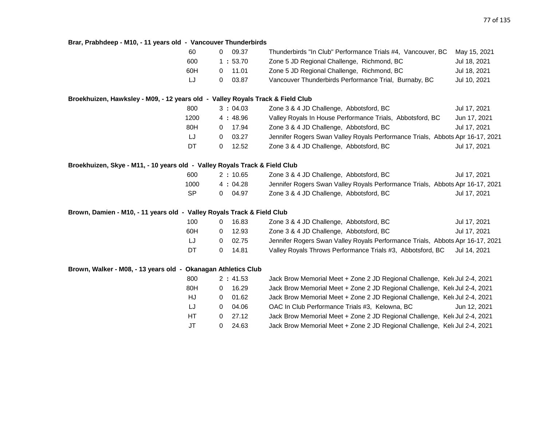# **Brar, Prabhdeep - M10, - 11 years old - Vancouver Thunderbirds**

|                                                                                  | 60        | 09.37<br>0            | Thunderbirds "In Club" Performance Trials #4, Vancouver, BC                   | May 15, 2021 |
|----------------------------------------------------------------------------------|-----------|-----------------------|-------------------------------------------------------------------------------|--------------|
|                                                                                  | 600       | 1:53.70               | Zone 5 JD Regional Challenge, Richmond, BC                                    | Jul 18, 2021 |
|                                                                                  | 60H       | 11.01<br>0            | Zone 5 JD Regional Challenge, Richmond, BC                                    | Jul 18, 2021 |
|                                                                                  | LJ        | 03.87<br>0            | Vancouver Thunderbirds Performance Trial, Burnaby, BC                         | Jul 10, 2021 |
| Broekhuizen, Hawksley - M09, - 12 years old  -  Valley Royals Track & Field Club |           |                       |                                                                               |              |
|                                                                                  | 800       | 3:04.03               | Zone 3 & 4 JD Challenge, Abbotsford, BC                                       | Jul 17, 2021 |
|                                                                                  | 1200      | 4 : 48.96             | Valley Royals In House Performance Trials, Abbotsford, BC                     | Jun 17, 2021 |
|                                                                                  | 80H       | 17.94<br>$\mathbf{0}$ | Zone 3 & 4 JD Challenge, Abbotsford, BC                                       | Jul 17, 2021 |
|                                                                                  | IJ        | 03.27<br>0            | Jennifer Rogers Swan Valley Royals Performance Trials, Abbots Apr 16-17, 2021 |              |
|                                                                                  | DT        | 12.52<br>0            | Zone 3 & 4 JD Challenge, Abbotsford, BC                                       | Jul 17, 2021 |
| Broekhuizen, Skye - M11, - 10 years old  - Valley Royals Track & Field Club      |           |                       |                                                                               |              |
|                                                                                  | 600       | 2:10.65               | Zone 3 & 4 JD Challenge, Abbotsford, BC                                       | Jul 17, 2021 |
|                                                                                  | 1000      | 4:04.28               | Jennifer Rogers Swan Valley Royals Performance Trials, Abbots Apr 16-17, 2021 |              |
|                                                                                  | <b>SP</b> | 04.97<br>$\mathbf 0$  | Zone 3 & 4 JD Challenge, Abbotsford, BC                                       | Jul 17, 2021 |
| Brown, Damien - M10, - 11 years old - Valley Royals Track & Field Club           |           |                       |                                                                               |              |
|                                                                                  | 100       | 16.83<br>0            | Zone 3 & 4 JD Challenge, Abbotsford, BC                                       | Jul 17, 2021 |
|                                                                                  | 60H       | 12.93<br>0            | Zone 3 & 4 JD Challenge, Abbotsford, BC                                       | Jul 17, 2021 |
|                                                                                  | LJ        | 02.75<br>0            | Jennifer Rogers Swan Valley Royals Performance Trials, Abbots Apr 16-17, 2021 |              |
|                                                                                  | DT        | 0<br>14.81            | Valley Royals Throws Performance Trials #3, Abbotsford, BC                    | Jul 14, 2021 |
| Brown, Walker - M08, - 13 years old - Okanagan Athletics Club                    |           |                       |                                                                               |              |
|                                                                                  | 800       | 2:41.53               | Jack Brow Memorial Meet + Zone 2 JD Regional Challenge, Kel Jul 2-4, 2021     |              |
|                                                                                  | 80H       | 16.29<br>0            | Jack Brow Memorial Meet + Zone 2 JD Regional Challenge, Kel Jul 2-4, 2021     |              |
|                                                                                  | HJ        | 01.62<br>0            | Jack Brow Memorial Meet + Zone 2 JD Regional Challenge, Kel Jul 2-4, 2021     |              |
|                                                                                  | IJ        | 04.06<br>0            | OAC In Club Performance Trials #3, Kelowna, BC                                | Jun 12, 2021 |
|                                                                                  | HT.       | 27.12<br>0            | Jack Brow Memorial Meet + Zone 2 JD Regional Challenge, Kelt Jul 2-4, 2021    |              |
|                                                                                  | JT        | 0<br>24.63            | Jack Brow Memorial Meet + Zone 2 JD Regional Challenge, Keld Jul 2-4, 2021    |              |
|                                                                                  |           |                       |                                                                               |              |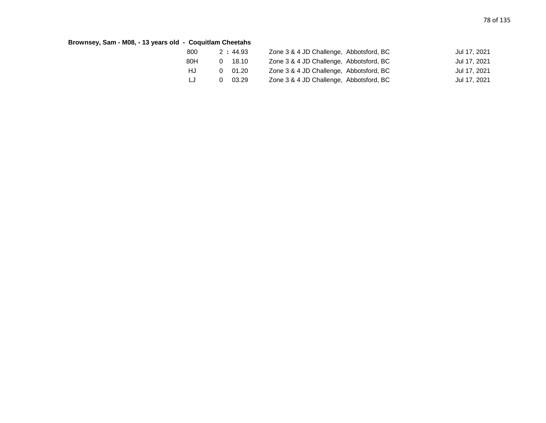# **Brownsey, Sam - M08, - 13 years old - Coquitlam Cheetahs**

| 800 | 2:44.93        | Zone 3 & 4 JD Challenge, Abbotsford, BC | Jul 17, 2021 |
|-----|----------------|-----------------------------------------|--------------|
| 80H | 0 18.10        | Zone 3 & 4 JD Challenge, Abbotsford, BC | Jul 17, 2021 |
| HJ  | $0\quad 01.20$ | Zone 3 & 4 JD Challenge, Abbotsford, BC | Jul 17, 2021 |
| LJ  | - 03.29        | Zone 3 & 4 JD Challenge, Abbotsford, BC | Jul 17, 2021 |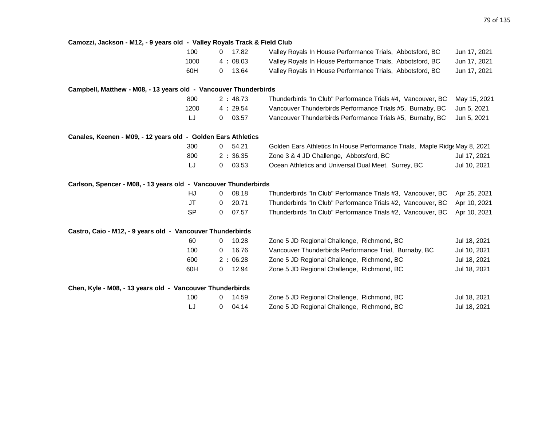| Camozzi, Jackson - M12, - 9 years old - Valley Royals Track & Field Club |                       |                                                                            |              |
|--------------------------------------------------------------------------|-----------------------|----------------------------------------------------------------------------|--------------|
| 100                                                                      | 17.82<br>0            | Valley Royals In House Performance Trials, Abbotsford, BC                  | Jun 17, 2021 |
| 1000                                                                     | 4:08.03               | Valley Royals In House Performance Trials, Abbotsford, BC                  | Jun 17, 2021 |
| 60H                                                                      | 13.64<br>0            | Valley Royals In House Performance Trials, Abbotsford, BC                  | Jun 17, 2021 |
| Campbell, Matthew - M08, - 13 years old - Vancouver Thunderbirds         |                       |                                                                            |              |
| 800                                                                      | 2:48.73               | Thunderbirds "In Club" Performance Trials #4, Vancouver, BC                | May 15, 2021 |
| 1200                                                                     | 4:29.54               | Vancouver Thunderbirds Performance Trials #5, Burnaby, BC                  | Jun 5, 2021  |
| LJ                                                                       | 03.57<br>$\mathbf{0}$ | Vancouver Thunderbirds Performance Trials #5, Burnaby, BC                  | Jun 5, 2021  |
| Canales, Keenen - M09, - 12 years old - Golden Ears Athletics            |                       |                                                                            |              |
| 300                                                                      | 54.21<br>$\mathbf{0}$ | Golden Ears Athletics In House Performance Trials, Maple Ridge May 8, 2021 |              |
| 800                                                                      | 2:36.35               | Zone 3 & 4 JD Challenge, Abbotsford, BC                                    | Jul 17, 2021 |
| LJ                                                                       | 03.53<br>0            | Ocean Athletics and Universal Dual Meet, Surrey, BC                        | Jul 10, 2021 |
| Carlson, Spencer - M08, - 13 years old - Vancouver Thunderbirds          |                       |                                                                            |              |
| HJ                                                                       | 08.18<br>0            | Thunderbirds "In Club" Performance Trials #3, Vancouver, BC                | Apr 25, 2021 |
| <b>JT</b>                                                                | 20.71<br>0            | Thunderbirds "In Club" Performance Trials #2, Vancouver, BC                | Apr 10, 2021 |
| <b>SP</b>                                                                | 07.57<br>0            | Thunderbirds "In Club" Performance Trials #2, Vancouver, BC                | Apr 10, 2021 |
| Castro, Caio - M12, - 9 years old - Vancouver Thunderbirds               |                       |                                                                            |              |
| 60                                                                       | 10.28<br>0            | Zone 5 JD Regional Challenge, Richmond, BC                                 | Jul 18, 2021 |
| 100                                                                      | 16.76<br>0            | Vancouver Thunderbirds Performance Trial, Burnaby, BC                      | Jul 10, 2021 |
| 600                                                                      | 2:06.28               | Zone 5 JD Regional Challenge, Richmond, BC                                 | Jul 18, 2021 |
| 60H                                                                      | 12.94<br>0            | Zone 5 JD Regional Challenge, Richmond, BC                                 | Jul 18, 2021 |
| Chen, Kyle - M08, - 13 years old - Vancouver Thunderbirds                |                       |                                                                            |              |
| 100                                                                      | 14.59<br>0            | Zone 5 JD Regional Challenge, Richmond, BC                                 | Jul 18, 2021 |
| LJ                                                                       | 04.14<br>0            | Zone 5 JD Regional Challenge, Richmond, BC                                 | Jul 18, 2021 |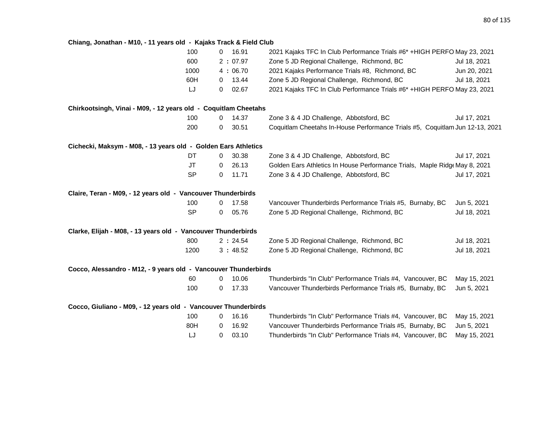# **Chiang, Jonathan - M10, - 11 years old - Kajaks Track & Field Club**

|                                                                 | 100       | $\mathbf{0}$   | 16.91   | 2021 Kajaks TFC In Club Performance Trials #6* +HIGH PERFO May 23, 2021      |              |
|-----------------------------------------------------------------|-----------|----------------|---------|------------------------------------------------------------------------------|--------------|
|                                                                 | 600       |                | 2:07.97 | Zone 5 JD Regional Challenge, Richmond, BC                                   | Jul 18, 2021 |
|                                                                 | 1000      |                | 4:06.70 | 2021 Kajaks Performance Trials #8, Richmond, BC                              | Jun 20, 2021 |
|                                                                 | 60H       | $\mathbf{0}$   | 13.44   | Zone 5 JD Regional Challenge, Richmond, BC                                   | Jul 18, 2021 |
|                                                                 | LJ        | 0              | 02.67   | 2021 Kajaks TFC In Club Performance Trials #6* + HIGH PERFO May 23, 2021     |              |
| Chirkootsingh, Vinai - M09, - 12 years old - Coquitlam Cheetahs |           |                |         |                                                                              |              |
|                                                                 | 100       | $\overline{0}$ | 14.37   | Zone 3 & 4 JD Challenge, Abbotsford, BC                                      | Jul 17, 2021 |
|                                                                 | 200       | $\mathbf 0$    | 30.51   | Coquitlam Cheetahs In-House Performance Trials #5, Coquitlam Jun 12-13, 2021 |              |
| Cichecki, Maksym - M08, - 13 years old - Golden Ears Athletics  |           |                |         |                                                                              |              |
|                                                                 | DT        | 0              | 30.38   | Zone 3 & 4 JD Challenge, Abbotsford, BC                                      | Jul 17, 2021 |
|                                                                 | <b>JT</b> | 0              | 26.13   | Golden Ears Athletics In House Performance Trials, Maple Ridge May 8, 2021   |              |
|                                                                 | <b>SP</b> | $\mathbf{0}$   | 11.71   | Zone 3 & 4 JD Challenge, Abbotsford, BC                                      | Jul 17, 2021 |
| Claire, Teran - M09, - 12 years old - Vancouver Thunderbirds    |           |                |         |                                                                              |              |
|                                                                 | 100       | $\mathbf{0}$   | 17.58   | Vancouver Thunderbirds Performance Trials #5, Burnaby, BC                    | Jun 5, 2021  |
|                                                                 | <b>SP</b> | 0              | 05.76   | Zone 5 JD Regional Challenge, Richmond, BC                                   | Jul 18, 2021 |
| Clarke, Elijah - M08, - 13 years old - Vancouver Thunderbirds   |           |                |         |                                                                              |              |
|                                                                 | 800       |                | 2:24.54 | Zone 5 JD Regional Challenge, Richmond, BC                                   | Jul 18, 2021 |
|                                                                 | 1200      |                | 3:48.52 | Zone 5 JD Regional Challenge, Richmond, BC                                   | Jul 18, 2021 |
| Cocco, Alessandro - M12, - 9 years old - Vancouver Thunderbirds |           |                |         |                                                                              |              |
|                                                                 | 60        | 0              | 10.06   | Thunderbirds "In Club" Performance Trials #4, Vancouver, BC                  | May 15, 2021 |
|                                                                 | 100       | 0              | 17.33   | Vancouver Thunderbirds Performance Trials #5, Burnaby, BC                    | Jun 5, 2021  |
| Cocco, Giuliano - M09, - 12 years old - Vancouver Thunderbirds  |           |                |         |                                                                              |              |
|                                                                 | 100       | 0              | 16.16   | Thunderbirds "In Club" Performance Trials #4, Vancouver, BC                  | May 15, 2021 |
|                                                                 | 80H       | 0              | 16.92   | Vancouver Thunderbirds Performance Trials #5, Burnaby, BC                    | Jun 5, 2021  |
|                                                                 | LJ        | 0              | 03.10   | Thunderbirds "In Club" Performance Trials #4, Vancouver, BC                  | May 15, 2021 |
|                                                                 |           |                |         |                                                                              |              |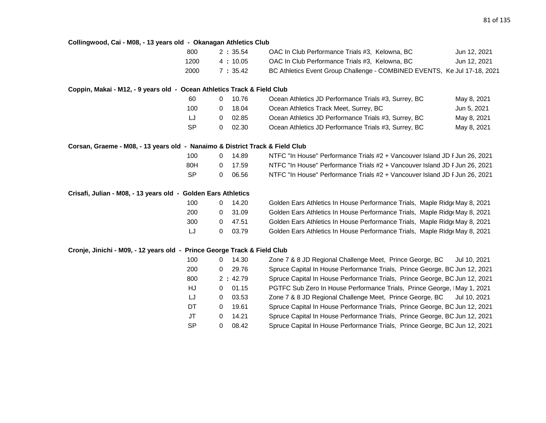# **Collingwood, Cai - M08, - 13 years old - Okanagan Athletics Club**

|                                                                              | 800       |              | 2:35.54 | OAC In Club Performance Trials #3, Kelowna, BC                             | Jun 12, 2021 |
|------------------------------------------------------------------------------|-----------|--------------|---------|----------------------------------------------------------------------------|--------------|
|                                                                              | 1200      |              | 4:10.05 | OAC In Club Performance Trials #3, Kelowna, BC                             | Jun 12, 2021 |
|                                                                              | 2000      |              | 7:35.42 | BC Athletics Event Group Challenge - COMBINED EVENTS, Ke Jul 17-18, 2021   |              |
|                                                                              |           |              |         |                                                                            |              |
| Coppin, Makai - M12, - 9 years old - Ocean Athletics Track & Field Club      |           |              |         |                                                                            |              |
|                                                                              | 60        | 0            | 10.76   | Ocean Athletics JD Performance Trials #3, Surrey, BC                       | May 8, 2021  |
|                                                                              | 100       | 0            | 18.04   | Ocean Athletics Track Meet, Surrey, BC                                     | Jun 5, 2021  |
|                                                                              | LJ        | $\mathbf{0}$ | 02.85   | Ocean Athletics JD Performance Trials #3, Surrey, BC                       | May 8, 2021  |
|                                                                              | <b>SP</b> | 0            | 02.30   | Ocean Athletics JD Performance Trials #3, Surrey, BC                       | May 8, 2021  |
| Corsan, Graeme - M08, - 13 years old - Nanaimo & District Track & Field Club |           |              |         |                                                                            |              |
|                                                                              | 100       | $\mathbf{0}$ | 14.89   | NTFC "In House" Performance Trials #2 + Vancouver Island JD F Jun 26, 2021 |              |
|                                                                              | 80H       | 0            | 17.59   | NTFC "In House" Performance Trials #2 + Vancouver Island JD F Jun 26, 2021 |              |
|                                                                              | <b>SP</b> | 0            | 06.56   | NTFC "In House" Performance Trials #2 + Vancouver Island JD F Jun 26, 2021 |              |
| Crisafi, Julian - M08, - 13 years old - Golden Ears Athletics                |           |              |         |                                                                            |              |
|                                                                              | 100       | 0            | 14.20   | Golden Ears Athletics In House Performance Trials, Maple Ridge May 8, 2021 |              |
|                                                                              | 200       | 0            | 31.09   | Golden Ears Athletics In House Performance Trials, Maple Ridge May 8, 2021 |              |
|                                                                              | 300       | 0            | 47.51   | Golden Ears Athletics In House Performance Trials, Maple Ridge May 8, 2021 |              |
|                                                                              | LJ        | $\mathbf{0}$ | 03.79   | Golden Ears Athletics In House Performance Trials, Maple Ridge May 8, 2021 |              |
| Cronje, Jinichi - M09, - 12 years old - Prince George Track & Field Club     |           |              |         |                                                                            |              |
|                                                                              | 100       | 0            | 14.30   | Zone 7 & 8 JD Regional Challenge Meet, Prince George, BC                   | Jul 10, 2021 |
|                                                                              | 200       | 0            | 29.76   | Spruce Capital In House Performance Trials, Prince George, BC Jun 12, 2021 |              |
|                                                                              | 800       |              | 2:42.79 | Spruce Capital In House Performance Trials, Prince George, BC Jun 12, 2021 |              |
|                                                                              | HJ        | $\mathbf{0}$ | 01.15   | PGTFC Sub Zero In House Performance Trials, Prince George, IMay 1, 2021    |              |
|                                                                              | IJ        | 0            | 03.53   | Zone 7 & 8 JD Regional Challenge Meet, Prince George, BC                   | Jul 10, 2021 |
|                                                                              | DT        | $\mathbf{0}$ | 19.61   | Spruce Capital In House Performance Trials, Prince George, BC Jun 12, 2021 |              |
|                                                                              | JT        | 0            | 14.21   | Spruce Capital In House Performance Trials, Prince George, BC Jun 12, 2021 |              |
|                                                                              | <b>SP</b> | 0            | 08.42   | Spruce Capital In House Performance Trials, Prince George, BC Jun 12, 2021 |              |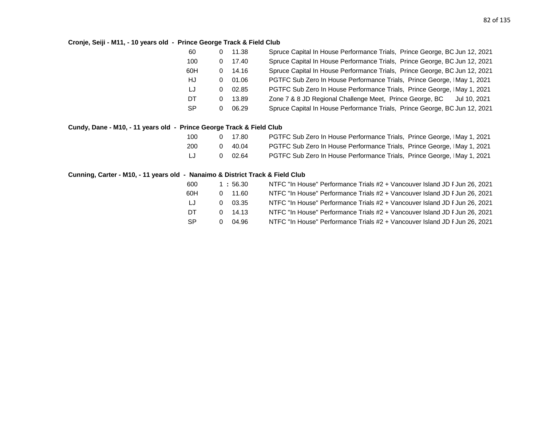# **Cronje, Seiji - M11, - 10 years old - Prince George Track & Field Club**

| 60        | 0        | 11.38     | Spruce Capital In House Performance Trials, Prince George, BC Jun 12, 2021 |
|-----------|----------|-----------|----------------------------------------------------------------------------|
| 100       | 0        | 17.40     | Spruce Capital In House Performance Trials, Prince George, BC Jun 12, 2021 |
| 60H       |          | $0$ 14.16 | Spruce Capital In House Performance Trials, Prince George, BC Jun 12, 2021 |
| HJ        | 0        | 01.06     | PGTFC Sub Zero In House Performance Trials, Prince George, IMay 1, 2021    |
| LJ        | 0        | 02.85     | PGTFC Sub Zero In House Performance Trials, Prince George, IMay 1, 2021    |
| DT.       | $\Omega$ | 13.89     | Zone 7 & 8 JD Regional Challenge Meet, Prince George, BC<br>Jul 10, 2021   |
| <b>SP</b> | 0        | 06.29     | Spruce Capital In House Performance Trials, Prince George, BC Jun 12, 2021 |

# **Cundy, Dane - M10, - 11 years old - Prince George Track & Field Club**

| 100 | 0 17.80         | PGTFC Sub Zero In House Performance Trials, Prince George, IMay 1, 2021 |
|-----|-----------------|-------------------------------------------------------------------------|
| 200 | $0 \quad 40.04$ | PGTFC Sub Zero In House Performance Trials, Prince George, IMay 1, 2021 |
| LJ  | 0 02.64         | PGTFC Sub Zero In House Performance Trials, Prince George, IMay 1, 2021 |

### **Cunning, Carter - M10, - 11 years old - Nanaimo & District Track & Field Club**

| 600       |    | 1:56.30 | NTFC "In House" Performance Trials #2 + Vancouver Island JD F Jun 26, 2021 |
|-----------|----|---------|----------------------------------------------------------------------------|
| 60H       | 0  | 11.60   | NTFC "In House" Performance Trials #2 + Vancouver Island JD F Jun 26, 2021 |
| LJ        | 0  | 03.35   | NTFC "In House" Performance Trials #2 + Vancouver Island JD F Jun 26, 2021 |
| DT        | 0. | 14.13   | NTFC "In House" Performance Trials #2 + Vancouver Island JD F Jun 26, 2021 |
| <b>SP</b> |    | 04.96   | NTFC "In House" Performance Trials #2 + Vancouver Island JD F Jun 26, 2021 |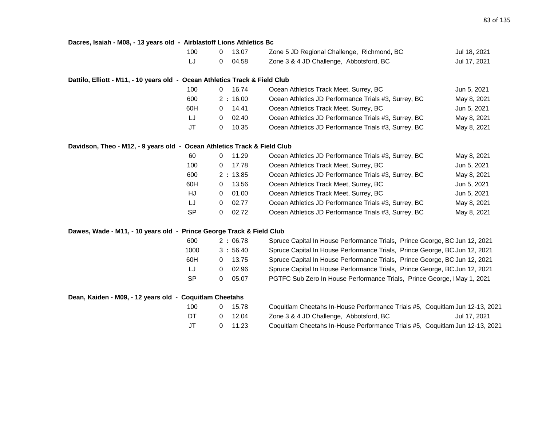#### **Dacres, Isaiah - M08, - 13 years old - Airblastoff Lions Athletics Bc**

| 100 | 0 13.07 | Zone 5 JD Regional Challenge, Richmond, BC | Jul 18, 2021 |
|-----|---------|--------------------------------------------|--------------|
|     | 0 04.58 | Zone 3 & 4 JD Challenge, Abbotsford, BC    | Jul 17, 2021 |

### **Dattilo, Elliott - M11, - 10 years old - Ocean Athletics Track & Field Club**

| 100 | 16.74   | Ocean Athletics Track Meet, Surrey, BC               | Jun 5, 2021 |
|-----|---------|------------------------------------------------------|-------------|
| 600 | 2:16.00 | Ocean Athletics JD Performance Trials #3, Surrey, BC | May 8, 2021 |
| 60H | 14.41   | Ocean Athletics Track Meet, Surrey, BC               | Jun 5, 2021 |
| IJ  | 02.40   | Ocean Athletics JD Performance Trials #3, Surrey, BC | May 8, 2021 |
| JT  | 10.35   | Ocean Athletics JD Performance Trials #3, Surrey, BC | May 8, 2021 |

#### **Davidson, Theo - M12, - 9 years old - Ocean Athletics Track & Field Club**

| 60        | 11.29<br>0        | Ocean Athletics JD Performance Trials #3, Surrey, BC | May 8, 2021 |
|-----------|-------------------|------------------------------------------------------|-------------|
| 100       | 17.78<br>0        | Ocean Athletics Track Meet, Surrey, BC               | Jun 5, 2021 |
| 600       | 2:13.85           | Ocean Athletics JD Performance Trials #3, Surrey, BC | May 8, 2021 |
| 60H       | 13.56<br>0        | Ocean Athletics Track Meet, Surrey, BC               | Jun 5, 2021 |
| HJ        | 01.00<br>0        | Ocean Athletics Track Meet, Surrey, BC               | Jun 5, 2021 |
| LJ        | 02.77<br>0        | Ocean Athletics JD Performance Trials #3, Surrey, BC | May 8, 2021 |
| <b>SP</b> | 02.72<br>$\Omega$ | Ocean Athletics JD Performance Trials #3, Surrey, BC | May 8, 2021 |

## **Dawes, Wade - M11, - 10 years old - Prince George Track & Field Club**

| 600  | 2:06.78   | Spruce Capital In House Performance Trials, Prince George, BC Jun 12, 2021 |
|------|-----------|----------------------------------------------------------------------------|
| 1000 | 3:56.40   | Spruce Capital In House Performance Trials, Prince George, BC Jun 12, 2021 |
| 60H  | $0$ 13.75 | Spruce Capital In House Performance Trials, Prince George, BC Jun 12, 2021 |
| LJ   | 02.96     | Spruce Capital In House Performance Trials, Prince George, BC Jun 12, 2021 |
| -SP  | 05.07     | PGTFC Sub Zero In House Performance Trials, Prince George, IMay 1, 2021    |
|      |           |                                                                            |

# **Dean, Kaiden - M09, - 12 years old - Coquitlam Cheetahs**

| 100 | 0 15.78 | Coquitlam Cheetahs In-House Performance Trials #5, Coquitlam Jun 12-13, 2021 |              |
|-----|---------|------------------------------------------------------------------------------|--------------|
| DT. | 0 12.04 | Zone 3 & 4 JD Challenge, Abbotsford, BC                                      | Jul 17, 2021 |
| JT  | 0 11.23 | Coquitlam Cheetahs In-House Performance Trials #5, Coquitlam Jun 12-13, 2021 |              |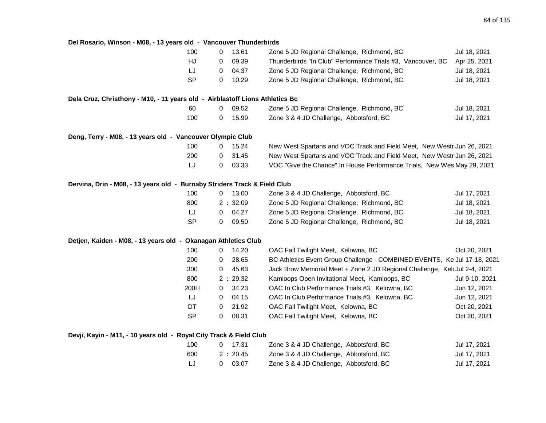**Del Rosario, Winson - M08, - 13 years old - Vancouver Thunderbirds** 100 0 13.61 Zone 5 JD Regional Challenge, Richmond, BC Jul 18, 2021 HJ 0 09.39 Thunderbirds "In Club" Performance Trials #3, Vancouver, BC Apr 25, 2021 LJ 0 04.37 Zone 5 JD Regional Challenge, Richmond, BC Jul 18, 2021 SP 0 10.29 Zone 5 JD Regional Challenge, Richmond, BC Jul 18, 2021 **Dela Cruz, Christhony - M10, - 11 years old - Airblastoff Lions Athletics Bc** 60 0 09.52 Zone 5 JD Regional Challenge, Richmond, BC Jul 18, 2021 100 0 15.99 Zone 3 & 4 JD Challenge, Abbotsford, BC Jul 17, 2021 **Deng, Terry - M08, - 13 years old - Vancouver Olympic Club** 100 0 15.24 New West Spartans and VOC Track and Field Meet, New Westr Jun 26, 2021 200 0 31.45 New West Spartans and VOC Track and Field Meet, New Westr Jun 26, 2021 LJ 0 03.33 VOC "Give the Chance" In House Performance Trials, New Wes May 29, 2021 **Dervina, Drin - M08, - 13 years old - Burnaby Striders Track & Field Club** 100 0 13.00 Zone 3 & 4 JD Challenge, Abbotsford, BC Jul 17, 2021 800 2 **:** 32.09 Zone 5 JD Regional Challenge, Richmond, BC Jul 18, 2021 LJ 0 04.27 Zone 5 JD Regional Challenge, Richmond, BC Jul 18, 2021 SP 0 09.50 Zone 5 JD Regional Challenge, Richmond, BC Jul 18, 2021 **Detjen, Kaiden - M08, - 13 years old - Okanagan Athletics Club** 100 0 14.20 OAC Fall Twilight Meet, Kelowna, BC 0 0 Oct 20, 2021 200 0 28.65 BC Athletics Event Group Challenge - COMBINED EVENTS, Ke Jul 17-18, 2021 300 0 45.63 Jack Brow Memorial Meet + Zone 2 JD Regional Challenge, Kelo Jul 2-4, 2021 800 2 **:** 29.32 Kamloops Open Invitational Meet, Kamloops, BC Jul 9-10, 2021 200H 0 34.23 OAC In Club Performance Trials #3, Kelowna, BC Jun 12, 2021 LJ 0 04.15 OAC In Club Performance Trials #3, Kelowna, BC Jun 12, 2021 DT 0 21.92 OAC Fall Twilight Meet, Kelowna, BC 0 0 Oct 20, 2021 SP 0 08.31 OAC Fall Twilight Meet, Kelowna, BC 0 08.31 Oct 20, 2021

#### **Devji, Kayin - M11, - 10 years old - Royal City Track & Field Club**

| 100 | $0 \quad 17.31$ | Zone 3 & 4 JD Challenge, Abbotsford, BC | Jul 17, 2021 |
|-----|-----------------|-----------------------------------------|--------------|
| 600 | 2:20.45         | Zone 3 & 4 JD Challenge, Abbotsford, BC | Jul 17, 2021 |
| IJ  | 03.07           | Zone 3 & 4 JD Challenge, Abbotsford, BC | Jul 17, 2021 |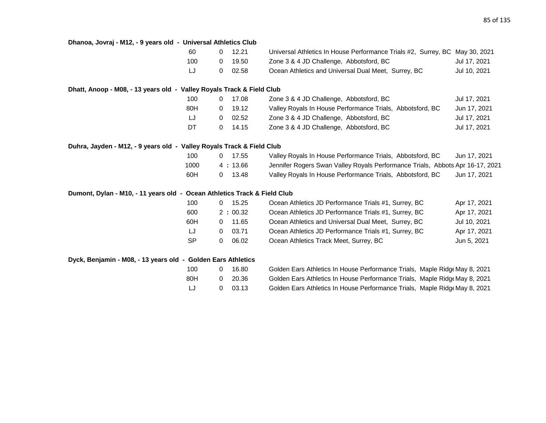| Dhanoa, Jovraj - M12, - 9 years old - Universal Athletics Club           |           |   |         |                                                                               |              |
|--------------------------------------------------------------------------|-----------|---|---------|-------------------------------------------------------------------------------|--------------|
|                                                                          | 60        | 0 | 12.21   | Universal Athletics In House Performance Trials #2, Surrey, BC May 30, 2021   |              |
|                                                                          | 100       | 0 | 19.50   | Zone 3 & 4 JD Challenge, Abbotsford, BC                                       | Jul 17, 2021 |
|                                                                          | LJ        | 0 | 02.58   | Ocean Athletics and Universal Dual Meet, Surrey, BC                           | Jul 10, 2021 |
| Dhatt, Anoop - M08, - 13 years old - Valley Royals Track & Field Club    |           |   |         |                                                                               |              |
|                                                                          | 100       | 0 | 17.08   | Zone 3 & 4 JD Challenge, Abbotsford, BC                                       | Jul 17, 2021 |
|                                                                          | 80H       | 0 | 19.12   | Valley Royals In House Performance Trials, Abbotsford, BC                     | Jun 17, 2021 |
|                                                                          | IJ        | 0 | 02.52   | Zone 3 & 4 JD Challenge, Abbotsford, BC                                       | Jul 17, 2021 |
|                                                                          | DT        | 0 | 14.15   | Zone 3 & 4 JD Challenge, Abbotsford, BC                                       | Jul 17, 2021 |
| Duhra, Jayden - M12, - 9 years old - Valley Royals Track & Field Club    |           |   |         |                                                                               |              |
|                                                                          | 100       | 0 | 17.55   | Valley Royals In House Performance Trials, Abbotsford, BC                     | Jun 17, 2021 |
|                                                                          | 1000      |   | 4:13.66 | Jennifer Rogers Swan Valley Royals Performance Trials, Abbots Apr 16-17, 2021 |              |
|                                                                          | 60H       | 0 | 13.48   | Valley Royals In House Performance Trials, Abbotsford, BC                     | Jun 17, 2021 |
| Dumont, Dylan - M10, - 11 years old - Ocean Athletics Track & Field Club |           |   |         |                                                                               |              |
|                                                                          | 100       | 0 | 15.25   | Ocean Athletics JD Performance Trials #1, Surrey, BC                          | Apr 17, 2021 |
|                                                                          | 600       |   | 2:00.32 | Ocean Athletics JD Performance Trials #1, Surrey, BC                          | Apr 17, 2021 |
|                                                                          | 60H       | 0 | 11.65   | Ocean Athletics and Universal Dual Meet, Surrey, BC                           | Jul 10, 2021 |
|                                                                          | IJ        | 0 | 03.71   | Ocean Athletics JD Performance Trials #1, Surrey, BC                          | Apr 17, 2021 |
|                                                                          | <b>SP</b> | 0 | 06.02   | Ocean Athletics Track Meet, Surrey, BC                                        | Jun 5, 2021  |
| Dyck, Benjamin - M08, - 13 years old - Golden Ears Athletics             |           |   |         |                                                                               |              |
|                                                                          | 100       | 0 | 16.80   | Golden Ears Athletics In House Performance Trials, Maple Ridge May 8, 2021    |              |
|                                                                          | 80H       | 0 | 20.36   | Golden Ears Athletics In House Performance Trials, Maple Ridge May 8, 2021    |              |
|                                                                          | IJ        | 0 | 03.13   | Golden Ears Athletics In House Performance Trials, Maple Ridge May 8, 2021    |              |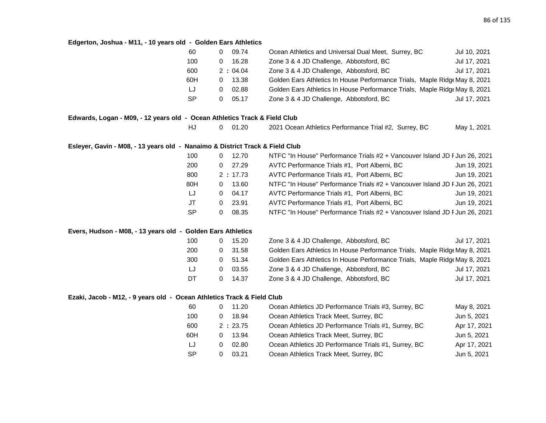# **Edgerton, Joshua - M11, - 10 years old - Golden Ears Athletics**

|                                                                              | 60<br>$\overline{0}$  | 09.74     | Ocean Athletics and Universal Dual Meet, Surrey, BC                        | Jul 10, 2021 |
|------------------------------------------------------------------------------|-----------------------|-----------|----------------------------------------------------------------------------|--------------|
|                                                                              | 100<br>$\overline{0}$ | 16.28     | Zone 3 & 4 JD Challenge, Abbotsford, BC                                    | Jul 17, 2021 |
|                                                                              | 600                   | 2:04.04   | Zone 3 & 4 JD Challenge, Abbotsford, BC                                    | Jul 17, 2021 |
|                                                                              | 60H                   | $0$ 13.38 | Golden Ears Athletics In House Performance Trials, Maple Ridge May 8, 2021 |              |
|                                                                              | LJ<br>$\overline{0}$  | 02.88     | Golden Ears Athletics In House Performance Trials, Maple Ridge May 8, 2021 |              |
|                                                                              | SP<br>$\overline{0}$  | 05.17     | Zone 3 & 4 JD Challenge, Abbotsford, BC                                    | Jul 17, 2021 |
| Edwards, Logan - M09, - 12 years old - Ocean Athletics Track & Field Club    |                       |           |                                                                            |              |
|                                                                              | HJ<br>$\overline{0}$  | 01.20     | 2021 Ocean Athletics Performance Trial #2, Surrey, BC                      | May 1, 2021  |
| Esleyer, Gavin - M08, - 13 years old - Nanaimo & District Track & Field Club |                       |           |                                                                            |              |
|                                                                              | 100                   | $0$ 12.70 | NTFC "In House" Performance Trials #2 + Vancouver Island JD F Jun 26, 2021 |              |
|                                                                              | 200                   | $0$ 27.29 | AVTC Performance Trials #1, Port Alberni, BC                               | Jun 19, 2021 |
|                                                                              | 800                   | 2:17.73   | AVTC Performance Trials #1, Port Alberni, BC                               | Jun 19, 2021 |
|                                                                              | 80H                   | $0$ 13.60 | NTFC "In House" Performance Trials #2 + Vancouver Island JD F Jun 26, 2021 |              |
|                                                                              | LJ<br>$\Omega$        | 04.17     | AVTC Performance Trials #1, Port Alberni, BC                               | Jun 19, 2021 |
|                                                                              | JT<br>$\overline{0}$  | 23.91     | AVTC Performance Trials #1, Port Alberni, BC                               | Jun 19, 2021 |
|                                                                              | <b>SP</b><br>$\Omega$ | 08.35     | NTFC "In House" Performance Trials #2 + Vancouver Island JD F Jun 26, 2021 |              |
| Evers, Hudson - M08, - 13 years old - Golden Ears Athletics                  |                       |           |                                                                            |              |
|                                                                              | 100<br>$\overline{0}$ | 15.20     | Zone 3 & 4 JD Challenge, Abbotsford, BC                                    | Jul 17, 2021 |
|                                                                              | 200<br>$\overline{0}$ | 31.58     | Golden Ears Athletics In House Performance Trials, Maple Ridge May 8, 2021 |              |
|                                                                              | 300<br>$\Omega$       | 51.34     | Golden Ears Athletics In House Performance Trials, Maple Ridg May 8, 2021  |              |
|                                                                              | LJ<br>0               | 03.55     | Zone 3 & 4 JD Challenge, Abbotsford, BC                                    | Jul 17, 2021 |

# **Ezaki, Jacob - M12, - 9 years old - Ocean Athletics Track & Field Club**

| 60        | 11.20   | Ocean Athletics JD Performance Trials #3, Surrey, BC | May 8, 2021  |
|-----------|---------|------------------------------------------------------|--------------|
| 100       | 18.94   | Ocean Athletics Track Meet, Surrey, BC               | Jun 5, 2021  |
| 600       | 2:23.75 | Ocean Athletics JD Performance Trials #1, Surrey, BC | Apr 17, 2021 |
| 60H       | 13.94   | Ocean Athletics Track Meet, Surrey, BC               | Jun 5, 2021  |
| LJ        | 02.80   | Ocean Athletics JD Performance Trials #1, Surrey, BC | Apr 17, 2021 |
| <b>SP</b> | 03.21   | Ocean Athletics Track Meet, Surrey, BC               | Jun 5, 2021  |

DT 0 14.37 Zone 3 & 4 JD Challenge, Abbotsford, BC Jul 17, 2021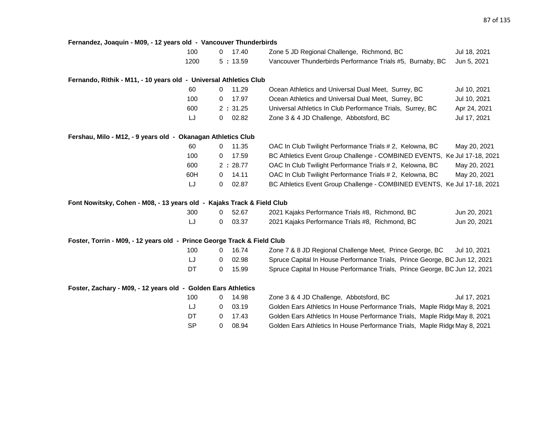| Fernandez, Joaquin - M09, - 12 years old - Vancouver Thunderbirds       |                       |                                                                            |              |
|-------------------------------------------------------------------------|-----------------------|----------------------------------------------------------------------------|--------------|
| 100                                                                     | 17.40<br>$\Omega$     | Zone 5 JD Regional Challenge, Richmond, BC                                 | Jul 18, 2021 |
| 1200                                                                    | 5:13.59               | Vancouver Thunderbirds Performance Trials #5, Burnaby, BC                  | Jun 5, 2021  |
| Fernando, Rithik - M11, - 10 years old - Universal Athletics Club       |                       |                                                                            |              |
| 60                                                                      | 11.29<br>0            | Ocean Athletics and Universal Dual Meet, Surrey, BC                        | Jul 10, 2021 |
| 100                                                                     | 17.97<br>0            | Ocean Athletics and Universal Dual Meet, Surrey, BC                        | Jul 10, 2021 |
| 600                                                                     | 2:31.25               | Universal Athletics In Club Performance Trials, Surrey, BC                 | Apr 24, 2021 |
| LJ                                                                      | 02.82<br>0            | Zone 3 & 4 JD Challenge, Abbotsford, BC                                    | Jul 17, 2021 |
| Fershau, Milo - M12, - 9 years old - Okanagan Athletics Club            |                       |                                                                            |              |
| 60                                                                      | 11.35<br>0            | OAC In Club Twilight Performance Trials # 2, Kelowna, BC                   | May 20, 2021 |
| 100                                                                     | 17.59<br>0            | BC Athletics Event Group Challenge - COMBINED EVENTS, Ke Jul 17-18, 2021   |              |
| 600                                                                     | 2:28.77               | OAC In Club Twilight Performance Trials # 2, Kelowna, BC                   | May 20, 2021 |
| 60H                                                                     | 14.11<br>0            | OAC In Club Twilight Performance Trials # 2, Kelowna, BC                   | May 20, 2021 |
| LJ                                                                      | 02.87<br>0            | BC Athletics Event Group Challenge - COMBINED EVENTS, Ke Jul 17-18, 2021   |              |
| Font Nowitsky, Cohen - M08, - 13 years old - Kajaks Track & Field Club  |                       |                                                                            |              |
| 300                                                                     | 52.67<br>$\mathbf{0}$ | 2021 Kajaks Performance Trials #8, Richmond, BC                            | Jun 20, 2021 |
| LJ                                                                      | 03.37<br>0            | 2021 Kajaks Performance Trials #8, Richmond, BC                            | Jun 20, 2021 |
| Foster, Torrin - M09, - 12 years old - Prince George Track & Field Club |                       |                                                                            |              |
| 100                                                                     | 16.74<br>0            | Zone 7 & 8 JD Regional Challenge Meet, Prince George, BC                   | Jul 10, 2021 |
| LJ                                                                      | 02.98<br>0            | Spruce Capital In House Performance Trials, Prince George, BC Jun 12, 2021 |              |
| DT                                                                      | 15.99<br>$\mathbf{0}$ | Spruce Capital In House Performance Trials, Prince George, BC Jun 12, 2021 |              |
| Foster, Zachary - M09, - 12 years old - Golden Ears Athletics           |                       |                                                                            |              |
| 100                                                                     | 14.98<br>0            | Zone 3 & 4 JD Challenge, Abbotsford, BC                                    | Jul 17, 2021 |
| LJ                                                                      | 03.19<br>0            | Golden Ears Athletics In House Performance Trials, Maple Ridge May 8, 2021 |              |
| DT                                                                      | 17.43<br>$\mathbf 0$  | Golden Ears Athletics In House Performance Trials, Maple Ridge May 8, 2021 |              |
| <b>SP</b>                                                               | 08.94<br>0            | Golden Ears Athletics In House Performance Trials, Maple Ridg May 8, 2021  |              |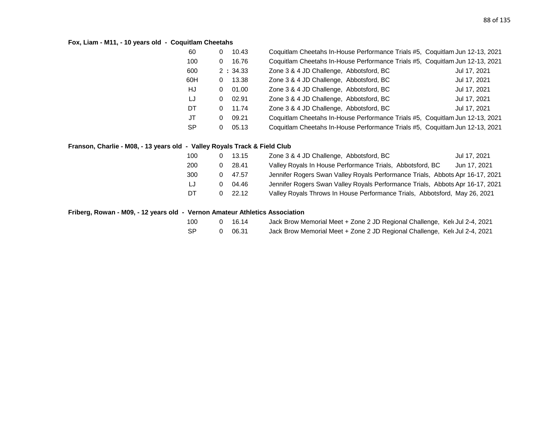# **Fox, Liam - M11, - 10 years old - Coquitlam Cheetahs**

| 60        | 0 | 10.43   | Coquitlam Cheetahs In-House Performance Trials #5, Coquitlam Jun 12-13, 2021 |              |
|-----------|---|---------|------------------------------------------------------------------------------|--------------|
| 100       | 0 | 16.76   | Coquitlam Cheetahs In-House Performance Trials #5, Coquitlam Jun 12-13, 2021 |              |
| 600       |   | 2:34.33 | Zone 3 & 4 JD Challenge, Abbotsford, BC                                      | Jul 17, 2021 |
| 60H       | 0 | 13.38   | Zone 3 & 4 JD Challenge, Abbotsford, BC                                      | Jul 17, 2021 |
| HJ        | 0 | 01.00   | Zone 3 & 4 JD Challenge, Abbotsford, BC                                      | Jul 17, 2021 |
| LJ        | 0 | 02.91   | Zone 3 & 4 JD Challenge, Abbotsford, BC                                      | Jul 17, 2021 |
| DT        | 0 | 11.74   | Zone 3 & 4 JD Challenge, Abbotsford, BC                                      | Jul 17, 2021 |
| JT        | 0 | 09.21   | Coquitlam Cheetahs In-House Performance Trials #5, Coquitlam Jun 12-13, 2021 |              |
| <b>SP</b> | 0 | 05.13   | Coquitlam Cheetahs In-House Performance Trials #5, Coquitlam Jun 12-13, 2021 |              |

# **Franson, Charlie - M08, - 13 years old - Valley Royals Track & Field Club**

| 100 | 13.15 | Zone 3 & 4 JD Challenge, Abbotsford, BC                                       | Jul 17, 2021 |
|-----|-------|-------------------------------------------------------------------------------|--------------|
| 200 | 28.41 | Valley Royals In House Performance Trials, Abbotsford, BC                     | Jun 17, 2021 |
| 300 | 47.57 | Jennifer Rogers Swan Valley Royals Performance Trials, Abbots Apr 16-17, 2021 |              |
| IJ  | 04.46 | Jennifer Rogers Swan Valley Royals Performance Trials, Abbots Apr 16-17, 2021 |              |
| DT  | 22.12 | Valley Royals Throws In House Performance Trials, Abbotsford, May 26, 2021    |              |

### **Friberg, Rowan - M09, - 12 years old - Vernon Amateur Athletics Association**

| 100 | 0 16.14 | Jack Brow Memorial Meet + Zone 2 JD Regional Challenge, Kel Jul 2-4, 2021  |  |
|-----|---------|----------------------------------------------------------------------------|--|
| SP. | 0 06.31 | Jack Brow Memorial Meet + Zone 2 JD Regional Challenge, Keld Jul 2-4, 2021 |  |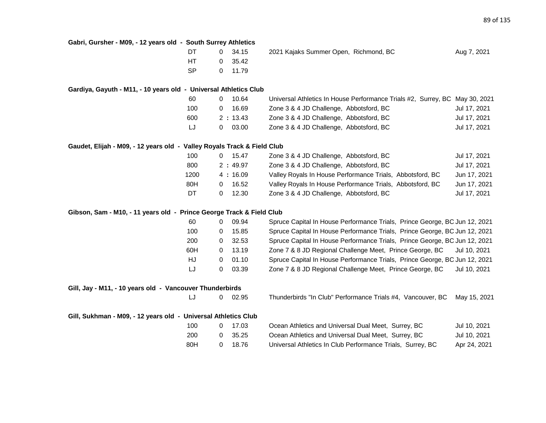| Gabri, Gursher - M09, - 12 years old - South Surrey Athletics           |           |   |         |                                                                             |              |  |  |
|-------------------------------------------------------------------------|-----------|---|---------|-----------------------------------------------------------------------------|--------------|--|--|
|                                                                         | DT        | 0 | 34.15   | 2021 Kajaks Summer Open, Richmond, BC                                       | Aug 7, 2021  |  |  |
|                                                                         | <b>HT</b> | 0 | 35.42   |                                                                             |              |  |  |
|                                                                         | <b>SP</b> | 0 | 11.79   |                                                                             |              |  |  |
| Gardiya, Gayuth - M11, - 10 years old - Universal Athletics Club        |           |   |         |                                                                             |              |  |  |
|                                                                         | 60        | 0 | 10.64   | Universal Athletics In House Performance Trials #2, Surrey, BC May 30, 2021 |              |  |  |
|                                                                         | 100       | 0 | 16.69   | Zone 3 & 4 JD Challenge, Abbotsford, BC                                     | Jul 17, 2021 |  |  |
|                                                                         | 600       |   | 2:13.43 | Zone 3 & 4 JD Challenge, Abbotsford, BC                                     | Jul 17, 2021 |  |  |
|                                                                         | LJ        | 0 | 03.00   | Zone 3 & 4 JD Challenge, Abbotsford, BC                                     | Jul 17, 2021 |  |  |
| Gaudet, Elijah - M09, - 12 years old - Valley Royals Track & Field Club |           |   |         |                                                                             |              |  |  |
|                                                                         | 100       | 0 | 15.47   | Zone 3 & 4 JD Challenge, Abbotsford, BC                                     | Jul 17, 2021 |  |  |
|                                                                         | 800       |   | 2:49.97 | Zone 3 & 4 JD Challenge, Abbotsford, BC                                     | Jul 17, 2021 |  |  |
|                                                                         | 1200      |   | 4:16.09 | Valley Royals In House Performance Trials, Abbotsford, BC                   | Jun 17, 2021 |  |  |
|                                                                         | 80H       | 0 | 16.52   | Valley Royals In House Performance Trials, Abbotsford, BC                   | Jun 17, 2021 |  |  |
|                                                                         | DT        | 0 | 12.30   | Zone 3 & 4 JD Challenge, Abbotsford, BC                                     | Jul 17, 2021 |  |  |
| Gibson, Sam - M10, - 11 years old - Prince George Track & Field Club    |           |   |         |                                                                             |              |  |  |
|                                                                         | 60        | 0 | 09.94   | Spruce Capital In House Performance Trials, Prince George, BC Jun 12, 2021  |              |  |  |
|                                                                         | 100       | 0 | 15.85   | Spruce Capital In House Performance Trials, Prince George, BC Jun 12, 2021  |              |  |  |
|                                                                         | 200       | 0 | 32.53   | Spruce Capital In House Performance Trials, Prince George, BC Jun 12, 2021  |              |  |  |
|                                                                         | 60H       | 0 | 13.19   | Zone 7 & 8 JD Regional Challenge Meet, Prince George, BC                    | Jul 10, 2021 |  |  |
|                                                                         | HJ        | 0 | 01.10   | Spruce Capital In House Performance Trials, Prince George, BC Jun 12, 2021  |              |  |  |
|                                                                         | LJ        | 0 | 03.39   | Zone 7 & 8 JD Regional Challenge Meet, Prince George, BC                    | Jul 10, 2021 |  |  |
| Gill, Jay - M11, - 10 years old - Vancouver Thunderbirds                |           |   |         |                                                                             |              |  |  |
|                                                                         | LJ        | 0 | 02.95   | Thunderbirds "In Club" Performance Trials #4, Vancouver, BC                 | May 15, 2021 |  |  |
| Gill, Sukhman - M09, - 12 years old - Universal Athletics Club          |           |   |         |                                                                             |              |  |  |
|                                                                         | 100       | 0 | 17.03   | Ocean Athletics and Universal Dual Meet, Surrey, BC                         | Jul 10, 2021 |  |  |
|                                                                         | 200       | 0 | 35.25   | Ocean Athletics and Universal Dual Meet, Surrey, BC                         | Jul 10, 2021 |  |  |
|                                                                         | 80H       | 0 | 18.76   | Universal Athletics In Club Performance Trials, Surrey, BC                  | Apr 24, 2021 |  |  |
|                                                                         |           |   |         |                                                                             |              |  |  |
|                                                                         |           |   |         |                                                                             |              |  |  |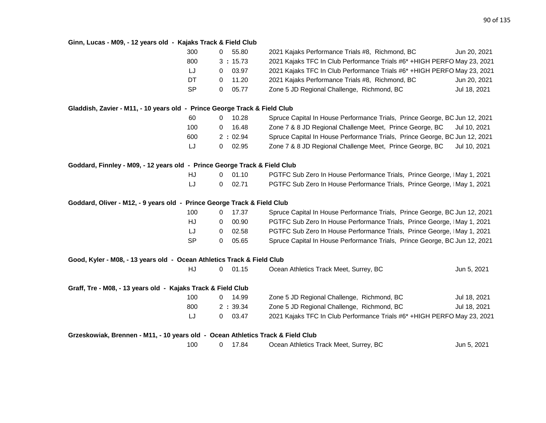# **Ginn, Lucas - M09, - 12 years old - Kajaks Track & Field Club**

|                                                                                 | 300       | 0              | 55.80     | 2021 Kajaks Performance Trials #8, Richmond, BC                            | Jun 20, 2021 |
|---------------------------------------------------------------------------------|-----------|----------------|-----------|----------------------------------------------------------------------------|--------------|
|                                                                                 | 800       |                | 3:15.73   | 2021 Kajaks TFC In Club Performance Trials #6* +HIGH PERFO May 23, 2021    |              |
|                                                                                 | LJ        | $\mathbf{0}$   | 03.97     | 2021 Kajaks TFC In Club Performance Trials #6* + HIGH PERFO May 23, 2021   |              |
|                                                                                 | DT        | 0              | 11.20     | 2021 Kajaks Performance Trials #8, Richmond, BC                            | Jun 20, 2021 |
|                                                                                 | <b>SP</b> | 0              | 05.77     | Zone 5 JD Regional Challenge, Richmond, BC                                 | Jul 18, 2021 |
| Gladdish, Zavier - M11, - 10 years old - Prince George Track & Field Club       |           |                |           |                                                                            |              |
|                                                                                 | 60        |                | $0$ 10.28 | Spruce Capital In House Performance Trials, Prince George, BC Jun 12, 2021 |              |
|                                                                                 | 100       | 0              | 16.48     | Zone 7 & 8 JD Regional Challenge Meet, Prince George, BC                   | Jul 10, 2021 |
|                                                                                 | 600       |                | 2:02.94   | Spruce Capital In House Performance Trials, Prince George, BC Jun 12, 2021 |              |
|                                                                                 | LJ        | $\overline{0}$ | 02.95     | Zone 7 & 8 JD Regional Challenge Meet, Prince George, BC                   | Jul 10, 2021 |
| Goddard, Finnley - M09, - 12 years old - Prince George Track & Field Club       |           |                |           |                                                                            |              |
|                                                                                 | HJ        |                | $0$ 01.10 | PGTFC Sub Zero In House Performance Trials, Prince George, IMay 1, 2021    |              |
|                                                                                 | LJ        | 0              | 02.71     | PGTFC Sub Zero In House Performance Trials, Prince George, IMay 1, 2021    |              |
| Goddard, Oliver - M12, - 9 years old - Prince George Track & Field Club         |           |                |           |                                                                            |              |
|                                                                                 | 100       | $\mathbf{0}$   | 17.37     | Spruce Capital In House Performance Trials, Prince George, BC Jun 12, 2021 |              |
|                                                                                 | HJ        | 0              | 00.90     | PGTFC Sub Zero In House Performance Trials, Prince George, IMay 1, 2021    |              |
|                                                                                 | IJ        | $\mathbf{0}$   | 02.58     | PGTFC Sub Zero In House Performance Trials, Prince George, IMay 1, 2021    |              |
|                                                                                 | <b>SP</b> | 0              | 05.65     | Spruce Capital In House Performance Trials, Prince George, BC Jun 12, 2021 |              |
| Good, Kyler - M08, - 13 years old - Ocean Athletics Track & Field Club          |           |                |           |                                                                            |              |
|                                                                                 | HJ        | $\overline{0}$ | 01.15     | Ocean Athletics Track Meet, Surrey, BC                                     | Jun 5, 2021  |
| Graff, Tre - M08, - 13 years old - Kajaks Track & Field Club                    |           |                |           |                                                                            |              |
|                                                                                 | 100       |                | $0$ 14.99 | Zone 5 JD Regional Challenge, Richmond, BC                                 | Jul 18, 2021 |
|                                                                                 | 800       |                | 2:39.34   | Zone 5 JD Regional Challenge, Richmond, BC                                 | Jul 18, 2021 |
|                                                                                 | LJ        | $\overline{0}$ | 03.47     | 2021 Kajaks TFC In Club Performance Trials #6* +HIGH PERFO May 23, 2021    |              |
| Grzeskowiak, Brennen - M11, - 10 years old - Ocean Athletics Track & Field Club |           |                |           |                                                                            |              |
|                                                                                 | 100       | 0              | 17.84     | Ocean Athletics Track Meet, Surrey, BC                                     | Jun 5, 2021  |
|                                                                                 |           |                |           |                                                                            |              |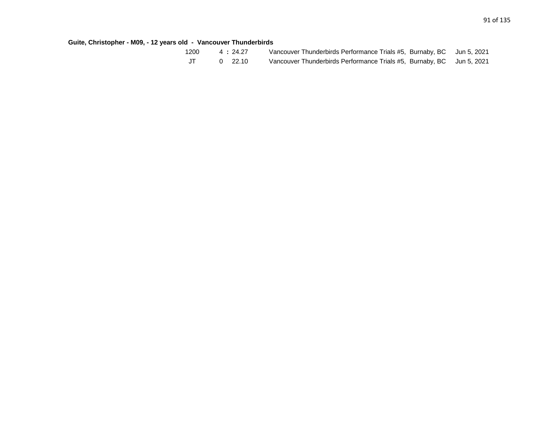**Guite, Christopher - M09, - 12 years old - Vancouver Thunderbirds**

| 1200 | 4:24.27 | Vancouver Thunderbirds Performance Trials #5, Burnaby, BC Jun 5, 2021 |  |
|------|---------|-----------------------------------------------------------------------|--|
| JT   | 0 22.10 | Vancouver Thunderbirds Performance Trials #5, Burnaby, BC Jun 5, 2021 |  |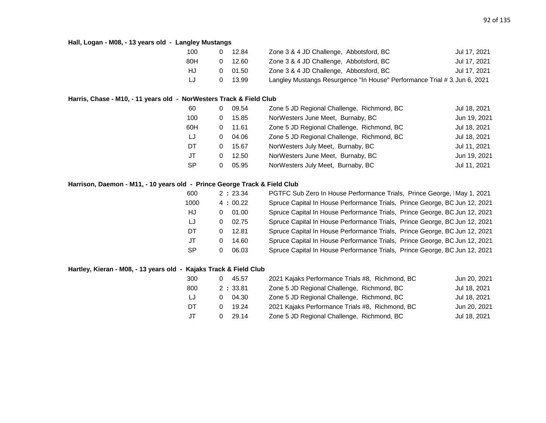# **Hall, Logan - M08, - 13 years old - Langley Mustangs**

| 100 | 12.84 | Zone 3 & 4 JD Challenge, Abbotsford, BC                                  | Jul 17, 2021 |
|-----|-------|--------------------------------------------------------------------------|--------------|
| 80H | 12.60 | Zone 3 & 4 JD Challenge, Abbotsford, BC                                  | Jul 17, 2021 |
| HJ  | 01.50 | Zone 3 & 4 JD Challenge, Abbotsford, BC                                  | Jul 17, 2021 |
| LJ  | 13.99 | Langley Mustangs Resurgence "In House" Performance Trial #3, Jun 6, 2021 |              |

# **Harris, Chase - M10, - 11 years old - NorWesters Track & Field Club**

| 60        | 0 | 09.54 | Zone 5 JD Regional Challenge, Richmond, BC | Jul 18, 2021 |
|-----------|---|-------|--------------------------------------------|--------------|
| 100       | 0 | 15.85 | NorWesters June Meet, Burnaby, BC          | Jun 19, 2021 |
| 60H       | 0 | 11.61 | Zone 5 JD Regional Challenge, Richmond, BC | Jul 18, 2021 |
| LJ        | 0 | 04.06 | Zone 5 JD Regional Challenge, Richmond, BC | Jul 18, 2021 |
| DT.       | 0 | 15.67 | NorWesters July Meet, Burnaby, BC          | Jul 11, 2021 |
| JT        | 0 | 12.50 | NorWesters June Meet, Burnaby, BC          | Jun 19, 2021 |
| <b>SP</b> | 0 | 05.95 | NorWesters July Meet, Burnaby, BC          | Jul 11, 2021 |

# **Harrison, Daemon - M11, - 10 years old - Prince George Track & Field Club**

| 600       | 2:23.34    | PGTFC Sub Zero In House Performance Trials, Prince George, IMay 1, 2021    |
|-----------|------------|----------------------------------------------------------------------------|
| 1000      | 4:00.22    | Spruce Capital In House Performance Trials, Prince George, BC Jun 12, 2021 |
| HJ        | 01.00<br>0 | Spruce Capital In House Performance Trials, Prince George, BC Jun 12, 2021 |
| LJ        | 02.75<br>0 | Spruce Capital In House Performance Trials, Prince George, BC Jun 12, 2021 |
| DT        | 12.81<br>0 | Spruce Capital In House Performance Trials, Prince George, BC Jun 12, 2021 |
| JT        | 14.60<br>0 | Spruce Capital In House Performance Trials, Prince George, BC Jun 12, 2021 |
| <b>SP</b> | 06.03      | Spruce Capital In House Performance Trials, Prince George, BC Jun 12, 2021 |

# **Hartley, Kieran - M08, - 13 years old - Kajaks Track & Field Club**

| 300 | 45.57   | 2021 Kajaks Performance Trials #8, Richmond, BC | Jun 20, 2021 |
|-----|---------|-------------------------------------------------|--------------|
| 800 | 2:33.81 | Zone 5 JD Regional Challenge, Richmond, BC      | Jul 18, 2021 |
| IJ  | 04.30   | Zone 5 JD Regional Challenge, Richmond, BC      | Jul 18, 2021 |
| DT  | 19.24   | 2021 Kajaks Performance Trials #8, Richmond, BC | Jun 20, 2021 |
| JT  | 29.14   | Zone 5 JD Regional Challenge, Richmond, BC      | Jul 18, 2021 |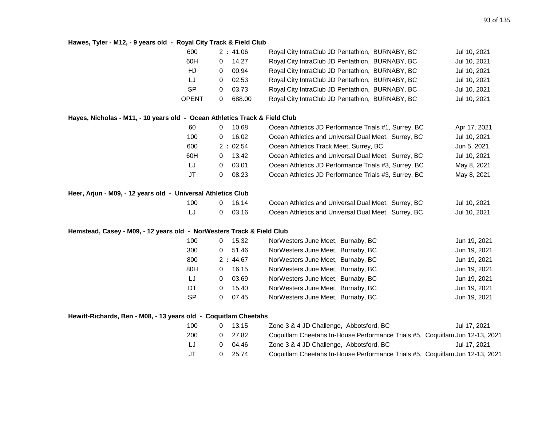### **Hawes, Tyler - M12, - 9 years old - Royal City Track & Field Club**

|                                                                              | 600          | 2:41.06               | Royal City IntraClub JD Pentathlon, BURNABY, BC                              | Jul 10, 2021 |
|------------------------------------------------------------------------------|--------------|-----------------------|------------------------------------------------------------------------------|--------------|
|                                                                              | 60H          | 14.27<br>$\mathbf{0}$ | Royal City IntraClub JD Pentathlon, BURNABY, BC                              | Jul 10, 2021 |
|                                                                              | HJ           | 00.94<br>$\mathbf{0}$ | Royal City IntraClub JD Pentathlon, BURNABY, BC                              | Jul 10, 2021 |
|                                                                              | LJ           | 02.53<br>0            | Royal City IntraClub JD Pentathlon, BURNABY, BC                              | Jul 10, 2021 |
|                                                                              | <b>SP</b>    | 03.73<br>0            | Royal City IntraClub JD Pentathlon, BURNABY, BC                              | Jul 10, 2021 |
|                                                                              | <b>OPENT</b> | 688.00<br>$\mathbf 0$ | Royal City IntraClub JD Pentathlon, BURNABY, BC                              | Jul 10, 2021 |
| Hayes, Nicholas - M11, - 10 years old  -  Ocean Athletics Track & Field Club |              |                       |                                                                              |              |
|                                                                              | 60           | 10.68<br>0            | Ocean Athletics JD Performance Trials #1, Surrey, BC                         | Apr 17, 2021 |
|                                                                              | 100          | 16.02<br>0            | Ocean Athletics and Universal Dual Meet, Surrey, BC                          | Jul 10, 2021 |
|                                                                              | 600          | 2:02.54               | Ocean Athletics Track Meet, Surrey, BC                                       | Jun 5, 2021  |
|                                                                              | 60H          | 13.42<br>0            | Ocean Athletics and Universal Dual Meet, Surrey, BC                          | Jul 10, 2021 |
|                                                                              | LJ           | 03.01<br>$\mathbf 0$  | Ocean Athletics JD Performance Trials #3, Surrey, BC                         | May 8, 2021  |
|                                                                              | JT           | 08.23<br>$\mathbf 0$  | Ocean Athletics JD Performance Trials #3, Surrey, BC                         | May 8, 2021  |
| Heer, Arjun - M09, - 12 years old - Universal Athletics Club                 |              |                       |                                                                              |              |
|                                                                              | 100          | 16.14<br>0            | Ocean Athletics and Universal Dual Meet, Surrey, BC                          | Jul 10, 2021 |
|                                                                              | LJ           | 03.16<br>$\mathbf 0$  | Ocean Athletics and Universal Dual Meet, Surrey, BC                          | Jul 10, 2021 |
| Hemstead, Casey - M09, - 12 years old - NorWesters Track & Field Club        |              |                       |                                                                              |              |
|                                                                              | 100          | 15.32<br>0            | NorWesters June Meet, Burnaby, BC                                            | Jun 19, 2021 |
|                                                                              | 300          | $\mathbf 0$<br>51.46  | NorWesters June Meet, Burnaby, BC                                            | Jun 19, 2021 |
|                                                                              | 800          | 2:44.67               | NorWesters June Meet, Burnaby, BC                                            | Jun 19, 2021 |
|                                                                              | 80H          | 16.15<br>0            | NorWesters June Meet, Burnaby, BC                                            | Jun 19, 2021 |
|                                                                              | LJ           | 03.69<br>$\mathbf{0}$ | NorWesters June Meet, Burnaby, BC                                            | Jun 19, 2021 |
|                                                                              | DT           | 15.40<br>$\mathbf{0}$ | NorWesters June Meet, Burnaby, BC                                            | Jun 19, 2021 |
|                                                                              | <b>SP</b>    | 0<br>07.45            | NorWesters June Meet, Burnaby, BC                                            | Jun 19, 2021 |
| Hewitt-Richards, Ben - M08, - 13 years old - Coquitlam Cheetahs              |              |                       |                                                                              |              |
|                                                                              | 100          | 13.15<br>$\mathbf{0}$ | Zone 3 & 4 JD Challenge, Abbotsford, BC                                      | Jul 17, 2021 |
|                                                                              | 200          | 27.82<br>0            | Coquitlam Cheetahs In-House Performance Trials #5, Coquitlam Jun 12-13, 2021 |              |
|                                                                              | IJ           | 04.46<br>0            | Zone 3 & 4 JD Challenge, Abbotsford, BC                                      | Jul 17, 2021 |
|                                                                              | <b>JT</b>    | 25.74<br>0            | Coquitlam Cheetahs In-House Performance Trials #5, Coquitlam Jun 12-13, 2021 |              |
|                                                                              |              |                       |                                                                              |              |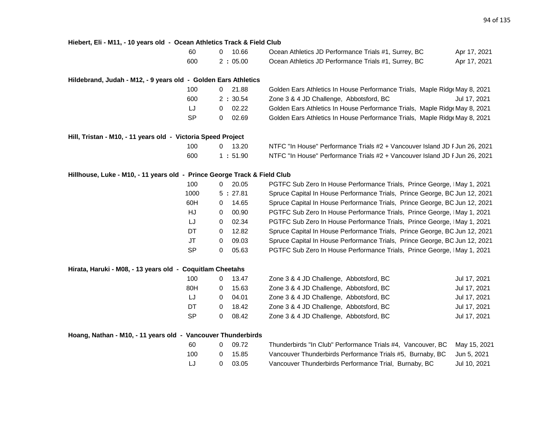| Hiebert, Eli - M11, - 10 years old - Ocean Athletics Track & Field Club  |           |                |           |                                                                            |              |
|--------------------------------------------------------------------------|-----------|----------------|-----------|----------------------------------------------------------------------------|--------------|
|                                                                          | 60        | 0              | 10.66     | Ocean Athletics JD Performance Trials #1, Surrey, BC                       | Apr 17, 2021 |
|                                                                          | 600       |                | 2:05.00   | Ocean Athletics JD Performance Trials #1, Surrey, BC                       | Apr 17, 2021 |
| Hildebrand, Judah - M12, - 9 years old - Golden Ears Athletics           |           |                |           |                                                                            |              |
|                                                                          | 100       |                | $0$ 21.88 | Golden Ears Athletics In House Performance Trials, Maple Ridge May 8, 2021 |              |
|                                                                          | 600       |                | 2:30.54   | Zone 3 & 4 JD Challenge, Abbotsford, BC                                    | Jul 17, 2021 |
|                                                                          | LJ        | 0              | 02.22     | Golden Ears Athletics In House Performance Trials, Maple Ridge May 8, 2021 |              |
|                                                                          | <b>SP</b> | 0              | 02.69     | Golden Ears Athletics In House Performance Trials, Maple Ridge May 8, 2021 |              |
| Hill, Tristan - M10, - 11 years old - Victoria Speed Project             |           |                |           |                                                                            |              |
|                                                                          | 100       |                | $0$ 13.20 | NTFC "In House" Performance Trials #2 + Vancouver Island JD F Jun 26, 2021 |              |
|                                                                          | 600       |                | 1:51.90   | NTFC "In House" Performance Trials #2 + Vancouver Island JD F Jun 26, 2021 |              |
| Hillhouse, Luke - M10, - 11 years old - Prince George Track & Field Club |           |                |           |                                                                            |              |
|                                                                          | 100       | $\mathbf{0}$   | 20.05     | PGTFC Sub Zero In House Performance Trials, Prince George, IMay 1, 2021    |              |
|                                                                          | 1000      |                | 5:27.81   | Spruce Capital In House Performance Trials, Prince George, BC Jun 12, 2021 |              |
|                                                                          | 60H       | 0              | 14.65     | Spruce Capital In House Performance Trials, Prince George, BC Jun 12, 2021 |              |
|                                                                          | HJ        | 0              | 00.90     | PGTFC Sub Zero In House Performance Trials, Prince George, IMay 1, 2021    |              |
|                                                                          | LJ        | $\overline{0}$ | 02.34     | PGTFC Sub Zero In House Performance Trials, Prince George, IMay 1, 2021    |              |
|                                                                          | <b>DT</b> | $\mathbf 0$    | 12.82     | Spruce Capital In House Performance Trials, Prince George, BC Jun 12, 2021 |              |
|                                                                          | <b>JT</b> | 0              | 09.03     | Spruce Capital In House Performance Trials, Prince George, BC Jun 12, 2021 |              |
|                                                                          | SP        | 0              | 05.63     | PGTFC Sub Zero In House Performance Trials, Prince George, IMay 1, 2021    |              |
| Hirata, Haruki - M08, - 13 years old - Coquitlam Cheetahs                |           |                |           |                                                                            |              |
|                                                                          | 100       |                | $0$ 13.47 | Zone 3 & 4 JD Challenge, Abbotsford, BC                                    | Jul 17, 2021 |
|                                                                          | 80H       | $\mathbf{0}$   | 15.63     | Zone 3 & 4 JD Challenge, Abbotsford, BC                                    | Jul 17, 2021 |
|                                                                          | LJ        | 0              | 04.01     | Zone 3 & 4 JD Challenge, Abbotsford, BC                                    | Jul 17, 2021 |
|                                                                          | <b>DT</b> | $\mathbf{0}$   | 18.42     | Zone 3 & 4 JD Challenge, Abbotsford, BC                                    | Jul 17, 2021 |
|                                                                          | <b>SP</b> | 0              | 08.42     | Zone 3 & 4 JD Challenge, Abbotsford, BC                                    | Jul 17, 2021 |
| Hoang, Nathan - M10, - 11 years old - Vancouver Thunderbirds             |           |                |           |                                                                            |              |
|                                                                          | 60        | $\mathbf{0}$   | 09.72     | Thunderbirds "In Club" Performance Trials #4, Vancouver, BC                | May 15, 2021 |
|                                                                          | 100       | 0              | 15.85     | Vancouver Thunderbirds Performance Trials #5, Burnaby, BC                  | Jun 5, 2021  |
|                                                                          |           |                |           |                                                                            |              |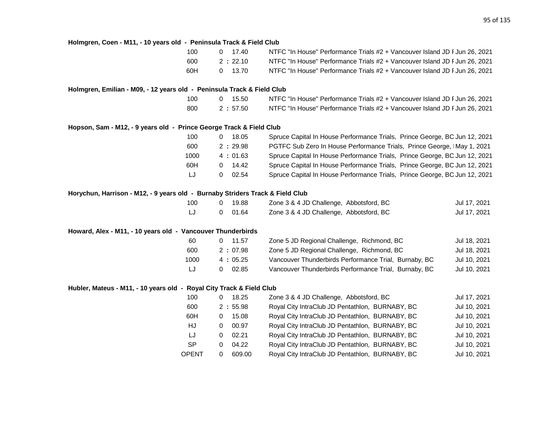# **Holmgren, Coen - M11, - 10 years old - Peninsula Track & Field Club**

|                                                                               | 100       | 17.40<br>$\mathbf{0}$   | NTFC "In House" Performance Trials #2 + Vancouver Island JD F Jun 26, 2021 |              |
|-------------------------------------------------------------------------------|-----------|-------------------------|----------------------------------------------------------------------------|--------------|
|                                                                               | 600       | 2:22.10                 | NTFC "In House" Performance Trials #2 + Vancouver Island JD F Jun 26, 2021 |              |
|                                                                               | 60H       | 13.70<br>0              | NTFC "In House" Performance Trials #2 + Vancouver Island JD F Jun 26, 2021 |              |
| Holmgren, Emilian - M09, - 12 years old - Peninsula Track & Field Club        |           |                         |                                                                            |              |
|                                                                               | 100       | 15.50<br>$\overline{0}$ | NTFC "In House" Performance Trials #2 + Vancouver Island JD F Jun 26, 2021 |              |
|                                                                               | 800       | 2:57.50                 | NTFC "In House" Performance Trials #2 + Vancouver Island JD F Jun 26, 2021 |              |
| Hopson, Sam - M12, - 9 years old - Prince George Track & Field Club           |           |                         |                                                                            |              |
|                                                                               | 100       | 18.05<br>0              | Spruce Capital In House Performance Trials, Prince George, BC Jun 12, 2021 |              |
|                                                                               | 600       | 2:29.98                 | PGTFC Sub Zero In House Performance Trials, Prince George, IMay 1, 2021    |              |
|                                                                               | 1000      | 4:01.63                 | Spruce Capital In House Performance Trials, Prince George, BC Jun 12, 2021 |              |
|                                                                               | 60H       | 14.42<br>0              | Spruce Capital In House Performance Trials, Prince George, BC Jun 12, 2021 |              |
|                                                                               | LJ        | 0<br>02.54              | Spruce Capital In House Performance Trials, Prince George, BC Jun 12, 2021 |              |
| Horychun, Harrison - M12, - 9 years old - Burnaby Striders Track & Field Club |           |                         |                                                                            |              |
|                                                                               | 100       | 19.88<br>0              | Zone 3 & 4 JD Challenge, Abbotsford, BC                                    | Jul 17, 2021 |
|                                                                               | LJ        | 01.64<br>0              | Zone 3 & 4 JD Challenge, Abbotsford, BC                                    | Jul 17, 2021 |
| Howard, Alex - M11, - 10 years old - Vancouver Thunderbirds                   |           |                         |                                                                            |              |
|                                                                               | 60        | 11.57<br>0              | Zone 5 JD Regional Challenge, Richmond, BC                                 | Jul 18, 2021 |
|                                                                               | 600       | 2:07.98                 | Zone 5 JD Regional Challenge, Richmond, BC                                 | Jul 18, 2021 |
|                                                                               | 1000      | 4:05.25                 | Vancouver Thunderbirds Performance Trial, Burnaby, BC                      | Jul 10, 2021 |
|                                                                               | IJ        | 02.85<br>0              | Vancouver Thunderbirds Performance Trial, Burnaby, BC                      | Jul 10, 2021 |
| Hubler, Mateus - M11, - 10 years old - Royal City Track & Field Club          |           |                         |                                                                            |              |
|                                                                               | 100       | 18.25<br>0              | Zone 3 & 4 JD Challenge, Abbotsford, BC                                    | Jul 17, 2021 |
|                                                                               | 600       | 2:55.98                 | Royal City IntraClub JD Pentathlon, BURNABY, BC                            | Jul 10, 2021 |
|                                                                               | 60H       | 15.08<br>0              | Royal City IntraClub JD Pentathlon, BURNABY, BC                            | Jul 10, 2021 |
|                                                                               | HJ        | 00.97<br>$\Omega$       | Royal City IntraClub JD Pentathlon, BURNABY, BC                            | Jul 10, 2021 |
|                                                                               | IJ        | 02.21<br>0              | Royal City IntraClub JD Pentathlon, BURNABY, BC                            | Jul 10, 2021 |
|                                                                               | <b>SP</b> | 04.22<br>0              | Royal City IntraClub JD Pentathlon, BURNABY, BC                            | Jul 10, 2021 |

OPENT 0 609.00 Royal City IntraClub JD Pentathlon, BURNABY, BC Jul 10, 2021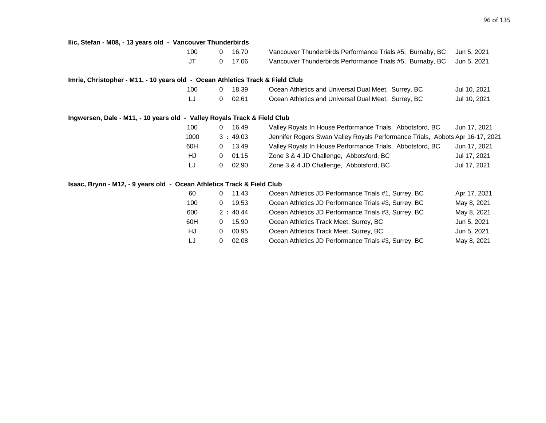| Ilic, Stefan - M08, - 13 years old - Vancouver Thunderbirds                   |           |              |         |                                                                               |              |
|-------------------------------------------------------------------------------|-----------|--------------|---------|-------------------------------------------------------------------------------|--------------|
|                                                                               | 100       | $\Omega$     | 16.70   | Vancouver Thunderbirds Performance Trials #5, Burnaby, BC                     | Jun 5, 2021  |
|                                                                               | <b>JT</b> | $\mathbf{0}$ | 17.06   | Vancouver Thunderbirds Performance Trials #5, Burnaby, BC                     | Jun 5, 2021  |
| Imrie, Christopher - M11, - 10 years old - Ocean Athletics Track & Field Club |           |              |         |                                                                               |              |
|                                                                               | 100       | $\mathbf 0$  | 18.39   | Ocean Athletics and Universal Dual Meet, Surrey, BC                           | Jul 10, 2021 |
|                                                                               | IJ        | 0            | 02.61   | Ocean Athletics and Universal Dual Meet, Surrey, BC                           | Jul 10, 2021 |
| Ingwersen, Dale - M11, - 10 years old - Valley Royals Track & Field Club      |           |              |         |                                                                               |              |
|                                                                               | 100       | $\mathbf{0}$ | 16.49   | Valley Royals In House Performance Trials, Abbotsford, BC                     | Jun 17, 2021 |
|                                                                               | 1000      |              | 3:49.03 | Jennifer Rogers Swan Valley Royals Performance Trials, Abbots Apr 16-17, 2021 |              |
|                                                                               | 60H       | 0            | 13.49   | Valley Royals In House Performance Trials, Abbotsford, BC                     | Jun 17, 2021 |
|                                                                               | HJ        | 0            | 01.15   | Zone 3 & 4 JD Challenge, Abbotsford, BC                                       | Jul 17, 2021 |
|                                                                               | LJ        | $\mathbf{0}$ | 02.90   | Zone 3 & 4 JD Challenge, Abbotsford, BC                                       | Jul 17, 2021 |
| Isaac, Brynn - M12, - 9 years old - Ocean Athletics Track & Field Club        |           |              |         |                                                                               |              |
|                                                                               | 60        | $\mathbf 0$  | 11.43   | Ocean Athletics JD Performance Trials #1, Surrey, BC                          | Apr 17, 2021 |
|                                                                               | 100       | 0            | 19.53   | Ocean Athletics JD Performance Trials #3, Surrey, BC                          | May 8, 2021  |
|                                                                               | 600       |              | 2:40.44 | Ocean Athletics JD Performance Trials #3, Surrey, BC                          | May 8, 2021  |
|                                                                               | 60H       | $\mathbf 0$  | 15.90   | Ocean Athletics Track Meet, Surrey, BC                                        | Jun 5, 2021  |
|                                                                               | HJ        | 0            | 00.95   | Ocean Athletics Track Meet, Surrey, BC                                        | Jun 5, 2021  |
|                                                                               | LJ        | 0            | 02.08   | Ocean Athletics JD Performance Trials #3, Surrey, BC                          | May 8, 2021  |
|                                                                               |           |              |         |                                                                               |              |
|                                                                               |           |              |         |                                                                               |              |
|                                                                               |           |              |         |                                                                               |              |
|                                                                               |           |              |         |                                                                               |              |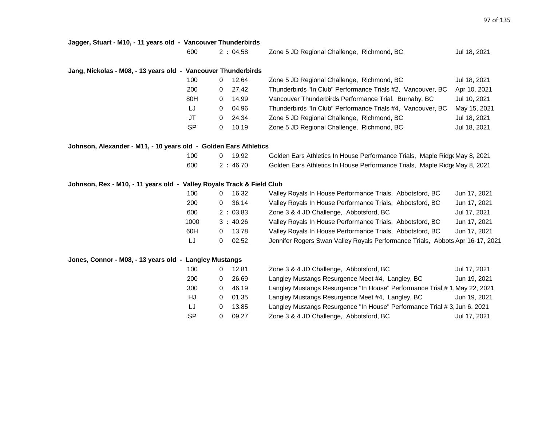| Jagger, Stuart - M10, - 11 years old - Vancouver Thunderbirds |  |  |  |
|---------------------------------------------------------------|--|--|--|
|---------------------------------------------------------------|--|--|--|

| 600 | 2:04.58 | Zone 5 JD Regional Challenge, Richmond, BC | Jul 18, 2021 |
|-----|---------|--------------------------------------------|--------------|
|     |         |                                            |              |

# **Jang, Nickolas - M08, - 13 years old - Vancouver Thunderbirds**

| 100       |   | 12.64 | Zone 5 JD Regional Challenge, Richmond, BC                  | Jul 18, 2021 |
|-----------|---|-------|-------------------------------------------------------------|--------------|
| 200       | 0 | 27.42 | Thunderbirds "In Club" Performance Trials #2, Vancouver, BC | Apr 10, 2021 |
| 80H       | 0 | 14.99 | Vancouver Thunderbirds Performance Trial, Burnaby, BC       | Jul 10, 2021 |
| LJ        | 0 | 04.96 | Thunderbirds "In Club" Performance Trials #4, Vancouver, BC | May 15, 2021 |
| JT        | 0 | 24.34 | Zone 5 JD Regional Challenge, Richmond, BC                  | Jul 18, 2021 |
| <b>SP</b> |   | 10.19 | Zone 5 JD Regional Challenge, Richmond, BC                  | Jul 18, 2021 |

|  |  |  |  |  |  |  | Johnson, Alexander - M11, - 10 years old - Golden Ears Athletics |  |
|--|--|--|--|--|--|--|------------------------------------------------------------------|--|
|--|--|--|--|--|--|--|------------------------------------------------------------------|--|

| 100 | 0 19.92 |  | Golden Ears Athletics In House Performance Trials, Maple Ridge May 8, 2021 |
|-----|---------|--|----------------------------------------------------------------------------|
| 600 | 2:46.70 |  | Golden Ears Athletics In House Performance Trials, Maple Ridge May 8, 2021 |

# **Johnson, Rex - M10, - 11 years old - Valley Royals Track & Field Club**

| 100  | 16.32             | Valley Royals In House Performance Trials, Abbotsford, BC                     | Jun 17, 2021 |
|------|-------------------|-------------------------------------------------------------------------------|--------------|
| 200  | 36.14             | Valley Royals In House Performance Trials, Abbotsford, BC                     | Jun 17, 2021 |
| 600  | 2:03.83           | Zone 3 & 4 JD Challenge, Abbotsford, BC                                       | Jul 17, 2021 |
| 1000 | 3:40.26           | Valley Royals In House Performance Trials, Abbotsford, BC                     | Jun 17, 2021 |
| 60H  | 13.78<br>0        | Valley Royals In House Performance Trials, Abbotsford, BC                     | Jun 17, 2021 |
| LJ   | 02.52<br>$^{(1)}$ | Jennifer Rogers Swan Valley Royals Performance Trials, Abbots Apr 16-17, 2021 |              |

# **Jones, Connor - M08, - 13 years old - Langley Mustangs**

| 100       |          | 12.81 | Zone 3 & 4 JD Challenge, Abbotsford, BC                                   | Jul 17, 2021 |
|-----------|----------|-------|---------------------------------------------------------------------------|--------------|
| 200       |          | 26.69 | Langley Mustangs Resurgence Meet #4, Langley, BC                          | Jun 19, 2021 |
| 300       |          | 46.19 | Langley Mustangs Resurgence "In House" Performance Trial #1, May 22, 2021 |              |
| HJ        | 0        | 01.35 | Langley Mustangs Resurgence Meet #4, Langley, BC                          | Jun 19, 2021 |
| LJ        | 0        | 13.85 | Langley Mustangs Resurgence "In House" Performance Trial # 3, Jun 6, 2021 |              |
| <b>SP</b> | $\Omega$ | 09.27 | Zone 3 & 4 JD Challenge, Abbotsford, BC                                   | Jul 17, 2021 |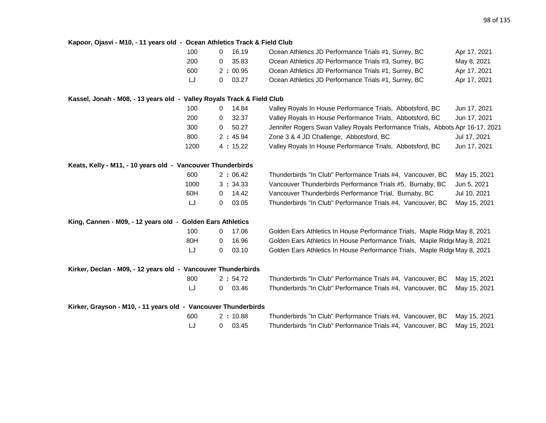| Kapoor, Ojasvi - M10, - 11 years old - Ocean Athletics Track & Field Club |      |            |                                                                               |              |
|---------------------------------------------------------------------------|------|------------|-------------------------------------------------------------------------------|--------------|
|                                                                           | 100  | 16.19<br>0 | Ocean Athletics JD Performance Trials #1, Surrey, BC                          | Apr 17, 2021 |
|                                                                           | 200  | 35.83<br>0 | Ocean Athletics JD Performance Trials #3, Surrey, BC                          | May 8, 2021  |
|                                                                           | 600  | 2:00.95    | Ocean Athletics JD Performance Trials #1, Surrey, BC                          | Apr 17, 2021 |
|                                                                           | LJ   | 03.27<br>0 | Ocean Athletics JD Performance Trials #1, Surrey, BC                          | Apr 17, 2021 |
| Kassel, Jonah - M08, - 13 years old - Valley Royals Track & Field Club    |      |            |                                                                               |              |
|                                                                           | 100  | 14.84<br>0 | Valley Royals In House Performance Trials, Abbotsford, BC                     | Jun 17, 2021 |
|                                                                           | 200  | 32.37<br>0 | Valley Royals In House Performance Trials, Abbotsford, BC                     | Jun 17, 2021 |
|                                                                           | 300  | 50.27<br>0 | Jennifer Rogers Swan Valley Royals Performance Trials, Abbots Apr 16-17, 2021 |              |
|                                                                           | 800  | 2:45.94    | Zone 3 & 4 JD Challenge, Abbotsford, BC                                       | Jul 17, 2021 |
|                                                                           | 1200 | 4:15.22    | Valley Royals In House Performance Trials, Abbotsford, BC                     | Jun 17, 2021 |
| Keats, Kelly - M11, - 10 years old - Vancouver Thunderbirds               |      |            |                                                                               |              |
|                                                                           | 600  | 2:06.42    | Thunderbirds "In Club" Performance Trials #4, Vancouver, BC                   | May 15, 2021 |
|                                                                           | 1000 | 3:34.33    | Vancouver Thunderbirds Performance Trials #5, Burnaby, BC                     | Jun 5, 2021  |
|                                                                           | 60H  | 14.42<br>0 | Vancouver Thunderbirds Performance Trial, Burnaby, BC                         | Jul 10, 2021 |
|                                                                           | LJ   | 0<br>03.05 | Thunderbirds "In Club" Performance Trials #4, Vancouver, BC                   | May 15, 2021 |
| King, Cannen - M09, - 12 years old - Golden Ears Athletics                |      |            |                                                                               |              |
|                                                                           | 100  | 17.06<br>0 | Golden Ears Athletics In House Performance Trials, Maple Ridge May 8, 2021    |              |
|                                                                           | 80H  | 16.96<br>0 | Golden Ears Athletics In House Performance Trials, Maple Ridg May 8, 2021     |              |
|                                                                           | LJ   | 0<br>03.10 | Golden Ears Athletics In House Performance Trials, Maple Ridge May 8, 2021    |              |
| Kirker, Declan - M09, - 12 years old - Vancouver Thunderbirds             |      |            |                                                                               |              |
|                                                                           | 800  | 2:54.72    | Thunderbirds "In Club" Performance Trials #4, Vancouver, BC                   | May 15, 2021 |
|                                                                           | LJ   | 03.46<br>0 | Thunderbirds "In Club" Performance Trials #4, Vancouver, BC                   | May 15, 2021 |
| Kirker, Grayson - M10, - 11 years old - Vancouver Thunderbirds            |      |            |                                                                               |              |
|                                                                           | 600  | 2:10.88    | Thunderbirds "In Club" Performance Trials #4, Vancouver, BC                   | May 15, 2021 |
|                                                                           | LJ   | 0<br>03.45 | Thunderbirds "In Club" Performance Trials #4, Vancouver, BC                   | May 15, 2021 |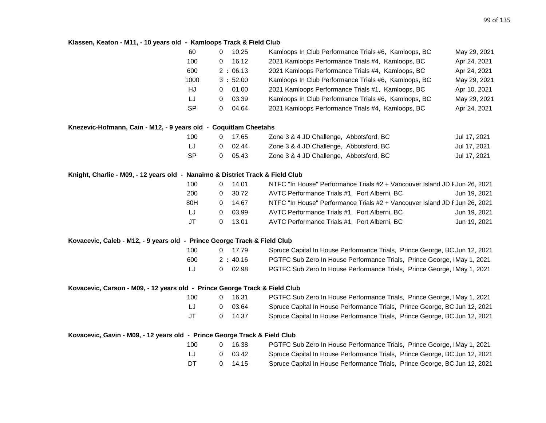# **Klassen, Keaton - M11, - 10 years old - Kamloops Track & Field Club**

|                                                                               | 60        | $\Omega$    | 10.25   | Kamloops In Club Performance Trials #6, Kamloops, BC                       | May 29, 2021 |
|-------------------------------------------------------------------------------|-----------|-------------|---------|----------------------------------------------------------------------------|--------------|
|                                                                               | 100       | 0           | 16.12   | 2021 Kamloops Performance Trials #4, Kamloops, BC                          | Apr 24, 2021 |
|                                                                               | 600       |             | 2:06.13 | 2021 Kamloops Performance Trials #4, Kamloops, BC                          | Apr 24, 2021 |
|                                                                               | 1000      |             | 3:52.00 | Kamloops In Club Performance Trials #6, Kamloops, BC                       | May 29, 2021 |
|                                                                               | HJ        | 0           | 01.00   | 2021 Kamloops Performance Trials #1, Kamloops, BC                          | Apr 10, 2021 |
|                                                                               | LJ        | $\mathbf 0$ | 03.39   | Kamloops In Club Performance Trials #6, Kamloops, BC                       | May 29, 2021 |
|                                                                               | <b>SP</b> | 0           | 04.64   | 2021 Kamloops Performance Trials #4, Kamloops, BC                          | Apr 24, 2021 |
| Knezevic-Hofmann, Cain - M12, - 9 years old - Coquitlam Cheetahs              |           |             |         |                                                                            |              |
|                                                                               | 100       | 0           | 17.65   | Zone 3 & 4 JD Challenge, Abbotsford, BC                                    | Jul 17, 2021 |
|                                                                               | LJ        | 0           | 02.44   | Zone 3 & 4 JD Challenge, Abbotsford, BC                                    | Jul 17, 2021 |
|                                                                               | <b>SP</b> | 0           | 05.43   | Zone 3 & 4 JD Challenge, Abbotsford, BC                                    | Jul 17, 2021 |
| Knight, Charlie - M09, - 12 years old - Nanaimo & District Track & Field Club |           |             |         |                                                                            |              |
|                                                                               | 100       | 0           | 14.01   | NTFC "In House" Performance Trials #2 + Vancouver Island JD F Jun 26, 2021 |              |
|                                                                               | 200       | 0           | 30.72   | AVTC Performance Trials #1, Port Alberni, BC                               | Jun 19, 2021 |
|                                                                               | 80H       | 0           | 14.67   | NTFC "In House" Performance Trials #2 + Vancouver Island JD F Jun 26, 2021 |              |
|                                                                               | LJ        | 0           | 03.99   | AVTC Performance Trials #1, Port Alberni, BC                               | Jun 19, 2021 |
|                                                                               | <b>JT</b> | $\mathbf 0$ | 13.01   | AVTC Performance Trials #1, Port Alberni, BC                               | Jun 19, 2021 |
| Kovacevic, Caleb - M12, - 9 years old - Prince George Track & Field Club      |           |             |         |                                                                            |              |
|                                                                               | 100       | 0           | 17.79   | Spruce Capital In House Performance Trials, Prince George, BC Jun 12, 2021 |              |
|                                                                               | 600       |             | 2:40.16 | PGTFC Sub Zero In House Performance Trials, Prince George, IMay 1, 2021    |              |
|                                                                               | LJ        | 0           | 02.98   | PGTFC Sub Zero In House Performance Trials, Prince George, IMay 1, 2021    |              |
| Kovacevic, Carson - M09, - 12 years old - Prince George Track & Field Club    |           |             |         |                                                                            |              |
|                                                                               | 100       | 0           | 16.31   | PGTFC Sub Zero In House Performance Trials, Prince George, IMay 1, 2021    |              |
|                                                                               | LJ        | 0           | 03.64   | Spruce Capital In House Performance Trials, Prince George, BC Jun 12, 2021 |              |
|                                                                               | <b>JT</b> | 0           | 14.37   | Spruce Capital In House Performance Trials, Prince George, BC Jun 12, 2021 |              |
| Kovacevic, Gavin - M09, - 12 years old - Prince George Track & Field Club     |           |             |         |                                                                            |              |
|                                                                               | 100       | 0           | 16.38   | PGTFC Sub Zero In House Performance Trials, Prince George, IMay 1, 2021    |              |
|                                                                               | LJ        | 0           | 03.42   | Spruce Capital In House Performance Trials, Prince George, BC Jun 12, 2021 |              |
|                                                                               | DT        | 0           | 14.15   | Spruce Capital In House Performance Trials, Prince George, BC Jun 12, 2021 |              |
|                                                                               |           |             |         |                                                                            |              |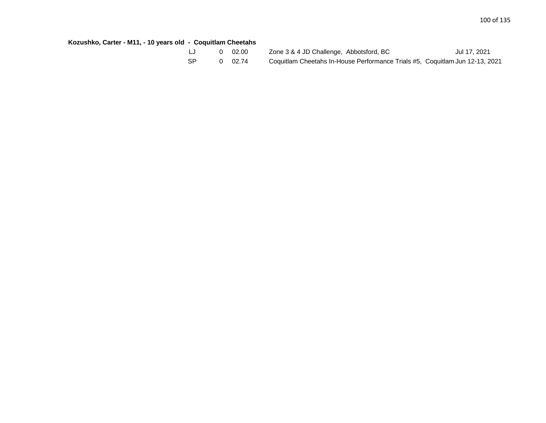# **Kozushko, Carter - M11, - 10 years old - Coquitlam Cheetahs**

|    | $0\quad 02.00$  | Zone 3 & 4 JD Challenge, Abbotsford, BC                                      | Jul 17, 2021 |
|----|-----------------|------------------------------------------------------------------------------|--------------|
| SP | $0 \quad 02.74$ | Coquitlam Cheetahs In-House Performance Trials #5, Coquitlam Jun 12-13, 2021 |              |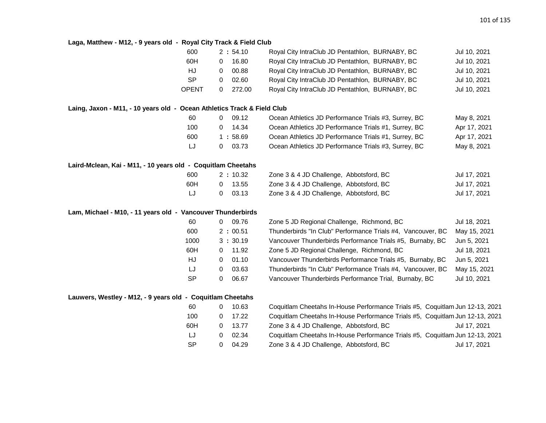### **Laga, Matthew - M12, - 9 years old - Royal City Track & Field Club**

|                                                                         | 600          | 2:54.10                  | Royal City IntraClub JD Pentathlon, BURNABY, BC                              | Jul 10, 2021 |
|-------------------------------------------------------------------------|--------------|--------------------------|------------------------------------------------------------------------------|--------------|
|                                                                         | 60H          | 16.80<br>$\mathbf 0$     | Royal City IntraClub JD Pentathlon, BURNABY, BC                              | Jul 10, 2021 |
|                                                                         | HJ           | 00.88<br>0               | Royal City IntraClub JD Pentathlon, BURNABY, BC                              | Jul 10, 2021 |
|                                                                         | <b>SP</b>    | 02.60<br>$\mathbf 0$     | Royal City IntraClub JD Pentathlon, BURNABY, BC                              | Jul 10, 2021 |
|                                                                         | <b>OPENT</b> | 272.00<br>$\overline{0}$ | Royal City IntraClub JD Pentathlon, BURNABY, BC                              | Jul 10, 2021 |
| Laing, Jaxon - M11, - 10 years old - Ocean Athletics Track & Field Club |              |                          |                                                                              |              |
|                                                                         | 60           | 09.12<br>$\overline{0}$  | Ocean Athletics JD Performance Trials #3, Surrey, BC                         | May 8, 2021  |
|                                                                         | 100          | 14.34<br>$\mathbf 0$     | Ocean Athletics JD Performance Trials #1, Surrey, BC                         | Apr 17, 2021 |
|                                                                         | 600          | 1:58.69                  | Ocean Athletics JD Performance Trials #1, Surrey, BC                         | Apr 17, 2021 |
|                                                                         | LJ           | $0$ 03.73                | Ocean Athletics JD Performance Trials #3, Surrey, BC                         | May 8, 2021  |
| Laird-Mclean, Kai - M11, - 10 years old - Coquitlam Cheetahs            |              |                          |                                                                              |              |
|                                                                         | 600          | 2:10.32                  | Zone 3 & 4 JD Challenge, Abbotsford, BC                                      | Jul 17, 2021 |
|                                                                         | 60H          | 13.55<br>0               | Zone 3 & 4 JD Challenge, Abbotsford, BC                                      | Jul 17, 2021 |
|                                                                         | IJ           | 03.13<br>0               | Zone 3 & 4 JD Challenge, Abbotsford, BC                                      | Jul 17, 2021 |
| Lam, Michael - M10, - 11 years old - Vancouver Thunderbirds             |              |                          |                                                                              |              |
|                                                                         | 60           | 09.76<br>0               | Zone 5 JD Regional Challenge, Richmond, BC                                   | Jul 18, 2021 |
|                                                                         | 600          | 2:00.51                  | Thunderbirds "In Club" Performance Trials #4, Vancouver, BC                  | May 15, 2021 |
|                                                                         | 1000         | 3:30.19                  | Vancouver Thunderbirds Performance Trials #5, Burnaby, BC                    | Jun 5, 2021  |
|                                                                         | 60H          | 11.92<br>0               | Zone 5 JD Regional Challenge, Richmond, BC                                   | Jul 18, 2021 |
|                                                                         | HJ           | 01.10<br>0               | Vancouver Thunderbirds Performance Trials #5, Burnaby, BC                    | Jun 5, 2021  |
|                                                                         | LJ           | 03.63<br>$\mathbf 0$     | Thunderbirds "In Club" Performance Trials #4, Vancouver, BC                  | May 15, 2021 |
|                                                                         | <b>SP</b>    | 06.67<br>$\mathbf 0$     | Vancouver Thunderbirds Performance Trial, Burnaby, BC                        | Jul 10, 2021 |
| Lauwers, Westley - M12, - 9 years old - Coquitlam Cheetahs              |              |                          |                                                                              |              |
|                                                                         | 60           | 10.63<br>0               | Coquitlam Cheetahs In-House Performance Trials #5, Coquitlam Jun 12-13, 2021 |              |
|                                                                         | 100          | 17.22<br>0               | Coquitlam Cheetahs In-House Performance Trials #5, Coquitlam Jun 12-13, 2021 |              |
|                                                                         | 60H          | 13.77<br>$\mathbf 0$     | Zone 3 & 4 JD Challenge, Abbotsford, BC                                      | Jul 17, 2021 |
|                                                                         | LJ           | 02.34<br>0               | Coquitlam Cheetahs In-House Performance Trials #5, Coquitlam Jun 12-13, 2021 |              |
|                                                                         | <b>SP</b>    | 0<br>04.29               | Zone 3 & 4 JD Challenge, Abbotsford, BC                                      | Jul 17, 2021 |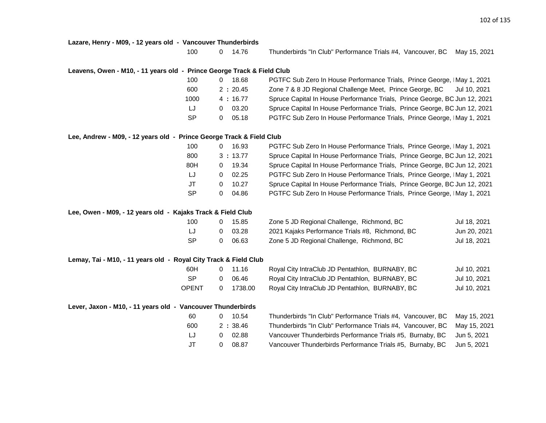#### **Lazare, Henry - M09, - 12 years old - Vancouver Thunderbirds**

100 0 14.76 Thunderbirds "In Club" Performance Trials #4, Vancouver, BC May 15, 2021

#### **Leavens, Owen - M10, - 11 years old - Prince George Track & Field Club**

| 100       | 18.68             | PGTFC Sub Zero In House Performance Trials, Prince George, IMay 1, 2021    |
|-----------|-------------------|----------------------------------------------------------------------------|
| 600       | 2:20.45           | Zone 7 & 8 JD Regional Challenge Meet, Prince George, BC<br>Jul 10, 2021   |
| 1000      | 4:16.77           | Spruce Capital In House Performance Trials, Prince George, BC Jun 12, 2021 |
| IJ        | 03.20<br>$\Omega$ | Spruce Capital In House Performance Trials, Prince George, BC Jun 12, 2021 |
| <b>SP</b> | 05.18             | PGTFC Sub Zero In House Performance Trials, Prince George, IMay 1, 2021    |

#### **Lee, Andrew - M09, - 12 years old - Prince George Track & Field Club**

| 100 | 16.93<br>O |  |
|-----|------------|--|
| 800 | 3:13.77    |  |
| 80H | 19.34<br>O |  |
| IJ  | 02.25<br>0 |  |
| JT  | 10.27<br>0 |  |
| SP  | 04.86<br>O |  |

PGTFC Sub Zero In House Performance Trials, Prince George, IMay 1, 2021 Spruce Capital In House Performance Trials, Prince George, BC Jun 12, 2021 Spruce Capital In House Performance Trials, Prince George, BC Jun 12, 2021 PGTFC Sub Zero In House Performance Trials, Prince George, IMay 1, 2021 Spruce Capital In House Performance Trials, Prince George, BC Jun 12, 2021 PGTFC Sub Zero In House Performance Trials, Prince George, IMay 1, 2021

#### **Lee, Owen - M09, - 12 years old - Kajaks Track & Field Club**

| 100 | 15.85 | Zone 5 JD Regional Challenge, Richmond, BC      | Jul 18, 2021 |
|-----|-------|-------------------------------------------------|--------------|
| IJ  | 03.28 | 2021 Kajaks Performance Trials #8, Richmond, BC | Jun 20, 2021 |
| SP. | 06.63 | Zone 5 JD Regional Challenge, Richmond, BC      | Jul 18, 2021 |

#### **Lemay, Tai - M10, - 11 years old - Royal City Track & Field Club**

| 60H   | 0 11.16        | Royal City IntraClub JD Pentathlon, BURNABY, BC | Jul 10, 2021 |
|-------|----------------|-------------------------------------------------|--------------|
| - SP  | $0\quad 06.46$ | Royal City IntraClub JD Pentathlon, BURNABY, BC | Jul 10, 2021 |
| OPENT | 0 1738.00      | Royal City IntraClub JD Pentathlon, BURNABY, BC | Jul 10, 2021 |

#### **Lever, Jaxon - M10, - 11 years old - Vancouver Thunderbirds**

| -60   | 0 10.54        | Thunderbirds "In Club" Performance Trials #4, Vancouver, BC May 15, 2021 |  |
|-------|----------------|--------------------------------------------------------------------------|--|
| 600   | 2:38.46        | Thunderbirds "In Club" Performance Trials #4, Vancouver, BC May 15, 2021 |  |
| LJ.   | $0\quad 02.88$ | Vancouver Thunderbirds Performance Trials #5, Burnaby, BC Jun 5, 2021    |  |
| $J$ T | 0 08.87        | Vancouver Thunderbirds Performance Trials #5, Burnaby, BC Jun 5, 2021    |  |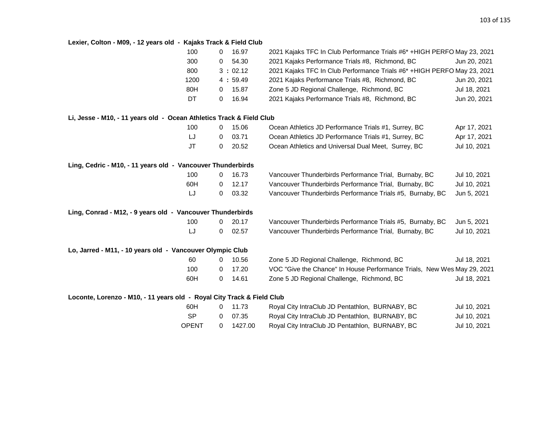# **Lexier, Colton - M09, - 12 years old - Kajaks Track & Field Club**

|                                                                        | 100  | 0 | 16.97   | 2021 Kajaks TFC In Club Performance Trials #6* +HIGH PERFO May 23, 2021 |              |
|------------------------------------------------------------------------|------|---|---------|-------------------------------------------------------------------------|--------------|
|                                                                        | 300  | 0 | 54.30   | 2021 Kajaks Performance Trials #8, Richmond, BC                         | Jun 20, 2021 |
|                                                                        | 800  |   | 3:02.12 | 2021 Kajaks TFC In Club Performance Trials #6* +HIGH PERFO May 23, 2021 |              |
|                                                                        | 1200 |   | 4:59.49 | 2021 Kajaks Performance Trials #8, Richmond, BC                         | Jun 20, 2021 |
|                                                                        | 80H  | 0 | 15.87   | Zone 5 JD Regional Challenge, Richmond, BC                              | Jul 18, 2021 |
|                                                                        | DT   | 0 | 16.94   | 2021 Kajaks Performance Trials #8, Richmond, BC                         | Jun 20, 2021 |
| Li, Jesse - M10, - 11 years old - Ocean Athletics Track & Field Club   |      |   |         |                                                                         |              |
|                                                                        | 100  | 0 | 15.06   | Ocean Athletics JD Performance Trials #1, Surrey, BC                    | Apr 17, 2021 |
|                                                                        | LJ   | 0 | 03.71   | Ocean Athletics JD Performance Trials #1, Surrey, BC                    | Apr 17, 2021 |
|                                                                        | JT   | 0 | 20.52   | Ocean Athletics and Universal Dual Meet, Surrey, BC                     | Jul 10, 2021 |
| Ling, Cedric - M10, - 11 years old - Vancouver Thunderbirds            |      |   |         |                                                                         |              |
|                                                                        | 100  | 0 | 16.73   | Vancouver Thunderbirds Performance Trial, Burnaby, BC                   | Jul 10, 2021 |
|                                                                        | 60H  | 0 | 12.17   | Vancouver Thunderbirds Performance Trial, Burnaby, BC                   | Jul 10, 2021 |
|                                                                        | LJ   | 0 | 03.32   | Vancouver Thunderbirds Performance Trials #5, Burnaby, BC               | Jun 5, 2021  |
| Ling, Conrad - M12, - 9 years old - Vancouver Thunderbirds             |      |   |         |                                                                         |              |
|                                                                        | 100  | 0 | 20.17   | Vancouver Thunderbirds Performance Trials #5, Burnaby, BC               | Jun 5, 2021  |
|                                                                        | LJ   | 0 | 02.57   | Vancouver Thunderbirds Performance Trial, Burnaby, BC                   | Jul 10, 2021 |
| Lo, Jarred - M11, - 10 years old - Vancouver Olympic Club              |      |   |         |                                                                         |              |
|                                                                        | 60   | 0 | 10.56   | Zone 5 JD Regional Challenge, Richmond, BC                              | Jul 18, 2021 |
|                                                                        | 100  | 0 | 17.20   | VOC "Give the Chance" In House Performance Trials, New Wes May 29, 2021 |              |
|                                                                        | 60H  | 0 | 14.61   | Zone 5 JD Regional Challenge, Richmond, BC                              | Jul 18, 2021 |
| Loconte, Lorenzo - M10, - 11 years old - Royal City Track & Field Club |      |   |         |                                                                         |              |
|                                                                        | 60H  | 0 | 11.73   | Royal City IntraClub JD Pentathlon, BURNABY, BC                         | Jul 10, 2021 |

| <b>UUIT</b> | <u>U II.IJ</u> | <b>NUVAL CITY INTIACTUD JD FEITIANIION, DUNIVAD I, DC</b> | JUI IV, ZUZ I |
|-------------|----------------|-----------------------------------------------------------|---------------|
| - SP        | $0\quad 07.35$ | Royal City IntraClub JD Pentathlon, BURNABY, BC           | Jul 10, 2021  |
| OPENT       | 1427.00        | Royal City IntraClub JD Pentathlon, BURNABY, BC           | Jul 10, 2021  |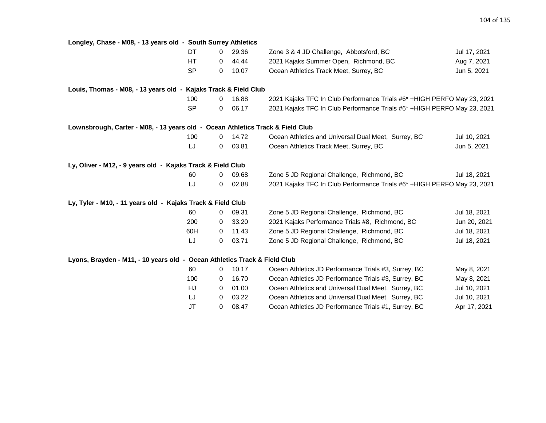| Longley, Chase - M08, - 13 years old - South Surrey Athletics                  |           |             |       |                                                                          |              |
|--------------------------------------------------------------------------------|-----------|-------------|-------|--------------------------------------------------------------------------|--------------|
|                                                                                | DT.       | 0           | 29.36 | Zone 3 & 4 JD Challenge, Abbotsford, BC                                  | Jul 17, 2021 |
|                                                                                | HT.       | 0           | 44.44 | 2021 Kajaks Summer Open, Richmond, BC                                    | Aug 7, 2021  |
|                                                                                | <b>SP</b> | 0           | 10.07 | Ocean Athletics Track Meet, Surrey, BC                                   | Jun 5, 2021  |
| Louis, Thomas - M08, - 13 years old - Kajaks Track & Field Club                |           |             |       |                                                                          |              |
|                                                                                | 100       | 0           | 16.88 | 2021 Kajaks TFC In Club Performance Trials #6* +HIGH PERFO May 23, 2021  |              |
|                                                                                | <b>SP</b> | 0           | 06.17 | 2021 Kajaks TFC In Club Performance Trials #6* + HIGH PERFO May 23, 2021 |              |
| Lownsbrough, Carter - M08, - 13 years old - Ocean Athletics Track & Field Club |           |             |       |                                                                          |              |
|                                                                                | 100       | 0           | 14.72 | Ocean Athletics and Universal Dual Meet, Surrey, BC                      | Jul 10, 2021 |
|                                                                                | LJ        | 0           | 03.81 | Ocean Athletics Track Meet, Surrey, BC                                   | Jun 5, 2021  |
| Ly, Oliver - M12, - 9 years old - Kajaks Track & Field Club                    |           |             |       |                                                                          |              |
|                                                                                | 60        | 0           | 09.68 | Zone 5 JD Regional Challenge, Richmond, BC                               | Jul 18, 2021 |
|                                                                                | LJ        | 0           | 02.88 | 2021 Kajaks TFC In Club Performance Trials #6* +HIGH PERFO May 23, 2021  |              |
| Ly, Tyler - M10, - 11 years old - Kajaks Track & Field Club                    |           |             |       |                                                                          |              |
|                                                                                | 60        | 0           | 09.31 | Zone 5 JD Regional Challenge, Richmond, BC                               | Jul 18, 2021 |
|                                                                                | 200       | 0           | 33.20 | 2021 Kajaks Performance Trials #8, Richmond, BC                          | Jun 20, 2021 |
|                                                                                | 60H       | $\Omega$    | 11.43 | Zone 5 JD Regional Challenge, Richmond, BC                               | Jul 18, 2021 |
|                                                                                | LJ        | 0           | 03.71 | Zone 5 JD Regional Challenge, Richmond, BC                               | Jul 18, 2021 |
| Lyons, Brayden - M11, - 10 years old - Ocean Athletics Track & Field Club      |           |             |       |                                                                          |              |
|                                                                                | 60        | 0           | 10.17 | Ocean Athletics JD Performance Trials #3, Surrey, BC                     | May 8, 2021  |
|                                                                                | 100       | 0           | 16.70 | Ocean Athletics JD Performance Trials #3, Surrey, BC                     | May 8, 2021  |
|                                                                                | HJ        | 0           | 01.00 | Ocean Athletics and Universal Dual Meet, Surrey, BC                      | Jul 10, 2021 |
|                                                                                | LJ        | $\mathbf 0$ | 03.22 | Ocean Athletics and Universal Dual Meet, Surrey, BC                      | Jul 10, 2021 |
|                                                                                | JT        | 0           | 08.47 | Ocean Athletics JD Performance Trials #1, Surrey, BC                     | Apr 17, 2021 |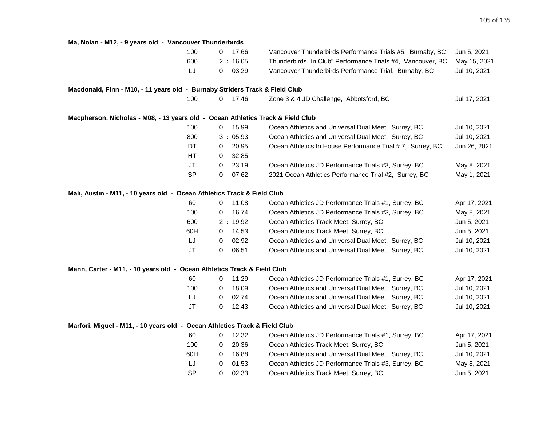| Ma, Nolan - M12, - 9 years old - Vancouver Thunderbirds                         |                       |                                                             |              |
|---------------------------------------------------------------------------------|-----------------------|-------------------------------------------------------------|--------------|
| 100                                                                             | 17.66<br>0            | Vancouver Thunderbirds Performance Trials #5, Burnaby, BC   | Jun 5, 2021  |
| 600                                                                             | 2:16.05               | Thunderbirds "In Club" Performance Trials #4, Vancouver, BC | May 15, 2021 |
| LJ                                                                              | 03.29<br>$\mathbf{0}$ | Vancouver Thunderbirds Performance Trial, Burnaby, BC       | Jul 10, 2021 |
| Macdonald, Finn - M10, - 11 years old - Burnaby Striders Track & Field Club     |                       |                                                             |              |
| 100                                                                             | 17.46<br>0            | Zone 3 & 4 JD Challenge, Abbotsford, BC                     | Jul 17, 2021 |
| Macpherson, Nicholas - M08, - 13 years old - Ocean Athletics Track & Field Club |                       |                                                             |              |
| 100                                                                             | 15.99<br>0            | Ocean Athletics and Universal Dual Meet, Surrey, BC         | Jul 10, 2021 |
| 800                                                                             | 3:05.93               | Ocean Athletics and Universal Dual Meet, Surrey, BC         | Jul 10, 2021 |
| DT                                                                              | 20.95<br>0            | Ocean Athletics In House Performance Trial #7, Surrey, BC   | Jun 26, 2021 |
| HТ                                                                              | 32.85<br>0            |                                                             |              |
| <b>JT</b>                                                                       | 23.19<br>$\mathbf 0$  | Ocean Athletics JD Performance Trials #3, Surrey, BC        | May 8, 2021  |
| <b>SP</b>                                                                       | 07.62<br>$\mathbf 0$  | 2021 Ocean Athletics Performance Trial #2, Surrey, BC       | May 1, 2021  |
| Mali, Austin - M11, - 10 years old - Ocean Athletics Track & Field Club         |                       |                                                             |              |
| 60                                                                              | 11.08<br>0            | Ocean Athletics JD Performance Trials #1, Surrey, BC        | Apr 17, 2021 |
| 100                                                                             | 16.74<br>0            | Ocean Athletics JD Performance Trials #3, Surrey, BC        | May 8, 2021  |
| 600                                                                             | 2:19.92               | Ocean Athletics Track Meet, Surrey, BC                      | Jun 5, 2021  |
| 60H                                                                             | 14.53<br>0            | Ocean Athletics Track Meet, Surrey, BC                      | Jun 5, 2021  |
| LJ                                                                              | 02.92<br>0            | Ocean Athletics and Universal Dual Meet, Surrey, BC         | Jul 10, 2021 |
| <b>JT</b>                                                                       | 06.51<br>0            | Ocean Athletics and Universal Dual Meet, Surrey, BC         | Jul 10, 2021 |
| Mann, Carter - M11, - 10 years old - Ocean Athletics Track & Field Club         |                       |                                                             |              |
| 60                                                                              | 11.29<br>0            | Ocean Athletics JD Performance Trials #1, Surrey, BC        | Apr 17, 2021 |
| 100                                                                             | 18.09<br>0            | Ocean Athletics and Universal Dual Meet, Surrey, BC         | Jul 10, 2021 |
| LJ                                                                              | 02.74<br>0            | Ocean Athletics and Universal Dual Meet, Surrey, BC         | Jul 10, 2021 |
| <b>JT</b>                                                                       | 12.43<br>0            | Ocean Athletics and Universal Dual Meet, Surrey, BC         | Jul 10, 2021 |
| Marfori, Miguel - M11, - 10 years old - Ocean Athletics Track & Field Club      |                       |                                                             |              |
| 60                                                                              | 12.32<br>0            | Ocean Athletics JD Performance Trials #1, Surrey, BC        | Apr 17, 2021 |
| 100                                                                             | 20.36<br>0            | Ocean Athletics Track Meet, Surrey, BC                      | Jun 5, 2021  |
| 60H                                                                             | 16.88<br>0            | Ocean Athletics and Universal Dual Meet, Surrey, BC         | Jul 10, 2021 |
| LJ                                                                              | 01.53<br>0            | Ocean Athletics JD Performance Trials #3, Surrey, BC        | May 8, 2021  |
| <b>SP</b>                                                                       | 02.33<br>$\mathbf 0$  | Ocean Athletics Track Meet, Surrey, BC                      | Jun 5, 2021  |
|                                                                                 |                       |                                                             |              |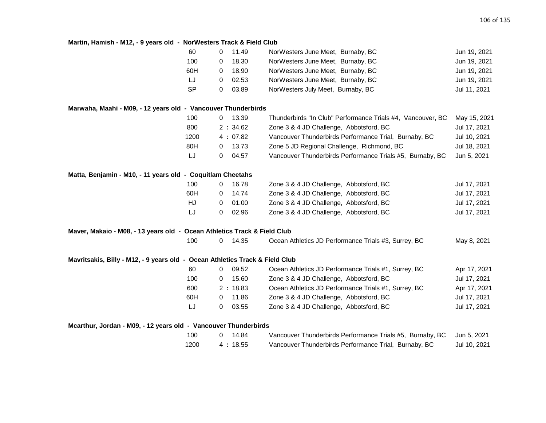# **Martin, Hamish - M12, - 9 years old - NorWesters Track & Field Club**

|                                                                              | 60<br>0  | 11.49     | NorWesters June Meet, Burnaby, BC                           | Jun 19, 2021 |
|------------------------------------------------------------------------------|----------|-----------|-------------------------------------------------------------|--------------|
|                                                                              | 100<br>0 | 18.30     | NorWesters June Meet, Burnaby, BC                           | Jun 19, 2021 |
| 60H                                                                          | 0        | 18.90     | NorWesters June Meet, Burnaby, BC                           | Jun 19, 2021 |
|                                                                              | LJ<br>0  | 02.53     | NorWesters June Meet, Burnaby, BC                           | Jun 19, 2021 |
| <b>SP</b>                                                                    | 0        | 03.89     | NorWesters July Meet, Burnaby, BC                           | Jul 11, 2021 |
| Marwaha, Maahi - M09, - 12 years old - Vancouver Thunderbirds                |          |           |                                                             |              |
|                                                                              | 100<br>0 | 13.39     | Thunderbirds "In Club" Performance Trials #4, Vancouver, BC | May 15, 2021 |
|                                                                              | 800      | 2:34.62   | Zone 3 & 4 JD Challenge, Abbotsford, BC                     | Jul 17, 2021 |
|                                                                              | 1200     | 4:07.82   | Vancouver Thunderbirds Performance Trial, Burnaby, BC       | Jul 10, 2021 |
|                                                                              | 80H<br>0 | 13.73     | Zone 5 JD Regional Challenge, Richmond, BC                  | Jul 18, 2021 |
|                                                                              | IJ<br>0  | 04.57     | Vancouver Thunderbirds Performance Trials #5, Burnaby, BC   | Jun 5, 2021  |
| Matta, Benjamin - M10, - 11 years old - Coquitlam Cheetahs                   |          |           |                                                             |              |
|                                                                              | 100<br>0 | 16.78     | Zone 3 & 4 JD Challenge, Abbotsford, BC                     | Jul 17, 2021 |
|                                                                              | 60H<br>0 | 14.74     | Zone 3 & 4 JD Challenge, Abbotsford, BC                     | Jul 17, 2021 |
| HJ                                                                           | 0        | 01.00     | Zone 3 & 4 JD Challenge, Abbotsford, BC                     | Jul 17, 2021 |
|                                                                              | LJ<br>0  | 02.96     | Zone 3 & 4 JD Challenge, Abbotsford, BC                     | Jul 17, 2021 |
| Maver, Makaio - M08, - 13 years old - Ocean Athletics Track & Field Club     |          |           |                                                             |              |
|                                                                              | 100<br>0 | 14.35     | Ocean Athletics JD Performance Trials #3, Surrey, BC        | May 8, 2021  |
| Mavritsakis, Billy - M12, - 9 years old - Ocean Athletics Track & Field Club |          |           |                                                             |              |
|                                                                              | 60<br>0  | 09.52     | Ocean Athletics JD Performance Trials #1, Surrey, BC        | Apr 17, 2021 |
|                                                                              | 100<br>0 | 15.60     | Zone 3 & 4 JD Challenge, Abbotsford, BC                     | Jul 17, 2021 |
|                                                                              | 600      | 2:18.83   | Ocean Athletics JD Performance Trials #1, Surrey, BC        | Apr 17, 2021 |
|                                                                              | 60H<br>0 | 11.86     | Zone 3 & 4 JD Challenge, Abbotsford, BC                     | Jul 17, 2021 |
|                                                                              | LJ<br>0  | 03.55     | Zone 3 & 4 JD Challenge, Abbotsford, BC                     | Jul 17, 2021 |
| Mcarthur, Jordan - M09, - 12 years old - Vancouver Thunderbirds              |          |           |                                                             |              |
|                                                                              | 100<br>0 | 14.84     | Vancouver Thunderbirds Performance Trials #5, Burnaby, BC   | Jun 5, 2021  |
|                                                                              | 1200     | 4 : 18.55 | Vancouver Thunderbirds Performance Trial, Burnaby, BC       | Jul 10, 2021 |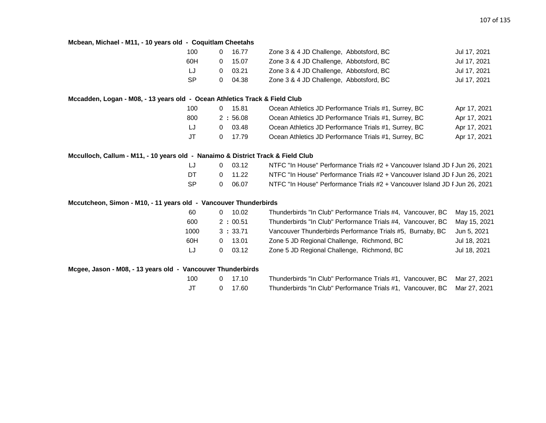### **Mcbean, Michael - M11, - 10 years old - Coquitlam Cheetahs**

| 100 | 16.77           | Zone 3 & 4 JD Challenge, Abbotsford, BC | Jul 17, 2021 |
|-----|-----------------|-----------------------------------------|--------------|
| 60H | $0 \quad 15.07$ | Zone 3 & 4 JD Challenge, Abbotsford, BC | Jul 17, 2021 |
| IJ  | 03.21           | Zone 3 & 4 JD Challenge, Abbotsford, BC | Jul 17, 2021 |
| -SP | 04.38           | Zone 3 & 4 JD Challenge, Abbotsford, BC | Jul 17, 2021 |

### **Mccadden, Logan - M08, - 13 years old - Ocean Athletics Track & Field Club**

| 100  | 15.81      | Ocean Athletics JD Performance Trials #1, Surrey, BC | Apr 17, 2021 |
|------|------------|------------------------------------------------------|--------------|
| 800  | 2:56.08    | Ocean Athletics JD Performance Trials #1, Surrey, BC | Apr 17, 2021 |
| LJ.  | 03.48<br>0 | Ocean Athletics JD Performance Trials #1, Surrey, BC | Apr 17, 2021 |
| JT . | 0 17.79    | Ocean Athletics JD Performance Trials #1, Surrey, BC | Apr 17, 2021 |

### **Mcculloch, Callum - M11, - 10 years old - Nanaimo & District Track & Field Club**

| LJ  | 03.12   | NTFC "In House" Performance Trials #2 + Vancouver Island JD F Jun 26, 2021 |
|-----|---------|----------------------------------------------------------------------------|
| DT  | 0 11.22 | NTFC "In House" Performance Trials #2 + Vancouver Island JD F Jun 26, 2021 |
| -SP | 06.07   | NTFC "In House" Performance Trials #2 + Vancouver Island JD F Jun 26, 2021 |

### **Mccutcheon, Simon - M10, - 11 years old - Vancouver Thunderbirds**

| -60  | 10.02   | Thunderbirds "In Club" Performance Trials #4, Vancouver, BC May 15, 2021 |              |
|------|---------|--------------------------------------------------------------------------|--------------|
| 600  | 2:00.51 | Thunderbirds "In Club" Performance Trials #4, Vancouver, BC              | May 15, 2021 |
| 1000 | 3:33.71 | Vancouver Thunderbirds Performance Trials #5, Burnaby, BC                | Jun 5. 2021  |
| 60H  | 13.01   | Zone 5 JD Regional Challenge, Richmond, BC                               | Jul 18, 2021 |
| LJ   | 03.12   | Zone 5 JD Regional Challenge, Richmond, BC                               | Jul 18, 2021 |

### **Mcgee, Jason - M08, - 13 years old - Vancouver Thunderbirds**

| 100 | 0 17.10 | Thunderbirds "In Club" Performance Trials #1, Vancouver, BC Mar 27, 2021 |  |
|-----|---------|--------------------------------------------------------------------------|--|
| JT  | 0 17.60 | Thunderbirds "In Club" Performance Trials #1, Vancouver, BC Mar 27, 2021 |  |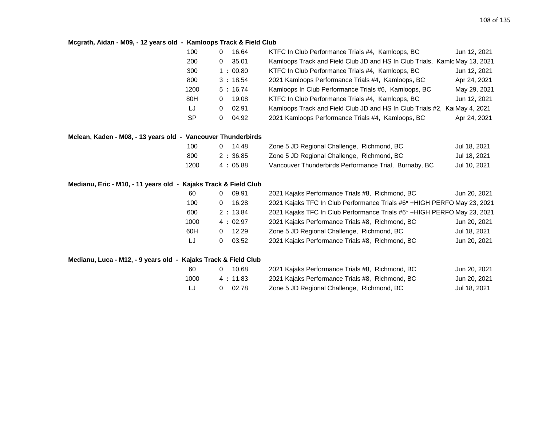## **Mcgrath, Aidan - M09, - 12 years old - Kamloops Track & Field Club**

| 100       | 16.64<br>0 | KTFC In Club Performance Trials #4, Kamloops, BC                           | Jun 12, 2021 |
|-----------|------------|----------------------------------------------------------------------------|--------------|
| 200       | 35.01<br>0 | Kamloops Track and Field Club JD and HS In Club Trials, Kamlc May 13, 2021 |              |
| 300       | 1:00.80    | KTFC In Club Performance Trials #4, Kamloops, BC                           | Jun 12, 2021 |
| 800       | 3:18.54    | 2021 Kamloops Performance Trials #4, Kamloops, BC                          | Apr 24, 2021 |
| 1200      | 5:16.74    | Kamloops In Club Performance Trials #6, Kamloops, BC                       | May 29, 2021 |
| 80H       | 19.08<br>0 | KTFC In Club Performance Trials #4, Kamloops, BC                           | Jun 12, 2021 |
| IJ        | 02.91<br>0 | Kamloops Track and Field Club JD and HS In Club Trials #2, Ka May 4, 2021  |              |
| <b>SP</b> | 04.92<br>0 | 2021 Kamloops Performance Trials #4, Kamloops, BC                          | Apr 24, 2021 |
|           |            |                                                                            |              |

### **Mclean, Kaden - M08, - 13 years old - Vancouver Thunderbirds**

| 100  | 14.48     | Zone 5 JD Regional Challenge, Richmond, BC            | Jul 18, 2021 |
|------|-----------|-------------------------------------------------------|--------------|
| 800  | 2 : 36.85 | Zone 5 JD Regional Challenge, Richmond, BC            | Jul 18, 2021 |
| 1200 | 4 : 05.88 | Vancouver Thunderbirds Performance Trial, Burnaby, BC | Jul 10, 2021 |

## **Medianu, Eric - M10, - 11 years old - Kajaks Track & Field Club**

| -60  | 09.91   | 2021 Kajaks Performance Trials #8, Richmond, BC                          | Jun 20, 2021 |
|------|---------|--------------------------------------------------------------------------|--------------|
| 100  | 16.28   | 2021 Kajaks TFC In Club Performance Trials #6* + HIGH PERFO May 23, 2021 |              |
| 600  | 2:13.84 | 2021 Kajaks TFC In Club Performance Trials #6* +HIGH PERFO May 23, 2021  |              |
| 1000 | 4:02.97 | 2021 Kajaks Performance Trials #8, Richmond, BC                          | Jun 20, 2021 |
| 60H  | 12.29   | Zone 5 JD Regional Challenge, Richmond, BC                               | Jul 18, 2021 |
| LJ   | 03.52   | 2021 Kajaks Performance Trials #8, Richmond, BC                          | Jun 20, 2021 |

### **Medianu, Luca - M12, - 9 years old - Kajaks Track & Field Club**

| -60  | 10.68             | 2021 Kajaks Performance Trials #8, Richmond, BC | Jun 20, 2021 |
|------|-------------------|-------------------------------------------------|--------------|
| 1000 | 4 : 11.83         | 2021 Kajaks Performance Trials #8, Richmond, BC | Jun 20, 2021 |
| LJ   | 02.78<br>$\Omega$ | Zone 5 JD Regional Challenge, Richmond, BC      | Jul 18, 2021 |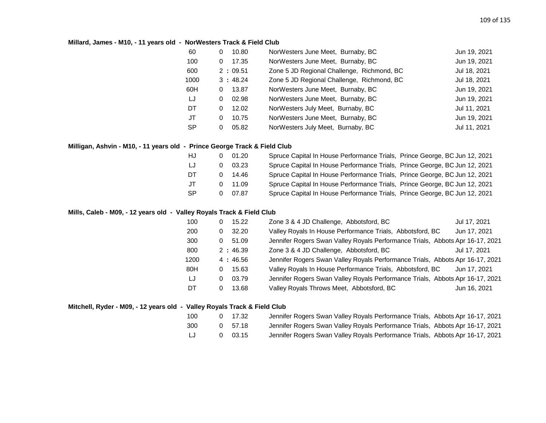### **Millard, James - M10, - 11 years old - NorWesters Track & Field Club**

| 60        | 10.80<br>0 | NorWesters June Meet, Burnaby, BC          | Jun 19, 2021 |
|-----------|------------|--------------------------------------------|--------------|
| 100       | 17.35<br>0 | NorWesters June Meet, Burnaby, BC          | Jun 19, 2021 |
| 600       | 2:09.51    | Zone 5 JD Regional Challenge, Richmond, BC | Jul 18, 2021 |
| 1000      | 3:48.24    | Zone 5 JD Regional Challenge, Richmond, BC | Jul 18, 2021 |
| 60H       | 13.87<br>0 | NorWesters June Meet, Burnaby, BC          | Jun 19, 2021 |
| LJ        | 02.98<br>0 | NorWesters June Meet, Burnaby, BC          | Jun 19, 2021 |
| DT        | 12.02<br>0 | NorWesters July Meet, Burnaby, BC          | Jul 11, 2021 |
| JT        | 10.75<br>0 | NorWesters June Meet, Burnaby, BC          | Jun 19, 2021 |
| <b>SP</b> | 05.82<br>0 | NorWesters July Meet, Burnaby, BC          | Jul 11, 2021 |
|           |            |                                            |              |

### **Milligan, Ashvin - M10, - 11 years old - Prince George Track & Field Club**

| HJ        | 01.20     | Spruce Capital In House Performance Trials, Prince George, BC Jun 12, 2021 |  |
|-----------|-----------|----------------------------------------------------------------------------|--|
| LJ        | 03.23     | Spruce Capital In House Performance Trials, Prince George, BC Jun 12, 2021 |  |
| DT        | 14.46     | Spruce Capital In House Performance Trials, Prince George, BC Jun 12, 2021 |  |
| JT        | $0$ 11.09 | Spruce Capital In House Performance Trials, Prince George, BC Jun 12, 2021 |  |
| <b>SP</b> | 07.87     | Spruce Capital In House Performance Trials, Prince George, BC Jun 12, 2021 |  |

### **Mills, Caleb - M09, - 12 years old - Valley Royals Track & Field Club**

| 100  | 15.22<br>0 | Zone 3 & 4 JD Challenge, Abbotsford, BC                                       | Jul 17, 2021 |
|------|------------|-------------------------------------------------------------------------------|--------------|
| 200  | 32.20<br>0 | Valley Royals In House Performance Trials, Abbotsford, BC                     | Jun 17, 2021 |
| 300  | 51.09<br>0 | Jennifer Rogers Swan Valley Royals Performance Trials, Abbots Apr 16-17, 2021 |              |
| 800  | 2:46.39    | Zone 3 & 4 JD Challenge, Abbotsford, BC                                       | Jul 17, 2021 |
| 1200 | 4:46.56    | Jennifer Rogers Swan Valley Royals Performance Trials, Abbots Apr 16-17, 2021 |              |
| 80H  | 15.63<br>0 | Valley Royals In House Performance Trials, Abbotsford, BC                     | Jun 17, 2021 |
| LJ   | 03.79<br>0 | Jennifer Rogers Swan Valley Royals Performance Trials, Abbots Apr 16-17, 2021 |              |
| DT   | 13.68<br>0 | Valley Royals Throws Meet, Abbotsford, BC                                     | Jun 16, 2021 |

### **Mitchell, Ryder - M09, - 12 years old - Valley Royals Track & Field Club**

| 100 | 0 17.32        | Jennifer Rogers Swan Valley Royals Performance Trials, Abbots Apr 16-17, 2021 |  |
|-----|----------------|-------------------------------------------------------------------------------|--|
| 300 | 0 57.18        | Jennifer Rogers Swan Valley Royals Performance Trials, Abbots Apr 16-17, 2021 |  |
| LJ  | $0\quad 03.15$ | Jennifer Rogers Swan Valley Royals Performance Trials, Abbots Apr 16-17, 2021 |  |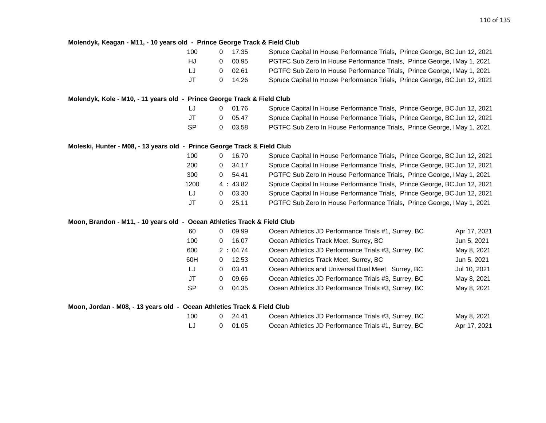#### **Molendyk, Keagan - M11, - 10 years old - Prince George Track & Field Club**

| 100 | $0 \quad 17.35$ | Spruce Capital In House Performance Trials, Prince George, BC Jun 12, 2021 |
|-----|-----------------|----------------------------------------------------------------------------|
| HJ. | 00.95           | PGTFC Sub Zero In House Performance Trials, Prince George, IMay 1, 2021    |
| IJ  | 02.61           | PGTFC Sub Zero In House Performance Trials, Prince George, IMay 1, 2021    |
| JT. | 0, 14.26        | Spruce Capital In House Performance Trials, Prince George, BC Jun 12, 2021 |

### **Molendyk, Kole - M10, - 11 years old - Prince George Track & Field Club**

| LJ  |   | 0 01.76        | Spruce Capital In House Performance Trials, Prince George, BC Jun 12, 2021 |
|-----|---|----------------|----------------------------------------------------------------------------|
| JT  |   | $0\quad 05.47$ | Spruce Capital In House Performance Trials, Prince George, BC Jun 12, 2021 |
| -SP | 0 | 03.58          | PGTFC Sub Zero In House Performance Trials, Prince George, IMay 1, 2021    |

### **Moleski, Hunter - M08, - 13 years old - Prince George Track & Field Club**

| 100  | 16.70<br>$\Omega$ | Spruce Capital In House Performance Trials, Prince George, BC Jun 12, 2021 |
|------|-------------------|----------------------------------------------------------------------------|
| 200  | 34.17<br>0.       | Spruce Capital In House Performance Trials, Prince George, BC Jun 12, 2021 |
| 300  | 54.41<br>0.       | PGTFC Sub Zero In House Performance Trials, Prince George, IMay 1, 2021    |
| 1200 | 4:43.82           | Spruce Capital In House Performance Trials, Prince George, BC Jun 12, 2021 |
| LJ   | 03.30<br>$\Omega$ | Spruce Capital In House Performance Trials, Prince George, BC Jun 12, 2021 |
| JT   | 25.11<br>0        | PGTFC Sub Zero In House Performance Trials, Prince George, IMay 1, 2021    |

#### **Moon, Brandon - M11, - 10 years old - Ocean Athletics Track & Field Club**

| 60<br>09.99<br>0        | Ocean Athletics JD Performance Trials #1, Surrey, BC<br>Apr 17, 2021 |
|-------------------------|----------------------------------------------------------------------|
| 100<br>16.07<br>0       | Ocean Athletics Track Meet, Surrey, BC<br>Jun 5, 2021                |
| 600<br>2:04.74          | Ocean Athletics JD Performance Trials #3, Surrey, BC<br>May 8, 2021  |
| 60H<br>12.53<br>0       | Ocean Athletics Track Meet, Surrey, BC<br>Jun 5, 2021                |
| LJ<br>03.41<br>0        | Jul 10, 2021<br>Ocean Athletics and Universal Dual Meet, Surrey, BC  |
| JT<br>09.66<br>$\Omega$ | Ocean Athletics JD Performance Trials #3, Surrey, BC<br>May 8, 2021  |
| <b>SP</b><br>04.35<br>0 | May 8, 2021<br>Ocean Athletics JD Performance Trials #3, Surrey, BC  |

#### **Moon, Jordan - M08, - 13 years old - Ocean Athletics Track & Field Club**

| 100 | 0 24.41 | Ocean Athletics JD Performance Trials #3, Surrey, BC | May 8, 2021  |
|-----|---------|------------------------------------------------------|--------------|
|     | 0 01.05 | Ocean Athletics JD Performance Trials #1, Surrey, BC | Apr 17, 2021 |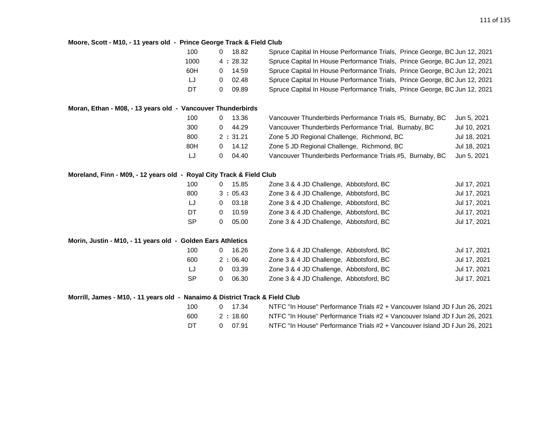## **Moore, Scott - M10, - 11 years old - Prince George Track & Field Club**

| 100                                                                          | 18.82<br>0            | Spruce Capital In House Performance Trials, Prince George, BC Jun 12, 2021 |              |
|------------------------------------------------------------------------------|-----------------------|----------------------------------------------------------------------------|--------------|
| 1000                                                                         | 4:28.32               | Spruce Capital In House Performance Trials, Prince George, BC Jun 12, 2021 |              |
| 60H                                                                          | 14.59<br>$\mathbf{0}$ | Spruce Capital In House Performance Trials, Prince George, BC Jun 12, 2021 |              |
| LJ                                                                           | 02.48<br>0            | Spruce Capital In House Performance Trials, Prince George, BC Jun 12, 2021 |              |
| DT                                                                           | 09.89<br>0            | Spruce Capital In House Performance Trials, Prince George, BC Jun 12, 2021 |              |
| Moran, Ethan - M08, - 13 years old - Vancouver Thunderbirds                  |                       |                                                                            |              |
| 100                                                                          | 13.36<br>0            | Vancouver Thunderbirds Performance Trials #5, Burnaby, BC                  | Jun 5, 2021  |
| 300                                                                          | 44.29<br>0            | Vancouver Thunderbirds Performance Trial, Burnaby, BC                      | Jul 10, 2021 |
| 800                                                                          | 2:31.21               | Zone 5 JD Regional Challenge, Richmond, BC                                 | Jul 18, 2021 |
| 80H                                                                          | 14.12<br>$\mathbf{0}$ | Zone 5 JD Regional Challenge, Richmond, BC                                 | Jul 18, 2021 |
| LJ                                                                           | 04.40<br>0            | Vancouver Thunderbirds Performance Trials #5, Burnaby, BC                  | Jun 5, 2021  |
| Moreland, Finn - M09, - 12 years old - Royal City Track & Field Club         |                       |                                                                            |              |
| 100                                                                          | 15.85<br>0            | Zone 3 & 4 JD Challenge, Abbotsford, BC                                    | Jul 17, 2021 |
| 800                                                                          | 3:05.43               | Zone 3 & 4 JD Challenge, Abbotsford, BC                                    | Jul 17, 2021 |
| IJ                                                                           | 03.18<br>0            | Zone 3 & 4 JD Challenge, Abbotsford, BC                                    | Jul 17, 2021 |
| DT                                                                           | 10.59<br>0            | Zone 3 & 4 JD Challenge, Abbotsford, BC                                    | Jul 17, 2021 |
| <b>SP</b>                                                                    | 05.00<br>0            | Zone 3 & 4 JD Challenge, Abbotsford, BC                                    | Jul 17, 2021 |
| Morin, Justin - M10, - 11 years old - Golden Ears Athletics                  |                       |                                                                            |              |
| 100                                                                          | 16.26<br>0            | Zone 3 & 4 JD Challenge, Abbotsford, BC                                    | Jul 17, 2021 |
| 600                                                                          | 2:06.40               | Zone 3 & 4 JD Challenge, Abbotsford, BC                                    | Jul 17, 2021 |
| LJ                                                                           | 03.39<br>0            | Zone 3 & 4 JD Challenge, Abbotsford, BC                                    | Jul 17, 2021 |
| <b>SP</b>                                                                    | 0<br>06.30            | Zone 3 & 4 JD Challenge, Abbotsford, BC                                    | Jul 17, 2021 |
| Morrill, James - M10, - 11 years old - Nanaimo & District Track & Field Club |                       |                                                                            |              |
|                                                                              |                       |                                                                            |              |

| 100 | 0 17.34 | NTFC "In House" Performance Trials #2 + Vancouver Island JD F Jun 26, 2021 |
|-----|---------|----------------------------------------------------------------------------|
| 600 | 2:18.60 | NTFC "In House" Performance Trials #2 + Vancouver Island JD F Jun 26, 2021 |
| DT  | 0 07.91 | NTFC "In House" Performance Trials #2 + Vancouver Island JD F Jun 26, 2021 |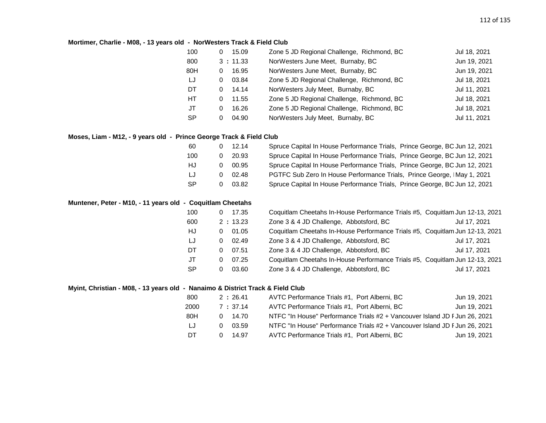### **Mortimer, Charlie - M08, - 13 years old - NorWesters Track & Field Club**

| 100       | 15.09<br>0 | Zone 5 JD Regional Challenge, Richmond, BC | Jul 18, 2021 |
|-----------|------------|--------------------------------------------|--------------|
| 800       | 3:11.33    | NorWesters June Meet, Burnaby, BC          | Jun 19, 2021 |
| 80H       | 16.95<br>0 | NorWesters June Meet, Burnaby, BC          | Jun 19, 2021 |
| LJ        | 03.84<br>0 | Zone 5 JD Regional Challenge, Richmond, BC | Jul 18, 2021 |
| DT.       | 14.14<br>0 | NorWesters July Meet, Burnaby, BC          | Jul 11, 2021 |
| HT.       | 11.55<br>0 | Zone 5 JD Regional Challenge, Richmond, BC | Jul 18, 2021 |
| JT        | 16.26<br>0 | Zone 5 JD Regional Challenge, Richmond, BC | Jul 18, 2021 |
| <b>SP</b> | 04.90<br>0 | NorWesters July Meet, Burnaby, BC          | Jul 11, 2021 |

## **Moses, Liam - M12, - 9 years old - Prince George Track & Field Club**

| 60        |    | $0 \quad 12.14$ | Spruce Capital In House Performance Trials, Prince George, BC Jun 12, 2021 |
|-----------|----|-----------------|----------------------------------------------------------------------------|
| 100       | 0. | 20.93           | Spruce Capital In House Performance Trials, Prince George, BC Jun 12, 2021 |
| HJ        | 0  | 00.95           | Spruce Capital In House Performance Trials, Prince George, BC Jun 12, 2021 |
| IJ        | O. | 02.48           | PGTFC Sub Zero In House Performance Trials, Prince George, IMay 1, 2021    |
| <b>SP</b> |    | 03.82           | Spruce Capital In House Performance Trials, Prince George, BC Jun 12, 2021 |

### **Muntener, Peter - M10, - 11 years old - Coquitlam Cheetahs**

| 100 | 0 | 17.35   | Coquitlam Cheetahs In-House Performance Trials #5, Coquitlam Jun 12-13, 2021 |              |
|-----|---|---------|------------------------------------------------------------------------------|--------------|
| 600 |   | 2:13.23 | Zone 3 & 4 JD Challenge, Abbotsford, BC                                      | Jul 17, 2021 |
| HJ  | 0 | 01.05   | Coquitlam Cheetahs In-House Performance Trials #5, Coquitlam Jun 12-13, 2021 |              |
| LJ  | 0 | 02.49   | Zone 3 & 4 JD Challenge, Abbotsford, BC                                      | Jul 17, 2021 |
| DT  | 0 | 07.51   | Zone 3 & 4 JD Challenge, Abbotsford, BC                                      | Jul 17, 2021 |
| JT  | 0 | 07.25   | Coquitlam Cheetahs In-House Performance Trials #5, Coquitlam Jun 12-13, 2021 |              |
| SP  |   | 03.60   | Zone 3 & 4 JD Challenge, Abbotsford, BC                                      | Jul 17, 2021 |
|     |   |         |                                                                              |              |

### **Myint, Christian - M08, - 13 years old - Nanaimo & District Track & Field Club**

| 800  | 2:26.41    | AVTC Performance Trials #1, Port Alberni, BC                               | Jun 19, 2021 |
|------|------------|----------------------------------------------------------------------------|--------------|
| 2000 | 7:37.14    | AVTC Performance Trials #1, Port Alberni, BC                               | Jun 19, 2021 |
| 80H  | 14.70<br>0 | NTFC "In House" Performance Trials #2 + Vancouver Island JD F Jun 26, 2021 |              |
| LJ   | 03.59      | NTFC "In House" Performance Trials #2 + Vancouver Island JD F Jun 26, 2021 |              |
| DT   | 14.97      | AVTC Performance Trials #1, Port Alberni, BC                               | Jun 19, 2021 |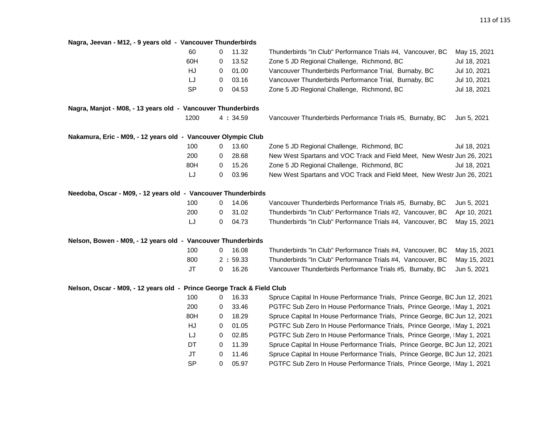## **Nagra, Jeevan - M12, - 9 years old - Vancouver Thunderbirds**

| 60                                                                     | 0 | 11.32   | Thunderbirds "In Club" Performance Trials #4, Vancouver, BC                | May 15, 2021 |
|------------------------------------------------------------------------|---|---------|----------------------------------------------------------------------------|--------------|
| 60H                                                                    | 0 | 13.52   | Zone 5 JD Regional Challenge, Richmond, BC                                 | Jul 18, 2021 |
| HJ                                                                     | 0 | 01.00   | Vancouver Thunderbirds Performance Trial, Burnaby, BC                      | Jul 10, 2021 |
| LJ                                                                     | 0 | 03.16   | Vancouver Thunderbirds Performance Trial, Burnaby, BC                      | Jul 10, 2021 |
| <b>SP</b>                                                              | 0 | 04.53   | Zone 5 JD Regional Challenge, Richmond, BC                                 | Jul 18, 2021 |
| Nagra, Manjot - M08, - 13 years old - Vancouver Thunderbirds           |   |         |                                                                            |              |
| 1200                                                                   |   | 4:34.59 | Vancouver Thunderbirds Performance Trials #5, Burnaby, BC                  | Jun 5, 2021  |
| Nakamura, Eric - M09, - 12 years old - Vancouver Olympic Club          |   |         |                                                                            |              |
| 100                                                                    | 0 | 13.60   | Zone 5 JD Regional Challenge, Richmond, BC                                 | Jul 18, 2021 |
| 200                                                                    | 0 | 28.68   | New West Spartans and VOC Track and Field Meet, New Westr Jun 26, 2021     |              |
| 80H                                                                    | 0 | 15.26   | Zone 5 JD Regional Challenge, Richmond, BC                                 | Jul 18, 2021 |
| IJ                                                                     | 0 | 03.96   | New West Spartans and VOC Track and Field Meet, New Westr Jun 26, 2021     |              |
| Needoba, Oscar - M09, - 12 years old - Vancouver Thunderbirds          |   |         |                                                                            |              |
| 100                                                                    | 0 | 14.06   | Vancouver Thunderbirds Performance Trials #5, Burnaby, BC                  | Jun 5, 2021  |
| 200                                                                    | 0 | 31.02   | Thunderbirds "In Club" Performance Trials #2, Vancouver, BC                | Apr 10, 2021 |
| LJ                                                                     | 0 | 04.73   | Thunderbirds "In Club" Performance Trials #4, Vancouver, BC                | May 15, 2021 |
| Nelson, Bowen - M09, - 12 years old - Vancouver Thunderbirds           |   |         |                                                                            |              |
| 100                                                                    | 0 | 16.08   | Thunderbirds "In Club" Performance Trials #4, Vancouver, BC                | May 15, 2021 |
| 800                                                                    |   | 2:59.33 | Thunderbirds "In Club" Performance Trials #4, Vancouver, BC                | May 15, 2021 |
| JT                                                                     | 0 | 16.26   | Vancouver Thunderbirds Performance Trials #5, Burnaby, BC                  | Jun 5, 2021  |
| Nelson, Oscar - M09, - 12 years old - Prince George Track & Field Club |   |         |                                                                            |              |
| 100                                                                    | 0 | 16.33   | Spruce Capital In House Performance Trials, Prince George, BC Jun 12, 2021 |              |
| 200                                                                    | 0 | 33.46   | PGTFC Sub Zero In House Performance Trials, Prince George, IMay 1, 2021    |              |
| 80H                                                                    | 0 | 18.29   | Spruce Capital In House Performance Trials, Prince George, BC Jun 12, 2021 |              |
| HJ                                                                     | 0 | 01.05   | PGTFC Sub Zero In House Performance Trials, Prince George, IMay 1, 2021    |              |
| LJ                                                                     | 0 | 02.85   | PGTFC Sub Zero In House Performance Trials, Prince George, IMay 1, 2021    |              |
| DT                                                                     | 0 | 11.39   | Spruce Capital In House Performance Trials, Prince George, BC Jun 12, 2021 |              |
| <b>JT</b>                                                              | 0 | 11.46   | Spruce Capital In House Performance Trials, Prince George, BC Jun 12, 2021 |              |
| <b>SP</b>                                                              | 0 | 05.97   | PGTFC Sub Zero In House Performance Trials, Prince George, IMay 1, 2021    |              |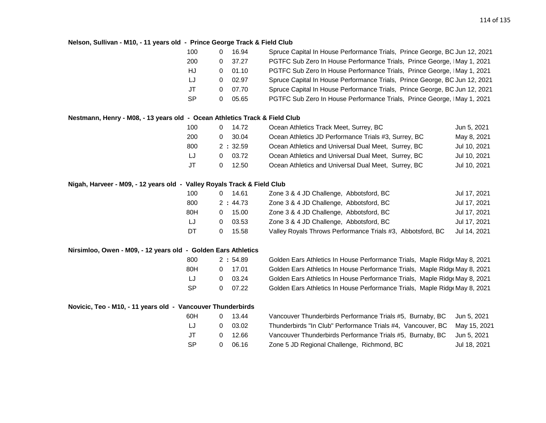#### **Nelson, Sullivan - M10, - 11 years old - Prince George Track & Field Club**

| 100 | 16.94 | Spruce Capital In House Performance Trials, Prince George, BC Jun 12, 2021 |
|-----|-------|----------------------------------------------------------------------------|
| 200 | 37.27 | PGTFC Sub Zero In House Performance Trials, Prince George, IMay 1, 2021    |
| HJ  | 01.10 | PGTFC Sub Zero In House Performance Trials, Prince George, IMay 1, 2021    |
| IJ  | 02.97 | Spruce Capital In House Performance Trials, Prince George, BC Jun 12, 2021 |
| JT  | 07.70 | Spruce Capital In House Performance Trials, Prince George, BC Jun 12, 2021 |
| SP. | 05.65 | PGTFC Sub Zero In House Performance Trials, Prince George, IMay 1, 2021    |
|     |       |                                                                            |

### **Nestmann, Henry - M08, - 13 years old - Ocean Athletics Track & Field Club**

| 100 | 14.72   | Ocean Athletics Track Meet, Surrey, BC               | Jun 5, 2021  |
|-----|---------|------------------------------------------------------|--------------|
| 200 | 30.04   | Ocean Athletics JD Performance Trials #3, Surrey, BC | May 8, 2021  |
| 800 | 2:32.59 | Ocean Athletics and Universal Dual Meet, Surrey, BC  | Jul 10, 2021 |
| LJ  | 03.72   | Ocean Athletics and Universal Dual Meet, Surrey, BC  | Jul 10, 2021 |
| .JT | 12.50   | Ocean Athletics and Universal Dual Meet, Surrey, BC  | Jul 10, 2021 |

#### **Nigah, Harveer - M09, - 12 years old - Valley Royals Track & Field Club**

| 14.61<br>0 | Zone 3 & 4 JD Challenge, Abbotsford, BC                    | Jul 17, 2021 |
|------------|------------------------------------------------------------|--------------|
| 2:44.73    | Zone 3 & 4 JD Challenge, Abbotsford, BC                    | Jul 17, 2021 |
| 15.00<br>0 | Zone 3 & 4 JD Challenge, Abbotsford, BC                    | Jul 17, 2021 |
| 03.53      | Zone 3 & 4 JD Challenge, Abbotsford, BC                    | Jul 17, 2021 |
| 15.58      | Valley Royals Throws Performance Trials #3, Abbotsford, BC | Jul 14, 2021 |
|            |                                                            |              |

#### **Nirsimloo, Owen - M09, - 12 years old - Golden Ears Athletics**

| 800 |   | 2:54.89 |
|-----|---|---------|
| 80H |   | 0 17.01 |
| IJ  | O | 03.24   |
| SP  | O | 07.22   |

Golden Ears Athletics In House Performance Trials, Maple Ridge May 8, 2021 Golden Ears Athletics In House Performance Trials, Maple RidgeMay 8, 2021 Golden Ears Athletics In House Performance Trials, Maple RidgeMay 8, 2021 Golden Ears Athletics In House Performance Trials, Maple Ridge May 8, 2021

## **Novicic, Teo - M10, - 11 years old - Vancouver Thunderbirds**

| 60H       | $\mathbf{U}$ | 13.44   | Vancouver Thunderbirds Performance Trials #5, Burnaby, BC Jun 5, 2021    |              |
|-----------|--------------|---------|--------------------------------------------------------------------------|--------------|
| LJ        | 0            | 03.02   | Thunderbirds "In Club" Performance Trials #4, Vancouver, BC May 15, 2021 |              |
| JT        |              | 0 12.66 | Vancouver Thunderbirds Performance Trials #5, Burnaby, BC                | Jun 5. 2021  |
| <b>SP</b> | O            | 06.16   | Zone 5 JD Regional Challenge, Richmond, BC                               | Jul 18, 2021 |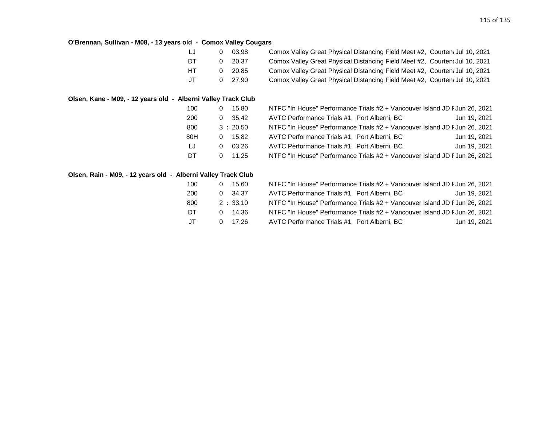## **O'Brennan, Sullivan - M08, - 13 years old - Comox Valley Cougars**

| LJ  |          | 03.98          | Comox Valley Great Physical Distancing Field Meet #2, Courtent Jul 10, 2021 |  |
|-----|----------|----------------|-----------------------------------------------------------------------------|--|
| DT  | $\Omega$ | 20.37          | Comox Valley Great Physical Distancing Field Meet #2, Courten: Jul 10, 2021 |  |
| HT. | . വ      | 20.85          | Comox Valley Great Physical Distancing Field Meet #2, Courten: Jul 10, 2021 |  |
| .JT |          | $0\quad 27.90$ | Comox Valley Great Physical Distancing Field Meet #2, Courtent Jul 10, 2021 |  |

## **Olsen, Kane - M09, - 12 years old - Alberni Valley Track Club**

| 100 |   | 15.80   | NTFC "In House" Performance Trials #2 + Vancouver Island JD F Jun 26, 2021 |              |
|-----|---|---------|----------------------------------------------------------------------------|--------------|
| 200 | 0 | 35.42   | AVTC Performance Trials #1, Port Alberni, BC                               | Jun 19, 2021 |
| 800 |   | 3:20.50 | NTFC "In House" Performance Trials #2 + Vancouver Island JD F Jun 26, 2021 |              |
| 80H |   | 15.82   | AVTC Performance Trials #1, Port Alberni, BC                               | Jun 19, 2021 |
| LJ  |   | 03.26   | AVTC Performance Trials #1, Port Alberni, BC                               | Jun 19, 2021 |
| DT  |   | 11.25   | NTFC "In House" Performance Trials #2 + Vancouver Island JD F Jun 26, 2021 |              |

## **Olsen, Rain - M09, - 12 years old - Alberni Valley Track Club**

| 100       | 15.60<br>0        | NTFC "In House" Performance Trials #2 + Vancouver Island JD F Jun 26, 2021 |              |
|-----------|-------------------|----------------------------------------------------------------------------|--------------|
| 200       | $0$ 34.37         | AVTC Performance Trials #1, Port Alberni, BC                               | Jun 19, 2021 |
| 800       | 2:33.10           | NTFC "In House" Performance Trials #2 + Vancouver Island JD F Jun 26, 2021 |              |
| <b>DT</b> | 14.36<br><u>ດ</u> | NTFC "In House" Performance Trials #2 + Vancouver Island JD F Jun 26, 2021 |              |
| JT        | 0 17.26           | AVTC Performance Trials #1, Port Alberni, BC                               | Jun 19, 2021 |
|           |                   |                                                                            |              |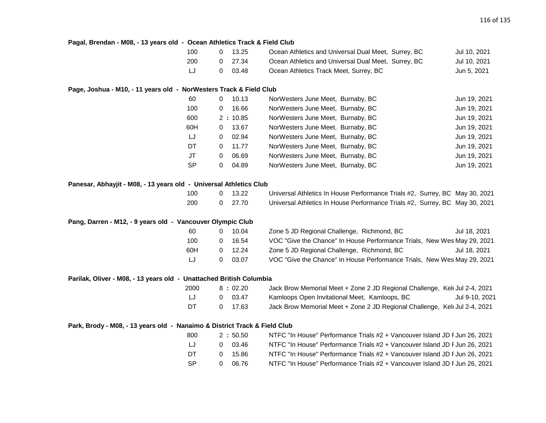| Pagal, Brendan - M08, - 13 years old - Ocean Athletics Track & Field Club |           |              |         |                                                                             |                |
|---------------------------------------------------------------------------|-----------|--------------|---------|-----------------------------------------------------------------------------|----------------|
|                                                                           | 100       | $\mathbf{0}$ | 13.25   | Ocean Athletics and Universal Dual Meet, Surrey, BC                         | Jul 10, 2021   |
|                                                                           | 200       | 0            | 27.34   | Ocean Athletics and Universal Dual Meet, Surrey, BC                         | Jul 10, 2021   |
|                                                                           | LJ        | 0            | 03.48   | Ocean Athletics Track Meet, Surrey, BC                                      | Jun 5, 2021    |
| Page, Joshua - M10, - 11 years old - NorWesters Track & Field Club        |           |              |         |                                                                             |                |
|                                                                           | 60        | $\mathbf 0$  | 10.13   | NorWesters June Meet, Burnaby, BC                                           | Jun 19, 2021   |
|                                                                           | 100       | 0            | 16.66   | NorWesters June Meet, Burnaby, BC                                           | Jun 19, 2021   |
|                                                                           | 600       |              | 2:10.85 | NorWesters June Meet, Burnaby, BC                                           | Jun 19, 2021   |
|                                                                           | 60H       | 0            | 13.67   | NorWesters June Meet, Burnaby, BC                                           | Jun 19, 2021   |
|                                                                           | LJ        | 0            | 02.94   | NorWesters June Meet, Burnaby, BC                                           | Jun 19, 2021   |
|                                                                           | DT        | $\mathbf{0}$ | 11.77   | NorWesters June Meet, Burnaby, BC                                           | Jun 19, 2021   |
|                                                                           | <b>JT</b> | 0            | 06.69   | NorWesters June Meet, Burnaby, BC                                           | Jun 19, 2021   |
|                                                                           | <b>SP</b> | 0            | 04.89   | NorWesters June Meet, Burnaby, BC                                           | Jun 19, 2021   |
| Panesar, Abhayjit - M08, - 13 years old - Universal Athletics Club        |           |              |         |                                                                             |                |
|                                                                           | 100       | 0            | 13.22   | Universal Athletics In House Performance Trials #2, Surrey, BC May 30, 2021 |                |
|                                                                           | 200       | 0            | 27.70   | Universal Athletics In House Performance Trials #2, Surrey, BC May 30, 2021 |                |
| Pang, Darren - M12, - 9 years old - Vancouver Olympic Club                |           |              |         |                                                                             |                |
|                                                                           | 60        | $\mathbf{0}$ | 10.04   | Zone 5 JD Regional Challenge, Richmond, BC                                  | Jul 18, 2021   |
|                                                                           | 100       | $\mathbf{0}$ | 16.54   | VOC "Give the Chance" In House Performance Trials, New Wes May 29, 2021     |                |
|                                                                           | 60H       | $\mathbf{0}$ | 12.24   | Zone 5 JD Regional Challenge, Richmond, BC                                  | Jul 18, 2021   |
|                                                                           | LJ        | 0            | 03.07   | VOC "Give the Chance" In House Performance Trials, New Wes May 29, 2021     |                |
| Parilak, Oliver - M08, - 13 years old - Unattached British Columbia       |           |              |         |                                                                             |                |
|                                                                           | 2000      |              | 8:02.20 | Jack Brow Memorial Meet + Zone 2 JD Regional Challenge, Kel Jul 2-4, 2021   |                |
|                                                                           | LJ        | $\mathbf{0}$ | 03.47   | Kamloops Open Invitational Meet, Kamloops, BC                               | Jul 9-10, 2021 |
|                                                                           | DT        | 0            | 17.63   | Jack Brow Memorial Meet + Zone 2 JD Regional Challenge, Kelt Jul 2-4, 2021  |                |
| Park, Brody - M08, - 13 years old - Nanaimo & District Track & Field Club |           |              |         |                                                                             |                |
|                                                                           | 800       |              | 2:50.50 | NTFC "In House" Performance Trials #2 + Vancouver Island JD F Jun 26, 2021  |                |
|                                                                           | LJ        | 0            | 03.46   | NTFC "In House" Performance Trials #2 + Vancouver Island JD F Jun 26, 2021  |                |
|                                                                           | DT        | 0            | 15.86   | NTFC "In House" Performance Trials #2 + Vancouver Island JD F Jun 26, 2021  |                |
|                                                                           | <b>SP</b> | 0            | 06.76   | NTFC "In House" Performance Trials #2 + Vancouver Island JD F Jun 26, 2021  |                |
|                                                                           |           |              |         |                                                                             |                |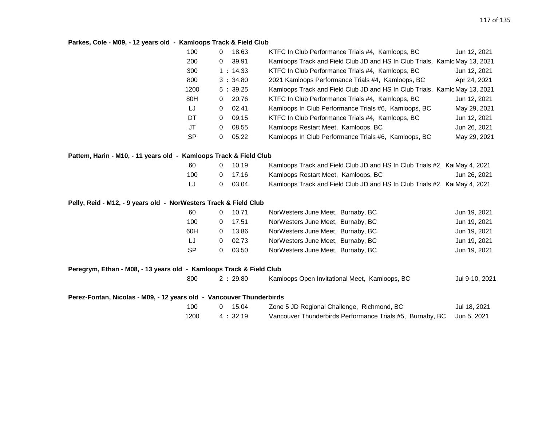### **Parkes, Cole - M09, - 12 years old - Kamloops Track & Field Club**

| 100       | 0 | 18.63   | KTFC In Club Performance Trials #4, Kamloops, BC                           | Jun 12, 2021 |
|-----------|---|---------|----------------------------------------------------------------------------|--------------|
| 200       | 0 | 39.91   | Kamloops Track and Field Club JD and HS In Club Trials, Kamlc May 13, 2021 |              |
| 300       |   | 1:14.33 | KTFC In Club Performance Trials #4, Kamloops, BC                           | Jun 12, 2021 |
| 800       |   | 3:34.80 | 2021 Kamloops Performance Trials #4, Kamloops, BC                          | Apr 24, 2021 |
| 1200      |   | 5:39.25 | Kamloops Track and Field Club JD and HS In Club Trials, Kamlc May 13, 2021 |              |
| 80H       | 0 | 20.76   | KTFC In Club Performance Trials #4, Kamloops, BC                           | Jun 12, 2021 |
| LJ        | 0 | 02.41   | Kamloops In Club Performance Trials #6, Kamloops, BC                       | May 29, 2021 |
| DT        | 0 | 09.15   | KTFC In Club Performance Trials #4, Kamloops, BC                           | Jun 12, 2021 |
| JT        | 0 | 08.55   | Kamloops Restart Meet, Kamloops, BC                                        | Jun 26, 2021 |
| <b>SP</b> | 0 | 05.22   | Kamloops In Club Performance Trials #6, Kamloops, BC                       | May 29, 2021 |

### **Pattem, Harin - M10, - 11 years old - Kamloops Track & Field Club**

| -60 | 10.19   | Kamloops Track and Field Club JD and HS In Club Trials #2, Ka May 4, 2021 |              |
|-----|---------|---------------------------------------------------------------------------|--------------|
| 100 | 0 17.16 | Kamloops Restart Meet, Kamloops, BC                                       | Jun 26, 2021 |
| LJ  | 0 03.04 | Kamloops Track and Field Club JD and HS In Club Trials #2, Ka May 4, 2021 |              |

### **Pelly, Reid - M12, - 9 years old - NorWesters Track & Field Club**

| 60        | 10.71 | NorWesters June Meet, Burnaby, BC | Jun 19, 2021 |
|-----------|-------|-----------------------------------|--------------|
| 100       | 17.51 | NorWesters June Meet, Burnaby, BC | Jun 19, 2021 |
| 60H       | 13.86 | NorWesters June Meet, Burnaby, BC | Jun 19, 2021 |
| LJ        | 02.73 | NorWesters June Meet, Burnaby, BC | Jun 19, 2021 |
| <b>SP</b> | 03.50 | NorWesters June Meet, Burnaby, BC | Jun 19, 2021 |

## **Peregrym, Ethan - M08, - 13 years old - Kamloops Track & Field Club**

| 800 | 2:29.80 | Kamloops Open Invitational Meet, Kamloops, BC | Jul 9-10, 2021 |
|-----|---------|-----------------------------------------------|----------------|
|     |         |                                               |                |

# **Perez-Fontan, Nicolas - M09, - 12 years old - Vancouver Thunderbirds**

| 100  | $0 \quad 15.04$ | Zone 5 JD Regional Challenge, Richmond, BC                            | Jul 18, 2021 |
|------|-----------------|-----------------------------------------------------------------------|--------------|
| 1200 | 4 : 32.19       | Vancouver Thunderbirds Performance Trials #5, Burnaby, BC Jun 5, 2021 |              |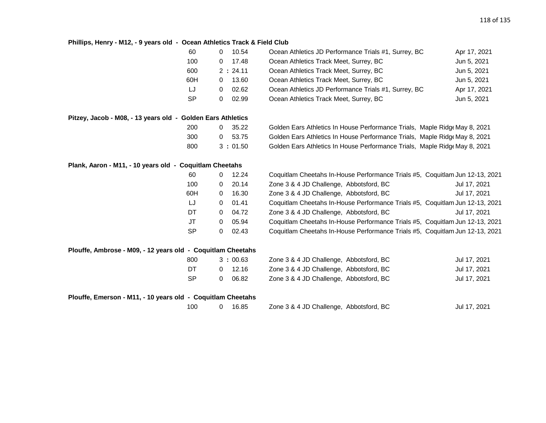## **Phillips, Henry - M12, - 9 years old - Ocean Athletics Track & Field Club**

|                                                             | 60<br>0                  | 10.54   | Ocean Athletics JD Performance Trials #1, Surrey, BC                         | Apr 17, 2021 |
|-------------------------------------------------------------|--------------------------|---------|------------------------------------------------------------------------------|--------------|
|                                                             | 100<br>0                 | 17.48   | Ocean Athletics Track Meet, Surrey, BC                                       | Jun 5, 2021  |
|                                                             | 600                      | 2:24.11 | Ocean Athletics Track Meet, Surrey, BC                                       | Jun 5, 2021  |
|                                                             | 60H<br>0                 | 13.60   | Ocean Athletics Track Meet, Surrey, BC                                       | Jun 5, 2021  |
|                                                             | IJ<br>0                  | 02.62   | Ocean Athletics JD Performance Trials #1, Surrey, BC                         | Apr 17, 2021 |
|                                                             | <b>SP</b><br>$\Omega$    | 02.99   | Ocean Athletics Track Meet, Surrey, BC                                       | Jun 5, 2021  |
| Pitzey, Jacob - M08, - 13 years old - Golden Ears Athletics |                          |         |                                                                              |              |
|                                                             | 200<br>0                 | 35.22   | Golden Ears Athletics In House Performance Trials, Maple Ridge May 8, 2021   |              |
|                                                             | 300<br>0                 | 53.75   | Golden Ears Athletics In House Performance Trials, Maple Ridge May 8, 2021   |              |
|                                                             | 800                      | 3:01.50 | Golden Ears Athletics In House Performance Trials, Maple Ridge May 8, 2021   |              |
| Plank, Aaron - M11, - 10 years old - Coquitlam Cheetahs     |                          |         |                                                                              |              |
|                                                             | 60<br>0                  | 12.24   | Coquitlam Cheetahs In-House Performance Trials #5, Coquitlam Jun 12-13, 2021 |              |
|                                                             | 100<br>0                 | 20.14   | Zone 3 & 4 JD Challenge, Abbotsford, BC                                      | Jul 17, 2021 |
|                                                             | 60H<br>0                 | 16.30   | Zone 3 & 4 JD Challenge, Abbotsford, BC                                      | Jul 17, 2021 |
|                                                             | IJ<br>0                  | 01.41   | Coquitlam Cheetahs In-House Performance Trials #5, Coquitlam Jun 12-13, 2021 |              |
|                                                             | DT<br>0                  | 04.72   | Zone 3 & 4 JD Challenge, Abbotsford, BC                                      | Jul 17, 2021 |
|                                                             | JT<br>0                  | 05.94   | Coquitlam Cheetahs In-House Performance Trials #5, Coquitlam Jun 12-13, 2021 |              |
|                                                             | <b>SP</b><br>$\Omega$    | 02.43   | Coquitlam Cheetahs In-House Performance Trials #5, Coquitlam Jun 12-13, 2021 |              |
| Plouffe, Ambrose - M09, - 12 years old - Coquitlam Cheetahs |                          |         |                                                                              |              |
|                                                             | 800                      | 3:00.63 | Zone 3 & 4 JD Challenge, Abbotsford, BC                                      | Jul 17, 2021 |
|                                                             | DT<br>$\overline{0}$     | 12.16   | Zone 3 & 4 JD Challenge, Abbotsford, BC                                      | Jul 17, 2021 |
|                                                             | <b>SP</b><br>$\mathbf 0$ | 06.82   | Zone 3 & 4 JD Challenge, Abbotsford, BC                                      | Jul 17, 2021 |
| Plouffe, Emerson - M11, - 10 years old - Coquitlam Cheetahs |                          |         |                                                                              |              |
|                                                             | 100<br>$\mathbf 0$       | 16.85   | Zone 3 & 4 JD Challenge, Abbotsford, BC                                      | Jul 17, 2021 |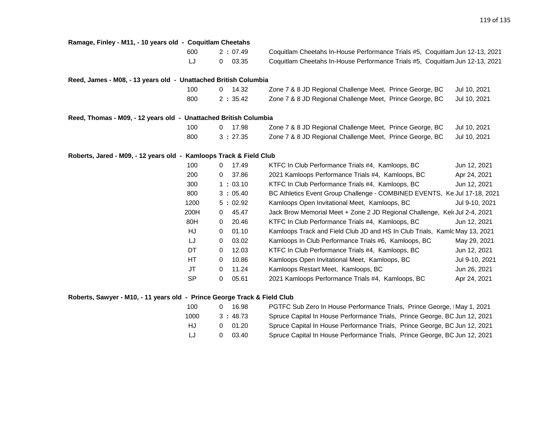| Ramage, Finley - M11, - 10 years old - Coquitlam Cheetahs                |           |                |         |                                                                              |                |
|--------------------------------------------------------------------------|-----------|----------------|---------|------------------------------------------------------------------------------|----------------|
|                                                                          | 600       |                | 2:07.49 | Coquitlam Cheetahs In-House Performance Trials #5, Coquitlam Jun 12-13, 2021 |                |
|                                                                          | IJ        | $\overline{0}$ | 03.35   | Coquitlam Cheetahs In-House Performance Trials #5, Coquitlam Jun 12-13, 2021 |                |
| Reed, James - M08, - 13 years old - Unattached British Columbia          |           |                |         |                                                                              |                |
|                                                                          | 100       | $\mathbf{0}$   | 14.32   | Zone 7 & 8 JD Regional Challenge Meet, Prince George, BC                     | Jul 10, 2021   |
|                                                                          | 800       |                | 2:35.42 | Zone 7 & 8 JD Regional Challenge Meet, Prince George, BC                     | Jul 10, 2021   |
| Reed, Thomas - M09, - 12 years old - Unattached British Columbia         |           |                |         |                                                                              |                |
|                                                                          | 100       | $\overline{0}$ | 17.98   | Zone 7 & 8 JD Regional Challenge Meet, Prince George, BC                     | Jul 10, 2021   |
|                                                                          | 800       |                | 3:27.35 | Zone 7 & 8 JD Regional Challenge Meet, Prince George, BC                     | Jul 10, 2021   |
| Roberts, Jared - M09, - 12 years old - Kamloops Track & Field Club       |           |                |         |                                                                              |                |
|                                                                          | 100       | $\mathbf 0$    | 17.49   | KTFC In Club Performance Trials #4, Kamloops, BC                             | Jun 12, 2021   |
|                                                                          | 200       | $\overline{0}$ | 37.86   | 2021 Kamloops Performance Trials #4, Kamloops, BC                            | Apr 24, 2021   |
|                                                                          | 300       |                | 1:03.10 | KTFC In Club Performance Trials #4, Kamloops, BC                             | Jun 12, 2021   |
|                                                                          | 800       |                | 3:05.40 | BC Athletics Event Group Challenge - COMBINED EVENTS, Ke Jul 17-18, 2021     |                |
|                                                                          | 1200      |                | 5:02.92 | Kamloops Open Invitational Meet, Kamloops, BC                                | Jul 9-10, 2021 |
|                                                                          | 200H      | $\overline{0}$ | 45.47   | Jack Brow Memorial Meet + Zone 2 JD Regional Challenge, Kel Jul 2-4, 2021    |                |
|                                                                          | 80H       | $\mathbf 0$    | 20.46   | KTFC In Club Performance Trials #4, Kamloops, BC                             | Jun 12, 2021   |
|                                                                          | HJ        | $\mathbf 0$    | 01.10   | Kamloops Track and Field Club JD and HS In Club Trials, Kamlc May 13, 2021   |                |
|                                                                          | IJ        | 0              | 03.02   | Kamloops In Club Performance Trials #6, Kamloops, BC                         | May 29, 2021   |
|                                                                          | DT        | 0              | 12.03   | KTFC In Club Performance Trials #4, Kamloops, BC                             | Jun 12, 2021   |
|                                                                          | HT        | 0              | 10.86   | Kamloops Open Invitational Meet, Kamloops, BC                                | Jul 9-10, 2021 |
|                                                                          | JT        | $\mathbf 0$    | 11.24   | Kamloops Restart Meet, Kamloops, BC                                          | Jun 26, 2021   |
|                                                                          | <b>SP</b> | $\mathbf 0$    | 05.61   | 2021 Kamloops Performance Trials #4, Kamloops, BC                            | Apr 24, 2021   |
| Roberts, Sawyer - M10, - 11 years old - Prince George Track & Field Club |           |                |         |                                                                              |                |

| 100  | 16.98          | PGTFC Sub Zero In House Performance Trials, Prince George, IMay 1, 2021    |
|------|----------------|----------------------------------------------------------------------------|
| 1000 | 3:48.73        | Spruce Capital In House Performance Trials, Prince George, BC Jun 12, 2021 |
| HJ.  | $0\quad 01.20$ | Spruce Capital In House Performance Trials, Prince George, BC Jun 12, 2021 |
| LJ   | 03.40          | Spruce Capital In House Performance Trials, Prince George, BC Jun 12, 2021 |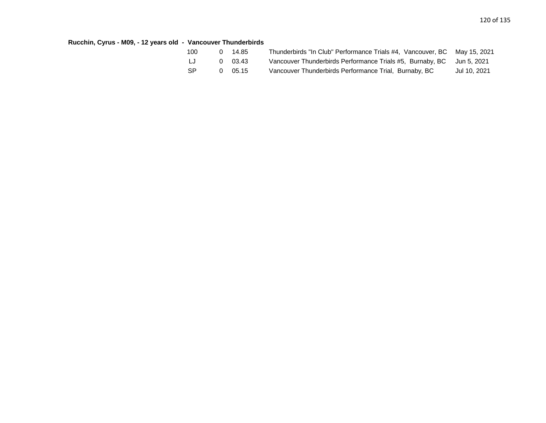## **Rucchin, Cyrus - M09, - 12 years old - Vancouver Thunderbirds**

| 100 | 0 14.85 | Thunderbirds "In Club" Performance Trials #4, Vancouver, BC May 15, 2021 |              |
|-----|---------|--------------------------------------------------------------------------|--------------|
| LJ  | 0 03.43 | Vancouver Thunderbirds Performance Trials #5, Burnaby, BC Jun 5, 2021    |              |
| -SP | 0 05.15 | Vancouver Thunderbirds Performance Trial, Burnaby, BC                    | Jul 10, 2021 |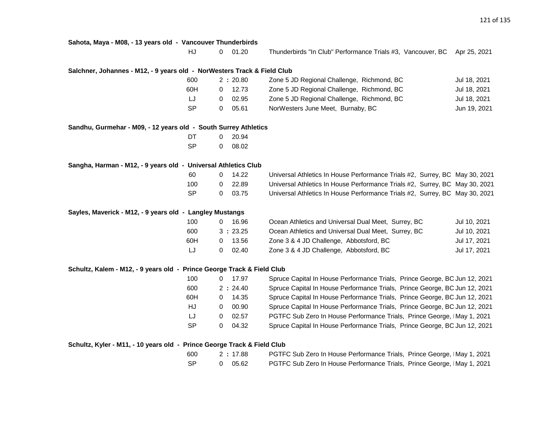**Sahota, Maya - M08, - 13 years old - Vancouver Thunderbirds**

HJ 0 01.20 Thunderbirds "In Club" Performance Trials #3, Vancouver, BC Apr 25, 2021

### **Salchner, Johannes - M12, - 9 years old - NorWesters Track & Field Club**

| 600       | 2 : 20.80 | Zone 5 JD Regional Challenge, Richmond, BC | Jul 18, 2021 |
|-----------|-----------|--------------------------------------------|--------------|
| 60H       | 12.73     | Zone 5 JD Regional Challenge, Richmond, BC | Jul 18, 2021 |
| LJ        | 02.95     | Zone 5 JD Regional Challenge, Richmond, BC | Jul 18, 2021 |
| <b>SP</b> | 05.61     | NorWesters June Meet, Burnaby, BC          | Jun 19, 2021 |

#### **Sandhu, Gurmehar - M09, - 12 years old - South Surrey Athletics**

| DT | O | 20.94 |
|----|---|-------|
| SP | O | 08.02 |

#### **Sangha, Harman - M12, - 9 years old - Universal Athletics Club**

| -60 | 14.22   | Universal Athletics In House Performance Trials #2, Surrey, BC May 30, 2021 |  |
|-----|---------|-----------------------------------------------------------------------------|--|
| 100 | 0 22.89 | Universal Athletics In House Performance Trials #2, Surrey, BC May 30, 2021 |  |
| -SP | 0 03.75 | Universal Athletics In House Performance Trials #2, Surrey, BC May 30, 2021 |  |

#### **Sayles, Maverick - M12, - 9 years old - Langley Mustangs**

| 100 | 16.96   | Ocean Athletics and Universal Dual Meet, Surrey, BC | Jul 10, 2021 |
|-----|---------|-----------------------------------------------------|--------------|
| 600 | 3:23.25 | Ocean Athletics and Universal Dual Meet, Surrey, BC | Jul 10, 2021 |
| 60H | 13.56   | Zone 3 & 4 JD Challenge, Abbotsford, BC             | Jul 17, 2021 |
| IJ  | 02.40   | Zone 3 & 4 JD Challenge, Abbotsford, BC             | Jul 17, 2021 |

#### **Schultz, Kalem - M12, - 9 years old - Prince George Track & Field Club**

| 100       | 17.97<br>0        | Spruce Capital In House Performance Trials, Prince George, BC Jun 12, 2021 |
|-----------|-------------------|----------------------------------------------------------------------------|
| 600       | 2:24.40           | Spruce Capital In House Performance Trials, Prince George, BC Jun 12, 2021 |
| 60H       | 14.35<br>0        | Spruce Capital In House Performance Trials, Prince George, BC Jun 12, 2021 |
| HJ        | 00.90             | Spruce Capital In House Performance Trials, Prince George, BC Jun 12, 2021 |
| LJ        | 02.57<br>0        | PGTFC Sub Zero In House Performance Trials, Prince George, IMay 1, 2021    |
| <b>SP</b> | 04.32<br>$\Omega$ | Spruce Capital In House Performance Trials, Prince George, BC Jun 12, 2021 |

#### **Schultz, Kyler - M11, - 10 years old - Prince George Track & Field Club**

| 600 | 2:17.88 | <b>PGTFC Sub Zero In House Performance Trials, Prince George, IMay 1, 2021</b> |
|-----|---------|--------------------------------------------------------------------------------|
| -SP | 0 05.62 | PGTFC Sub Zero In House Performance Trials, Prince George, IMay 1, 2021        |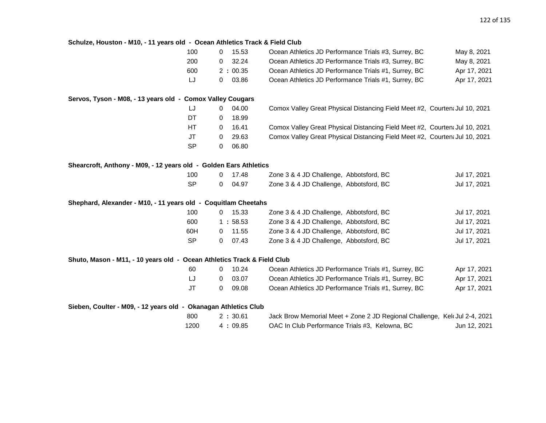| Schulze, Houston - M10, - 11 years old - Ocean Athletics Track & Field Club |          |         |                                                                             |              |
|-----------------------------------------------------------------------------|----------|---------|-----------------------------------------------------------------------------|--------------|
| 100                                                                         | 0        | 15.53   | Ocean Athletics JD Performance Trials #3, Surrey, BC                        | May 8, 2021  |
| 200                                                                         | 0        | 32.24   | Ocean Athletics JD Performance Trials #3, Surrey, BC                        | May 8, 2021  |
| 600                                                                         |          | 2:00.35 | Ocean Athletics JD Performance Trials #1, Surrey, BC                        | Apr 17, 2021 |
| LJ                                                                          | 0        | 03.86   | Ocean Athletics JD Performance Trials #1, Surrey, BC                        | Apr 17, 2021 |
| Servos, Tyson - M08, - 13 years old - Comox Valley Cougars                  |          |         |                                                                             |              |
| LJ                                                                          | 0        | 04.00   | Comox Valley Great Physical Distancing Field Meet #2, Courten: Jul 10, 2021 |              |
| DT                                                                          | 0        | 18.99   |                                                                             |              |
| HT                                                                          | 0        | 16.41   | Comox Valley Great Physical Distancing Field Meet #2, Courten: Jul 10, 2021 |              |
| JT                                                                          | 0        | 29.63   | Comox Valley Great Physical Distancing Field Meet #2, Courten: Jul 10, 2021 |              |
| <b>SP</b>                                                                   | $\Omega$ | 06.80   |                                                                             |              |
| Shearcroft, Anthony - M09, - 12 years old - Golden Ears Athletics           |          |         |                                                                             |              |
| 100                                                                         | 0        | 17.48   | Zone 3 & 4 JD Challenge, Abbotsford, BC                                     | Jul 17, 2021 |
| <b>SP</b>                                                                   | 0        | 04.97   | Zone 3 & 4 JD Challenge, Abbotsford, BC                                     | Jul 17, 2021 |
| Shephard, Alexander - M10, - 11 years old - Coquitlam Cheetahs              |          |         |                                                                             |              |
| 100                                                                         | 0        | 15.33   | Zone 3 & 4 JD Challenge, Abbotsford, BC                                     | Jul 17, 2021 |
| 600                                                                         |          | 1:58.53 | Zone 3 & 4 JD Challenge, Abbotsford, BC                                     | Jul 17, 2021 |
| 60H                                                                         | 0        | 11.55   | Zone 3 & 4 JD Challenge, Abbotsford, BC                                     | Jul 17, 2021 |
| <b>SP</b>                                                                   | 0        | 07.43   | Zone 3 & 4 JD Challenge, Abbotsford, BC                                     | Jul 17, 2021 |
| Shuto, Mason - M11, - 10 years old - Ocean Athletics Track & Field Club     |          |         |                                                                             |              |
| 60                                                                          | 0        | 10.24   | Ocean Athletics JD Performance Trials #1, Surrey, BC                        | Apr 17, 2021 |
| LJ                                                                          | 0        | 03.07   | Ocean Athletics JD Performance Trials #1, Surrey, BC                        | Apr 17, 2021 |
| JT                                                                          | $\Omega$ | 09.08   | Ocean Athletics JD Performance Trials #1, Surrey, BC                        | Apr 17, 2021 |
| Sieben, Coulter - M09, - 12 years old - Okanagan Athletics Club             |          |         |                                                                             |              |
| 800                                                                         |          | 2:30.61 | Jack Brow Memorial Meet + Zone 2 JD Regional Challenge, Kel Jul 2-4, 2021   |              |
| 1200                                                                        |          | 4:09.85 | OAC In Club Performance Trials #3, Kelowna, BC                              | Jun 12, 2021 |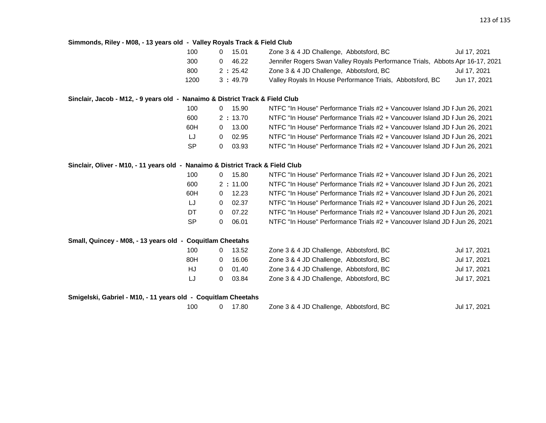| Simmonds, Riley - M08, - 13 years old - Valley Royals Track & Field Club       |           |                         |                                                                               |              |
|--------------------------------------------------------------------------------|-----------|-------------------------|-------------------------------------------------------------------------------|--------------|
|                                                                                | 100       | 15.01<br>$\Omega$       | Zone 3 & 4 JD Challenge, Abbotsford, BC                                       | Jul 17, 2021 |
|                                                                                | 300       | 46.22<br>$\overline{0}$ | Jennifer Rogers Swan Valley Royals Performance Trials, Abbots Apr 16-17, 2021 |              |
|                                                                                | 800       | 2:25.42                 | Zone 3 & 4 JD Challenge, Abbotsford, BC                                       | Jul 17, 2021 |
|                                                                                | 1200      | 3:49.79                 | Valley Royals In House Performance Trials, Abbotsford, BC                     | Jun 17, 2021 |
| Sinclair, Jacob - M12, - 9 years old - Nanaimo & District Track & Field Club   |           |                         |                                                                               |              |
|                                                                                | 100       | $0$ 15.90               | NTFC "In House" Performance Trials #2 + Vancouver Island JD F Jun 26, 2021    |              |
|                                                                                | 600       | 2:13.70                 | NTFC "In House" Performance Trials #2 + Vancouver Island JD F Jun 26, 2021    |              |
|                                                                                | 60H       | 13.00<br>$\overline{0}$ | NTFC "In House" Performance Trials #2 + Vancouver Island JD F Jun 26, 2021    |              |
|                                                                                | LJ        | $\overline{0}$<br>02.95 | NTFC "In House" Performance Trials #2 + Vancouver Island JD F Jun 26, 2021    |              |
|                                                                                | <b>SP</b> | 03.93<br>0              | NTFC "In House" Performance Trials #2 + Vancouver Island JD F Jun 26, 2021    |              |
| Sinclair, Oliver - M10, - 11 years old - Nanaimo & District Track & Field Club |           |                         |                                                                               |              |
|                                                                                | 100       | $0$ 15.80               | NTFC "In House" Performance Trials #2 + Vancouver Island JD F Jun 26, 2021    |              |
|                                                                                | 600       | 2:11.00                 | NTFC "In House" Performance Trials #2 + Vancouver Island JD F Jun 26, 2021    |              |
|                                                                                | 60H       | 12.23<br>$\mathbf{0}$   | NTFC "In House" Performance Trials #2 + Vancouver Island JD F Jun 26, 2021    |              |
|                                                                                | IJ        | 02.37<br>$\overline{0}$ | NTFC "In House" Performance Trials #2 + Vancouver Island JD F Jun 26, 2021    |              |
|                                                                                | DT        | 07.22<br>$\mathbf{0}$   | NTFC "In House" Performance Trials #2 + Vancouver Island JD F Jun 26, 2021    |              |
|                                                                                | <b>SP</b> | 06.01<br>$\mathbf 0$    | NTFC "In House" Performance Trials #2 + Vancouver Island JD F Jun 26, 2021    |              |
| Small, Quincey - M08, - 13 years old - Coquitlam Cheetahs                      |           |                         |                                                                               |              |
|                                                                                | 100       | 13.52<br>$\mathbf{0}$   | Zone 3 & 4 JD Challenge, Abbotsford, BC                                       | Jul 17, 2021 |
|                                                                                | 80H       | 16.06<br>$\mathbf{0}$   | Zone 3 & 4 JD Challenge, Abbotsford, BC                                       | Jul 17, 2021 |
|                                                                                |           |                         |                                                                               |              |
|                                                                                | HJ        | 01.40<br>$\overline{0}$ | Zone 3 & 4 JD Challenge, Abbotsford, BC                                       | Jul 17, 2021 |
|                                                                                | LJ        | 03.84<br>0              | Zone 3 & 4 JD Challenge, Abbotsford, BC                                       | Jul 17, 2021 |
| Smigelski, Gabriel - M10, - 11 years old - Coquitlam Cheetahs                  |           |                         |                                                                               |              |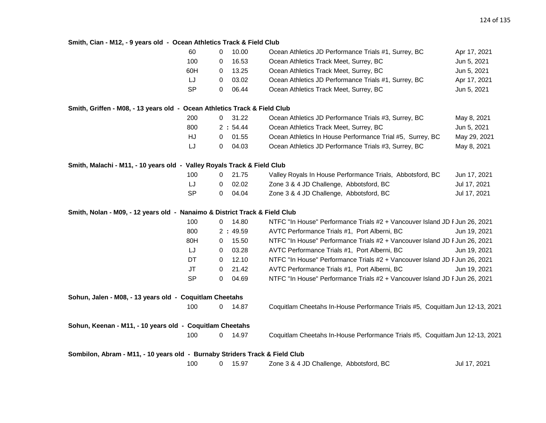## **Smith, Cian - M12, - 9 years old - Ocean Athletics Track & Field Club**

|                                                                             | 60        | 0              | 10.00     | Ocean Athletics JD Performance Trials #1, Surrey, BC                         | Apr 17, 2021 |
|-----------------------------------------------------------------------------|-----------|----------------|-----------|------------------------------------------------------------------------------|--------------|
|                                                                             | 100       | 0              | 16.53     | Ocean Athletics Track Meet, Surrey, BC                                       | Jun 5, 2021  |
|                                                                             | 60H       | 0              | 13.25     | Ocean Athletics Track Meet, Surrey, BC                                       | Jun 5, 2021  |
|                                                                             | LJ        | 0              | 03.02     | Ocean Athletics JD Performance Trials #1, Surrey, BC                         | Apr 17, 2021 |
|                                                                             | <b>SP</b> | 0              | 06.44     | Ocean Athletics Track Meet, Surrey, BC                                       | Jun 5, 2021  |
| Smith, Griffen - M08, - 13 years old - Ocean Athletics Track & Field Club   |           |                |           |                                                                              |              |
|                                                                             | 200       | $\overline{0}$ | 31.22     | Ocean Athletics JD Performance Trials #3, Surrey, BC                         | May 8, 2021  |
|                                                                             | 800       |                | 2:54.44   | Ocean Athletics Track Meet, Surrey, BC                                       | Jun 5, 2021  |
|                                                                             | HJ        | $\mathbf{0}$   | 01.55     | Ocean Athletics In House Performance Trial #5, Surrey, BC                    | May 29, 2021 |
|                                                                             | LJ        | 0              | 04.03     | Ocean Athletics JD Performance Trials #3, Surrey, BC                         | May 8, 2021  |
| Smith, Malachi - M11, - 10 years old - Valley Royals Track & Field Club     |           |                |           |                                                                              |              |
|                                                                             | 100       | 0              | 21.75     | Valley Royals In House Performance Trials, Abbotsford, BC                    | Jun 17, 2021 |
|                                                                             | LJ        | 0              | 02.02     | Zone 3 & 4 JD Challenge, Abbotsford, BC                                      | Jul 17, 2021 |
|                                                                             | <b>SP</b> | $\mathbf{0}$   | 04.04     | Zone 3 & 4 JD Challenge, Abbotsford, BC                                      | Jul 17, 2021 |
| Smith, Nolan - M09, - 12 years old - Nanaimo & District Track & Field Club  |           |                |           |                                                                              |              |
|                                                                             | 100       |                | $0$ 14.80 | NTFC "In House" Performance Trials #2 + Vancouver Island JD F Jun 26, 2021   |              |
|                                                                             | 800       |                | 2:49.59   | AVTC Performance Trials #1, Port Alberni, BC                                 | Jun 19, 2021 |
|                                                                             | 80H       | 0              | 15.50     | NTFC "In House" Performance Trials #2 + Vancouver Island JD F Jun 26, 2021   |              |
|                                                                             | LJ        | 0              | 03.28     | AVTC Performance Trials #1, Port Alberni, BC                                 | Jun 19, 2021 |
|                                                                             | DT        | 0              | 12.10     | NTFC "In House" Performance Trials #2 + Vancouver Island JD F Jun 26, 2021   |              |
|                                                                             | <b>JT</b> | $\mathbf 0$    | 21.42     | AVTC Performance Trials #1, Port Alberni, BC                                 | Jun 19, 2021 |
|                                                                             | <b>SP</b> | $\mathbf 0$    | 04.69     | NTFC "In House" Performance Trials #2 + Vancouver Island JD F Jun 26, 2021   |              |
| Sohun, Jalen - M08, - 13 years old - Coquitlam Cheetahs                     |           |                |           |                                                                              |              |
|                                                                             | 100       |                | $0$ 14.87 | Coquitlam Cheetahs In-House Performance Trials #5, Coquitlam Jun 12-13, 2021 |              |
| Sohun, Keenan - M11, - 10 years old - Coquitlam Cheetahs                    |           |                |           |                                                                              |              |
|                                                                             | 100       | 0              | 14.97     | Coquitlam Cheetahs In-House Performance Trials #5, Coquitlam Jun 12-13, 2021 |              |
| Sombilon, Abram - M11, - 10 years old - Burnaby Striders Track & Field Club |           |                |           |                                                                              |              |
|                                                                             | 100       | 0              | 15.97     | Zone 3 & 4 JD Challenge, Abbotsford, BC                                      | Jul 17, 2021 |
|                                                                             |           |                |           |                                                                              |              |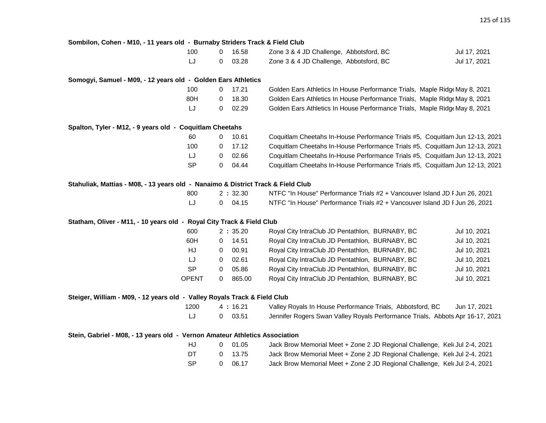#### **Sombilon, Cohen - M10, - 11 years old - Burnaby Striders Track & Field Club**

| 100 | 0 16.58 | Zone 3 & 4 JD Challenge, Abbotsford, BC | Jul 17, 2021 |
|-----|---------|-----------------------------------------|--------------|
|     | 0 03.28 | Zone 3 & 4 JD Challenge, Abbotsford, BC | Jul 17, 2021 |

#### **Somogyi, Samuel - M09, - 12 years old - Golden Ears Athletics**

| 100 | $\Omega$ | - 17.21 | Golden Ears Athletics In House Performance Trials, Maple Ridge May 8, 2021 |  |
|-----|----------|---------|----------------------------------------------------------------------------|--|
| 80H | $\Omega$ | 18.30   | Golden Ears Athletics In House Performance Trials, Maple Ridge May 8, 2021 |  |
| LJ  | 0.       | 02.29   | Golden Ears Athletics In House Performance Trials, Maple Ridge May 8, 2021 |  |

#### **Spalton, Tyler - M12, - 9 years old - Coquitlam Cheetahs**

| 60        | $^{\circ}$ | 10.61           | Coquitlam Cheetahs In-House Performance Trials #5, Coquitlam Jun 12-13, 2021 |
|-----------|------------|-----------------|------------------------------------------------------------------------------|
| 100       |            | $0 \quad 17.12$ | Coquitlam Cheetahs In-House Performance Trials #5, Coquitlam Jun 12-13, 2021 |
| IJ        | $\Omega$   | 02.66           | Coquitlam Cheetahs In-House Performance Trials #5, Coquitlam Jun 12-13, 2021 |
| <b>SP</b> |            | $0 \quad 04.44$ | Coquitlam Cheetahs In-House Performance Trials #5, Coquitlam Jun 12-13, 2021 |

#### **Stahuliak, Mattias - M08, - 13 years old - Nanaimo & District Track & Field Club**

| 800 | 2 : 32.30 | NTFC "In House" Performance Trials #2 + Vancouver Island JD F Jun 26, 2021 |
|-----|-----------|----------------------------------------------------------------------------|
|     | 0 04.15   | NTFC "In House" Performance Trials #2 + Vancouver Island JD F Jun 26, 2021 |

#### **Statham, Oliver - M11, - 10 years old - Royal City Track & Field Club**

| 600       |   | 2:35.20 | Royal City IntraClub JD Pentathlon, BURNABY, BC | Jul 10, 2021 |
|-----------|---|---------|-------------------------------------------------|--------------|
| 60H       |   | 14.51   | Royal City IntraClub JD Pentathlon, BURNABY, BC | Jul 10, 2021 |
| HJ        | 0 | 00.91   | Royal City IntraClub JD Pentathlon, BURNABY, BC | Jul 10, 2021 |
| IJ        | 0 | 02.61   | Royal City IntraClub JD Pentathlon, BURNABY, BC | Jul 10, 2021 |
| <b>SP</b> | 0 | 05.86   | Royal City IntraClub JD Pentathlon, BURNABY, BC | Jul 10, 2021 |
| OPENT     |   | 865.00  | Royal City IntraClub JD Pentathlon, BURNABY, BC | Jul 10, 2021 |

## **Steiger, William - M09, - 12 years old - Valley Royals Track & Field Club** 1200 4 **:** 16.21 Valley Royals In House Performance Trials, Abbotsford, BC Jun 17, 2021

| Jennifer Rogers Swan Valley Royals Performance Trials, Abbots Apr 16-17, 2021<br>$0\quad 03.51$<br>LJ |  |
|-------------------------------------------------------------------------------------------------------|--|
|-------------------------------------------------------------------------------------------------------|--|

**Stein, Gabriel - M08, - 13 years old - Vernon Amateur Athletics Association**

| HJ.       | 01.05   | Jack Brow Memorial Meet + Zone 2 JD Regional Challenge, Kelt Jul 2-4, 2021 |  |
|-----------|---------|----------------------------------------------------------------------------|--|
| DT.       | 0 13.75 | Jack Brow Memorial Meet + Zone 2 JD Regional Challenge, Kel Jul 2-4, 2021  |  |
| <b>SP</b> | 06.17   | Jack Brow Memorial Meet + Zone 2 JD Regional Challenge, Kel Jul 2-4, 2021  |  |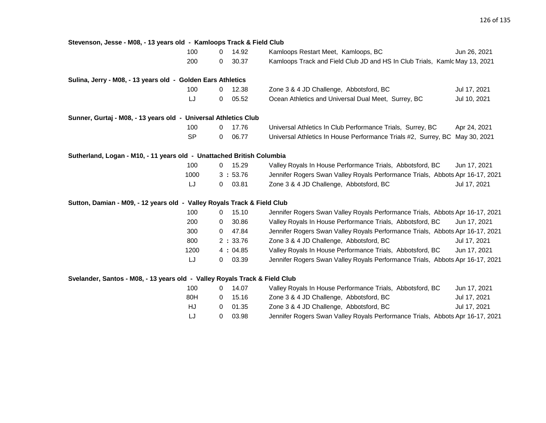| Stevenson, Jesse - M08, - 13 years old - Kamloops Track & Field Club       |           |             |         |                                                                               |              |
|----------------------------------------------------------------------------|-----------|-------------|---------|-------------------------------------------------------------------------------|--------------|
|                                                                            | 100       | 0           | 14.92   | Kamloops Restart Meet, Kamloops, BC                                           | Jun 26, 2021 |
|                                                                            | 200       | 0           | 30.37   | Kamloops Track and Field Club JD and HS In Club Trials, Kamlc May 13, 2021    |              |
| Sulina, Jerry - M08, - 13 years old - Golden Ears Athletics                |           |             |         |                                                                               |              |
|                                                                            | 100       | $\mathbf 0$ | 12.38   | Zone 3 & 4 JD Challenge, Abbotsford, BC                                       | Jul 17, 2021 |
|                                                                            | LJ        | 0           | 05.52   | Ocean Athletics and Universal Dual Meet, Surrey, BC                           | Jul 10, 2021 |
| Sunner, Gurtaj - M08, - 13 years old - Universal Athletics Club            |           |             |         |                                                                               |              |
|                                                                            | 100       | 0           | 17.76   | Universal Athletics In Club Performance Trials, Surrey, BC                    | Apr 24, 2021 |
|                                                                            | <b>SP</b> | 0           | 06.77   | Universal Athletics In House Performance Trials #2, Surrey, BC May 30, 2021   |              |
| Sutherland, Logan - M10, - 11 years old - Unattached British Columbia      |           |             |         |                                                                               |              |
|                                                                            | 100       | 0           | 15.29   | Valley Royals In House Performance Trials, Abbotsford, BC                     | Jun 17, 2021 |
|                                                                            | 1000      |             | 3:53.76 | Jennifer Rogers Swan Valley Royals Performance Trials, Abbots Apr 16-17, 2021 |              |
|                                                                            | LJ        | 0           | 03.81   | Zone 3 & 4 JD Challenge, Abbotsford, BC                                       | Jul 17, 2021 |
| Sutton, Damian - M09, - 12 years old - Valley Royals Track & Field Club    |           |             |         |                                                                               |              |
|                                                                            | 100       | 0           | 15.10   | Jennifer Rogers Swan Valley Royals Performance Trials, Abbots Apr 16-17, 2021 |              |
|                                                                            | 200       | 0           | 30.86   | Valley Royals In House Performance Trials, Abbotsford, BC                     | Jun 17, 2021 |
|                                                                            | 300       | $\mathbf 0$ | 47.84   | Jennifer Rogers Swan Valley Royals Performance Trials, Abbots Apr 16-17, 2021 |              |
|                                                                            | 800       |             | 2:33.76 | Zone 3 & 4 JD Challenge, Abbotsford, BC                                       | Jul 17, 2021 |
|                                                                            | 1200      |             | 4:04.85 | Valley Royals In House Performance Trials, Abbotsford, BC                     | Jun 17, 2021 |
|                                                                            | LJ        | 0           | 03.39   | Jennifer Rogers Swan Valley Royals Performance Trials, Abbots Apr 16-17, 2021 |              |
| Svelander, Santos - M08, - 13 years old - Valley Royals Track & Field Club |           |             |         |                                                                               |              |
|                                                                            | 100       | 0           | 14.07   | Valley Royals In House Performance Trials, Abbotsford, BC                     | Jun 17, 2021 |
|                                                                            | 80H       | 0           | 15.16   | Zone 3 & 4 JD Challenge, Abbotsford, BC                                       | Jul 17, 2021 |
|                                                                            | HJ        | 0           | 01.35   | Zone 3 & 4 JD Challenge, Abbotsford, BC                                       | Jul 17, 2021 |
|                                                                            | LJ        | 0           | 03.98   | Jennifer Rogers Swan Valley Royals Performance Trials, Abbots Apr 16-17, 2021 |              |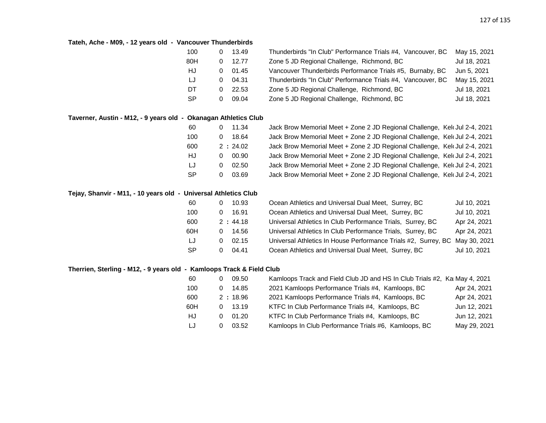## **Tateh, Ache - M09, - 12 years old - Vancouver Thunderbirds**

| 100       |   | 13.49 | Thunderbirds "In Club" Performance Trials #4, Vancouver, BC | May 15, 2021 |
|-----------|---|-------|-------------------------------------------------------------|--------------|
| 80H       |   | 12.77 | Zone 5 JD Regional Challenge, Richmond, BC                  | Jul 18, 2021 |
| HJ.       |   | 01.45 | Vancouver Thunderbirds Performance Trials #5, Burnaby, BC   | Jun 5, 2021  |
| LJ        | O | 04.31 | Thunderbirds "In Club" Performance Trials #4, Vancouver, BC | May 15, 2021 |
| DT        |   | 22.53 | Zone 5 JD Regional Challenge, Richmond, BC                  | Jul 18, 2021 |
| <b>SP</b> |   | 09.04 | Zone 5 JD Regional Challenge, Richmond, BC                  | Jul 18, 2021 |

### **Taverner, Austin - M12, - 9 years old - Okanagan Athletics Club**

| 60        |   | 11.34   | Jack Brow Memorial Meet + Zone 2 JD Regional Challenge, Kelt Jul 2-4, 2021 |  |
|-----------|---|---------|----------------------------------------------------------------------------|--|
| 100       |   | 18.64   | Jack Brow Memorial Meet + Zone 2 JD Regional Challenge, Kelt Jul 2-4, 2021 |  |
| 600       |   | 2:24.02 | Jack Brow Memorial Meet + Zone 2 JD Regional Challenge, Kelt Jul 2-4, 2021 |  |
| HJ        | 0 | 00.90   | Jack Brow Memorial Meet + Zone 2 JD Regional Challenge, Kelt Jul 2-4, 2021 |  |
| IJ        | 0 | 02.50   | Jack Brow Memorial Meet + Zone 2 JD Regional Challenge, Kelt Jul 2-4, 2021 |  |
| <b>SP</b> |   | 03.69   | Jack Brow Memorial Meet + Zone 2 JD Regional Challenge, Kelt Jul 2-4, 2021 |  |

### **Tejay, Shanvir - M11, - 10 years old - Universal Athletics Club**

| 60        | 10.93                 | Ocean Athletics and Universal Dual Meet, Surrey, BC                         | Jul 10, 2021 |
|-----------|-----------------------|-----------------------------------------------------------------------------|--------------|
| 100       | 16.91                 | Ocean Athletics and Universal Dual Meet, Surrey, BC                         | Jul 10, 2021 |
| 600       | 2:44.18               | Universal Athletics In Club Performance Trials, Surrey, BC                  | Apr 24, 2021 |
| 60H       | 14.56                 | Universal Athletics In Club Performance Trials, Surrey, BC                  | Apr 24, 2021 |
| LJ        | 02.15                 | Universal Athletics In House Performance Trials #2, Surrey, BC May 30, 2021 |              |
| <b>SP</b> | 04.41<br>$\mathbf{O}$ | Ocean Athletics and Universal Dual Meet, Surrey, BC                         | Jul 10, 2021 |

## **Therrien, Sterling - M12, - 9 years old - Kamloops Track & Field Club**

| 60  |   | 09.50   | Kamloops Track and Field Club JD and HS In Club Trials #2, Kam May 4, 2021 |              |
|-----|---|---------|----------------------------------------------------------------------------|--------------|
| 100 |   | 14.85   | 2021 Kamloops Performance Trials #4, Kamloops, BC                          | Apr 24, 2021 |
| 600 |   | 2:18.96 | 2021 Kamloops Performance Trials #4, Kamloops, BC                          | Apr 24, 2021 |
| 60H |   | 13.19   | KTFC In Club Performance Trials #4, Kamloops, BC                           | Jun 12, 2021 |
| HJ  | 0 | 01.20   | KTFC In Club Performance Trials #4, Kamloops, BC                           | Jun 12, 2021 |
| LJ  |   | 03.52   | Kamloops In Club Performance Trials #6, Kamloops, BC                       | May 29, 2021 |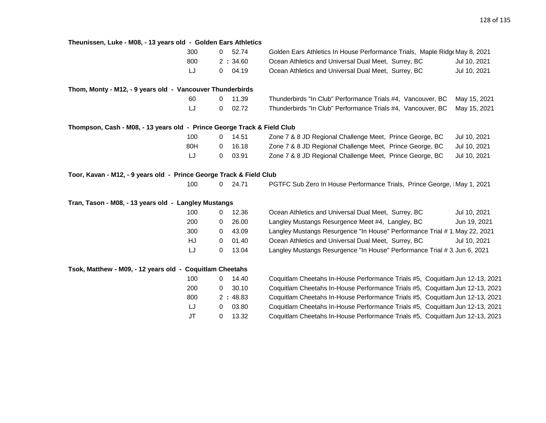| Theunissen, Luke - M08, - 13 years old - Golden Ears Athletics          |     |              |         |                                                                              |              |
|-------------------------------------------------------------------------|-----|--------------|---------|------------------------------------------------------------------------------|--------------|
|                                                                         | 300 | $\mathbf{0}$ | 52.74   | Golden Ears Athletics In House Performance Trials, Maple Ridge May 8, 2021   |              |
|                                                                         | 800 |              | 2:34.60 | Ocean Athletics and Universal Dual Meet, Surrey, BC                          | Jul 10, 2021 |
|                                                                         | IJ  | 0            | 04.19   | Ocean Athletics and Universal Dual Meet, Surrey, BC                          | Jul 10, 2021 |
| Thom, Monty - M12, - 9 years old - Vancouver Thunderbirds               |     |              |         |                                                                              |              |
|                                                                         | 60  | 0            | 11.39   | Thunderbirds "In Club" Performance Trials #4, Vancouver, BC                  | May 15, 2021 |
|                                                                         | LJ  | 0            | 02.72   | Thunderbirds "In Club" Performance Trials #4, Vancouver, BC                  | May 15, 2021 |
| Thompson, Cash - M08, - 13 years old - Prince George Track & Field Club |     |              |         |                                                                              |              |
|                                                                         | 100 | 0            | 14.51   | Zone 7 & 8 JD Regional Challenge Meet, Prince George, BC                     | Jul 10, 2021 |
|                                                                         | 80H | 0            | 16.18   | Zone 7 & 8 JD Regional Challenge Meet, Prince George, BC                     | Jul 10, 2021 |
|                                                                         | LJ  | 0            | 03.91   | Zone 7 & 8 JD Regional Challenge Meet, Prince George, BC                     | Jul 10, 2021 |
| Toor, Kavan - M12, - 9 years old - Prince George Track & Field Club     |     |              |         |                                                                              |              |
|                                                                         | 100 | 0            | 24.71   | PGTFC Sub Zero In House Performance Trials, Prince George, IMay 1, 2021      |              |
| Tran, Tason - M08, - 13 years old - Langley Mustangs                    |     |              |         |                                                                              |              |
|                                                                         | 100 | 0            | 12.36   | Ocean Athletics and Universal Dual Meet, Surrey, BC                          | Jul 10, 2021 |
|                                                                         | 200 | 0            | 26.00   | Langley Mustangs Resurgence Meet #4, Langley, BC                             | Jun 19, 2021 |
|                                                                         | 300 | 0            | 43.09   | Langley Mustangs Resurgence "In House" Performance Trial # 1, May 22, 2021   |              |
|                                                                         | HJ  | 0            | 01.40   | Ocean Athletics and Universal Dual Meet, Surrey, BC                          | Jul 10, 2021 |
|                                                                         | LJ  | 0            | 13.04   | Langley Mustangs Resurgence "In House" Performance Trial # 3, Jun 6, 2021    |              |
| Tsok, Matthew - M09, - 12 years old - Coquitlam Cheetahs                |     |              |         |                                                                              |              |
|                                                                         | 100 | 0            | 14.40   | Coquitlam Cheetahs In-House Performance Trials #5, Coquitlam Jun 12-13, 2021 |              |
|                                                                         | 200 | 0            | 30.10   | Coquitlam Cheetahs In-House Performance Trials #5, Coquitlam Jun 12-13, 2021 |              |
|                                                                         | 800 |              | 2:48.83 | Coquitlam Cheetahs In-House Performance Trials #5, Coquitlam Jun 12-13, 2021 |              |
|                                                                         | LJ  | 0            | 03.80   | Coquitlam Cheetahs In-House Performance Trials #5, Coquitlam Jun 12-13, 2021 |              |
|                                                                         | JT  | 0            | 13.32   | Coquitlam Cheetahs In-House Performance Trials #5, Coquitlam Jun 12-13, 2021 |              |
|                                                                         |     |              |         |                                                                              |              |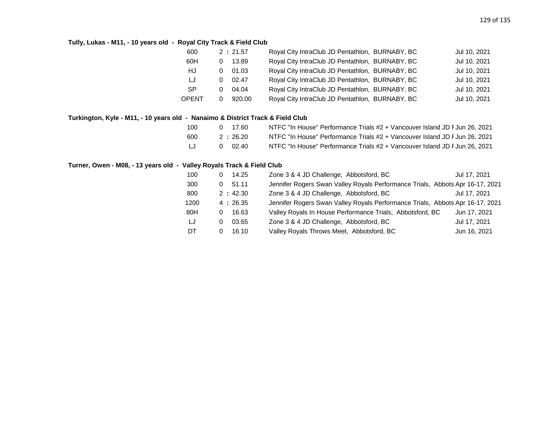## **Tully, Lukas - M11, - 10 years old - Royal City Track & Field Club**

| 600       |   | 2:21.57 | Royal City IntraClub JD Pentathlon, BURNABY, BC | Jul 10, 2021 |
|-----------|---|---------|-------------------------------------------------|--------------|
| 60H       | 0 | 13.89   | Royal City IntraClub JD Pentathlon, BURNABY, BC | Jul 10, 2021 |
| HJ        | 0 | 01.03   | Royal City IntraClub JD Pentathlon, BURNABY, BC | Jul 10, 2021 |
| IJ        | 0 | 02.47   | Royal City IntraClub JD Pentathlon, BURNABY, BC | Jul 10, 2021 |
| <b>SP</b> | 0 | 04.04   | Royal City IntraClub JD Pentathlon, BURNABY, BC | Jul 10, 2021 |
| OPENT     | 0 | 920.00  | Royal City IntraClub JD Pentathlon, BURNABY, BC | Jul 10, 2021 |
|           |   |         |                                                 |              |

## **Turkington, Kyle - M11, - 10 years old - Nanaimo & District Track & Field Club**

| 100 | 0 17.60   | NTFC "In House" Performance Trials #2 + Vancouver Island JD F Jun 26, 2021 |
|-----|-----------|----------------------------------------------------------------------------|
| 600 | 2 : 26.20 | NTFC "In House" Performance Trials #2 + Vancouver Island JD F Jun 26, 2021 |
| LJ  | 02.40     | NTFC "In House" Performance Trials #2 + Vancouver Island JD F Jun 26, 2021 |

### **Turner, Owen - M08, - 13 years old - Valley Royals Track & Field Club**

| 100  | 14.25<br>0        | Zone 3 & 4 JD Challenge, Abbotsford, BC                                       | Jul 17, 2021 |
|------|-------------------|-------------------------------------------------------------------------------|--------------|
| 300  | 51.11<br>0        | Jennifer Rogers Swan Valley Royals Performance Trials, Abbots Apr 16-17, 2021 |              |
| 800  | 2:42.30           | Zone 3 & 4 JD Challenge, Abbotsford, BC                                       | Jul 17, 2021 |
| 1200 | 4:26.35           | Jennifer Rogers Swan Valley Royals Performance Trials, Abbots Apr 16-17, 2021 |              |
| 80H  | 16.63<br>0        | Valley Royals In House Performance Trials, Abbotsford, BC                     | Jun 17, 2021 |
| LJ   | 03.65<br>$\Omega$ | Zone 3 & 4 JD Challenge, Abbotsford, BC                                       | Jul 17, 2021 |
| DT   | 16.10<br>0        | Valley Royals Throws Meet, Abbotsford, BC                                     | Jun 16, 2021 |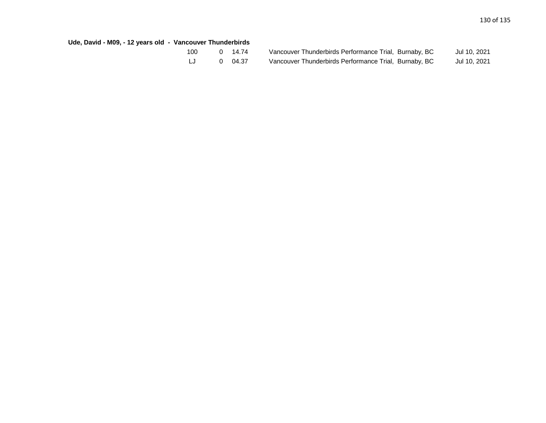## **Ude, David - M09, - 12 years old - Vancouver Thunderbirds**

| 100 | O | 14.74 |
|-----|---|-------|
| IJ  | O | 04.37 |

| 100 | 0 14.74        | Vancouver Thunderbirds Performance Trial, Burnaby, BC | Jul 10, 2021 |
|-----|----------------|-------------------------------------------------------|--------------|
|     | $0\quad 04.37$ | Vancouver Thunderbirds Performance Trial, Burnaby, BC | Jul 10, 2021 |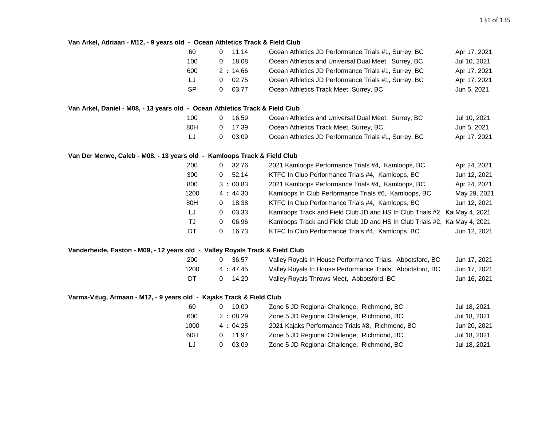#### **Van Arkel, Adriaan - M12, - 9 years old - Ocean Athletics Track & Field Club**

| 60        | $0$ 11.14 | Ocean Athletics JD Performance Trials #1, Surrey, BC | Apr 17, 2021 |
|-----------|-----------|------------------------------------------------------|--------------|
| 100       | 18.08     | Ocean Athletics and Universal Dual Meet, Surrey, BC  | Jul 10, 2021 |
| 600       | 2:14.66   | Ocean Athletics JD Performance Trials #1, Surrey, BC | Apr 17, 2021 |
| IJ        | 02.75     | Ocean Athletics JD Performance Trials #1, Surrey, BC | Apr 17, 2021 |
| <b>SP</b> | 03.77     | Ocean Athletics Track Meet, Surrey, BC               | Jun 5, 2021  |

#### **Van Arkel, Daniel - M08, - 13 years old - Ocean Athletics Track & Field Club**

| 100 | 16.59   | Ocean Athletics and Universal Dual Meet, Surrey, BC  | Jul 10, 2021 |
|-----|---------|------------------------------------------------------|--------------|
| 80H | 0 17.39 | Ocean Athletics Track Meet, Surrey, BC               | Jun 5. 2021  |
| IJ  | 03.09   | Ocean Athletics JD Performance Trials #1, Surrey, BC | Apr 17, 2021 |

#### **Van Der Merwe, Caleb - M08, - 13 years old - Kamloops Track & Field Club**

| 200  | 0 | 32.76   | 2021 Kamloops Performance Trials #4, Kamloops, BC                          | Apr 24, 2021 |
|------|---|---------|----------------------------------------------------------------------------|--------------|
| 300  | 0 | 52.14   | KTFC In Club Performance Trials #4, Kamloops, BC                           | Jun 12, 2021 |
| 800  |   | 3:00.83 | 2021 Kamloops Performance Trials #4, Kamloops, BC                          | Apr 24, 2021 |
| 1200 |   | 4:44.30 | Kamloops In Club Performance Trials #6, Kamloops, BC                       | May 29, 2021 |
| 80H  | 0 | 18.38   | KTFC In Club Performance Trials #4, Kamloops, BC                           | Jun 12, 2021 |
| LJ   | 0 | 03.33   | Kamloops Track and Field Club JD and HS In Club Trials #2, Ka May 4, 2021  |              |
| TJ   | 0 | 06.96   | Kamloops Track and Field Club JD and HS In Club Trials #2, KaI May 4, 2021 |              |
| DT   | 0 | 16.73   | KTFC In Club Performance Trials #4, Kamloops, BC                           | Jun 12, 2021 |
|      |   |         |                                                                            |              |

#### **Vanderheide, Easton - M09, - 12 years old - Valley Royals Track & Field Club**

| 200  | $\Omega$ | -36.57  | Valley Royals In House Performance Trials, Abbotsford, BC | Jun 17, 2021 |
|------|----------|---------|-----------------------------------------------------------|--------------|
| 1200 |          | 4:47.45 | Valley Royals In House Performance Trials, Abbotsford, BC | Jun 17, 2021 |
| DT   |          | 14.20   | Valley Royals Throws Meet, Abbotsford, BC                 | Jun 16, 2021 |

### **Varma-Vitug, Armaan - M12, - 9 years old - Kajaks Track & Field Club**

| 10.00   |                                                 | Jul 18, 2021                               |
|---------|-------------------------------------------------|--------------------------------------------|
| 2:08.29 | Zone 5 JD Regional Challenge, Richmond, BC      | Jul 18, 2021                               |
| 4:04.25 | 2021 Kajaks Performance Trials #8, Richmond, BC | Jun 20, 2021                               |
| 11.97   | Zone 5 JD Regional Challenge, Richmond, BC      | Jul 18, 2021                               |
| 03.09   | Zone 5 JD Regional Challenge, Richmond, BC      | Jul 18, 2021                               |
|         |                                                 | Zone 5 JD Regional Challenge, Richmond, BC |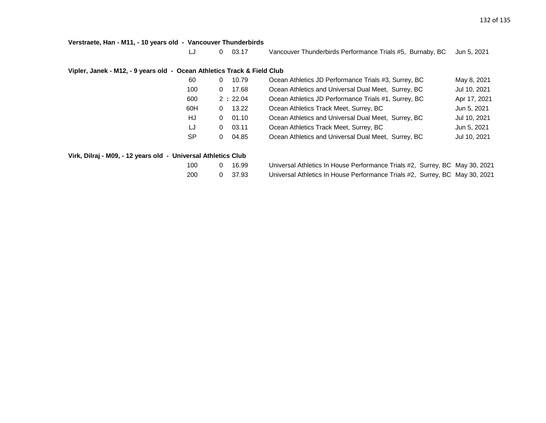**Verstraete, Han - M11, - 10 years old - Vancouver Thunderbirds**

LJ 0 03.17 Vancouver Thunderbirds Performance Trials #5, Burnaby, BC Jun 5, 2021

### **Vipler, Janek - M12, - 9 years old - Ocean Athletics Track & Field Club**

| -60       | 10.79<br>0 | Ocean Athletics JD Performance Trials #3, Surrey, BC | May 8, 2021  |
|-----------|------------|------------------------------------------------------|--------------|
| 100       | 17.68<br>0 | Ocean Athletics and Universal Dual Meet, Surrey, BC  | Jul 10, 2021 |
| 600       | 2:22.04    | Ocean Athletics JD Performance Trials #1, Surrey, BC | Apr 17, 2021 |
| 60H       | 13.22<br>0 | Ocean Athletics Track Meet, Surrey, BC               | Jun 5, 2021  |
| HJ        | 01.10<br>0 | Ocean Athletics and Universal Dual Meet, Surrey, BC  | Jul 10, 2021 |
| LJ        | 03.11<br>0 | Ocean Athletics Track Meet, Surrey, BC               | Jun 5, 2021  |
| <b>SP</b> | 04.85<br>0 | Ocean Athletics and Universal Dual Meet, Surrey, BC  | Jul 10, 2021 |
|           |            |                                                      |              |

### **Virk, Dilraj - M09, - 12 years old - Universal Athletics Club**

| 100 | 0 | 16.99 |  |
|-----|---|-------|--|
| ∩∩פ | ∩ | 27 Q2 |  |

Universal Athletics In House Performance Trials #2, Surrey, BC May 30, 2021 200 0 37.93 Universal Athletics In House Performance Trials #2, Surrey, BC May 30, 2021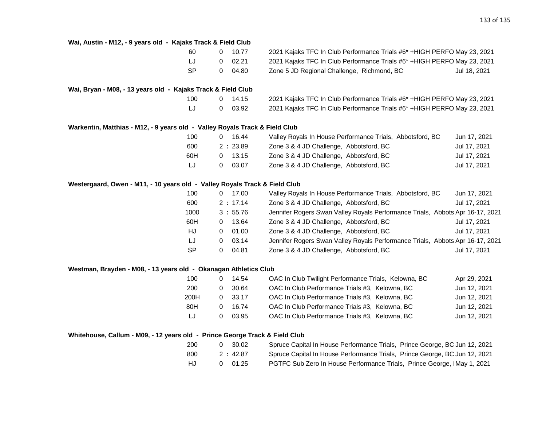| Wai, Austin - M12, - 9 years old - Kajaks Track & Field Club                |           |              |         |                                                                               |              |
|-----------------------------------------------------------------------------|-----------|--------------|---------|-------------------------------------------------------------------------------|--------------|
|                                                                             | 60        | $\mathbf{0}$ | 10.77   | 2021 Kajaks TFC In Club Performance Trials #6* + HIGH PERFO May 23, 2021      |              |
|                                                                             | LJ        | 0            | 02.21   | 2021 Kajaks TFC In Club Performance Trials #6* + HIGH PERFO May 23, 2021      |              |
|                                                                             | <b>SP</b> | 0            | 04.80   | Zone 5 JD Regional Challenge, Richmond, BC                                    | Jul 18, 2021 |
|                                                                             |           |              |         |                                                                               |              |
| Wai, Bryan - M08, - 13 years old - Kajaks Track & Field Club                |           |              |         |                                                                               |              |
|                                                                             | 100       | 0            | 14.15   | 2021 Kajaks TFC In Club Performance Trials #6* + HIGH PERFO May 23, 2021      |              |
|                                                                             | LJ        | 0            | 03.92   | 2021 Kajaks TFC In Club Performance Trials #6* + HIGH PERFO May 23, 2021      |              |
| Warkentin, Matthias - M12, - 9 years old - Valley Royals Track & Field Club |           |              |         |                                                                               |              |
|                                                                             | 100       | 0            | 16.44   | Valley Royals In House Performance Trials, Abbotsford, BC                     | Jun 17, 2021 |
|                                                                             | 600       |              | 2:23.89 | Zone 3 & 4 JD Challenge, Abbotsford, BC                                       | Jul 17, 2021 |
|                                                                             | 60H       | 0            | 13.15   | Zone 3 & 4 JD Challenge, Abbotsford, BC                                       | Jul 17, 2021 |
|                                                                             | LJ        | 0            | 03.07   | Zone 3 & 4 JD Challenge, Abbotsford, BC                                       | Jul 17, 2021 |
| Westergaard, Owen - M11, - 10 years old - Valley Royals Track & Field Club  |           |              |         |                                                                               |              |
|                                                                             | 100       | $\mathbf{0}$ | 17.00   | Valley Royals In House Performance Trials, Abbotsford, BC                     | Jun 17, 2021 |
|                                                                             | 600       |              | 2:17.14 | Zone 3 & 4 JD Challenge, Abbotsford, BC                                       | Jul 17, 2021 |
|                                                                             | 1000      |              | 3:55.76 | Jennifer Rogers Swan Valley Royals Performance Trials, Abbots Apr 16-17, 2021 |              |
|                                                                             | 60H       | 0            | 13.64   | Zone 3 & 4 JD Challenge, Abbotsford, BC                                       | Jul 17, 2021 |
|                                                                             | HJ        | $\mathbf{0}$ | 01.00   | Zone 3 & 4 JD Challenge, Abbotsford, BC                                       | Jul 17, 2021 |
|                                                                             | LJ        | 0            | 03.14   | Jennifer Rogers Swan Valley Royals Performance Trials, Abbots Apr 16-17, 2021 |              |
|                                                                             | <b>SP</b> | 0            | 04.81   | Zone 3 & 4 JD Challenge, Abbotsford, BC                                       | Jul 17, 2021 |
|                                                                             |           |              |         |                                                                               |              |
| Westman, Brayden - M08, - 13 years old - Okanagan Athletics Club            |           |              |         |                                                                               |              |
|                                                                             | 100       | 0            | 14.54   | OAC In Club Twilight Performance Trials, Kelowna, BC                          | Apr 29, 2021 |
|                                                                             | 200       | 0            | 30.64   | OAC In Club Performance Trials #3, Kelowna, BC                                | Jun 12, 2021 |
|                                                                             | 200H      | 0            | 33.17   | OAC In Club Performance Trials #3, Kelowna, BC                                | Jun 12, 2021 |
|                                                                             | 80H       | 0            | 16.74   | OAC In Club Performance Trials #3, Kelowna, BC                                | Jun 12, 2021 |
|                                                                             | LJ        | 0            | 03.95   | OAC In Club Performance Trials #3, Kelowna, BC                                | Jun 12, 2021 |
| Whitehouse, Callum - M09, - 12 years old - Prince George Track & Field Club |           |              |         |                                                                               |              |
|                                                                             | 200       | 0            | 30.02   | Spruce Capital In House Performance Trials, Prince George, BC Jun 12, 2021    |              |
|                                                                             | 800       |              | 2:42.87 | Spruce Capital In House Performance Trials, Prince George, BC Jun 12, 2021    |              |
|                                                                             | HJ        | 0            | 01.25   | PGTFC Sub Zero In House Performance Trials, Prince George, IMay 1, 2021       |              |
|                                                                             |           |              |         |                                                                               |              |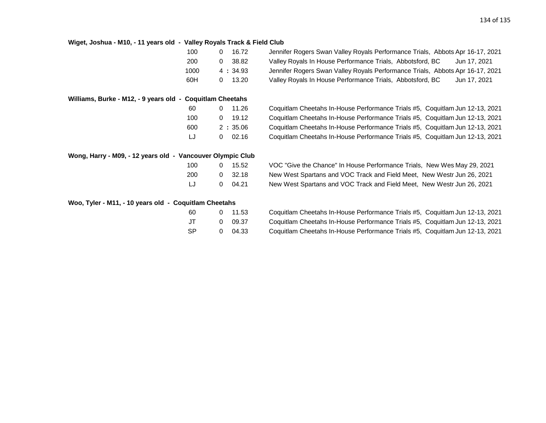#### **Wiget, Joshua - M10, - 11 years old - Valley Royals Track & Field Club**

| 100  | 16.72      | Jennifer Rogers Swan Valley Royals Performance Trials, Abbots Apr 16-17, 2021 |
|------|------------|-------------------------------------------------------------------------------|
| 200  | 38.82<br>0 | Valley Royals In House Performance Trials, Abbotsford, BC<br>Jun 17, 2021     |
| 1000 | 4:34.93    | Jennifer Rogers Swan Valley Royals Performance Trials, Abbots Apr 16-17, 2021 |
| 60H  | 13.20      | Valley Royals In House Performance Trials, Abbotsford, BC<br>Jun 17, 2021     |

## **Williams, Burke - M12, - 9 years old - Coquitlam Cheetahs**

| 60  | O | 11.26   |
|-----|---|---------|
| 100 | O | 19.12   |
| 600 |   | 2:35.06 |
| IJ  | O | 02.16   |

|  |  |  |  |  |  |  | Wong, Harry - M09, - 12 years old - Vancouver Olympic Club |  |  |
|--|--|--|--|--|--|--|------------------------------------------------------------|--|--|
|--|--|--|--|--|--|--|------------------------------------------------------------|--|--|

| 100 | ŋ | 15.52  |
|-----|---|--------|
| 200 | O | -32.18 |
| IJ  | O | 04.21  |

60 Coquitlam Cheetahs In-House Performance Trials #5, Coquitlam Jun 12-13, 2021 Coquitlam Cheetahs In-House Performance Trials #5, Coquitlam Jun 12-13, 2021 Coquitlam Cheetahs In-House Performance Trials #5, Coquitlam Jun 12-13, 2021 Coquitlam Cheetahs In-House Performance Trials #5, Coquitlam Jun 12-13, 2021

100 VOC "Give the Chance" In House Performance Trials, New Wes May 29, 2021 New West Spartans and VOC Track and Field Meet, New Westr Jun 26, 2021 New West Spartans and VOC Track and Field Meet, New Westr Jun 26, 2021

#### **Woo, Tyler - M11, - 10 years old - Coquitlam Cheetahs**

| 60 | O | 11.53 |
|----|---|-------|
| JТ | O | 09.37 |
| SP | O | 04.33 |

60 Coquitlam Cheetahs In-House Performance Trials #5, Coquitlam Jun 12-13, 2021 Coquitlam Cheetahs In-House Performance Trials #5, Coquitlam Jun 12-13, 2021 Coquitlam Cheetahs In-House Performance Trials #5, Coquitlam Jun 12-13, 2021